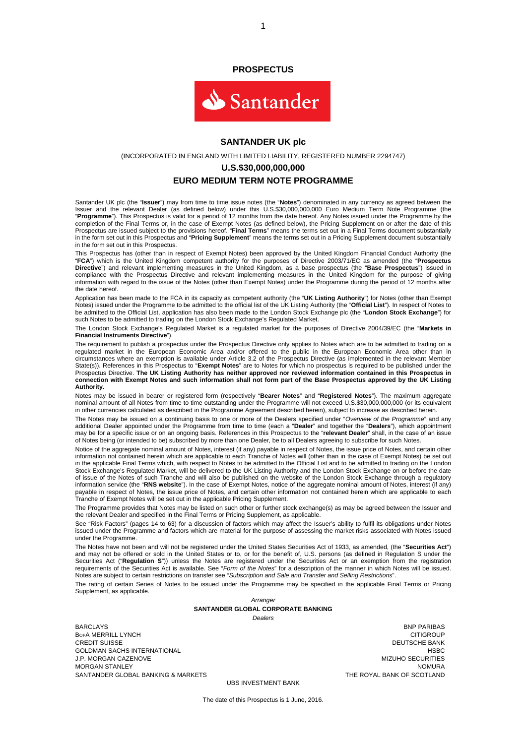#### **PROSPECTUS**



#### **SANTANDER UK plc**

(INCORPORATED IN ENGLAND WITH LIMITED LIABILITY, REGISTERED NUMBER 2294747)

#### **U.S.\$30,000,000,000**

#### **EURO MEDIUM TERM NOTE PROGRAMME**

Santander UK plc (the "**Issuer**") may from time to time issue notes (the "**Notes**") denominated in any currency as agreed between the Issuer and the relevant Dealer (as defined below) under this U.S.\$30,000,000,000 Euro Medium Term Note Programme (the "**Programme**"). This Prospectus is valid for a period of 12 months from the date hereof. Any Notes issued under the Programme by the completion of the Final Terms or, in the case of Exempt Notes (as defined below), the Pricing Supplement on or after the date of this Prospectus are issued subject to the provisions hereof. "**Final Terms**" means the terms set out in a Final Terms document substantially in the form set out in this Prospectus and "**Pricing Supplement**" means the terms set out in a Pricing Supplement document substantially in the form set out in this Prospectus.

This Prospectus has (other than in respect of Exempt Notes) been approved by the United Kingdom Financial Conduct Authority (the "**FCA**") which is the United Kingdom competent authority for the purposes of Directive 2003/71/EC as amended (the "**Prospectus Directive**") and relevant implementing measures in the United Kingdom, as a base prospectus (the "**Base Prospectus**") issued in compliance with the Prospectus Directive and relevant implementing measures in the United Kingdom for the purpose of giving information with regard to the issue of the Notes (other than Exempt Notes) under the Programme during the period of 12 months after the date hereof.

Application has been made to the FCA in its capacity as competent authority (the "**UK Listing Authority**") for Notes (other than Exempt Notes) issued under the Programme to be admitted to the official list of the UK Listing Authority (the "**Official List**"). In respect of Notes to be admitted to the Official List, application has also been made to the London Stock Exchange plc (the "**London Stock Exchange**") for such Notes to be admitted to trading on the London Stock Exchange's Regulated Market.

The London Stock Exchange's Regulated Market is a regulated market for the purposes of Directive 2004/39/EC (the "**Markets in Financial Instruments Directive**").

The requirement to publish a prospectus under the Prospectus Directive only applies to Notes which are to be admitted to trading on a regulated market in the European Economic Area and/or offered to the public in the European Economic Area other than in circumstances where an exemption is available under Article 3.2 of the Prospectus Directive (as implemented in the relevant Member State(s)). References in this Prospectus to "**Exempt Notes**" are to Notes for which no prospectus is required to be published under the Prospectus Directive. **The UK Listing Authority has neither approved nor reviewed information contained in this Prospectus in connection with Exempt Notes and such information shall not form part of the Base Prospectus approved by the UK Listing Authority.**

Notes may be issued in bearer or registered form (respectively "**Bearer Notes**" and "**Registered Notes**"). The maximum aggregate nominal amount of all Notes from time to time outstanding under the Programme will not exceed U.S.\$30,000,000,000 (or its equivalent in other currencies calculated as described in the Programme Agreement described herein), subject to increase as described herein.

The Notes may be issued on a continuing basis to one or more of the Dealers specified under "*Overview of the Programme*" and any additional Dealer appointed under the Programme from time to time (each a "**Dealer**" and together the "**Dealers**"), which appointment may be for a specific issue or on an ongoing basis. References in this Prospectus to the "**relevant Dealer**" shall, in the case of an issue of Notes being (or intended to be) subscribed by more than one Dealer, be to all Dealers agreeing to subscribe for such Notes.

Notice of the aggregate nominal amount of Notes, interest (if any) payable in respect of Notes, the issue price of Notes, and certain other information not contained herein which are applicable to each Tranche of Notes will (other than in the case of Exempt Notes) be set out in the applicable Final Terms which, with respect to Notes to be admitted to the Official List and to be admitted to trading on the London Stock Exchange's Regulated Market, will be delivered to the UK Listing Authority and the London Stock Exchange on or before the date of issue of the Notes of such Tranche and will also be published on the website of the London Stock Exchange through a regulatory information service (the "**RNS website**"). In the case of Exempt Notes, notice of the aggregate nominal amount of Notes, interest (if any) payable in respect of Notes, the issue price of Notes, and certain other information not contained herein which are applicable to each Tranche of Exempt Notes will be set out in the applicable Pricing Supplement.

The Programme provides that Notes may be listed on such other or further stock exchange(s) as may be agreed between the Issuer and the relevant Dealer and specified in the Final Terms or Pricing Supplement, as applicable.

See "Risk Factors" (pages 14 to 63) for a discussion of factors which may affect the Issuer's ability to fulfil its obligations under Notes issued under the Programme and factors which are material for the purpose of assessing the market risks associated with Notes issued under the Programme.

The Notes have not been and will not be registered under the United States Securities Act of 1933, as amended, (the "**Securities Act**") and may not be offered or sold in the United States or to, or for the benefit of, U.S. persons (as defined in Regulation S under the Securities Act ("**Regulation S**")) unless the Notes are registered under the Securities Act or an exemption from the registration requirements of the Securities Act is available. See "*Form of the Notes*" for a description of the manner in which Notes will be issued. Notes are subject to certain restrictions on transfer see "*Subscription and Sale and Transfer and Selling Restrictions*".

The rating of certain Series of Notes to be issued under the Programme may be specified in the applicable Final Terms or Pricing Supplement, as applicable.

> *Arranger*  **SANTANDER GLOBAL CORPORATE BANKING**  *Dealers*

BARCLAYS BNP PARIBAS BofA MERRILL LYNCH CITIGROUP (CITIGROUP CONTECTS) AND RESERVE THE CITIGROUP CREDIT SUISSE THE CITIGROUP CREDIT<br>CITIGROUP CREDIT SUISSE GOLDMAN SACHS INTERNATIONAL HOLD CONTROL CONTROL INTERNATIONAL HSBC J.P. MORGAN CAZENOVE MIZUHO SECURITIES MORGAN STANLEY<br>SANTANDER GLOBAL BANKING & MARKETS SANTANDER GLOBAL BANKING & MARKETS SANTANDER GLOBAL BANKING & MARKETS

DEUTSCHE BANK

UBS INVESTMENT BANK

The date of this Prospectus is 1 June, 2016.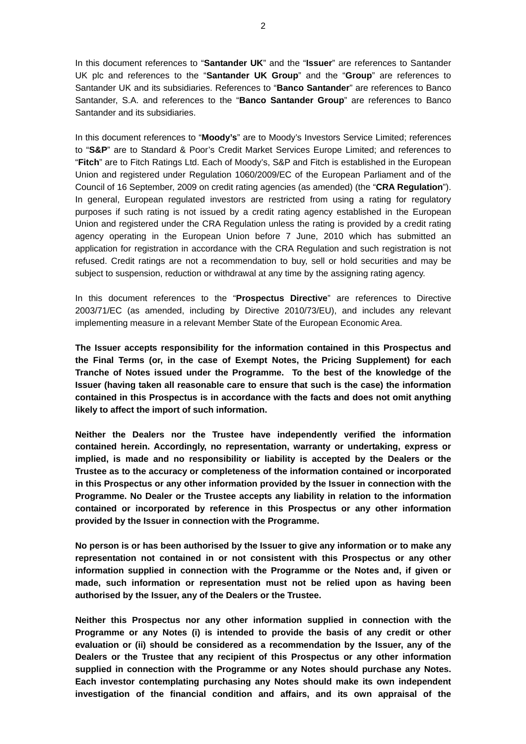In this document references to "**Santander UK**" and the "**Issuer**" are references to Santander UK plc and references to the "**Santander UK Group**" and the "**Group**" are references to Santander UK and its subsidiaries. References to "**Banco Santander**" are references to Banco Santander, S.A. and references to the "**Banco Santander Group**" are references to Banco Santander and its subsidiaries.

In this document references to "**Moody's**" are to Moody's Investors Service Limited; references to "**S&P**" are to Standard & Poor's Credit Market Services Europe Limited; and references to "**Fitch**" are to Fitch Ratings Ltd. Each of Moody's, S&P and Fitch is established in the European Union and registered under Regulation 1060/2009/EC of the European Parliament and of the Council of 16 September, 2009 on credit rating agencies (as amended) (the "**CRA Regulation**"). In general, European regulated investors are restricted from using a rating for regulatory purposes if such rating is not issued by a credit rating agency established in the European Union and registered under the CRA Regulation unless the rating is provided by a credit rating agency operating in the European Union before 7 June, 2010 which has submitted an application for registration in accordance with the CRA Regulation and such registration is not refused. Credit ratings are not a recommendation to buy, sell or hold securities and may be subject to suspension, reduction or withdrawal at any time by the assigning rating agency.

In this document references to the "**Prospectus Directive**" are references to Directive 2003/71/EC (as amended, including by Directive 2010/73/EU), and includes any relevant implementing measure in a relevant Member State of the European Economic Area.

**The Issuer accepts responsibility for the information contained in this Prospectus and the Final Terms (or, in the case of Exempt Notes, the Pricing Supplement) for each Tranche of Notes issued under the Programme. To the best of the knowledge of the Issuer (having taken all reasonable care to ensure that such is the case) the information contained in this Prospectus is in accordance with the facts and does not omit anything likely to affect the import of such information.** 

**Neither the Dealers nor the Trustee have independently verified the information contained herein. Accordingly, no representation, warranty or undertaking, express or implied, is made and no responsibility or liability is accepted by the Dealers or the Trustee as to the accuracy or completeness of the information contained or incorporated in this Prospectus or any other information provided by the Issuer in connection with the Programme. No Dealer or the Trustee accepts any liability in relation to the information contained or incorporated by reference in this Prospectus or any other information provided by the Issuer in connection with the Programme.** 

**No person is or has been authorised by the Issuer to give any information or to make any representation not contained in or not consistent with this Prospectus or any other information supplied in connection with the Programme or the Notes and, if given or made, such information or representation must not be relied upon as having been authorised by the Issuer, any of the Dealers or the Trustee.** 

**Neither this Prospectus nor any other information supplied in connection with the Programme or any Notes (i) is intended to provide the basis of any credit or other evaluation or (ii) should be considered as a recommendation by the Issuer, any of the Dealers or the Trustee that any recipient of this Prospectus or any other information supplied in connection with the Programme or any Notes should purchase any Notes. Each investor contemplating purchasing any Notes should make its own independent investigation of the financial condition and affairs, and its own appraisal of the**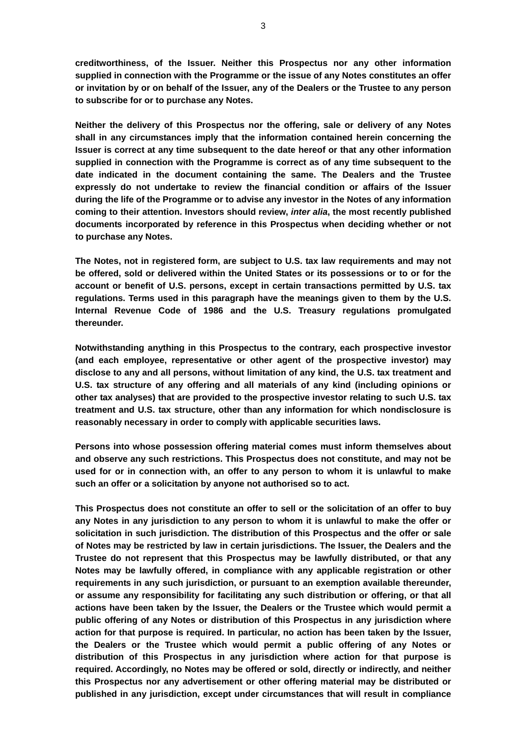**creditworthiness, of the Issuer. Neither this Prospectus nor any other information supplied in connection with the Programme or the issue of any Notes constitutes an offer or invitation by or on behalf of the Issuer, any of the Dealers or the Trustee to any person to subscribe for or to purchase any Notes.** 

**Neither the delivery of this Prospectus nor the offering, sale or delivery of any Notes shall in any circumstances imply that the information contained herein concerning the Issuer is correct at any time subsequent to the date hereof or that any other information supplied in connection with the Programme is correct as of any time subsequent to the date indicated in the document containing the same. The Dealers and the Trustee expressly do not undertake to review the financial condition or affairs of the Issuer during the life of the Programme or to advise any investor in the Notes of any information coming to their attention. Investors should review,** *inter alia***, the most recently published documents incorporated by reference in this Prospectus when deciding whether or not to purchase any Notes.** 

**The Notes, not in registered form, are subject to U.S. tax law requirements and may not be offered, sold or delivered within the United States or its possessions or to or for the account or benefit of U.S. persons, except in certain transactions permitted by U.S. tax regulations. Terms used in this paragraph have the meanings given to them by the U.S. Internal Revenue Code of 1986 and the U.S. Treasury regulations promulgated thereunder.** 

**Notwithstanding anything in this Prospectus to the contrary, each prospective investor (and each employee, representative or other agent of the prospective investor) may disclose to any and all persons, without limitation of any kind, the U.S. tax treatment and U.S. tax structure of any offering and all materials of any kind (including opinions or other tax analyses) that are provided to the prospective investor relating to such U.S. tax treatment and U.S. tax structure, other than any information for which nondisclosure is reasonably necessary in order to comply with applicable securities laws.** 

**Persons into whose possession offering material comes must inform themselves about and observe any such restrictions. This Prospectus does not constitute, and may not be used for or in connection with, an offer to any person to whom it is unlawful to make such an offer or a solicitation by anyone not authorised so to act.** 

**This Prospectus does not constitute an offer to sell or the solicitation of an offer to buy any Notes in any jurisdiction to any person to whom it is unlawful to make the offer or solicitation in such jurisdiction. The distribution of this Prospectus and the offer or sale of Notes may be restricted by law in certain jurisdictions. The Issuer, the Dealers and the Trustee do not represent that this Prospectus may be lawfully distributed, or that any Notes may be lawfully offered, in compliance with any applicable registration or other requirements in any such jurisdiction, or pursuant to an exemption available thereunder, or assume any responsibility for facilitating any such distribution or offering, or that all actions have been taken by the Issuer, the Dealers or the Trustee which would permit a public offering of any Notes or distribution of this Prospectus in any jurisdiction where action for that purpose is required. In particular, no action has been taken by the Issuer, the Dealers or the Trustee which would permit a public offering of any Notes or distribution of this Prospectus in any jurisdiction where action for that purpose is required. Accordingly, no Notes may be offered or sold, directly or indirectly, and neither this Prospectus nor any advertisement or other offering material may be distributed or published in any jurisdiction, except under circumstances that will result in compliance**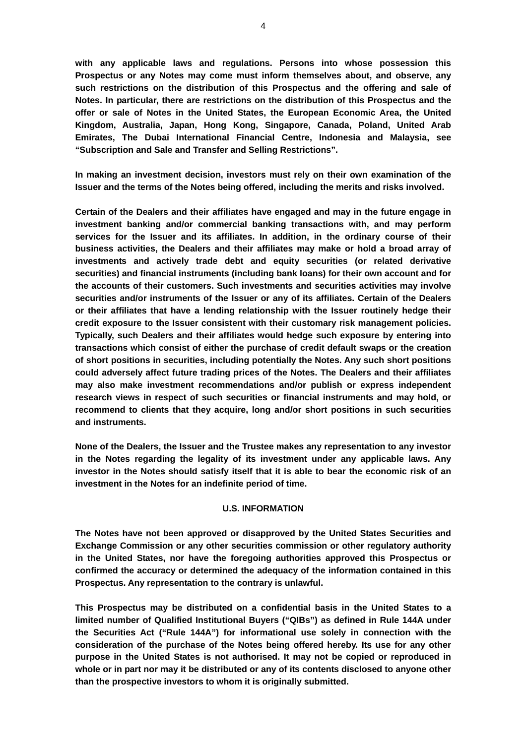**with any applicable laws and regulations. Persons into whose possession this Prospectus or any Notes may come must inform themselves about, and observe, any such restrictions on the distribution of this Prospectus and the offering and sale of Notes. In particular, there are restrictions on the distribution of this Prospectus and the offer or sale of Notes in the United States, the European Economic Area, the United Kingdom, Australia, Japan, Hong Kong, Singapore, Canada, Poland, United Arab Emirates, The Dubai International Financial Centre, Indonesia and Malaysia, see "Subscription and Sale and Transfer and Selling Restrictions".** 

**In making an investment decision, investors must rely on their own examination of the Issuer and the terms of the Notes being offered, including the merits and risks involved.** 

**Certain of the Dealers and their affiliates have engaged and may in the future engage in investment banking and/or commercial banking transactions with, and may perform services for the Issuer and its affiliates. In addition, in the ordinary course of their business activities, the Dealers and their affiliates may make or hold a broad array of investments and actively trade debt and equity securities (or related derivative securities) and financial instruments (including bank loans) for their own account and for the accounts of their customers. Such investments and securities activities may involve securities and/or instruments of the Issuer or any of its affiliates. Certain of the Dealers or their affiliates that have a lending relationship with the Issuer routinely hedge their credit exposure to the Issuer consistent with their customary risk management policies. Typically, such Dealers and their affiliates would hedge such exposure by entering into transactions which consist of either the purchase of credit default swaps or the creation of short positions in securities, including potentially the Notes. Any such short positions could adversely affect future trading prices of the Notes. The Dealers and their affiliates may also make investment recommendations and/or publish or express independent research views in respect of such securities or financial instruments and may hold, or recommend to clients that they acquire, long and/or short positions in such securities and instruments.** 

**None of the Dealers, the Issuer and the Trustee makes any representation to any investor in the Notes regarding the legality of its investment under any applicable laws. Any investor in the Notes should satisfy itself that it is able to bear the economic risk of an investment in the Notes for an indefinite period of time.** 

### **U.S. INFORMATION**

**The Notes have not been approved or disapproved by the United States Securities and Exchange Commission or any other securities commission or other regulatory authority in the United States, nor have the foregoing authorities approved this Prospectus or confirmed the accuracy or determined the adequacy of the information contained in this Prospectus. Any representation to the contrary is unlawful.** 

**This Prospectus may be distributed on a confidential basis in the United States to a limited number of Qualified Institutional Buyers ("QIBs") as defined in Rule 144A under the Securities Act ("Rule 144A") for informational use solely in connection with the consideration of the purchase of the Notes being offered hereby. Its use for any other purpose in the United States is not authorised. It may not be copied or reproduced in whole or in part nor may it be distributed or any of its contents disclosed to anyone other than the prospective investors to whom it is originally submitted.**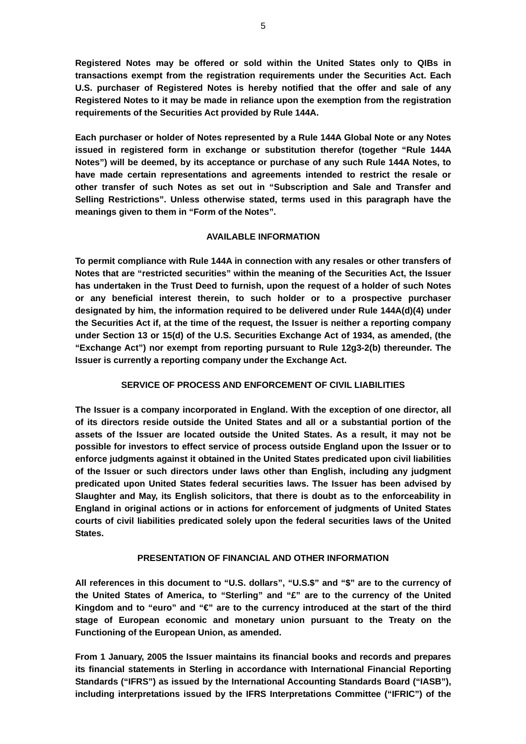**Registered Notes may be offered or sold within the United States only to QIBs in transactions exempt from the registration requirements under the Securities Act. Each U.S. purchaser of Registered Notes is hereby notified that the offer and sale of any Registered Notes to it may be made in reliance upon the exemption from the registration requirements of the Securities Act provided by Rule 144A.** 

**Each purchaser or holder of Notes represented by a Rule 144A Global Note or any Notes issued in registered form in exchange or substitution therefor (together "Rule 144A Notes") will be deemed, by its acceptance or purchase of any such Rule 144A Notes, to have made certain representations and agreements intended to restrict the resale or other transfer of such Notes as set out in "Subscription and Sale and Transfer and Selling Restrictions". Unless otherwise stated, terms used in this paragraph have the meanings given to them in "Form of the Notes".** 

### **AVAILABLE INFORMATION**

**To permit compliance with Rule 144A in connection with any resales or other transfers of Notes that are "restricted securities" within the meaning of the Securities Act, the Issuer has undertaken in the Trust Deed to furnish, upon the request of a holder of such Notes or any beneficial interest therein, to such holder or to a prospective purchaser designated by him, the information required to be delivered under Rule 144A(d)(4) under the Securities Act if, at the time of the request, the Issuer is neither a reporting company under Section 13 or 15(d) of the U.S. Securities Exchange Act of 1934, as amended, (the "Exchange Act") nor exempt from reporting pursuant to Rule 12g3-2(b) thereunder. The Issuer is currently a reporting company under the Exchange Act.** 

### **SERVICE OF PROCESS AND ENFORCEMENT OF CIVIL LIABILITIES**

**The Issuer is a company incorporated in England. With the exception of one director, all of its directors reside outside the United States and all or a substantial portion of the assets of the Issuer are located outside the United States. As a result, it may not be possible for investors to effect service of process outside England upon the Issuer or to enforce judgments against it obtained in the United States predicated upon civil liabilities of the Issuer or such directors under laws other than English, including any judgment predicated upon United States federal securities laws. The Issuer has been advised by Slaughter and May, its English solicitors, that there is doubt as to the enforceability in England in original actions or in actions for enforcement of judgments of United States courts of civil liabilities predicated solely upon the federal securities laws of the United States.** 

### **PRESENTATION OF FINANCIAL AND OTHER INFORMATION**

**All references in this document to "U.S. dollars", "U.S.\$" and "\$" are to the currency of the United States of America, to "Sterling" and "£" are to the currency of the United Kingdom and to "euro" and "€" are to the currency introduced at the start of the third stage of European economic and monetary union pursuant to the Treaty on the Functioning of the European Union, as amended.** 

**From 1 January, 2005 the Issuer maintains its financial books and records and prepares its financial statements in Sterling in accordance with International Financial Reporting Standards ("IFRS") as issued by the International Accounting Standards Board ("IASB"), including interpretations issued by the IFRS Interpretations Committee ("IFRIC") of the**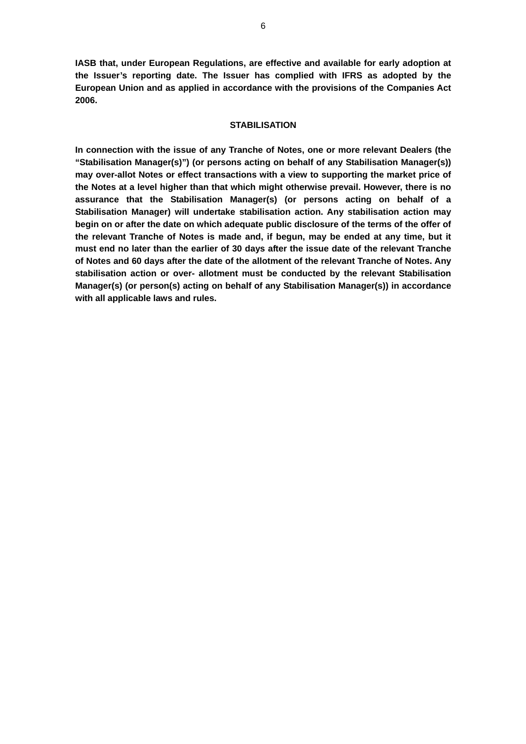**IASB that, under European Regulations, are effective and available for early adoption at the Issuer's reporting date. The Issuer has complied with IFRS as adopted by the European Union and as applied in accordance with the provisions of the Companies Act 2006.** 

### **STABILISATION**

**In connection with the issue of any Tranche of Notes, one or more relevant Dealers (the "Stabilisation Manager(s)") (or persons acting on behalf of any Stabilisation Manager(s)) may over-allot Notes or effect transactions with a view to supporting the market price of the Notes at a level higher than that which might otherwise prevail. However, there is no assurance that the Stabilisation Manager(s) (or persons acting on behalf of a Stabilisation Manager) will undertake stabilisation action. Any stabilisation action may begin on or after the date on which adequate public disclosure of the terms of the offer of the relevant Tranche of Notes is made and, if begun, may be ended at any time, but it must end no later than the earlier of 30 days after the issue date of the relevant Tranche of Notes and 60 days after the date of the allotment of the relevant Tranche of Notes. Any stabilisation action or over- allotment must be conducted by the relevant Stabilisation Manager(s) (or person(s) acting on behalf of any Stabilisation Manager(s)) in accordance with all applicable laws and rules.**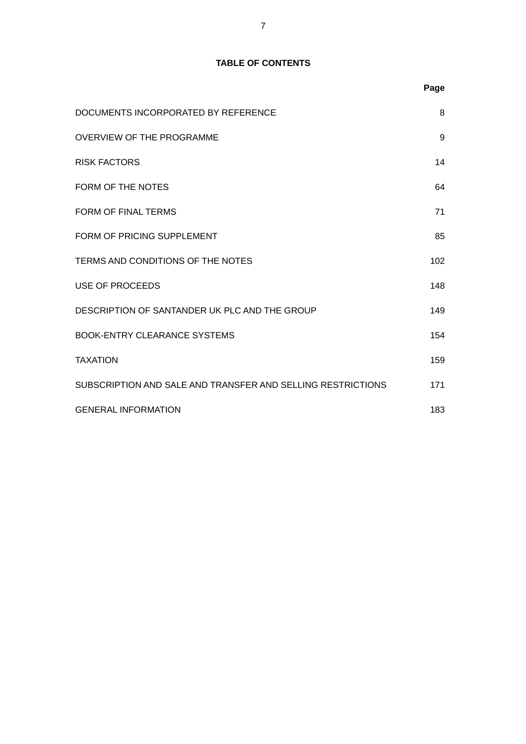# **TABLE OF CONTENTS**

|                                                             | Page |
|-------------------------------------------------------------|------|
| DOCUMENTS INCORPORATED BY REFERENCE                         | 8    |
| <b>OVERVIEW OF THE PROGRAMME</b>                            | 9    |
| <b>RISK FACTORS</b>                                         | 14   |
| FORM OF THE NOTES                                           | 64   |
| <b>FORM OF FINAL TERMS</b>                                  | 71   |
| FORM OF PRICING SUPPLEMENT                                  | 85   |
| TERMS AND CONDITIONS OF THE NOTES                           | 102  |
| USE OF PROCEEDS                                             | 148  |
| DESCRIPTION OF SANTANDER UK PLC AND THE GROUP               | 149  |
| <b>BOOK-ENTRY CLEARANCE SYSTEMS</b>                         | 154  |
| <b>TAXATION</b>                                             | 159  |
| SUBSCRIPTION AND SALE AND TRANSFER AND SELLING RESTRICTIONS | 171  |
| <b>GENERAL INFORMATION</b>                                  | 183  |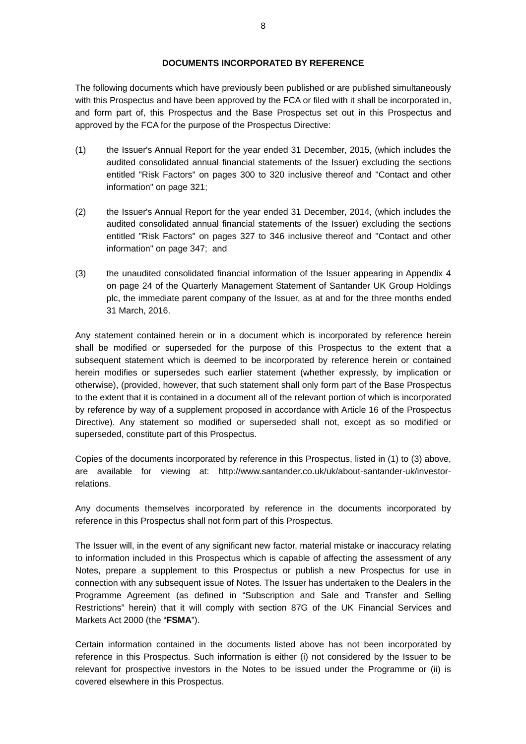The following documents which have previously been published or are published simultaneously with this Prospectus and have been approved by the FCA or filed with it shall be incorporated in, and form part of, this Prospectus and the Base Prospectus set out in this Prospectus and approved by the FCA for the purpose of the Prospectus Directive:

- (1) the Issuer's Annual Report for the year ended 31 December, 2015, (which includes the audited consolidated annual financial statements of the Issuer) excluding the sections entitled "Risk Factors" on pages 300 to 320 inclusive thereof and "Contact and other information" on page 321;
- (2) the Issuer's Annual Report for the year ended 31 December, 2014, (which includes the audited consolidated annual financial statements of the Issuer) excluding the sections entitled "Risk Factors" on pages 327 to 346 inclusive thereof and "Contact and other information" on page 347; and
- (3) the unaudited consolidated financial information of the Issuer appearing in Appendix 4 on page 24 of the Quarterly Management Statement of Santander UK Group Holdings plc, the immediate parent company of the Issuer, as at and for the three months ended 31 March, 2016.

Any statement contained herein or in a document which is incorporated by reference herein shall be modified or superseded for the purpose of this Prospectus to the extent that a subsequent statement which is deemed to be incorporated by reference herein or contained herein modifies or supersedes such earlier statement (whether expressly, by implication or otherwise), (provided, however, that such statement shall only form part of the Base Prospectus to the extent that it is contained in a document all of the relevant portion of which is incorporated by reference by way of a supplement proposed in accordance with Article 16 of the Prospectus Directive). Any statement so modified or superseded shall not, except as so modified or superseded, constitute part of this Prospectus.

Copies of the documents incorporated by reference in this Prospectus, listed in (1) to (3) above, are available for viewing at: http://www.santander.co.uk/uk/about-santander-uk/investorrelations.

Any documents themselves incorporated by reference in the documents incorporated by reference in this Prospectus shall not form part of this Prospectus.

The Issuer will, in the event of any significant new factor, material mistake or inaccuracy relating to information included in this Prospectus which is capable of affecting the assessment of any Notes, prepare a supplement to this Prospectus or publish a new Prospectus for use in connection with any subsequent issue of Notes. The Issuer has undertaken to the Dealers in the Programme Agreement (as defined in "Subscription and Sale and Transfer and Selling Restrictions" herein) that it will comply with section 87G of the UK Financial Services and Markets Act 2000 (the "**FSMA**").

Certain information contained in the documents listed above has not been incorporated by reference in this Prospectus. Such information is either (i) not considered by the Issuer to be relevant for prospective investors in the Notes to be issued under the Programme or (ii) is covered elsewhere in this Prospectus.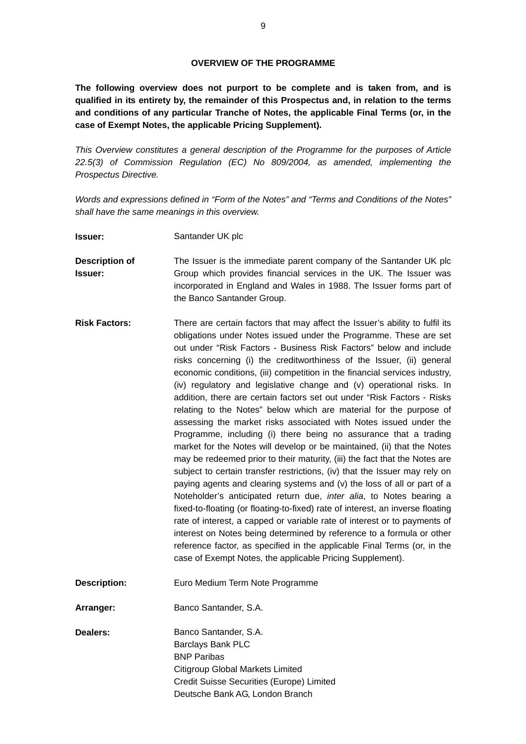**The following overview does not purport to be complete and is taken from, and is qualified in its entirety by, the remainder of this Prospectus and, in relation to the terms and conditions of any particular Tranche of Notes, the applicable Final Terms (or, in the case of Exempt Notes, the applicable Pricing Supplement).** 

*This Overview constitutes a general description of the Programme for the purposes of Article 22.5(3) of Commission Regulation (EC) No 809/2004, as amended, implementing the Prospectus Directive.* 

*Words and expressions defined in "Form of the Notes" and "Terms and Conditions of the Notes" shall have the same meanings in this overview.*

**Issuer:** Santander UK plc

**Description of Issuer:**  The Issuer is the immediate parent company of the Santander UK plc Group which provides financial services in the UK. The Issuer was incorporated in England and Wales in 1988. The Issuer forms part of the Banco Santander Group.

- **Risk Factors:** There are certain factors that may affect the Issuer's ability to fulfil its obligations under Notes issued under the Programme. These are set out under "Risk Factors - Business Risk Factors" below and include risks concerning (i) the creditworthiness of the Issuer, (ii) general economic conditions, (iii) competition in the financial services industry, (iv) regulatory and legislative change and (v) operational risks. In addition, there are certain factors set out under "Risk Factors - Risks relating to the Notes" below which are material for the purpose of assessing the market risks associated with Notes issued under the Programme, including (i) there being no assurance that a trading market for the Notes will develop or be maintained, (ii) that the Notes may be redeemed prior to their maturity, (iii) the fact that the Notes are subject to certain transfer restrictions, (iv) that the Issuer may rely on paying agents and clearing systems and (v) the loss of all or part of a Noteholder's anticipated return due, *inter alia*, to Notes bearing a fixed-to-floating (or floating-to-fixed) rate of interest, an inverse floating rate of interest, a capped or variable rate of interest or to payments of interest on Notes being determined by reference to a formula or other reference factor, as specified in the applicable Final Terms (or, in the case of Exempt Notes, the applicable Pricing Supplement).
- **Description:** Euro Medium Term Note Programme

**Arranger:** Banco Santander, S.A.

**Dealers: Banco Santander, S.A.** Barclays Bank PLC BNP Paribas Citigroup Global Markets Limited Credit Suisse Securities (Europe) Limited Deutsche Bank AG, London Branch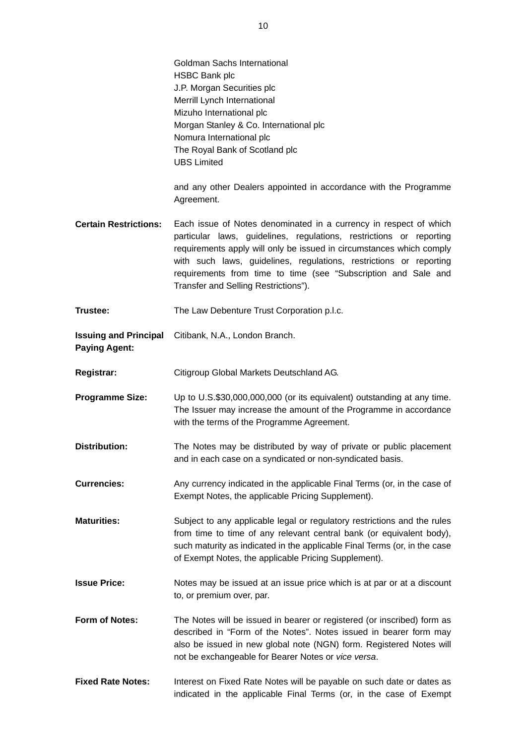|                                                      | Goldman Sachs International<br><b>HSBC Bank plc</b><br>J.P. Morgan Securities plc<br>Merrill Lynch International<br>Mizuho International plc<br>Morgan Stanley & Co. International plc<br>Nomura International plc<br>The Royal Bank of Scotland plc<br><b>UBS Limited</b>                                                                                                                       |
|------------------------------------------------------|--------------------------------------------------------------------------------------------------------------------------------------------------------------------------------------------------------------------------------------------------------------------------------------------------------------------------------------------------------------------------------------------------|
|                                                      | and any other Dealers appointed in accordance with the Programme<br>Agreement.                                                                                                                                                                                                                                                                                                                   |
| <b>Certain Restrictions:</b>                         | Each issue of Notes denominated in a currency in respect of which<br>particular laws, guidelines, regulations, restrictions or reporting<br>requirements apply will only be issued in circumstances which comply<br>with such laws, guidelines, regulations, restrictions or reporting<br>requirements from time to time (see "Subscription and Sale and<br>Transfer and Selling Restrictions"). |
| Trustee:                                             | The Law Debenture Trust Corporation p.l.c.                                                                                                                                                                                                                                                                                                                                                       |
| <b>Issuing and Principal</b><br><b>Paying Agent:</b> | Citibank, N.A., London Branch.                                                                                                                                                                                                                                                                                                                                                                   |
| <b>Registrar:</b>                                    | Citigroup Global Markets Deutschland AG.                                                                                                                                                                                                                                                                                                                                                         |
| <b>Programme Size:</b>                               | Up to U.S.\$30,000,000,000 (or its equivalent) outstanding at any time.<br>The Issuer may increase the amount of the Programme in accordance<br>with the terms of the Programme Agreement.                                                                                                                                                                                                       |
| <b>Distribution:</b>                                 | The Notes may be distributed by way of private or public placement<br>and in each case on a syndicated or non-syndicated basis.                                                                                                                                                                                                                                                                  |
| <b>Currencies:</b>                                   | Any currency indicated in the applicable Final Terms (or, in the case of<br>Exempt Notes, the applicable Pricing Supplement).                                                                                                                                                                                                                                                                    |
| <b>Maturities:</b>                                   | Subject to any applicable legal or regulatory restrictions and the rules<br>from time to time of any relevant central bank (or equivalent body),<br>such maturity as indicated in the applicable Final Terms (or, in the case<br>of Exempt Notes, the applicable Pricing Supplement).                                                                                                            |
| <b>Issue Price:</b>                                  | Notes may be issued at an issue price which is at par or at a discount<br>to, or premium over, par.                                                                                                                                                                                                                                                                                              |
| Form of Notes:                                       | The Notes will be issued in bearer or registered (or inscribed) form as<br>described in "Form of the Notes". Notes issued in bearer form may<br>also be issued in new global note (NGN) form. Registered Notes will<br>not be exchangeable for Bearer Notes or vice versa.                                                                                                                       |
| <b>Fixed Rate Notes:</b>                             | Interest on Fixed Rate Notes will be payable on such date or dates as<br>indicated in the applicable Final Terms (or, in the case of Exempt                                                                                                                                                                                                                                                      |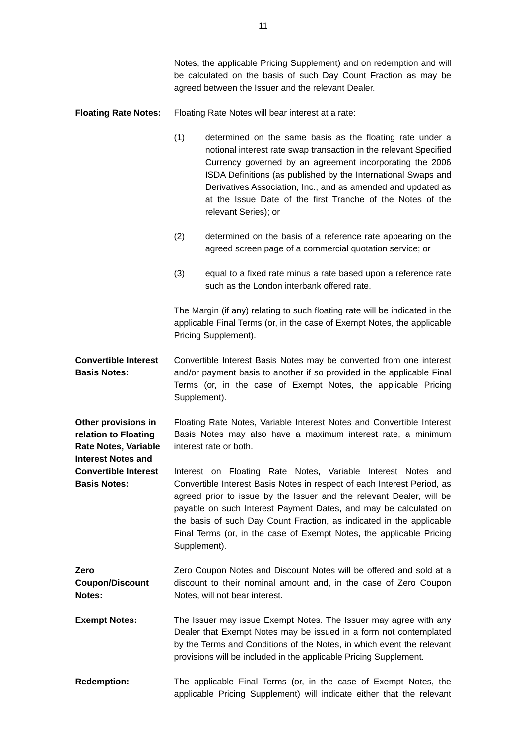Notes, the applicable Pricing Supplement) and on redemption and will be calculated on the basis of such Day Count Fraction as may be agreed between the Issuer and the relevant Dealer.

### **Floating Rate Notes:** Floating Rate Notes will bear interest at a rate:

- (1) determined on the same basis as the floating rate under a notional interest rate swap transaction in the relevant Specified Currency governed by an agreement incorporating the 2006 ISDA Definitions (as published by the International Swaps and Derivatives Association, Inc., and as amended and updated as at the Issue Date of the first Tranche of the Notes of the relevant Series); or
- (2) determined on the basis of a reference rate appearing on the agreed screen page of a commercial quotation service; or
- (3) equal to a fixed rate minus a rate based upon a reference rate such as the London interbank offered rate.

The Margin (if any) relating to such floating rate will be indicated in the applicable Final Terms (or, in the case of Exempt Notes, the applicable Pricing Supplement).

**Convertible Interest Basis Notes:**  Convertible Interest Basis Notes may be converted from one interest and/or payment basis to another if so provided in the applicable Final Terms (or, in the case of Exempt Notes, the applicable Pricing Supplement).

**Other provisions in relation to Floating Rate Notes, Variable**  Floating Rate Notes, Variable Interest Notes and Convertible Interest Basis Notes may also have a maximum interest rate, a minimum interest rate or both.

**Interest Notes and** 

**Convertible Interest Basis Notes:**  Interest on Floating Rate Notes, Variable Interest Notes and Convertible Interest Basis Notes in respect of each Interest Period, as agreed prior to issue by the Issuer and the relevant Dealer, will be payable on such Interest Payment Dates, and may be calculated on the basis of such Day Count Fraction, as indicated in the applicable Final Terms (or, in the case of Exempt Notes, the applicable Pricing Supplement).

- **Zero Coupon/Discount Notes:**  Zero Coupon Notes and Discount Notes will be offered and sold at a discount to their nominal amount and, in the case of Zero Coupon Notes, will not bear interest.
- **Exempt Notes:** The Issuer may issue Exempt Notes. The Issuer may agree with any Dealer that Exempt Notes may be issued in a form not contemplated by the Terms and Conditions of the Notes, in which event the relevant provisions will be included in the applicable Pricing Supplement.
- **Redemption:** The applicable Final Terms (or, in the case of Exempt Notes, the applicable Pricing Supplement) will indicate either that the relevant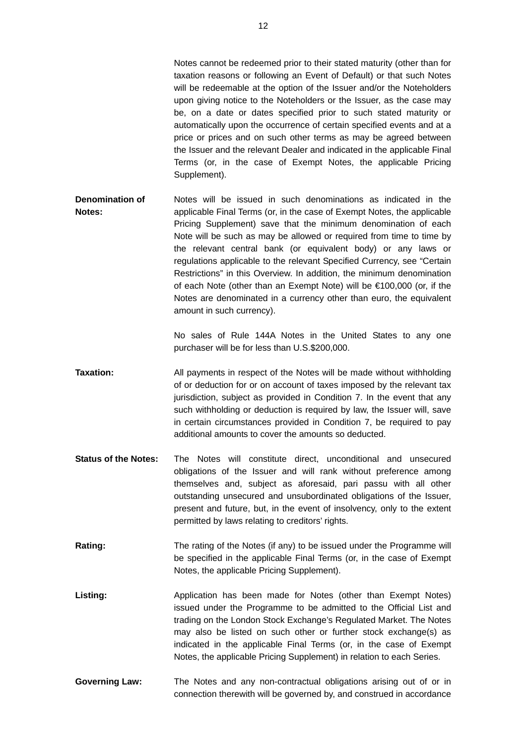Notes cannot be redeemed prior to their stated maturity (other than for taxation reasons or following an Event of Default) or that such Notes will be redeemable at the option of the Issuer and/or the Noteholders upon giving notice to the Noteholders or the Issuer, as the case may be, on a date or dates specified prior to such stated maturity or automatically upon the occurrence of certain specified events and at a price or prices and on such other terms as may be agreed between the Issuer and the relevant Dealer and indicated in the applicable Final Terms (or, in the case of Exempt Notes, the applicable Pricing Supplement).

**Denomination of Notes:**  Notes will be issued in such denominations as indicated in the applicable Final Terms (or, in the case of Exempt Notes, the applicable Pricing Supplement) save that the minimum denomination of each Note will be such as may be allowed or required from time to time by the relevant central bank (or equivalent body) or any laws or regulations applicable to the relevant Specified Currency, see "Certain Restrictions" in this Overview. In addition, the minimum denomination of each Note (other than an Exempt Note) will be €100,000 (or, if the Notes are denominated in a currency other than euro, the equivalent amount in such currency).

> No sales of Rule 144A Notes in the United States to any one purchaser will be for less than U.S.\$200,000.

- **Taxation:** All payments in respect of the Notes will be made without withholding of or deduction for or on account of taxes imposed by the relevant tax jurisdiction, subject as provided in Condition 7. In the event that any such withholding or deduction is required by law, the Issuer will, save in certain circumstances provided in Condition 7, be required to pay additional amounts to cover the amounts so deducted.
- **Status of the Notes:** The Notes will constitute direct, unconditional and unsecured obligations of the Issuer and will rank without preference among themselves and, subject as aforesaid, pari passu with all other outstanding unsecured and unsubordinated obligations of the Issuer, present and future, but, in the event of insolvency, only to the extent permitted by laws relating to creditors' rights.
- **Rating:** The rating of the Notes (if any) to be issued under the Programme will be specified in the applicable Final Terms (or, in the case of Exempt Notes, the applicable Pricing Supplement).
- Listing: **Application has been made for Notes (other than Exempt Notes)** issued under the Programme to be admitted to the Official List and trading on the London Stock Exchange's Regulated Market. The Notes may also be listed on such other or further stock exchange(s) as indicated in the applicable Final Terms (or, in the case of Exempt Notes, the applicable Pricing Supplement) in relation to each Series.
- **Governing Law:** The Notes and any non-contractual obligations arising out of or in connection therewith will be governed by, and construed in accordance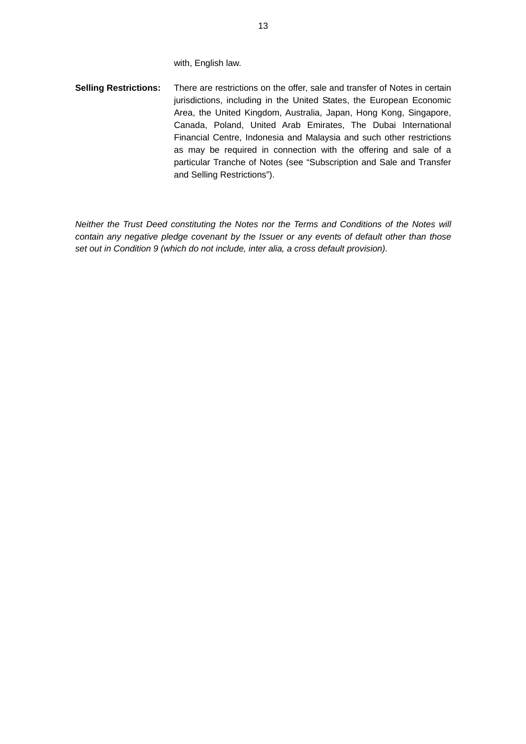with, English law.

**Selling Restrictions:** There are restrictions on the offer, sale and transfer of Notes in certain jurisdictions, including in the United States, the European Economic Area, the United Kingdom, Australia, Japan, Hong Kong, Singapore, Canada, Poland, United Arab Emirates, The Dubai International Financial Centre, Indonesia and Malaysia and such other restrictions as may be required in connection with the offering and sale of a particular Tranche of Notes (see "Subscription and Sale and Transfer and Selling Restrictions").

*Neither the Trust Deed constituting the Notes nor the Terms and Conditions of the Notes will contain any negative pledge covenant by the Issuer or any events of default other than those set out in Condition 9 (which do not include, inter alia, a cross default provision).*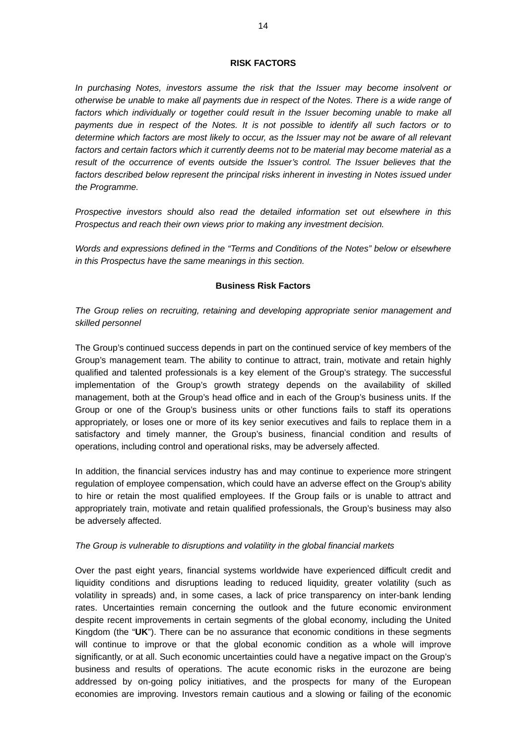### **RISK FACTORS**

*In purchasing Notes, investors assume the risk that the Issuer may become insolvent or otherwise be unable to make all payments due in respect of the Notes. There is a wide range of*  factors which individually or together could result in the Issuer becoming unable to make all *payments due in respect of the Notes. It is not possible to identify all such factors or to determine which factors are most likely to occur, as the Issuer may not be aware of all relevant*  factors and certain factors which it currently deems not to be material may become material as a result of the occurrence of events outside the Issuer's control. The Issuer believes that the factors described below represent the principal risks inherent in investing in Notes issued under *the Programme.* 

*Prospective investors should also read the detailed information set out elsewhere in this Prospectus and reach their own views prior to making any investment decision.* 

*Words and expressions defined in the "Terms and Conditions of the Notes" below or elsewhere in this Prospectus have the same meanings in this section.* 

### **Business Risk Factors**

*The Group relies on recruiting, retaining and developing appropriate senior management and skilled personnel* 

The Group's continued success depends in part on the continued service of key members of the Group's management team. The ability to continue to attract, train, motivate and retain highly qualified and talented professionals is a key element of the Group's strategy. The successful implementation of the Group's growth strategy depends on the availability of skilled management, both at the Group's head office and in each of the Group's business units. If the Group or one of the Group's business units or other functions fails to staff its operations appropriately, or loses one or more of its key senior executives and fails to replace them in a satisfactory and timely manner, the Group's business, financial condition and results of operations, including control and operational risks, may be adversely affected.

In addition, the financial services industry has and may continue to experience more stringent regulation of employee compensation, which could have an adverse effect on the Group's ability to hire or retain the most qualified employees. If the Group fails or is unable to attract and appropriately train, motivate and retain qualified professionals, the Group's business may also be adversely affected.

#### *The Group is vulnerable to disruptions and volatility in the global financial markets*

Over the past eight years, financial systems worldwide have experienced difficult credit and liquidity conditions and disruptions leading to reduced liquidity, greater volatility (such as volatility in spreads) and, in some cases, a lack of price transparency on inter-bank lending rates. Uncertainties remain concerning the outlook and the future economic environment despite recent improvements in certain segments of the global economy, including the United Kingdom (the "**UK**"). There can be no assurance that economic conditions in these segments will continue to improve or that the global economic condition as a whole will improve significantly, or at all. Such economic uncertainties could have a negative impact on the Group's business and results of operations. The acute economic risks in the eurozone are being addressed by on-going policy initiatives, and the prospects for many of the European economies are improving. Investors remain cautious and a slowing or failing of the economic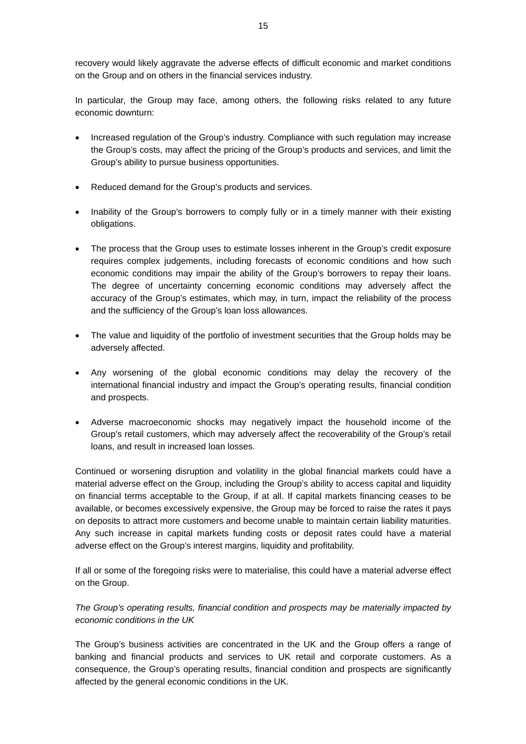recovery would likely aggravate the adverse effects of difficult economic and market conditions on the Group and on others in the financial services industry.

In particular, the Group may face, among others, the following risks related to any future economic downturn:

- Increased regulation of the Group's industry. Compliance with such regulation may increase the Group's costs, may affect the pricing of the Group's products and services, and limit the Group's ability to pursue business opportunities.
- Reduced demand for the Group's products and services.
- Inability of the Group's borrowers to comply fully or in a timely manner with their existing obligations.
- The process that the Group uses to estimate losses inherent in the Group's credit exposure requires complex judgements, including forecasts of economic conditions and how such economic conditions may impair the ability of the Group's borrowers to repay their loans. The degree of uncertainty concerning economic conditions may adversely affect the accuracy of the Group's estimates, which may, in turn, impact the reliability of the process and the sufficiency of the Group's loan loss allowances.
- The value and liquidity of the portfolio of investment securities that the Group holds may be adversely affected.
- Any worsening of the global economic conditions may delay the recovery of the international financial industry and impact the Group's operating results, financial condition and prospects.
- Adverse macroeconomic shocks may negatively impact the household income of the Group's retail customers, which may adversely affect the recoverability of the Group's retail loans, and result in increased loan losses.

Continued or worsening disruption and volatility in the global financial markets could have a material adverse effect on the Group, including the Group's ability to access capital and liquidity on financial terms acceptable to the Group, if at all. If capital markets financing ceases to be available, or becomes excessively expensive, the Group may be forced to raise the rates it pays on deposits to attract more customers and become unable to maintain certain liability maturities. Any such increase in capital markets funding costs or deposit rates could have a material adverse effect on the Group's interest margins, liquidity and profitability.

If all or some of the foregoing risks were to materialise, this could have a material adverse effect on the Group.

*The Group's operating results, financial condition and prospects may be materially impacted by economic conditions in the UK* 

The Group's business activities are concentrated in the UK and the Group offers a range of banking and financial products and services to UK retail and corporate customers. As a consequence, the Group's operating results, financial condition and prospects are significantly affected by the general economic conditions in the UK.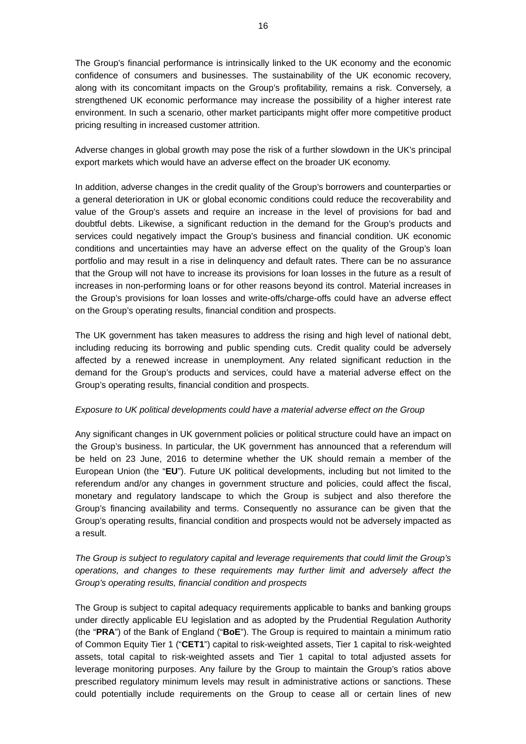The Group's financial performance is intrinsically linked to the UK economy and the economic confidence of consumers and businesses. The sustainability of the UK economic recovery, along with its concomitant impacts on the Group's profitability, remains a risk. Conversely, a strengthened UK economic performance may increase the possibility of a higher interest rate environment. In such a scenario, other market participants might offer more competitive product pricing resulting in increased customer attrition.

Adverse changes in global growth may pose the risk of a further slowdown in the UK's principal export markets which would have an adverse effect on the broader UK economy.

In addition, adverse changes in the credit quality of the Group's borrowers and counterparties or a general deterioration in UK or global economic conditions could reduce the recoverability and value of the Group's assets and require an increase in the level of provisions for bad and doubtful debts. Likewise, a significant reduction in the demand for the Group's products and services could negatively impact the Group's business and financial condition. UK economic conditions and uncertainties may have an adverse effect on the quality of the Group's loan portfolio and may result in a rise in delinquency and default rates. There can be no assurance that the Group will not have to increase its provisions for loan losses in the future as a result of increases in non-performing loans or for other reasons beyond its control. Material increases in the Group's provisions for loan losses and write-offs/charge-offs could have an adverse effect on the Group's operating results, financial condition and prospects.

The UK government has taken measures to address the rising and high level of national debt, including reducing its borrowing and public spending cuts. Credit quality could be adversely affected by a renewed increase in unemployment. Any related significant reduction in the demand for the Group's products and services, could have a material adverse effect on the Group's operating results, financial condition and prospects.

#### *Exposure to UK political developments could have a material adverse effect on the Group*

Any significant changes in UK government policies or political structure could have an impact on the Group's business. In particular, the UK government has announced that a referendum will be held on 23 June, 2016 to determine whether the UK should remain a member of the European Union (the "**EU**"). Future UK political developments, including but not limited to the referendum and/or any changes in government structure and policies, could affect the fiscal, monetary and regulatory landscape to which the Group is subject and also therefore the Group's financing availability and terms. Consequently no assurance can be given that the Group's operating results, financial condition and prospects would not be adversely impacted as a result.

*The Group is subject to regulatory capital and leverage requirements that could limit the Group's operations, and changes to these requirements may further limit and adversely affect the Group's operating results, financial condition and prospects* 

The Group is subject to capital adequacy requirements applicable to banks and banking groups under directly applicable EU legislation and as adopted by the Prudential Regulation Authority (the "**PRA**") of the Bank of England ("**BoE**"). The Group is required to maintain a minimum ratio of Common Equity Tier 1 ("**CET1**") capital to risk-weighted assets, Tier 1 capital to risk-weighted assets, total capital to risk-weighted assets and Tier 1 capital to total adjusted assets for leverage monitoring purposes. Any failure by the Group to maintain the Group's ratios above prescribed regulatory minimum levels may result in administrative actions or sanctions. These could potentially include requirements on the Group to cease all or certain lines of new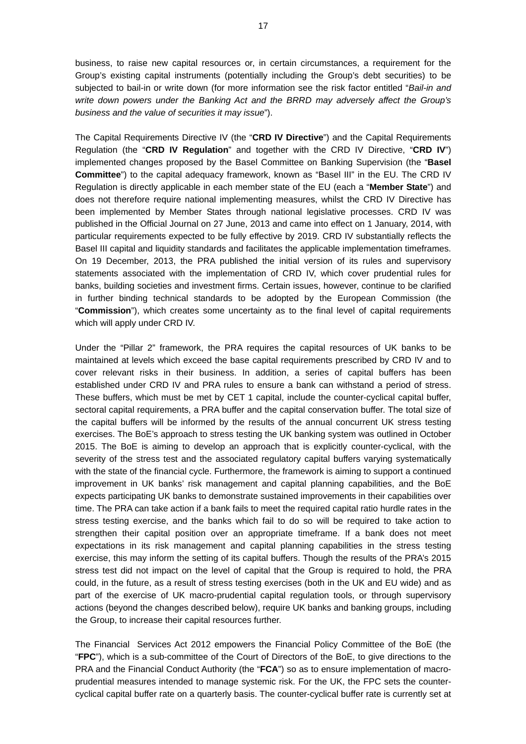business, to raise new capital resources or, in certain circumstances, a requirement for the Group's existing capital instruments (potentially including the Group's debt securities) to be subjected to bail-in or write down (for more information see the risk factor entitled "*Bail-in and write down powers under the Banking Act and the BRRD may adversely affect the Group's business and the value of securities it may issue*").

The Capital Requirements Directive IV (the "**CRD IV Directive**") and the Capital Requirements Regulation (the "**CRD IV Regulation**" and together with the CRD IV Directive, "**CRD IV**") implemented changes proposed by the Basel Committee on Banking Supervision (the "**Basel Committee**") to the capital adequacy framework, known as "Basel III" in the EU. The CRD IV Regulation is directly applicable in each member state of the EU (each a "**Member State**") and does not therefore require national implementing measures, whilst the CRD IV Directive has been implemented by Member States through national legislative processes. CRD IV was published in the Official Journal on 27 June, 2013 and came into effect on 1 January, 2014, with particular requirements expected to be fully effective by 2019. CRD IV substantially reflects the Basel III capital and liquidity standards and facilitates the applicable implementation timeframes. On 19 December, 2013, the PRA published the initial version of its rules and supervisory statements associated with the implementation of CRD IV, which cover prudential rules for banks, building societies and investment firms. Certain issues, however, continue to be clarified in further binding technical standards to be adopted by the European Commission (the "**Commission**"), which creates some uncertainty as to the final level of capital requirements which will apply under CRD IV.

Under the "Pillar 2" framework, the PRA requires the capital resources of UK banks to be maintained at levels which exceed the base capital requirements prescribed by CRD IV and to cover relevant risks in their business. In addition, a series of capital buffers has been established under CRD IV and PRA rules to ensure a bank can withstand a period of stress. These buffers, which must be met by CET 1 capital, include the counter-cyclical capital buffer, sectoral capital requirements, a PRA buffer and the capital conservation buffer. The total size of the capital buffers will be informed by the results of the annual concurrent UK stress testing exercises. The BoE's approach to stress testing the UK banking system was outlined in October 2015. The BoE is aiming to develop an approach that is explicitly counter-cyclical, with the severity of the stress test and the associated regulatory capital buffers varying systematically with the state of the financial cycle. Furthermore, the framework is aiming to support a continued improvement in UK banks' risk management and capital planning capabilities, and the BoE expects participating UK banks to demonstrate sustained improvements in their capabilities over time. The PRA can take action if a bank fails to meet the required capital ratio hurdle rates in the stress testing exercise, and the banks which fail to do so will be required to take action to strengthen their capital position over an appropriate timeframe. If a bank does not meet expectations in its risk management and capital planning capabilities in the stress testing exercise, this may inform the setting of its capital buffers. Though the results of the PRA's 2015 stress test did not impact on the level of capital that the Group is required to hold, the PRA could, in the future, as a result of stress testing exercises (both in the UK and EU wide) and as part of the exercise of UK macro-prudential capital regulation tools, or through supervisory actions (beyond the changes described below), require UK banks and banking groups, including the Group, to increase their capital resources further.

The Financial Services Act 2012 empowers the Financial Policy Committee of the BoE (the "**FPC**"), which is a sub-committee of the Court of Directors of the BoE, to give directions to the PRA and the Financial Conduct Authority (the "**FCA**") so as to ensure implementation of macroprudential measures intended to manage systemic risk. For the UK, the FPC sets the countercyclical capital buffer rate on a quarterly basis. The counter-cyclical buffer rate is currently set at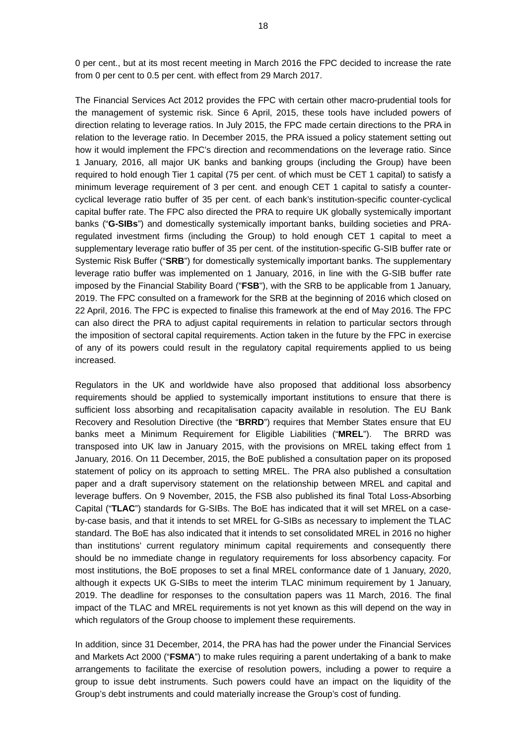0 per cent., but at its most recent meeting in March 2016 the FPC decided to increase the rate from 0 per cent to 0.5 per cent. with effect from 29 March 2017.

The Financial Services Act 2012 provides the FPC with certain other macro-prudential tools for the management of systemic risk. Since 6 April, 2015, these tools have included powers of direction relating to leverage ratios. In July 2015, the FPC made certain directions to the PRA in relation to the leverage ratio. In December 2015, the PRA issued a policy statement setting out how it would implement the FPC's direction and recommendations on the leverage ratio. Since 1 January, 2016, all major UK banks and banking groups (including the Group) have been required to hold enough Tier 1 capital (75 per cent. of which must be CET 1 capital) to satisfy a minimum leverage requirement of 3 per cent. and enough CET 1 capital to satisfy a countercyclical leverage ratio buffer of 35 per cent. of each bank's institution-specific counter-cyclical capital buffer rate. The FPC also directed the PRA to require UK globally systemically important banks ("**G-SIBs**") and domestically systemically important banks, building societies and PRAregulated investment firms (including the Group) to hold enough CET 1 capital to meet a supplementary leverage ratio buffer of 35 per cent. of the institution-specific G-SIB buffer rate or Systemic Risk Buffer ("**SRB**") for domestically systemically important banks. The supplementary leverage ratio buffer was implemented on 1 January, 2016, in line with the G-SIB buffer rate imposed by the Financial Stability Board ("**FSB**"), with the SRB to be applicable from 1 January, 2019. The FPC consulted on a framework for the SRB at the beginning of 2016 which closed on 22 April, 2016. The FPC is expected to finalise this framework at the end of May 2016. The FPC can also direct the PRA to adjust capital requirements in relation to particular sectors through the imposition of sectoral capital requirements. Action taken in the future by the FPC in exercise of any of its powers could result in the regulatory capital requirements applied to us being increased.

Regulators in the UK and worldwide have also proposed that additional loss absorbency requirements should be applied to systemically important institutions to ensure that there is sufficient loss absorbing and recapitalisation capacity available in resolution. The EU Bank Recovery and Resolution Directive (the "**BRRD**") requires that Member States ensure that EU banks meet a Minimum Requirement for Eligible Liabilities ("**MREL**"). The BRRD was transposed into UK law in January 2015, with the provisions on MREL taking effect from 1 January, 2016. On 11 December, 2015, the BoE published a consultation paper on its proposed statement of policy on its approach to setting MREL. The PRA also published a consultation paper and a draft supervisory statement on the relationship between MREL and capital and leverage buffers. On 9 November, 2015, the FSB also published its final Total Loss-Absorbing Capital ("**TLAC**") standards for G-SIBs. The BoE has indicated that it will set MREL on a caseby-case basis, and that it intends to set MREL for G-SIBs as necessary to implement the TLAC standard. The BoE has also indicated that it intends to set consolidated MREL in 2016 no higher than institutions' current regulatory minimum capital requirements and consequently there should be no immediate change in regulatory requirements for loss absorbency capacity. For most institutions, the BoE proposes to set a final MREL conformance date of 1 January, 2020, although it expects UK G-SIBs to meet the interim TLAC minimum requirement by 1 January, 2019. The deadline for responses to the consultation papers was 11 March, 2016. The final impact of the TLAC and MREL requirements is not yet known as this will depend on the way in which regulators of the Group choose to implement these requirements.

In addition, since 31 December, 2014, the PRA has had the power under the Financial Services and Markets Act 2000 ("**FSMA**") to make rules requiring a parent undertaking of a bank to make arrangements to facilitate the exercise of resolution powers, including a power to require a group to issue debt instruments. Such powers could have an impact on the liquidity of the Group's debt instruments and could materially increase the Group's cost of funding.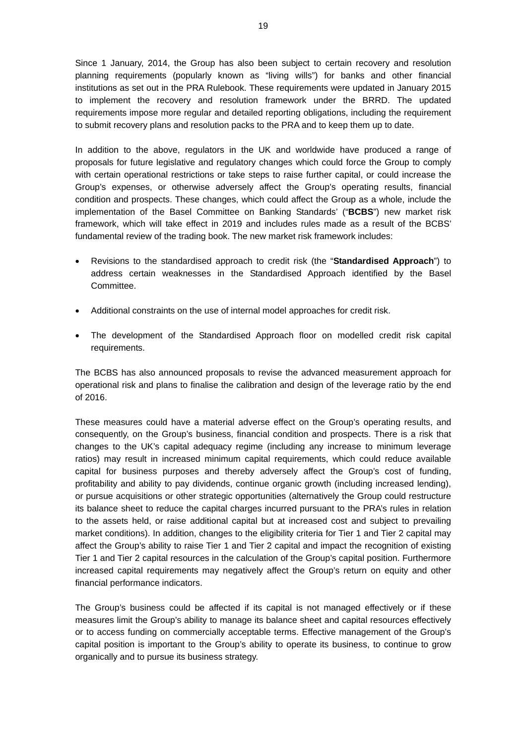Since 1 January, 2014, the Group has also been subject to certain recovery and resolution planning requirements (popularly known as "living wills") for banks and other financial institutions as set out in the PRA Rulebook. These requirements were updated in January 2015 to implement the recovery and resolution framework under the BRRD. The updated requirements impose more regular and detailed reporting obligations, including the requirement to submit recovery plans and resolution packs to the PRA and to keep them up to date.

In addition to the above, regulators in the UK and worldwide have produced a range of proposals for future legislative and regulatory changes which could force the Group to comply with certain operational restrictions or take steps to raise further capital, or could increase the Group's expenses, or otherwise adversely affect the Group's operating results, financial condition and prospects. These changes, which could affect the Group as a whole, include the implementation of the Basel Committee on Banking Standards' ("**BCBS**") new market risk framework, which will take effect in 2019 and includes rules made as a result of the BCBS' fundamental review of the trading book. The new market risk framework includes:

- Revisions to the standardised approach to credit risk (the "**Standardised Approach**") to address certain weaknesses in the Standardised Approach identified by the Basel Committee.
- Additional constraints on the use of internal model approaches for credit risk.
- The development of the Standardised Approach floor on modelled credit risk capital requirements.

The BCBS has also announced proposals to revise the advanced measurement approach for operational risk and plans to finalise the calibration and design of the leverage ratio by the end of 2016.

These measures could have a material adverse effect on the Group's operating results, and consequently, on the Group's business, financial condition and prospects. There is a risk that changes to the UK's capital adequacy regime (including any increase to minimum leverage ratios) may result in increased minimum capital requirements, which could reduce available capital for business purposes and thereby adversely affect the Group's cost of funding, profitability and ability to pay dividends, continue organic growth (including increased lending), or pursue acquisitions or other strategic opportunities (alternatively the Group could restructure its balance sheet to reduce the capital charges incurred pursuant to the PRA's rules in relation to the assets held, or raise additional capital but at increased cost and subject to prevailing market conditions). In addition, changes to the eligibility criteria for Tier 1 and Tier 2 capital may affect the Group's ability to raise Tier 1 and Tier 2 capital and impact the recognition of existing Tier 1 and Tier 2 capital resources in the calculation of the Group's capital position. Furthermore increased capital requirements may negatively affect the Group's return on equity and other financial performance indicators.

The Group's business could be affected if its capital is not managed effectively or if these measures limit the Group's ability to manage its balance sheet and capital resources effectively or to access funding on commercially acceptable terms. Effective management of the Group's capital position is important to the Group's ability to operate its business, to continue to grow organically and to pursue its business strategy.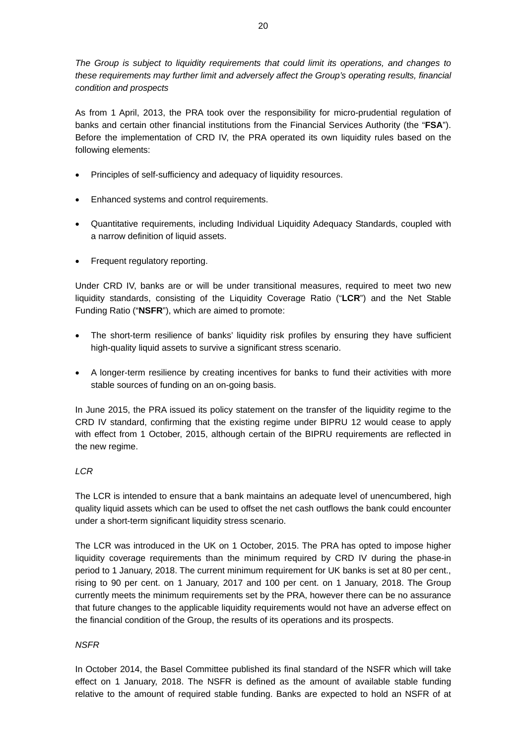*The Group is subject to liquidity requirements that could limit its operations, and changes to these requirements may further limit and adversely affect the Group's operating results, financial condition and prospects* 

As from 1 April, 2013, the PRA took over the responsibility for micro-prudential regulation of banks and certain other financial institutions from the Financial Services Authority (the "**FSA**"). Before the implementation of CRD IV, the PRA operated its own liquidity rules based on the following elements:

- Principles of self-sufficiency and adequacy of liquidity resources.
- Enhanced systems and control requirements.
- Quantitative requirements, including Individual Liquidity Adequacy Standards, coupled with a narrow definition of liquid assets.
- Frequent regulatory reporting.

Under CRD IV, banks are or will be under transitional measures, required to meet two new liquidity standards, consisting of the Liquidity Coverage Ratio ("**LCR**") and the Net Stable Funding Ratio ("**NSFR**"), which are aimed to promote:

- The short-term resilience of banks' liquidity risk profiles by ensuring they have sufficient high-quality liquid assets to survive a significant stress scenario.
- A longer-term resilience by creating incentives for banks to fund their activities with more stable sources of funding on an on-going basis.

In June 2015, the PRA issued its policy statement on the transfer of the liquidity regime to the CRD IV standard, confirming that the existing regime under BIPRU 12 would cease to apply with effect from 1 October, 2015, although certain of the BIPRU requirements are reflected in the new regime.

# *LCR*

The LCR is intended to ensure that a bank maintains an adequate level of unencumbered, high quality liquid assets which can be used to offset the net cash outflows the bank could encounter under a short-term significant liquidity stress scenario.

The LCR was introduced in the UK on 1 October, 2015. The PRA has opted to impose higher liquidity coverage requirements than the minimum required by CRD IV during the phase-in period to 1 January, 2018. The current minimum requirement for UK banks is set at 80 per cent., rising to 90 per cent. on 1 January, 2017 and 100 per cent. on 1 January, 2018. The Group currently meets the minimum requirements set by the PRA, however there can be no assurance that future changes to the applicable liquidity requirements would not have an adverse effect on the financial condition of the Group, the results of its operations and its prospects.

# *NSFR*

In October 2014, the Basel Committee published its final standard of the NSFR which will take effect on 1 January, 2018. The NSFR is defined as the amount of available stable funding relative to the amount of required stable funding. Banks are expected to hold an NSFR of at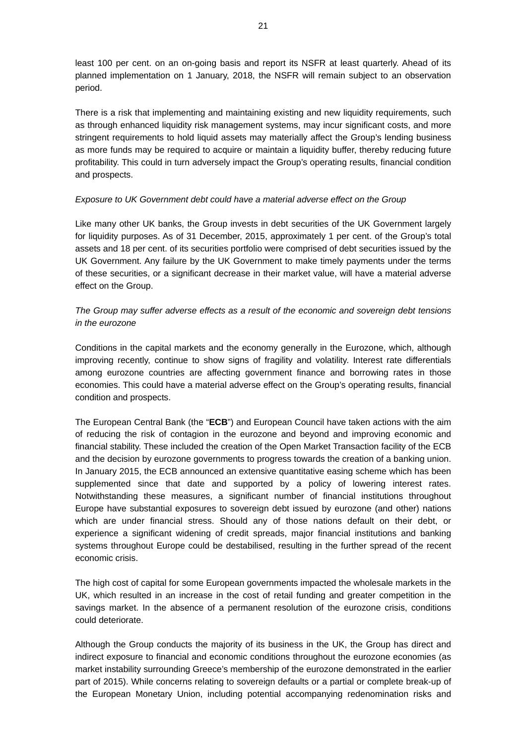least 100 per cent. on an on-going basis and report its NSFR at least quarterly. Ahead of its planned implementation on 1 January, 2018, the NSFR will remain subject to an observation period.

There is a risk that implementing and maintaining existing and new liquidity requirements, such as through enhanced liquidity risk management systems, may incur significant costs, and more stringent requirements to hold liquid assets may materially affect the Group's lending business as more funds may be required to acquire or maintain a liquidity buffer, thereby reducing future profitability. This could in turn adversely impact the Group's operating results, financial condition and prospects.

# *Exposure to UK Government debt could have a material adverse effect on the Group*

Like many other UK banks, the Group invests in debt securities of the UK Government largely for liquidity purposes. As of 31 December, 2015, approximately 1 per cent. of the Group's total assets and 18 per cent. of its securities portfolio were comprised of debt securities issued by the UK Government. Any failure by the UK Government to make timely payments under the terms of these securities, or a significant decrease in their market value, will have a material adverse effect on the Group.

# *The Group may suffer adverse effects as a result of the economic and sovereign debt tensions in the eurozone*

Conditions in the capital markets and the economy generally in the Eurozone, which, although improving recently, continue to show signs of fragility and volatility. Interest rate differentials among eurozone countries are affecting government finance and borrowing rates in those economies. This could have a material adverse effect on the Group's operating results, financial condition and prospects.

The European Central Bank (the "**ECB**") and European Council have taken actions with the aim of reducing the risk of contagion in the eurozone and beyond and improving economic and financial stability. These included the creation of the Open Market Transaction facility of the ECB and the decision by eurozone governments to progress towards the creation of a banking union. In January 2015, the ECB announced an extensive quantitative easing scheme which has been supplemented since that date and supported by a policy of lowering interest rates. Notwithstanding these measures, a significant number of financial institutions throughout Europe have substantial exposures to sovereign debt issued by eurozone (and other) nations which are under financial stress. Should any of those nations default on their debt, or experience a significant widening of credit spreads, major financial institutions and banking systems throughout Europe could be destabilised, resulting in the further spread of the recent economic crisis.

The high cost of capital for some European governments impacted the wholesale markets in the UK, which resulted in an increase in the cost of retail funding and greater competition in the savings market. In the absence of a permanent resolution of the eurozone crisis, conditions could deteriorate.

Although the Group conducts the majority of its business in the UK, the Group has direct and indirect exposure to financial and economic conditions throughout the eurozone economies (as market instability surrounding Greece's membership of the eurozone demonstrated in the earlier part of 2015). While concerns relating to sovereign defaults or a partial or complete break-up of the European Monetary Union, including potential accompanying redenomination risks and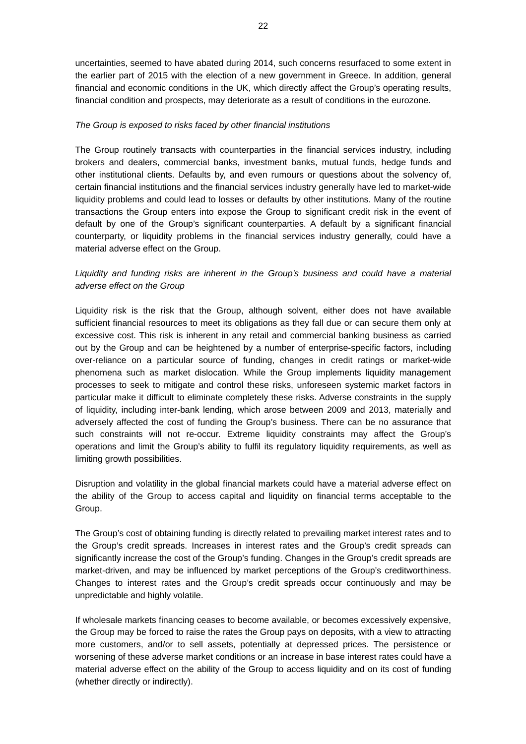uncertainties, seemed to have abated during 2014, such concerns resurfaced to some extent in the earlier part of 2015 with the election of a new government in Greece. In addition, general financial and economic conditions in the UK, which directly affect the Group's operating results, financial condition and prospects, may deteriorate as a result of conditions in the eurozone.

### *The Group is exposed to risks faced by other financial institutions*

The Group routinely transacts with counterparties in the financial services industry, including brokers and dealers, commercial banks, investment banks, mutual funds, hedge funds and other institutional clients. Defaults by, and even rumours or questions about the solvency of, certain financial institutions and the financial services industry generally have led to market-wide liquidity problems and could lead to losses or defaults by other institutions. Many of the routine transactions the Group enters into expose the Group to significant credit risk in the event of default by one of the Group's significant counterparties. A default by a significant financial counterparty, or liquidity problems in the financial services industry generally, could have a material adverse effect on the Group.

# Liquidity and funding risks are inherent in the Group's business and could have a material *adverse effect on the Group*

Liquidity risk is the risk that the Group, although solvent, either does not have available sufficient financial resources to meet its obligations as they fall due or can secure them only at excessive cost. This risk is inherent in any retail and commercial banking business as carried out by the Group and can be heightened by a number of enterprise-specific factors, including over-reliance on a particular source of funding, changes in credit ratings or market-wide phenomena such as market dislocation. While the Group implements liquidity management processes to seek to mitigate and control these risks, unforeseen systemic market factors in particular make it difficult to eliminate completely these risks. Adverse constraints in the supply of liquidity, including inter-bank lending, which arose between 2009 and 2013, materially and adversely affected the cost of funding the Group's business. There can be no assurance that such constraints will not re-occur. Extreme liquidity constraints may affect the Group's operations and limit the Group's ability to fulfil its regulatory liquidity requirements, as well as limiting growth possibilities.

Disruption and volatility in the global financial markets could have a material adverse effect on the ability of the Group to access capital and liquidity on financial terms acceptable to the Group.

The Group's cost of obtaining funding is directly related to prevailing market interest rates and to the Group's credit spreads. Increases in interest rates and the Group's credit spreads can significantly increase the cost of the Group's funding. Changes in the Group's credit spreads are market-driven, and may be influenced by market perceptions of the Group's creditworthiness. Changes to interest rates and the Group's credit spreads occur continuously and may be unpredictable and highly volatile.

If wholesale markets financing ceases to become available, or becomes excessively expensive, the Group may be forced to raise the rates the Group pays on deposits, with a view to attracting more customers, and/or to sell assets, potentially at depressed prices. The persistence or worsening of these adverse market conditions or an increase in base interest rates could have a material adverse effect on the ability of the Group to access liquidity and on its cost of funding (whether directly or indirectly).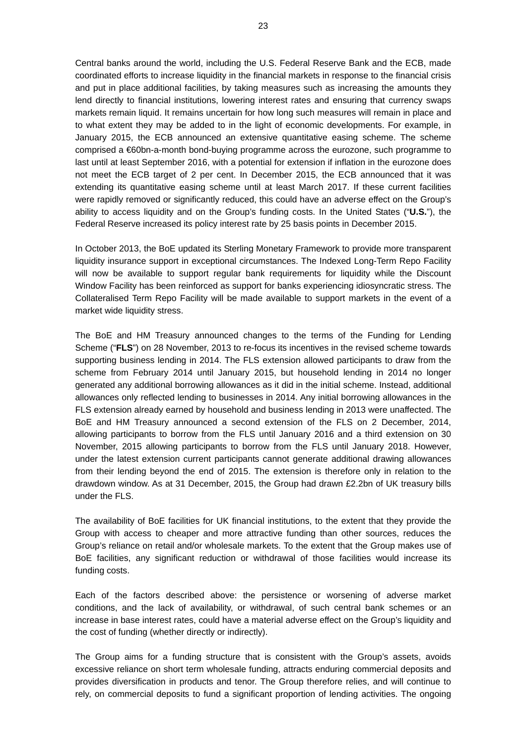Central banks around the world, including the U.S. Federal Reserve Bank and the ECB, made coordinated efforts to increase liquidity in the financial markets in response to the financial crisis and put in place additional facilities, by taking measures such as increasing the amounts they lend directly to financial institutions, lowering interest rates and ensuring that currency swaps markets remain liquid. It remains uncertain for how long such measures will remain in place and to what extent they may be added to in the light of economic developments. For example, in January 2015, the ECB announced an extensive quantitative easing scheme. The scheme comprised a €60bn-a-month bond-buying programme across the eurozone, such programme to last until at least September 2016, with a potential for extension if inflation in the eurozone does not meet the ECB target of 2 per cent. In December 2015, the ECB announced that it was extending its quantitative easing scheme until at least March 2017. If these current facilities were rapidly removed or significantly reduced, this could have an adverse effect on the Group's ability to access liquidity and on the Group's funding costs. In the United States ("**U.S.**"), the Federal Reserve increased its policy interest rate by 25 basis points in December 2015.

In October 2013, the BoE updated its Sterling Monetary Framework to provide more transparent liquidity insurance support in exceptional circumstances. The Indexed Long-Term Repo Facility will now be available to support regular bank requirements for liquidity while the Discount Window Facility has been reinforced as support for banks experiencing idiosyncratic stress. The Collateralised Term Repo Facility will be made available to support markets in the event of a market wide liquidity stress.

The BoE and HM Treasury announced changes to the terms of the Funding for Lending Scheme ("**FLS**") on 28 November, 2013 to re-focus its incentives in the revised scheme towards supporting business lending in 2014. The FLS extension allowed participants to draw from the scheme from February 2014 until January 2015, but household lending in 2014 no longer generated any additional borrowing allowances as it did in the initial scheme. Instead, additional allowances only reflected lending to businesses in 2014. Any initial borrowing allowances in the FLS extension already earned by household and business lending in 2013 were unaffected. The BoE and HM Treasury announced a second extension of the FLS on 2 December, 2014, allowing participants to borrow from the FLS until January 2016 and a third extension on 30 November, 2015 allowing participants to borrow from the FLS until January 2018. However, under the latest extension current participants cannot generate additional drawing allowances from their lending beyond the end of 2015. The extension is therefore only in relation to the drawdown window. As at 31 December, 2015, the Group had drawn £2.2bn of UK treasury bills under the FLS.

The availability of BoE facilities for UK financial institutions, to the extent that they provide the Group with access to cheaper and more attractive funding than other sources, reduces the Group's reliance on retail and/or wholesale markets. To the extent that the Group makes use of BoE facilities, any significant reduction or withdrawal of those facilities would increase its funding costs.

Each of the factors described above: the persistence or worsening of adverse market conditions, and the lack of availability, or withdrawal, of such central bank schemes or an increase in base interest rates, could have a material adverse effect on the Group's liquidity and the cost of funding (whether directly or indirectly).

The Group aims for a funding structure that is consistent with the Group's assets, avoids excessive reliance on short term wholesale funding, attracts enduring commercial deposits and provides diversification in products and tenor. The Group therefore relies, and will continue to rely, on commercial deposits to fund a significant proportion of lending activities. The ongoing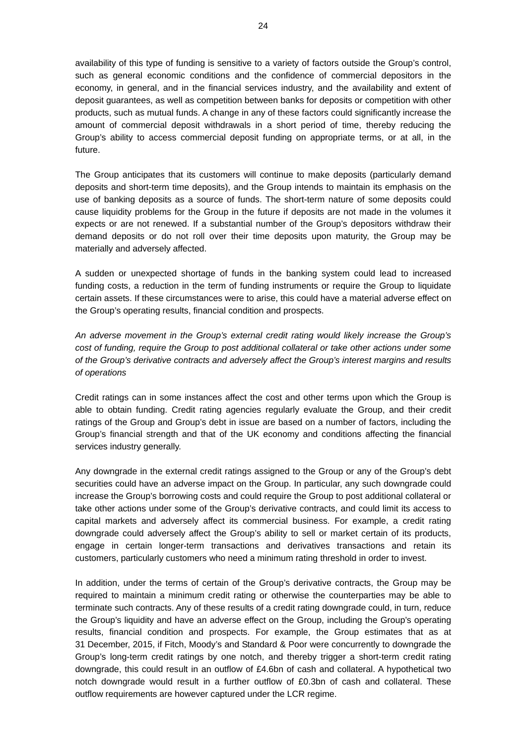availability of this type of funding is sensitive to a variety of factors outside the Group's control, such as general economic conditions and the confidence of commercial depositors in the economy, in general, and in the financial services industry, and the availability and extent of deposit guarantees, as well as competition between banks for deposits or competition with other products, such as mutual funds. A change in any of these factors could significantly increase the amount of commercial deposit withdrawals in a short period of time, thereby reducing the Group's ability to access commercial deposit funding on appropriate terms, or at all, in the future.

The Group anticipates that its customers will continue to make deposits (particularly demand deposits and short-term time deposits), and the Group intends to maintain its emphasis on the use of banking deposits as a source of funds. The short-term nature of some deposits could cause liquidity problems for the Group in the future if deposits are not made in the volumes it expects or are not renewed. If a substantial number of the Group's depositors withdraw their demand deposits or do not roll over their time deposits upon maturity, the Group may be materially and adversely affected.

A sudden or unexpected shortage of funds in the banking system could lead to increased funding costs, a reduction in the term of funding instruments or require the Group to liquidate certain assets. If these circumstances were to arise, this could have a material adverse effect on the Group's operating results, financial condition and prospects.

*An adverse movement in the Group's external credit rating would likely increase the Group's cost of funding, require the Group to post additional collateral or take other actions under some of the Group's derivative contracts and adversely affect the Group's interest margins and results of operations* 

Credit ratings can in some instances affect the cost and other terms upon which the Group is able to obtain funding. Credit rating agencies regularly evaluate the Group, and their credit ratings of the Group and Group's debt in issue are based on a number of factors, including the Group's financial strength and that of the UK economy and conditions affecting the financial services industry generally.

Any downgrade in the external credit ratings assigned to the Group or any of the Group's debt securities could have an adverse impact on the Group. In particular, any such downgrade could increase the Group's borrowing costs and could require the Group to post additional collateral or take other actions under some of the Group's derivative contracts, and could limit its access to capital markets and adversely affect its commercial business. For example, a credit rating downgrade could adversely affect the Group's ability to sell or market certain of its products, engage in certain longer-term transactions and derivatives transactions and retain its customers, particularly customers who need a minimum rating threshold in order to invest.

In addition, under the terms of certain of the Group's derivative contracts, the Group may be required to maintain a minimum credit rating or otherwise the counterparties may be able to terminate such contracts. Any of these results of a credit rating downgrade could, in turn, reduce the Group's liquidity and have an adverse effect on the Group, including the Group's operating results, financial condition and prospects. For example, the Group estimates that as at 31 December, 2015, if Fitch, Moody's and Standard & Poor were concurrently to downgrade the Group's long-term credit ratings by one notch, and thereby trigger a short-term credit rating downgrade, this could result in an outflow of £4.6bn of cash and collateral. A hypothetical two notch downgrade would result in a further outflow of £0.3bn of cash and collateral. These outflow requirements are however captured under the LCR regime.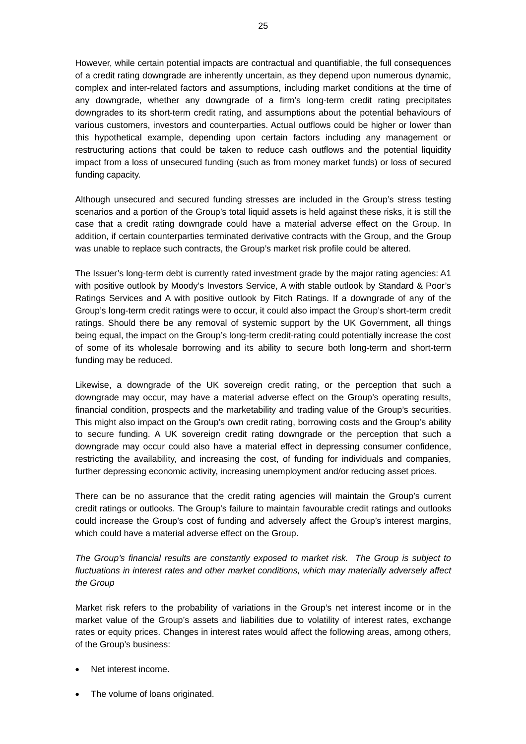However, while certain potential impacts are contractual and quantifiable, the full consequences of a credit rating downgrade are inherently uncertain, as they depend upon numerous dynamic, complex and inter-related factors and assumptions, including market conditions at the time of any downgrade, whether any downgrade of a firm's long-term credit rating precipitates downgrades to its short-term credit rating, and assumptions about the potential behaviours of various customers, investors and counterparties. Actual outflows could be higher or lower than this hypothetical example, depending upon certain factors including any management or restructuring actions that could be taken to reduce cash outflows and the potential liquidity impact from a loss of unsecured funding (such as from money market funds) or loss of secured funding capacity.

Although unsecured and secured funding stresses are included in the Group's stress testing scenarios and a portion of the Group's total liquid assets is held against these risks, it is still the case that a credit rating downgrade could have a material adverse effect on the Group. In addition, if certain counterparties terminated derivative contracts with the Group, and the Group was unable to replace such contracts, the Group's market risk profile could be altered.

The Issuer's long-term debt is currently rated investment grade by the major rating agencies: A1 with positive outlook by Moody's Investors Service, A with stable outlook by Standard & Poor's Ratings Services and A with positive outlook by Fitch Ratings. If a downgrade of any of the Group's long-term credit ratings were to occur, it could also impact the Group's short-term credit ratings. Should there be any removal of systemic support by the UK Government, all things being equal, the impact on the Group's long-term credit-rating could potentially increase the cost of some of its wholesale borrowing and its ability to secure both long-term and short-term funding may be reduced.

Likewise, a downgrade of the UK sovereign credit rating, or the perception that such a downgrade may occur, may have a material adverse effect on the Group's operating results, financial condition, prospects and the marketability and trading value of the Group's securities. This might also impact on the Group's own credit rating, borrowing costs and the Group's ability to secure funding. A UK sovereign credit rating downgrade or the perception that such a downgrade may occur could also have a material effect in depressing consumer confidence, restricting the availability, and increasing the cost, of funding for individuals and companies, further depressing economic activity, increasing unemployment and/or reducing asset prices.

There can be no assurance that the credit rating agencies will maintain the Group's current credit ratings or outlooks. The Group's failure to maintain favourable credit ratings and outlooks could increase the Group's cost of funding and adversely affect the Group's interest margins, which could have a material adverse effect on the Group.

*The Group's financial results are constantly exposed to market risk. The Group is subject to fluctuations in interest rates and other market conditions, which may materially adversely affect the Group* 

Market risk refers to the probability of variations in the Group's net interest income or in the market value of the Group's assets and liabilities due to volatility of interest rates, exchange rates or equity prices. Changes in interest rates would affect the following areas, among others, of the Group's business:

- Net interest income.
- The volume of loans originated.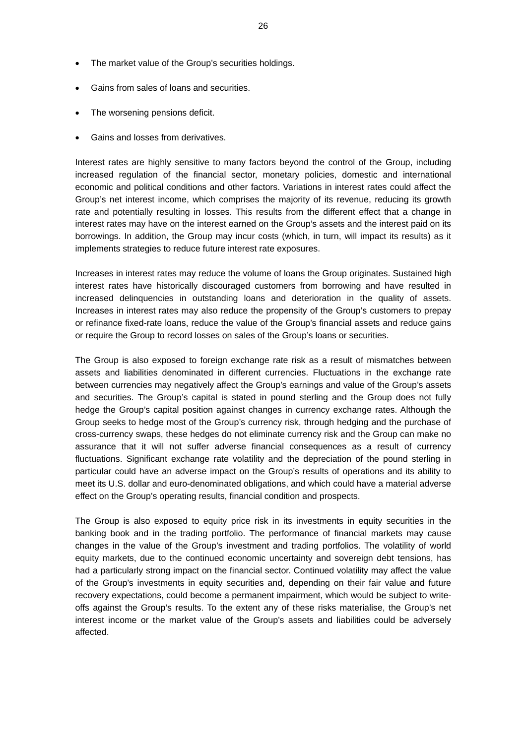- The market value of the Group's securities holdings.
- Gains from sales of loans and securities.
- The worsening pensions deficit.
- Gains and losses from derivatives.

Interest rates are highly sensitive to many factors beyond the control of the Group, including increased regulation of the financial sector, monetary policies, domestic and international economic and political conditions and other factors. Variations in interest rates could affect the Group's net interest income, which comprises the majority of its revenue, reducing its growth rate and potentially resulting in losses. This results from the different effect that a change in interest rates may have on the interest earned on the Group's assets and the interest paid on its borrowings. In addition, the Group may incur costs (which, in turn, will impact its results) as it implements strategies to reduce future interest rate exposures.

Increases in interest rates may reduce the volume of loans the Group originates. Sustained high interest rates have historically discouraged customers from borrowing and have resulted in increased delinquencies in outstanding loans and deterioration in the quality of assets. Increases in interest rates may also reduce the propensity of the Group's customers to prepay or refinance fixed-rate loans, reduce the value of the Group's financial assets and reduce gains or require the Group to record losses on sales of the Group's loans or securities.

The Group is also exposed to foreign exchange rate risk as a result of mismatches between assets and liabilities denominated in different currencies. Fluctuations in the exchange rate between currencies may negatively affect the Group's earnings and value of the Group's assets and securities. The Group's capital is stated in pound sterling and the Group does not fully hedge the Group's capital position against changes in currency exchange rates. Although the Group seeks to hedge most of the Group's currency risk, through hedging and the purchase of cross-currency swaps, these hedges do not eliminate currency risk and the Group can make no assurance that it will not suffer adverse financial consequences as a result of currency fluctuations. Significant exchange rate volatility and the depreciation of the pound sterling in particular could have an adverse impact on the Group's results of operations and its ability to meet its U.S. dollar and euro-denominated obligations, and which could have a material adverse effect on the Group's operating results, financial condition and prospects.

The Group is also exposed to equity price risk in its investments in equity securities in the banking book and in the trading portfolio. The performance of financial markets may cause changes in the value of the Group's investment and trading portfolios. The volatility of world equity markets, due to the continued economic uncertainty and sovereign debt tensions, has had a particularly strong impact on the financial sector. Continued volatility may affect the value of the Group's investments in equity securities and, depending on their fair value and future recovery expectations, could become a permanent impairment, which would be subject to writeoffs against the Group's results. To the extent any of these risks materialise, the Group's net interest income or the market value of the Group's assets and liabilities could be adversely affected.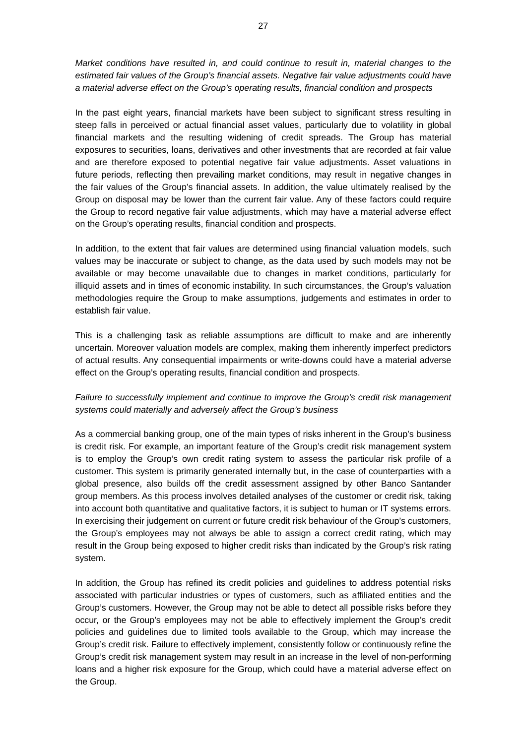*Market conditions have resulted in, and could continue to result in, material changes to the estimated fair values of the Group's financial assets. Negative fair value adjustments could have a material adverse effect on the Group's operating results, financial condition and prospects* 

In the past eight years, financial markets have been subject to significant stress resulting in steep falls in perceived or actual financial asset values, particularly due to volatility in global financial markets and the resulting widening of credit spreads. The Group has material exposures to securities, loans, derivatives and other investments that are recorded at fair value and are therefore exposed to potential negative fair value adjustments. Asset valuations in future periods, reflecting then prevailing market conditions, may result in negative changes in the fair values of the Group's financial assets. In addition, the value ultimately realised by the Group on disposal may be lower than the current fair value. Any of these factors could require the Group to record negative fair value adjustments, which may have a material adverse effect on the Group's operating results, financial condition and prospects.

In addition, to the extent that fair values are determined using financial valuation models, such values may be inaccurate or subject to change, as the data used by such models may not be available or may become unavailable due to changes in market conditions, particularly for illiquid assets and in times of economic instability. In such circumstances, the Group's valuation methodologies require the Group to make assumptions, judgements and estimates in order to establish fair value.

This is a challenging task as reliable assumptions are difficult to make and are inherently uncertain. Moreover valuation models are complex, making them inherently imperfect predictors of actual results. Any consequential impairments or write-downs could have a material adverse effect on the Group's operating results, financial condition and prospects.

# *Failure to successfully implement and continue to improve the Group's credit risk management systems could materially and adversely affect the Group's business*

As a commercial banking group, one of the main types of risks inherent in the Group's business is credit risk. For example, an important feature of the Group's credit risk management system is to employ the Group's own credit rating system to assess the particular risk profile of a customer. This system is primarily generated internally but, in the case of counterparties with a global presence, also builds off the credit assessment assigned by other Banco Santander group members. As this process involves detailed analyses of the customer or credit risk, taking into account both quantitative and qualitative factors, it is subject to human or IT systems errors. In exercising their judgement on current or future credit risk behaviour of the Group's customers, the Group's employees may not always be able to assign a correct credit rating, which may result in the Group being exposed to higher credit risks than indicated by the Group's risk rating system.

In addition, the Group has refined its credit policies and guidelines to address potential risks associated with particular industries or types of customers, such as affiliated entities and the Group's customers. However, the Group may not be able to detect all possible risks before they occur, or the Group's employees may not be able to effectively implement the Group's credit policies and guidelines due to limited tools available to the Group, which may increase the Group's credit risk. Failure to effectively implement, consistently follow or continuously refine the Group's credit risk management system may result in an increase in the level of non-performing loans and a higher risk exposure for the Group, which could have a material adverse effect on the Group.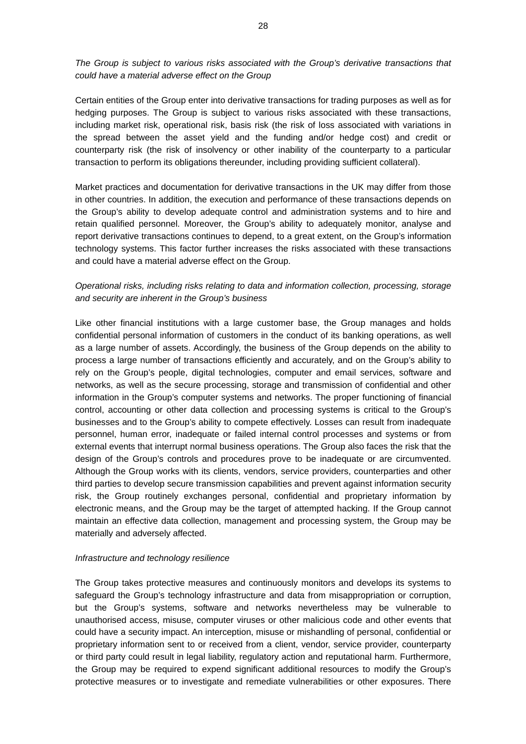*The Group is subject to various risks associated with the Group's derivative transactions that could have a material adverse effect on the Group* 

Certain entities of the Group enter into derivative transactions for trading purposes as well as for hedging purposes. The Group is subject to various risks associated with these transactions, including market risk, operational risk, basis risk (the risk of loss associated with variations in the spread between the asset yield and the funding and/or hedge cost) and credit or counterparty risk (the risk of insolvency or other inability of the counterparty to a particular transaction to perform its obligations thereunder, including providing sufficient collateral).

Market practices and documentation for derivative transactions in the UK may differ from those in other countries. In addition, the execution and performance of these transactions depends on the Group's ability to develop adequate control and administration systems and to hire and retain qualified personnel. Moreover, the Group's ability to adequately monitor, analyse and report derivative transactions continues to depend, to a great extent, on the Group's information technology systems. This factor further increases the risks associated with these transactions and could have a material adverse effect on the Group.

# *Operational risks, including risks relating to data and information collection, processing, storage and security are inherent in the Group's business*

Like other financial institutions with a large customer base, the Group manages and holds confidential personal information of customers in the conduct of its banking operations, as well as a large number of assets. Accordingly, the business of the Group depends on the ability to process a large number of transactions efficiently and accurately, and on the Group's ability to rely on the Group's people, digital technologies, computer and email services, software and networks, as well as the secure processing, storage and transmission of confidential and other information in the Group's computer systems and networks. The proper functioning of financial control, accounting or other data collection and processing systems is critical to the Group's businesses and to the Group's ability to compete effectively. Losses can result from inadequate personnel, human error, inadequate or failed internal control processes and systems or from external events that interrupt normal business operations. The Group also faces the risk that the design of the Group's controls and procedures prove to be inadequate or are circumvented. Although the Group works with its clients, vendors, service providers, counterparties and other third parties to develop secure transmission capabilities and prevent against information security risk, the Group routinely exchanges personal, confidential and proprietary information by electronic means, and the Group may be the target of attempted hacking. If the Group cannot maintain an effective data collection, management and processing system, the Group may be materially and adversely affected.

#### *Infrastructure and technology resilience*

The Group takes protective measures and continuously monitors and develops its systems to safeguard the Group's technology infrastructure and data from misappropriation or corruption, but the Group's systems, software and networks nevertheless may be vulnerable to unauthorised access, misuse, computer viruses or other malicious code and other events that could have a security impact. An interception, misuse or mishandling of personal, confidential or proprietary information sent to or received from a client, vendor, service provider, counterparty or third party could result in legal liability, regulatory action and reputational harm. Furthermore, the Group may be required to expend significant additional resources to modify the Group's protective measures or to investigate and remediate vulnerabilities or other exposures. There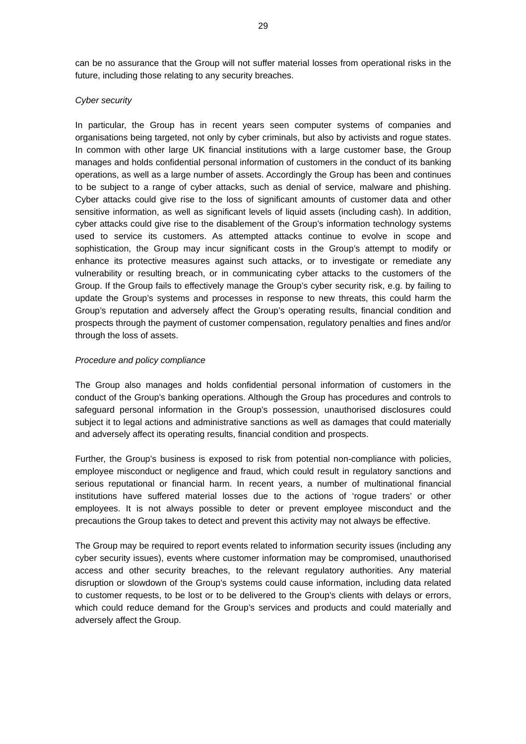can be no assurance that the Group will not suffer material losses from operational risks in the future, including those relating to any security breaches.

### *Cyber security*

In particular, the Group has in recent years seen computer systems of companies and organisations being targeted, not only by cyber criminals, but also by activists and rogue states. In common with other large UK financial institutions with a large customer base, the Group manages and holds confidential personal information of customers in the conduct of its banking operations, as well as a large number of assets. Accordingly the Group has been and continues to be subject to a range of cyber attacks, such as denial of service, malware and phishing. Cyber attacks could give rise to the loss of significant amounts of customer data and other sensitive information, as well as significant levels of liquid assets (including cash). In addition, cyber attacks could give rise to the disablement of the Group's information technology systems used to service its customers. As attempted attacks continue to evolve in scope and sophistication, the Group may incur significant costs in the Group's attempt to modify or enhance its protective measures against such attacks, or to investigate or remediate any vulnerability or resulting breach, or in communicating cyber attacks to the customers of the Group. If the Group fails to effectively manage the Group's cyber security risk, e.g. by failing to update the Group's systems and processes in response to new threats, this could harm the Group's reputation and adversely affect the Group's operating results, financial condition and prospects through the payment of customer compensation, regulatory penalties and fines and/or through the loss of assets.

### *Procedure and policy compliance*

The Group also manages and holds confidential personal information of customers in the conduct of the Group's banking operations. Although the Group has procedures and controls to safeguard personal information in the Group's possession, unauthorised disclosures could subject it to legal actions and administrative sanctions as well as damages that could materially and adversely affect its operating results, financial condition and prospects.

Further, the Group's business is exposed to risk from potential non-compliance with policies, employee misconduct or negligence and fraud, which could result in regulatory sanctions and serious reputational or financial harm. In recent years, a number of multinational financial institutions have suffered material losses due to the actions of 'rogue traders' or other employees. It is not always possible to deter or prevent employee misconduct and the precautions the Group takes to detect and prevent this activity may not always be effective.

The Group may be required to report events related to information security issues (including any cyber security issues), events where customer information may be compromised, unauthorised access and other security breaches, to the relevant regulatory authorities. Any material disruption or slowdown of the Group's systems could cause information, including data related to customer requests, to be lost or to be delivered to the Group's clients with delays or errors, which could reduce demand for the Group's services and products and could materially and adversely affect the Group.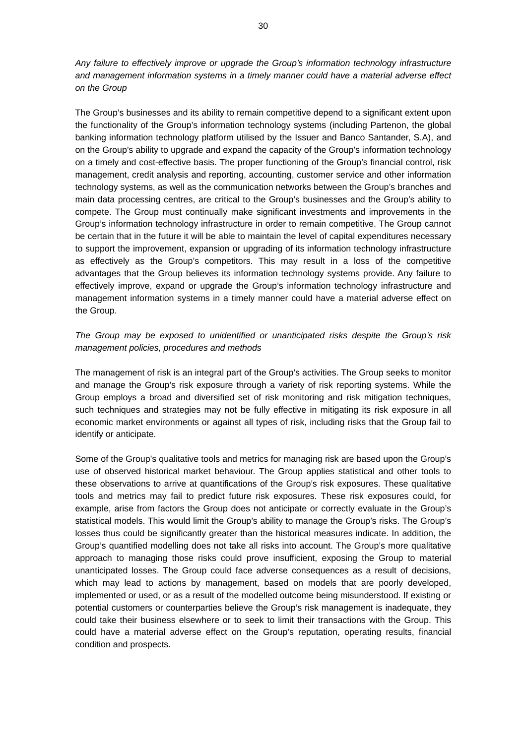*Any failure to effectively improve or upgrade the Group's information technology infrastructure and management information systems in a timely manner could have a material adverse effect on the Group* 

The Group's businesses and its ability to remain competitive depend to a significant extent upon the functionality of the Group's information technology systems (including Partenon, the global banking information technology platform utilised by the Issuer and Banco Santander, S.A), and on the Group's ability to upgrade and expand the capacity of the Group's information technology on a timely and cost-effective basis. The proper functioning of the Group's financial control, risk management, credit analysis and reporting, accounting, customer service and other information technology systems, as well as the communication networks between the Group's branches and main data processing centres, are critical to the Group's businesses and the Group's ability to compete. The Group must continually make significant investments and improvements in the Group's information technology infrastructure in order to remain competitive. The Group cannot be certain that in the future it will be able to maintain the level of capital expenditures necessary to support the improvement, expansion or upgrading of its information technology infrastructure as effectively as the Group's competitors. This may result in a loss of the competitive advantages that the Group believes its information technology systems provide. Any failure to effectively improve, expand or upgrade the Group's information technology infrastructure and management information systems in a timely manner could have a material adverse effect on the Group.

# *The Group may be exposed to unidentified or unanticipated risks despite the Group's risk management policies, procedures and methods*

The management of risk is an integral part of the Group's activities. The Group seeks to monitor and manage the Group's risk exposure through a variety of risk reporting systems. While the Group employs a broad and diversified set of risk monitoring and risk mitigation techniques, such techniques and strategies may not be fully effective in mitigating its risk exposure in all economic market environments or against all types of risk, including risks that the Group fail to identify or anticipate.

Some of the Group's qualitative tools and metrics for managing risk are based upon the Group's use of observed historical market behaviour. The Group applies statistical and other tools to these observations to arrive at quantifications of the Group's risk exposures. These qualitative tools and metrics may fail to predict future risk exposures. These risk exposures could, for example, arise from factors the Group does not anticipate or correctly evaluate in the Group's statistical models. This would limit the Group's ability to manage the Group's risks. The Group's losses thus could be significantly greater than the historical measures indicate. In addition, the Group's quantified modelling does not take all risks into account. The Group's more qualitative approach to managing those risks could prove insufficient, exposing the Group to material unanticipated losses. The Group could face adverse consequences as a result of decisions, which may lead to actions by management, based on models that are poorly developed, implemented or used, or as a result of the modelled outcome being misunderstood. If existing or potential customers or counterparties believe the Group's risk management is inadequate, they could take their business elsewhere or to seek to limit their transactions with the Group. This could have a material adverse effect on the Group's reputation, operating results, financial condition and prospects.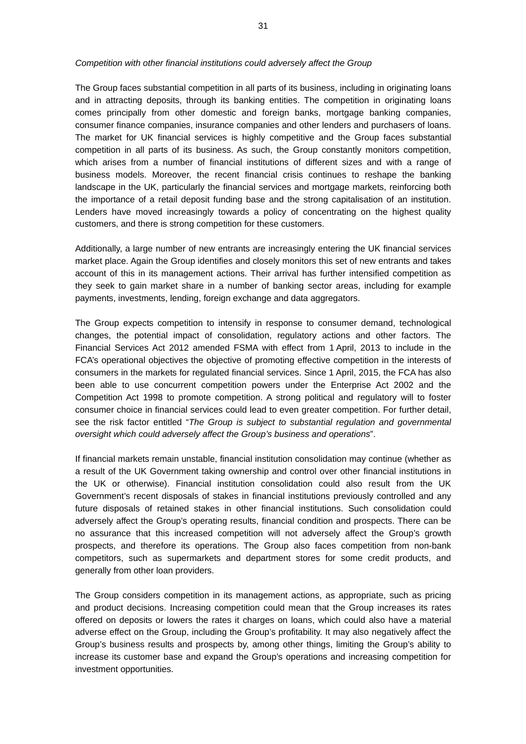#### *Competition with other financial institutions could adversely affect the Group*

The Group faces substantial competition in all parts of its business, including in originating loans and in attracting deposits, through its banking entities. The competition in originating loans comes principally from other domestic and foreign banks, mortgage banking companies, consumer finance companies, insurance companies and other lenders and purchasers of loans. The market for UK financial services is highly competitive and the Group faces substantial competition in all parts of its business. As such, the Group constantly monitors competition, which arises from a number of financial institutions of different sizes and with a range of business models. Moreover, the recent financial crisis continues to reshape the banking landscape in the UK, particularly the financial services and mortgage markets, reinforcing both the importance of a retail deposit funding base and the strong capitalisation of an institution. Lenders have moved increasingly towards a policy of concentrating on the highest quality customers, and there is strong competition for these customers.

Additionally, a large number of new entrants are increasingly entering the UK financial services market place. Again the Group identifies and closely monitors this set of new entrants and takes account of this in its management actions. Their arrival has further intensified competition as they seek to gain market share in a number of banking sector areas, including for example payments, investments, lending, foreign exchange and data aggregators.

The Group expects competition to intensify in response to consumer demand, technological changes, the potential impact of consolidation, regulatory actions and other factors. The Financial Services Act 2012 amended FSMA with effect from 1 April, 2013 to include in the FCA's operational objectives the objective of promoting effective competition in the interests of consumers in the markets for regulated financial services. Since 1 April, 2015, the FCA has also been able to use concurrent competition powers under the Enterprise Act 2002 and the Competition Act 1998 to promote competition. A strong political and regulatory will to foster consumer choice in financial services could lead to even greater competition. For further detail, see the risk factor entitled "*The Group is subject to substantial regulation and governmental oversight which could adversely affect the Group's business and operations*".

If financial markets remain unstable, financial institution consolidation may continue (whether as a result of the UK Government taking ownership and control over other financial institutions in the UK or otherwise). Financial institution consolidation could also result from the UK Government's recent disposals of stakes in financial institutions previously controlled and any future disposals of retained stakes in other financial institutions. Such consolidation could adversely affect the Group's operating results, financial condition and prospects. There can be no assurance that this increased competition will not adversely affect the Group's growth prospects, and therefore its operations. The Group also faces competition from non-bank competitors, such as supermarkets and department stores for some credit products, and generally from other loan providers.

The Group considers competition in its management actions, as appropriate, such as pricing and product decisions. Increasing competition could mean that the Group increases its rates offered on deposits or lowers the rates it charges on loans, which could also have a material adverse effect on the Group, including the Group's profitability. It may also negatively affect the Group's business results and prospects by, among other things, limiting the Group's ability to increase its customer base and expand the Group's operations and increasing competition for investment opportunities.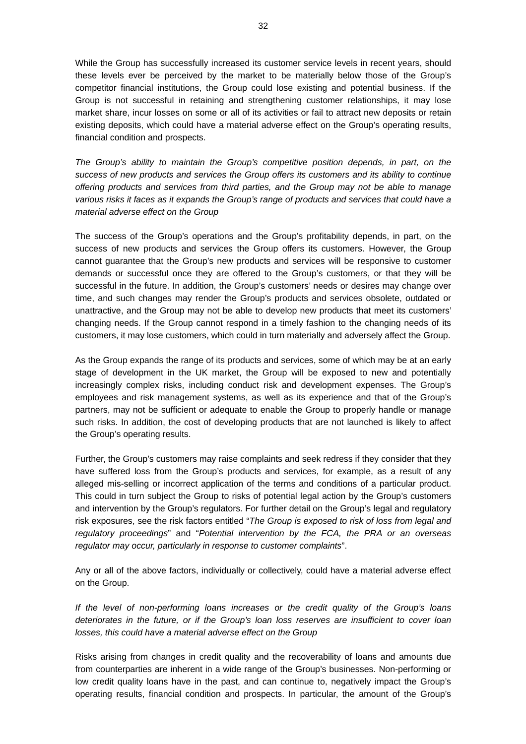While the Group has successfully increased its customer service levels in recent years, should these levels ever be perceived by the market to be materially below those of the Group's competitor financial institutions, the Group could lose existing and potential business. If the Group is not successful in retaining and strengthening customer relationships, it may lose market share, incur losses on some or all of its activities or fail to attract new deposits or retain existing deposits, which could have a material adverse effect on the Group's operating results, financial condition and prospects.

*The Group's ability to maintain the Group's competitive position depends, in part, on the success of new products and services the Group offers its customers and its ability to continue offering products and services from third parties, and the Group may not be able to manage various risks it faces as it expands the Group's range of products and services that could have a material adverse effect on the Group* 

The success of the Group's operations and the Group's profitability depends, in part, on the success of new products and services the Group offers its customers. However, the Group cannot guarantee that the Group's new products and services will be responsive to customer demands or successful once they are offered to the Group's customers, or that they will be successful in the future. In addition, the Group's customers' needs or desires may change over time, and such changes may render the Group's products and services obsolete, outdated or unattractive, and the Group may not be able to develop new products that meet its customers' changing needs. If the Group cannot respond in a timely fashion to the changing needs of its customers, it may lose customers, which could in turn materially and adversely affect the Group.

As the Group expands the range of its products and services, some of which may be at an early stage of development in the UK market, the Group will be exposed to new and potentially increasingly complex risks, including conduct risk and development expenses. The Group's employees and risk management systems, as well as its experience and that of the Group's partners, may not be sufficient or adequate to enable the Group to properly handle or manage such risks. In addition, the cost of developing products that are not launched is likely to affect the Group's operating results.

Further, the Group's customers may raise complaints and seek redress if they consider that they have suffered loss from the Group's products and services, for example, as a result of any alleged mis-selling or incorrect application of the terms and conditions of a particular product. This could in turn subject the Group to risks of potential legal action by the Group's customers and intervention by the Group's regulators. For further detail on the Group's legal and regulatory risk exposures, see the risk factors entitled "*The Group is exposed to risk of loss from legal and regulatory proceedings*" and "*Potential intervention by the FCA, the PRA or an overseas regulator may occur, particularly in response to customer complaints*".

Any or all of the above factors, individually or collectively, could have a material adverse effect on the Group.

*If the level of non-performing loans increases or the credit quality of the Group's loans deteriorates in the future, or if the Group's loan loss reserves are insufficient to cover loan losses, this could have a material adverse effect on the Group* 

Risks arising from changes in credit quality and the recoverability of loans and amounts due from counterparties are inherent in a wide range of the Group's businesses. Non-performing or low credit quality loans have in the past, and can continue to, negatively impact the Group's operating results, financial condition and prospects. In particular, the amount of the Group's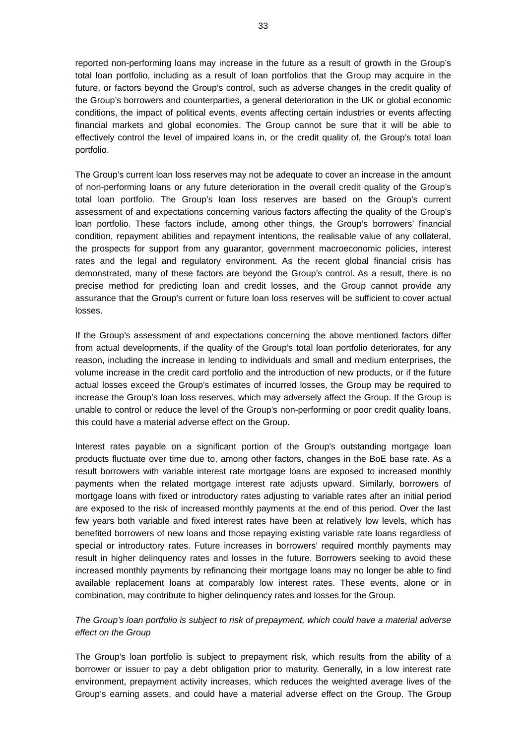reported non-performing loans may increase in the future as a result of growth in the Group's total loan portfolio, including as a result of loan portfolios that the Group may acquire in the future, or factors beyond the Group's control, such as adverse changes in the credit quality of the Group's borrowers and counterparties, a general deterioration in the UK or global economic conditions, the impact of political events, events affecting certain industries or events affecting financial markets and global economies. The Group cannot be sure that it will be able to effectively control the level of impaired loans in, or the credit quality of, the Group's total loan portfolio.

The Group's current loan loss reserves may not be adequate to cover an increase in the amount of non-performing loans or any future deterioration in the overall credit quality of the Group's total loan portfolio. The Group's loan loss reserves are based on the Group's current assessment of and expectations concerning various factors affecting the quality of the Group's loan portfolio. These factors include, among other things, the Group's borrowers' financial condition, repayment abilities and repayment intentions, the realisable value of any collateral, the prospects for support from any guarantor, government macroeconomic policies, interest rates and the legal and regulatory environment. As the recent global financial crisis has demonstrated, many of these factors are beyond the Group's control. As a result, there is no precise method for predicting loan and credit losses, and the Group cannot provide any assurance that the Group's current or future loan loss reserves will be sufficient to cover actual losses.

If the Group's assessment of and expectations concerning the above mentioned factors differ from actual developments, if the quality of the Group's total loan portfolio deteriorates, for any reason, including the increase in lending to individuals and small and medium enterprises, the volume increase in the credit card portfolio and the introduction of new products, or if the future actual losses exceed the Group's estimates of incurred losses, the Group may be required to increase the Group's loan loss reserves, which may adversely affect the Group. If the Group is unable to control or reduce the level of the Group's non-performing or poor credit quality loans, this could have a material adverse effect on the Group.

Interest rates payable on a significant portion of the Group's outstanding mortgage loan products fluctuate over time due to, among other factors, changes in the BoE base rate. As a result borrowers with variable interest rate mortgage loans are exposed to increased monthly payments when the related mortgage interest rate adjusts upward. Similarly, borrowers of mortgage loans with fixed or introductory rates adjusting to variable rates after an initial period are exposed to the risk of increased monthly payments at the end of this period. Over the last few years both variable and fixed interest rates have been at relatively low levels, which has benefited borrowers of new loans and those repaying existing variable rate loans regardless of special or introductory rates. Future increases in borrowers' required monthly payments may result in higher delinquency rates and losses in the future. Borrowers seeking to avoid these increased monthly payments by refinancing their mortgage loans may no longer be able to find available replacement loans at comparably low interest rates. These events, alone or in combination, may contribute to higher delinquency rates and losses for the Group.

# *The Group's loan portfolio is subject to risk of prepayment, which could have a material adverse effect on the Group*

The Group's loan portfolio is subject to prepayment risk, which results from the ability of a borrower or issuer to pay a debt obligation prior to maturity. Generally, in a low interest rate environment, prepayment activity increases, which reduces the weighted average lives of the Group's earning assets, and could have a material adverse effect on the Group. The Group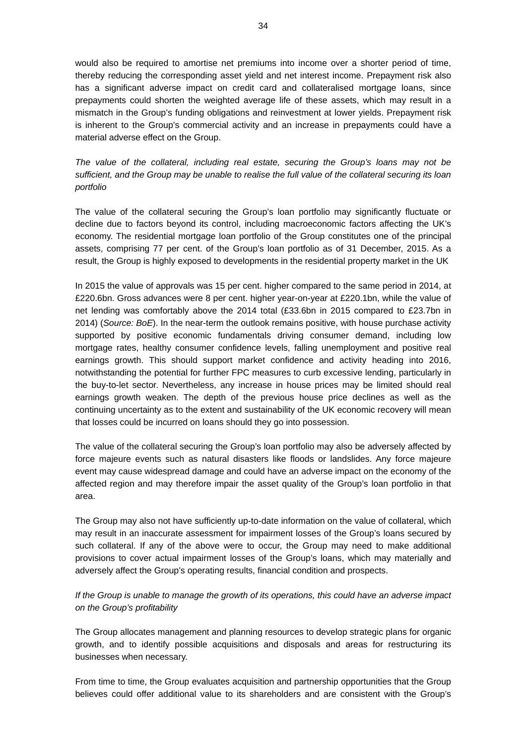would also be required to amortise net premiums into income over a shorter period of time, thereby reducing the corresponding asset yield and net interest income. Prepayment risk also has a significant adverse impact on credit card and collateralised mortgage loans, since prepayments could shorten the weighted average life of these assets, which may result in a mismatch in the Group's funding obligations and reinvestment at lower yields. Prepayment risk is inherent to the Group's commercial activity and an increase in prepayments could have a material adverse effect on the Group.

*The value of the collateral, including real estate, securing the Group's loans may not be sufficient, and the Group may be unable to realise the full value of the collateral securing its loan portfolio* 

The value of the collateral securing the Group's loan portfolio may significantly fluctuate or decline due to factors beyond its control, including macroeconomic factors affecting the UK's economy. The residential mortgage loan portfolio of the Group constitutes one of the principal assets, comprising 77 per cent. of the Group's loan portfolio as of 31 December, 2015. As a result, the Group is highly exposed to developments in the residential property market in the UK

In 2015 the value of approvals was 15 per cent. higher compared to the same period in 2014, at £220.6bn. Gross advances were 8 per cent. higher year-on-year at £220.1bn, while the value of net lending was comfortably above the 2014 total (£33.6bn in 2015 compared to £23.7bn in 2014) (*Source: BoE*). In the near-term the outlook remains positive, with house purchase activity supported by positive economic fundamentals driving consumer demand, including low mortgage rates, healthy consumer confidence levels, falling unemployment and positive real earnings growth. This should support market confidence and activity heading into 2016, notwithstanding the potential for further FPC measures to curb excessive lending, particularly in the buy-to-let sector. Nevertheless, any increase in house prices may be limited should real earnings growth weaken. The depth of the previous house price declines as well as the continuing uncertainty as to the extent and sustainability of the UK economic recovery will mean that losses could be incurred on loans should they go into possession.

The value of the collateral securing the Group's loan portfolio may also be adversely affected by force majeure events such as natural disasters like floods or landslides. Any force majeure event may cause widespread damage and could have an adverse impact on the economy of the affected region and may therefore impair the asset quality of the Group's loan portfolio in that area.

The Group may also not have sufficiently up-to-date information on the value of collateral, which may result in an inaccurate assessment for impairment losses of the Group's loans secured by such collateral. If any of the above were to occur, the Group may need to make additional provisions to cover actual impairment losses of the Group's loans, which may materially and adversely affect the Group's operating results, financial condition and prospects.

# *If the Group is unable to manage the growth of its operations, this could have an adverse impact on the Group's profitability*

The Group allocates management and planning resources to develop strategic plans for organic growth, and to identify possible acquisitions and disposals and areas for restructuring its businesses when necessary.

From time to time, the Group evaluates acquisition and partnership opportunities that the Group believes could offer additional value to its shareholders and are consistent with the Group's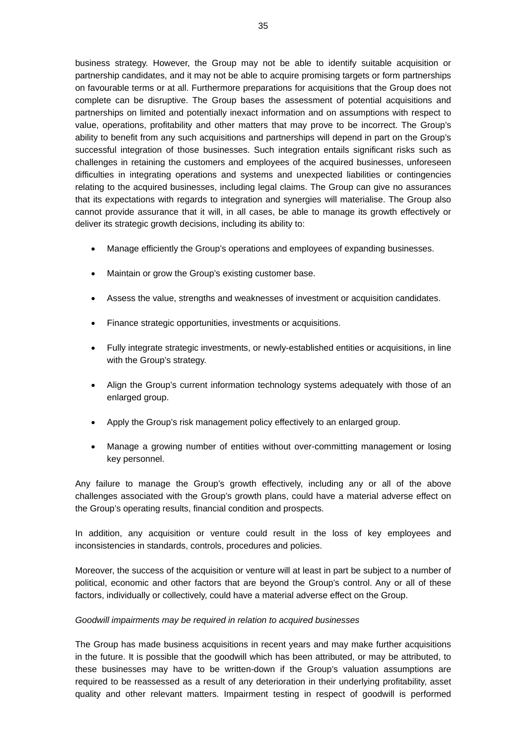business strategy. However, the Group may not be able to identify suitable acquisition or partnership candidates, and it may not be able to acquire promising targets or form partnerships on favourable terms or at all. Furthermore preparations for acquisitions that the Group does not complete can be disruptive. The Group bases the assessment of potential acquisitions and partnerships on limited and potentially inexact information and on assumptions with respect to value, operations, profitability and other matters that may prove to be incorrect. The Group's ability to benefit from any such acquisitions and partnerships will depend in part on the Group's successful integration of those businesses. Such integration entails significant risks such as challenges in retaining the customers and employees of the acquired businesses, unforeseen difficulties in integrating operations and systems and unexpected liabilities or contingencies relating to the acquired businesses, including legal claims. The Group can give no assurances that its expectations with regards to integration and synergies will materialise. The Group also cannot provide assurance that it will, in all cases, be able to manage its growth effectively or deliver its strategic growth decisions, including its ability to:

- Manage efficiently the Group's operations and employees of expanding businesses.
- Maintain or grow the Group's existing customer base.
- Assess the value, strengths and weaknesses of investment or acquisition candidates.
- Finance strategic opportunities, investments or acquisitions.
- Fully integrate strategic investments, or newly-established entities or acquisitions, in line with the Group's strategy.
- Align the Group's current information technology systems adequately with those of an enlarged group.
- Apply the Group's risk management policy effectively to an enlarged group.
- Manage a growing number of entities without over-committing management or losing key personnel.

Any failure to manage the Group's growth effectively, including any or all of the above challenges associated with the Group's growth plans, could have a material adverse effect on the Group's operating results, financial condition and prospects.

In addition, any acquisition or venture could result in the loss of key employees and inconsistencies in standards, controls, procedures and policies.

Moreover, the success of the acquisition or venture will at least in part be subject to a number of political, economic and other factors that are beyond the Group's control. Any or all of these factors, individually or collectively, could have a material adverse effect on the Group.

#### *Goodwill impairments may be required in relation to acquired businesses*

The Group has made business acquisitions in recent years and may make further acquisitions in the future. It is possible that the goodwill which has been attributed, or may be attributed, to these businesses may have to be written-down if the Group's valuation assumptions are required to be reassessed as a result of any deterioration in their underlying profitability, asset quality and other relevant matters. Impairment testing in respect of goodwill is performed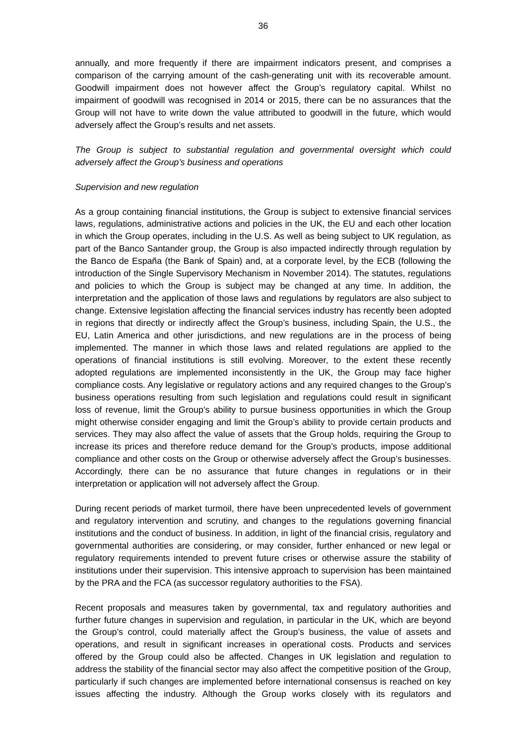annually, and more frequently if there are impairment indicators present, and comprises a comparison of the carrying amount of the cash-generating unit with its recoverable amount. Goodwill impairment does not however affect the Group's regulatory capital. Whilst no impairment of goodwill was recognised in 2014 or 2015, there can be no assurances that the Group will not have to write down the value attributed to goodwill in the future, which would adversely affect the Group's results and net assets.

*The Group is subject to substantial regulation and governmental oversight which could adversely affect the Group's business and operations* 

#### *Supervision and new regulation*

As a group containing financial institutions, the Group is subject to extensive financial services laws, regulations, administrative actions and policies in the UK, the EU and each other location in which the Group operates, including in the U.S. As well as being subject to UK regulation, as part of the Banco Santander group, the Group is also impacted indirectly through regulation by the Banco de España (the Bank of Spain) and, at a corporate level, by the ECB (following the introduction of the Single Supervisory Mechanism in November 2014). The statutes, regulations and policies to which the Group is subject may be changed at any time. In addition, the interpretation and the application of those laws and regulations by regulators are also subject to change. Extensive legislation affecting the financial services industry has recently been adopted in regions that directly or indirectly affect the Group's business, including Spain, the U.S., the EU, Latin America and other jurisdictions, and new regulations are in the process of being implemented. The manner in which those laws and related regulations are applied to the operations of financial institutions is still evolving. Moreover, to the extent these recently adopted regulations are implemented inconsistently in the UK, the Group may face higher compliance costs. Any legislative or regulatory actions and any required changes to the Group's business operations resulting from such legislation and regulations could result in significant loss of revenue, limit the Group's ability to pursue business opportunities in which the Group might otherwise consider engaging and limit the Group's ability to provide certain products and services. They may also affect the value of assets that the Group holds, requiring the Group to increase its prices and therefore reduce demand for the Group's products, impose additional compliance and other costs on the Group or otherwise adversely affect the Group's businesses. Accordingly, there can be no assurance that future changes in regulations or in their interpretation or application will not adversely affect the Group.

During recent periods of market turmoil, there have been unprecedented levels of government and regulatory intervention and scrutiny, and changes to the regulations governing financial institutions and the conduct of business. In addition, in light of the financial crisis, regulatory and governmental authorities are considering, or may consider, further enhanced or new legal or regulatory requirements intended to prevent future crises or otherwise assure the stability of institutions under their supervision. This intensive approach to supervision has been maintained by the PRA and the FCA (as successor regulatory authorities to the FSA).

Recent proposals and measures taken by governmental, tax and regulatory authorities and further future changes in supervision and regulation, in particular in the UK, which are beyond the Group's control, could materially affect the Group's business, the value of assets and operations, and result in significant increases in operational costs. Products and services offered by the Group could also be affected. Changes in UK legislation and regulation to address the stability of the financial sector may also affect the competitive position of the Group, particularly if such changes are implemented before international consensus is reached on key issues affecting the industry. Although the Group works closely with its regulators and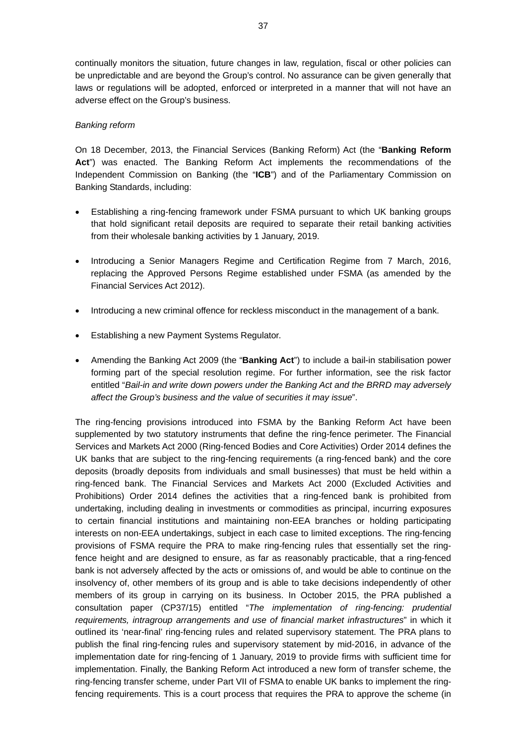continually monitors the situation, future changes in law, regulation, fiscal or other policies can be unpredictable and are beyond the Group's control. No assurance can be given generally that laws or regulations will be adopted, enforced or interpreted in a manner that will not have an adverse effect on the Group's business.

## *Banking reform*

On 18 December, 2013, the Financial Services (Banking Reform) Act (the "**Banking Reform Act**") was enacted. The Banking Reform Act implements the recommendations of the Independent Commission on Banking (the "**ICB**") and of the Parliamentary Commission on Banking Standards, including:

- Establishing a ring-fencing framework under FSMA pursuant to which UK banking groups that hold significant retail deposits are required to separate their retail banking activities from their wholesale banking activities by 1 January, 2019.
- Introducing a Senior Managers Regime and Certification Regime from 7 March, 2016, replacing the Approved Persons Regime established under FSMA (as amended by the Financial Services Act 2012).
- Introducing a new criminal offence for reckless misconduct in the management of a bank.
- Establishing a new Payment Systems Regulator.
- Amending the Banking Act 2009 (the "**Banking Act**") to include a bail-in stabilisation power forming part of the special resolution regime. For further information, see the risk factor entitled "*Bail-in and write down powers under the Banking Act and the BRRD may adversely affect the Group's business and the value of securities it may issue*".

The ring-fencing provisions introduced into FSMA by the Banking Reform Act have been supplemented by two statutory instruments that define the ring-fence perimeter. The Financial Services and Markets Act 2000 (Ring-fenced Bodies and Core Activities) Order 2014 defines the UK banks that are subject to the ring-fencing requirements (a ring-fenced bank) and the core deposits (broadly deposits from individuals and small businesses) that must be held within a ring-fenced bank. The Financial Services and Markets Act 2000 (Excluded Activities and Prohibitions) Order 2014 defines the activities that a ring-fenced bank is prohibited from undertaking, including dealing in investments or commodities as principal, incurring exposures to certain financial institutions and maintaining non-EEA branches or holding participating interests on non-EEA undertakings, subject in each case to limited exceptions. The ring-fencing provisions of FSMA require the PRA to make ring-fencing rules that essentially set the ringfence height and are designed to ensure, as far as reasonably practicable, that a ring-fenced bank is not adversely affected by the acts or omissions of, and would be able to continue on the insolvency of, other members of its group and is able to take decisions independently of other members of its group in carrying on its business. In October 2015, the PRA published a consultation paper (CP37/15) entitled "*The implementation of ring-fencing: prudential requirements, intragroup arrangements and use of financial market infrastructures*" in which it outlined its 'near-final' ring-fencing rules and related supervisory statement. The PRA plans to publish the final ring-fencing rules and supervisory statement by mid-2016, in advance of the implementation date for ring-fencing of 1 January, 2019 to provide firms with sufficient time for implementation. Finally, the Banking Reform Act introduced a new form of transfer scheme, the ring-fencing transfer scheme, under Part VII of FSMA to enable UK banks to implement the ringfencing requirements. This is a court process that requires the PRA to approve the scheme (in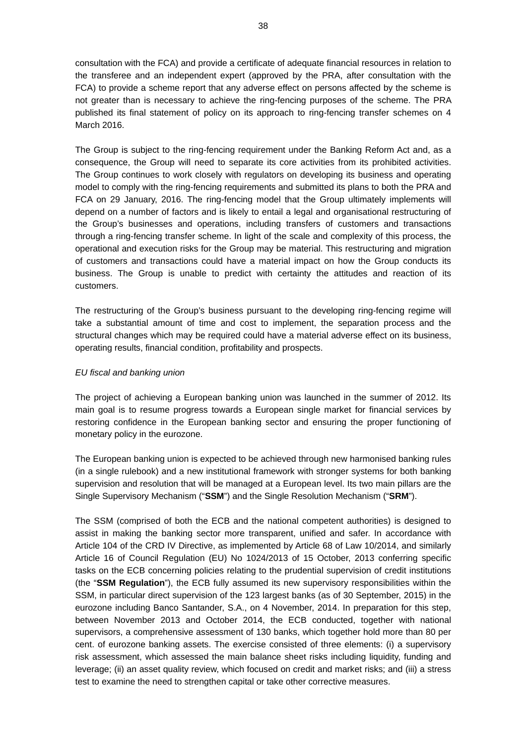consultation with the FCA) and provide a certificate of adequate financial resources in relation to the transferee and an independent expert (approved by the PRA, after consultation with the FCA) to provide a scheme report that any adverse effect on persons affected by the scheme is not greater than is necessary to achieve the ring-fencing purposes of the scheme. The PRA published its final statement of policy on its approach to ring-fencing transfer schemes on 4 March 2016.

The Group is subject to the ring-fencing requirement under the Banking Reform Act and, as a consequence, the Group will need to separate its core activities from its prohibited activities. The Group continues to work closely with regulators on developing its business and operating model to comply with the ring-fencing requirements and submitted its plans to both the PRA and FCA on 29 January, 2016. The ring-fencing model that the Group ultimately implements will depend on a number of factors and is likely to entail a legal and organisational restructuring of the Group's businesses and operations, including transfers of customers and transactions through a ring-fencing transfer scheme. In light of the scale and complexity of this process, the operational and execution risks for the Group may be material. This restructuring and migration of customers and transactions could have a material impact on how the Group conducts its business. The Group is unable to predict with certainty the attitudes and reaction of its customers.

The restructuring of the Group's business pursuant to the developing ring-fencing regime will take a substantial amount of time and cost to implement, the separation process and the structural changes which may be required could have a material adverse effect on its business, operating results, financial condition, profitability and prospects.

### *EU fiscal and banking union*

The project of achieving a European banking union was launched in the summer of 2012. Its main goal is to resume progress towards a European single market for financial services by restoring confidence in the European banking sector and ensuring the proper functioning of monetary policy in the eurozone.

The European banking union is expected to be achieved through new harmonised banking rules (in a single rulebook) and a new institutional framework with stronger systems for both banking supervision and resolution that will be managed at a European level. Its two main pillars are the Single Supervisory Mechanism ("**SSM**") and the Single Resolution Mechanism ("**SRM**").

The SSM (comprised of both the ECB and the national competent authorities) is designed to assist in making the banking sector more transparent, unified and safer. In accordance with Article 104 of the CRD IV Directive, as implemented by Article 68 of Law 10/2014, and similarly Article 16 of Council Regulation (EU) No 1024/2013 of 15 October, 2013 conferring specific tasks on the ECB concerning policies relating to the prudential supervision of credit institutions (the "**SSM Regulation**"), the ECB fully assumed its new supervisory responsibilities within the SSM, in particular direct supervision of the 123 largest banks (as of 30 September, 2015) in the eurozone including Banco Santander, S.A., on 4 November, 2014. In preparation for this step, between November 2013 and October 2014, the ECB conducted, together with national supervisors, a comprehensive assessment of 130 banks, which together hold more than 80 per cent. of eurozone banking assets. The exercise consisted of three elements: (i) a supervisory risk assessment, which assessed the main balance sheet risks including liquidity, funding and leverage; (ii) an asset quality review, which focused on credit and market risks; and (iii) a stress test to examine the need to strengthen capital or take other corrective measures.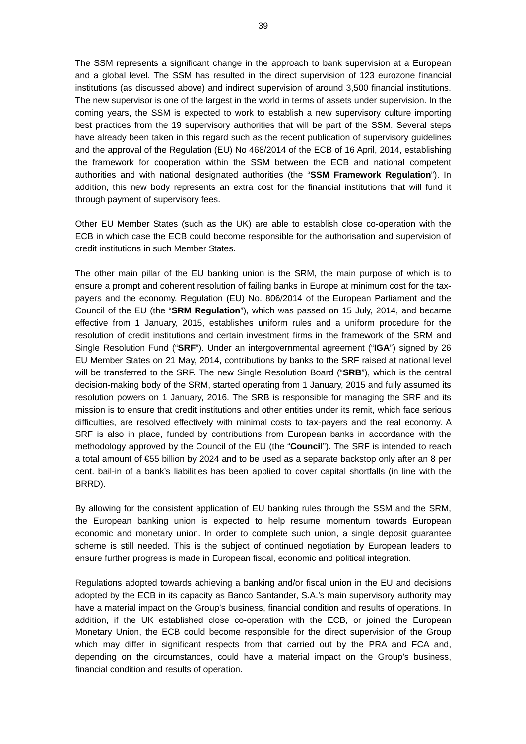The SSM represents a significant change in the approach to bank supervision at a European and a global level. The SSM has resulted in the direct supervision of 123 eurozone financial institutions (as discussed above) and indirect supervision of around 3,500 financial institutions. The new supervisor is one of the largest in the world in terms of assets under supervision. In the coming years, the SSM is expected to work to establish a new supervisory culture importing best practices from the 19 supervisory authorities that will be part of the SSM. Several steps have already been taken in this regard such as the recent publication of supervisory guidelines and the approval of the Regulation (EU) No 468/2014 of the ECB of 16 April, 2014, establishing the framework for cooperation within the SSM between the ECB and national competent authorities and with national designated authorities (the "**SSM Framework Regulation**"). In addition, this new body represents an extra cost for the financial institutions that will fund it through payment of supervisory fees.

Other EU Member States (such as the UK) are able to establish close co-operation with the ECB in which case the ECB could become responsible for the authorisation and supervision of credit institutions in such Member States.

The other main pillar of the EU banking union is the SRM, the main purpose of which is to ensure a prompt and coherent resolution of failing banks in Europe at minimum cost for the taxpayers and the economy. Regulation (EU) No. 806/2014 of the European Parliament and the Council of the EU (the "**SRM Regulation**"), which was passed on 15 July, 2014, and became effective from 1 January, 2015, establishes uniform rules and a uniform procedure for the resolution of credit institutions and certain investment firms in the framework of the SRM and Single Resolution Fund ("**SRF**"). Under an intergovernmental agreement ("**IGA**") signed by 26 EU Member States on 21 May, 2014, contributions by banks to the SRF raised at national level will be transferred to the SRF. The new Single Resolution Board ("**SRB**"), which is the central decision-making body of the SRM, started operating from 1 January, 2015 and fully assumed its resolution powers on 1 January, 2016. The SRB is responsible for managing the SRF and its mission is to ensure that credit institutions and other entities under its remit, which face serious difficulties, are resolved effectively with minimal costs to tax-payers and the real economy. A SRF is also in place, funded by contributions from European banks in accordance with the methodology approved by the Council of the EU (the "**Council**"). The SRF is intended to reach a total amount of €55 billion by 2024 and to be used as a separate backstop only after an 8 per cent. bail-in of a bank's liabilities has been applied to cover capital shortfalls (in line with the BRRD).

By allowing for the consistent application of EU banking rules through the SSM and the SRM, the European banking union is expected to help resume momentum towards European economic and monetary union. In order to complete such union, a single deposit guarantee scheme is still needed. This is the subject of continued negotiation by European leaders to ensure further progress is made in European fiscal, economic and political integration.

Regulations adopted towards achieving a banking and/or fiscal union in the EU and decisions adopted by the ECB in its capacity as Banco Santander, S.A.'s main supervisory authority may have a material impact on the Group's business, financial condition and results of operations. In addition, if the UK established close co-operation with the ECB, or joined the European Monetary Union, the ECB could become responsible for the direct supervision of the Group which may differ in significant respects from that carried out by the PRA and FCA and, depending on the circumstances, could have a material impact on the Group's business, financial condition and results of operation.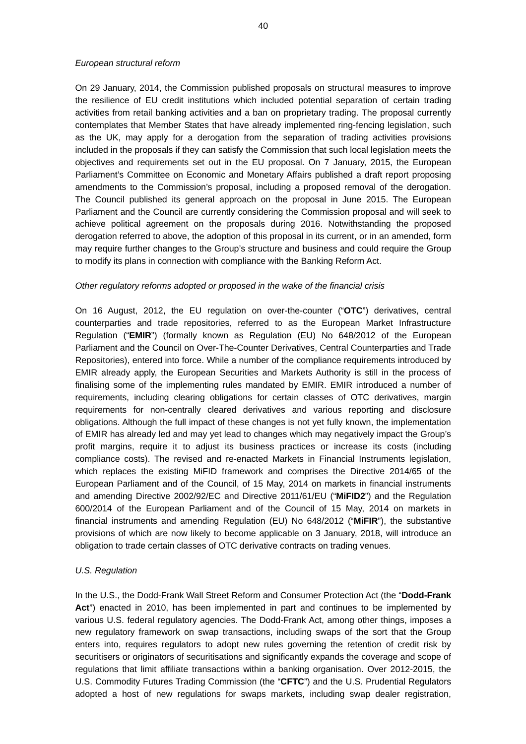### *European structural reform*

On 29 January, 2014, the Commission published proposals on structural measures to improve the resilience of EU credit institutions which included potential separation of certain trading activities from retail banking activities and a ban on proprietary trading. The proposal currently contemplates that Member States that have already implemented ring-fencing legislation, such as the UK, may apply for a derogation from the separation of trading activities provisions included in the proposals if they can satisfy the Commission that such local legislation meets the objectives and requirements set out in the EU proposal. On 7 January, 2015, the European Parliament's Committee on Economic and Monetary Affairs published a draft report proposing amendments to the Commission's proposal, including a proposed removal of the derogation. The Council published its general approach on the proposal in June 2015. The European Parliament and the Council are currently considering the Commission proposal and will seek to achieve political agreement on the proposals during 2016. Notwithstanding the proposed derogation referred to above, the adoption of this proposal in its current, or in an amended, form may require further changes to the Group's structure and business and could require the Group to modify its plans in connection with compliance with the Banking Reform Act.

#### *Other regulatory reforms adopted or proposed in the wake of the financial crisis*

On 16 August, 2012, the EU regulation on over-the-counter ("**OTC**") derivatives, central counterparties and trade repositories, referred to as the European Market Infrastructure Regulation ("**EMIR**") (formally known as Regulation (EU) No 648/2012 of the European Parliament and the Council on Over-The-Counter Derivatives, Central Counterparties and Trade Repositories), entered into force. While a number of the compliance requirements introduced by EMIR already apply, the European Securities and Markets Authority is still in the process of finalising some of the implementing rules mandated by EMIR. EMIR introduced a number of requirements, including clearing obligations for certain classes of OTC derivatives, margin requirements for non-centrally cleared derivatives and various reporting and disclosure obligations. Although the full impact of these changes is not yet fully known, the implementation of EMIR has already led and may yet lead to changes which may negatively impact the Group's profit margins, require it to adjust its business practices or increase its costs (including compliance costs). The revised and re-enacted Markets in Financial Instruments legislation, which replaces the existing MiFID framework and comprises the Directive 2014/65 of the European Parliament and of the Council, of 15 May, 2014 on markets in financial instruments and amending Directive 2002/92/EC and Directive 2011/61/EU ("**MiFID2**") and the Regulation 600/2014 of the European Parliament and of the Council of 15 May, 2014 on markets in financial instruments and amending Regulation (EU) No 648/2012 ("**MiFIR**"), the substantive provisions of which are now likely to become applicable on 3 January, 2018, will introduce an obligation to trade certain classes of OTC derivative contracts on trading venues.

#### *U.S. Regulation*

In the U.S., the Dodd-Frank Wall Street Reform and Consumer Protection Act (the "**Dodd-Frank Act**") enacted in 2010, has been implemented in part and continues to be implemented by various U.S. federal regulatory agencies. The Dodd-Frank Act, among other things, imposes a new regulatory framework on swap transactions, including swaps of the sort that the Group enters into, requires regulators to adopt new rules governing the retention of credit risk by securitisers or originators of securitisations and significantly expands the coverage and scope of regulations that limit affiliate transactions within a banking organisation. Over 2012-2015, the U.S. Commodity Futures Trading Commission (the "**CFTC**") and the U.S. Prudential Regulators adopted a host of new regulations for swaps markets, including swap dealer registration,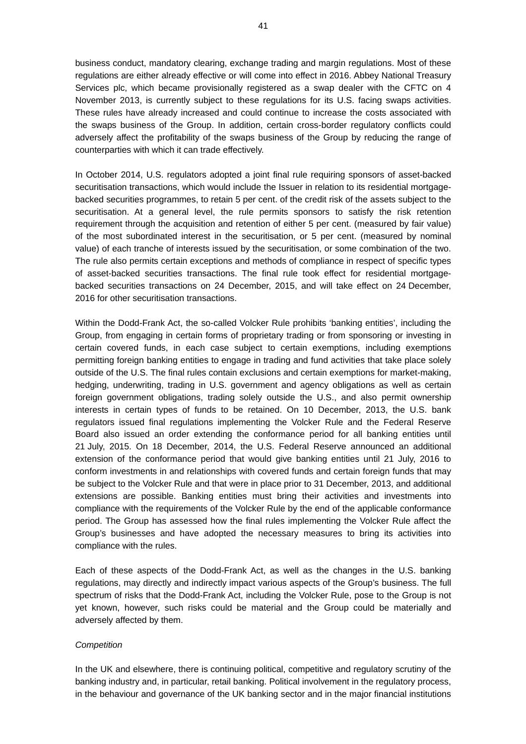business conduct, mandatory clearing, exchange trading and margin regulations. Most of these regulations are either already effective or will come into effect in 2016. Abbey National Treasury Services plc, which became provisionally registered as a swap dealer with the CFTC on 4 November 2013, is currently subject to these regulations for its U.S. facing swaps activities. These rules have already increased and could continue to increase the costs associated with the swaps business of the Group. In addition, certain cross-border regulatory conflicts could adversely affect the profitability of the swaps business of the Group by reducing the range of counterparties with which it can trade effectively.

In October 2014, U.S. regulators adopted a joint final rule requiring sponsors of asset-backed securitisation transactions, which would include the Issuer in relation to its residential mortgagebacked securities programmes, to retain 5 per cent. of the credit risk of the assets subject to the securitisation. At a general level, the rule permits sponsors to satisfy the risk retention requirement through the acquisition and retention of either 5 per cent. (measured by fair value) of the most subordinated interest in the securitisation, or 5 per cent. (measured by nominal value) of each tranche of interests issued by the securitisation, or some combination of the two. The rule also permits certain exceptions and methods of compliance in respect of specific types of asset-backed securities transactions. The final rule took effect for residential mortgagebacked securities transactions on 24 December, 2015, and will take effect on 24 December, 2016 for other securitisation transactions.

Within the Dodd-Frank Act, the so-called Volcker Rule prohibits 'banking entities', including the Group, from engaging in certain forms of proprietary trading or from sponsoring or investing in certain covered funds, in each case subject to certain exemptions, including exemptions permitting foreign banking entities to engage in trading and fund activities that take place solely outside of the U.S. The final rules contain exclusions and certain exemptions for market-making, hedging, underwriting, trading in U.S. government and agency obligations as well as certain foreign government obligations, trading solely outside the U.S., and also permit ownership interests in certain types of funds to be retained. On 10 December, 2013, the U.S. bank regulators issued final regulations implementing the Volcker Rule and the Federal Reserve Board also issued an order extending the conformance period for all banking entities until 21 July, 2015. On 18 December, 2014, the U.S. Federal Reserve announced an additional extension of the conformance period that would give banking entities until 21 July, 2016 to conform investments in and relationships with covered funds and certain foreign funds that may be subject to the Volcker Rule and that were in place prior to 31 December, 2013, and additional extensions are possible. Banking entities must bring their activities and investments into compliance with the requirements of the Volcker Rule by the end of the applicable conformance period. The Group has assessed how the final rules implementing the Volcker Rule affect the Group's businesses and have adopted the necessary measures to bring its activities into compliance with the rules.

Each of these aspects of the Dodd-Frank Act, as well as the changes in the U.S. banking regulations, may directly and indirectly impact various aspects of the Group's business. The full spectrum of risks that the Dodd-Frank Act, including the Volcker Rule, pose to the Group is not yet known, however, such risks could be material and the Group could be materially and adversely affected by them.

## *Competition*

In the UK and elsewhere, there is continuing political, competitive and regulatory scrutiny of the banking industry and, in particular, retail banking. Political involvement in the regulatory process, in the behaviour and governance of the UK banking sector and in the major financial institutions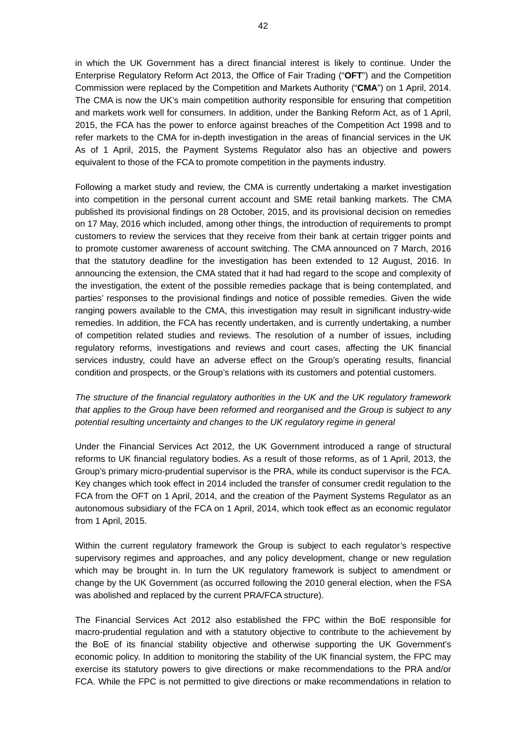in which the UK Government has a direct financial interest is likely to continue. Under the Enterprise Regulatory Reform Act 2013, the Office of Fair Trading ("**OFT**") and the Competition Commission were replaced by the Competition and Markets Authority ("**CMA**") on 1 April, 2014. The CMA is now the UK's main competition authority responsible for ensuring that competition and markets work well for consumers. In addition, under the Banking Reform Act, as of 1 April, 2015, the FCA has the power to enforce against breaches of the Competition Act 1998 and to refer markets to the CMA for in-depth investigation in the areas of financial services in the UK As of 1 April, 2015, the Payment Systems Regulator also has an objective and powers equivalent to those of the FCA to promote competition in the payments industry.

Following a market study and review, the CMA is currently undertaking a market investigation into competition in the personal current account and SME retail banking markets. The CMA published its provisional findings on 28 October, 2015, and its provisional decision on remedies on 17 May, 2016 which included, among other things, the introduction of requirements to prompt customers to review the services that they receive from their bank at certain trigger points and to promote customer awareness of account switching. The CMA announced on 7 March, 2016 that the statutory deadline for the investigation has been extended to 12 August, 2016. In announcing the extension, the CMA stated that it had had regard to the scope and complexity of the investigation, the extent of the possible remedies package that is being contemplated, and parties' responses to the provisional findings and notice of possible remedies. Given the wide ranging powers available to the CMA, this investigation may result in significant industry-wide remedies. In addition, the FCA has recently undertaken, and is currently undertaking, a number of competition related studies and reviews. The resolution of a number of issues, including regulatory reforms, investigations and reviews and court cases, affecting the UK financial services industry, could have an adverse effect on the Group's operating results, financial condition and prospects, or the Group's relations with its customers and potential customers.

*The structure of the financial regulatory authorities in the UK and the UK regulatory framework that applies to the Group have been reformed and reorganised and the Group is subject to any potential resulting uncertainty and changes to the UK regulatory regime in general* 

Under the Financial Services Act 2012, the UK Government introduced a range of structural reforms to UK financial regulatory bodies. As a result of those reforms, as of 1 April, 2013, the Group's primary micro-prudential supervisor is the PRA, while its conduct supervisor is the FCA. Key changes which took effect in 2014 included the transfer of consumer credit regulation to the FCA from the OFT on 1 April, 2014, and the creation of the Payment Systems Regulator as an autonomous subsidiary of the FCA on 1 April, 2014, which took effect as an economic regulator from 1 April, 2015.

Within the current regulatory framework the Group is subject to each regulator's respective supervisory regimes and approaches, and any policy development, change or new regulation which may be brought in. In turn the UK regulatory framework is subject to amendment or change by the UK Government (as occurred following the 2010 general election, when the FSA was abolished and replaced by the current PRA/FCA structure).

The Financial Services Act 2012 also established the FPC within the BoE responsible for macro-prudential regulation and with a statutory objective to contribute to the achievement by the BoE of its financial stability objective and otherwise supporting the UK Government's economic policy. In addition to monitoring the stability of the UK financial system, the FPC may exercise its statutory powers to give directions or make recommendations to the PRA and/or FCA. While the FPC is not permitted to give directions or make recommendations in relation to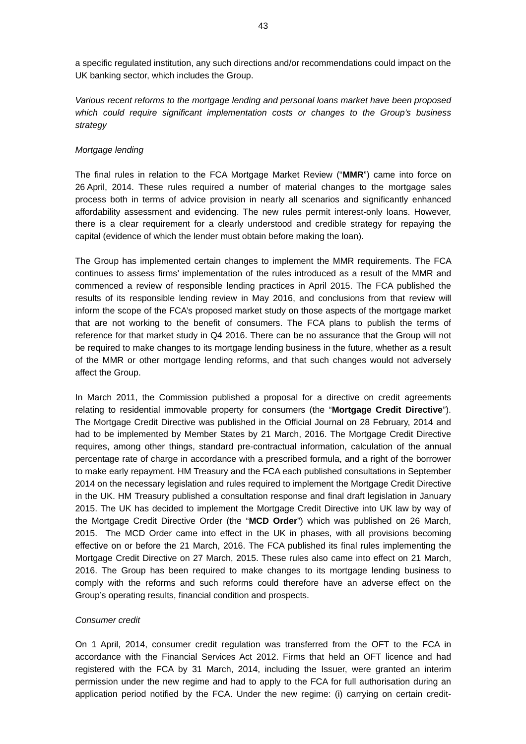a specific regulated institution, any such directions and/or recommendations could impact on the UK banking sector, which includes the Group.

*Various recent reforms to the mortgage lending and personal loans market have been proposed which could require significant implementation costs or changes to the Group's business strategy* 

## *Mortgage lending*

The final rules in relation to the FCA Mortgage Market Review ("**MMR**") came into force on 26 April, 2014. These rules required a number of material changes to the mortgage sales process both in terms of advice provision in nearly all scenarios and significantly enhanced affordability assessment and evidencing. The new rules permit interest-only loans. However, there is a clear requirement for a clearly understood and credible strategy for repaying the capital (evidence of which the lender must obtain before making the loan).

The Group has implemented certain changes to implement the MMR requirements. The FCA continues to assess firms' implementation of the rules introduced as a result of the MMR and commenced a review of responsible lending practices in April 2015. The FCA published the results of its responsible lending review in May 2016, and conclusions from that review will inform the scope of the FCA's proposed market study on those aspects of the mortgage market that are not working to the benefit of consumers. The FCA plans to publish the terms of reference for that market study in Q4 2016. There can be no assurance that the Group will not be required to make changes to its mortgage lending business in the future, whether as a result of the MMR or other mortgage lending reforms, and that such changes would not adversely affect the Group.

In March 2011, the Commission published a proposal for a directive on credit agreements relating to residential immovable property for consumers (the "**Mortgage Credit Directive**"). The Mortgage Credit Directive was published in the Official Journal on 28 February, 2014 and had to be implemented by Member States by 21 March, 2016. The Mortgage Credit Directive requires, among other things, standard pre-contractual information, calculation of the annual percentage rate of charge in accordance with a prescribed formula, and a right of the borrower to make early repayment. HM Treasury and the FCA each published consultations in September 2014 on the necessary legislation and rules required to implement the Mortgage Credit Directive in the UK. HM Treasury published a consultation response and final draft legislation in January 2015. The UK has decided to implement the Mortgage Credit Directive into UK law by way of the Mortgage Credit Directive Order (the "**MCD Order**") which was published on 26 March, 2015. The MCD Order came into effect in the UK in phases, with all provisions becoming effective on or before the 21 March, 2016. The FCA published its final rules implementing the Mortgage Credit Directive on 27 March, 2015. These rules also came into effect on 21 March, 2016. The Group has been required to make changes to its mortgage lending business to comply with the reforms and such reforms could therefore have an adverse effect on the Group's operating results, financial condition and prospects.

#### *Consumer credit*

On 1 April, 2014, consumer credit regulation was transferred from the OFT to the FCA in accordance with the Financial Services Act 2012. Firms that held an OFT licence and had registered with the FCA by 31 March, 2014, including the Issuer, were granted an interim permission under the new regime and had to apply to the FCA for full authorisation during an application period notified by the FCA. Under the new regime: (i) carrying on certain credit-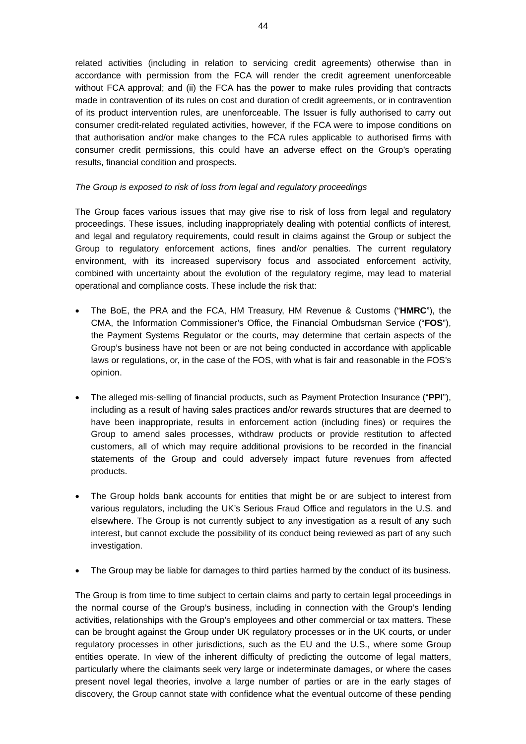related activities (including in relation to servicing credit agreements) otherwise than in accordance with permission from the FCA will render the credit agreement unenforceable without FCA approval; and (ii) the FCA has the power to make rules providing that contracts made in contravention of its rules on cost and duration of credit agreements, or in contravention of its product intervention rules, are unenforceable. The Issuer is fully authorised to carry out consumer credit-related regulated activities, however, if the FCA were to impose conditions on that authorisation and/or make changes to the FCA rules applicable to authorised firms with consumer credit permissions, this could have an adverse effect on the Group's operating results, financial condition and prospects.

## *The Group is exposed to risk of loss from legal and regulatory proceedings*

The Group faces various issues that may give rise to risk of loss from legal and regulatory proceedings. These issues, including inappropriately dealing with potential conflicts of interest, and legal and regulatory requirements, could result in claims against the Group or subject the Group to regulatory enforcement actions, fines and/or penalties. The current regulatory environment, with its increased supervisory focus and associated enforcement activity, combined with uncertainty about the evolution of the regulatory regime, may lead to material operational and compliance costs. These include the risk that:

- The BoE, the PRA and the FCA, HM Treasury, HM Revenue & Customs ("**HMRC**"), the CMA, the Information Commissioner's Office, the Financial Ombudsman Service ("**FOS**"), the Payment Systems Regulator or the courts, may determine that certain aspects of the Group's business have not been or are not being conducted in accordance with applicable laws or regulations, or, in the case of the FOS, with what is fair and reasonable in the FOS's opinion.
- The alleged mis-selling of financial products, such as Payment Protection Insurance ("**PPI**"), including as a result of having sales practices and/or rewards structures that are deemed to have been inappropriate, results in enforcement action (including fines) or requires the Group to amend sales processes, withdraw products or provide restitution to affected customers, all of which may require additional provisions to be recorded in the financial statements of the Group and could adversely impact future revenues from affected products.
- The Group holds bank accounts for entities that might be or are subject to interest from various regulators, including the UK's Serious Fraud Office and regulators in the U.S. and elsewhere. The Group is not currently subject to any investigation as a result of any such interest, but cannot exclude the possibility of its conduct being reviewed as part of any such investigation.
- The Group may be liable for damages to third parties harmed by the conduct of its business.

The Group is from time to time subject to certain claims and party to certain legal proceedings in the normal course of the Group's business, including in connection with the Group's lending activities, relationships with the Group's employees and other commercial or tax matters. These can be brought against the Group under UK regulatory processes or in the UK courts, or under regulatory processes in other jurisdictions, such as the EU and the U.S., where some Group entities operate. In view of the inherent difficulty of predicting the outcome of legal matters, particularly where the claimants seek very large or indeterminate damages, or where the cases present novel legal theories, involve a large number of parties or are in the early stages of discovery, the Group cannot state with confidence what the eventual outcome of these pending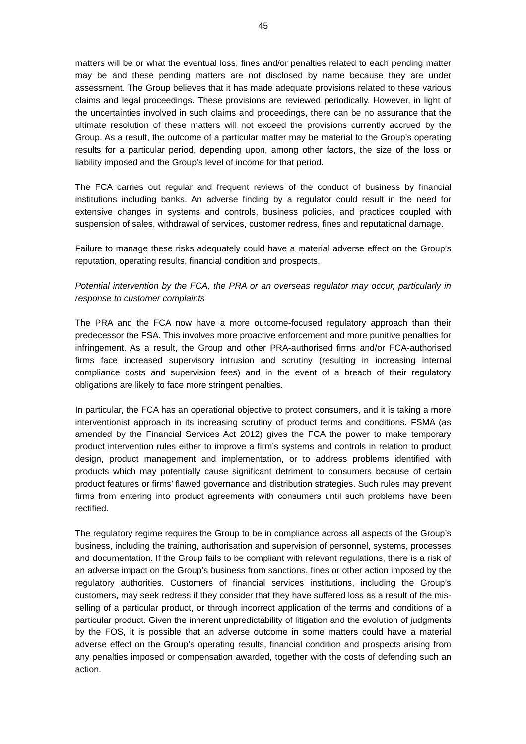matters will be or what the eventual loss, fines and/or penalties related to each pending matter may be and these pending matters are not disclosed by name because they are under assessment. The Group believes that it has made adequate provisions related to these various claims and legal proceedings. These provisions are reviewed periodically. However, in light of the uncertainties involved in such claims and proceedings, there can be no assurance that the ultimate resolution of these matters will not exceed the provisions currently accrued by the Group. As a result, the outcome of a particular matter may be material to the Group's operating results for a particular period, depending upon, among other factors, the size of the loss or liability imposed and the Group's level of income for that period.

The FCA carries out regular and frequent reviews of the conduct of business by financial institutions including banks. An adverse finding by a regulator could result in the need for extensive changes in systems and controls, business policies, and practices coupled with suspension of sales, withdrawal of services, customer redress, fines and reputational damage.

Failure to manage these risks adequately could have a material adverse effect on the Group's reputation, operating results, financial condition and prospects.

*Potential intervention by the FCA, the PRA or an overseas regulator may occur, particularly in response to customer complaints* 

The PRA and the FCA now have a more outcome-focused regulatory approach than their predecessor the FSA. This involves more proactive enforcement and more punitive penalties for infringement. As a result, the Group and other PRA-authorised firms and/or FCA-authorised firms face increased supervisory intrusion and scrutiny (resulting in increasing internal compliance costs and supervision fees) and in the event of a breach of their regulatory obligations are likely to face more stringent penalties.

In particular, the FCA has an operational objective to protect consumers, and it is taking a more interventionist approach in its increasing scrutiny of product terms and conditions. FSMA (as amended by the Financial Services Act 2012) gives the FCA the power to make temporary product intervention rules either to improve a firm's systems and controls in relation to product design, product management and implementation, or to address problems identified with products which may potentially cause significant detriment to consumers because of certain product features or firms' flawed governance and distribution strategies. Such rules may prevent firms from entering into product agreements with consumers until such problems have been rectified.

The regulatory regime requires the Group to be in compliance across all aspects of the Group's business, including the training, authorisation and supervision of personnel, systems, processes and documentation. If the Group fails to be compliant with relevant regulations, there is a risk of an adverse impact on the Group's business from sanctions, fines or other action imposed by the regulatory authorities. Customers of financial services institutions, including the Group's customers, may seek redress if they consider that they have suffered loss as a result of the misselling of a particular product, or through incorrect application of the terms and conditions of a particular product. Given the inherent unpredictability of litigation and the evolution of judgments by the FOS, it is possible that an adverse outcome in some matters could have a material adverse effect on the Group's operating results, financial condition and prospects arising from any penalties imposed or compensation awarded, together with the costs of defending such an action.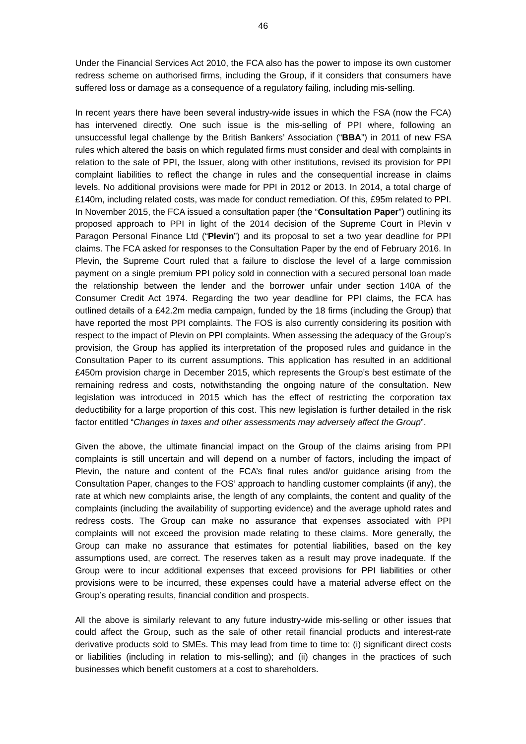Under the Financial Services Act 2010, the FCA also has the power to impose its own customer redress scheme on authorised firms, including the Group, if it considers that consumers have suffered loss or damage as a consequence of a regulatory failing, including mis-selling.

In recent years there have been several industry-wide issues in which the FSA (now the FCA) has intervened directly. One such issue is the mis-selling of PPI where, following an unsuccessful legal challenge by the British Bankers' Association ("**BBA**") in 2011 of new FSA rules which altered the basis on which regulated firms must consider and deal with complaints in relation to the sale of PPI, the Issuer, along with other institutions, revised its provision for PPI complaint liabilities to reflect the change in rules and the consequential increase in claims levels. No additional provisions were made for PPI in 2012 or 2013. In 2014, a total charge of £140m, including related costs, was made for conduct remediation. Of this, £95m related to PPI. In November 2015, the FCA issued a consultation paper (the "**Consultation Paper**") outlining its proposed approach to PPI in light of the 2014 decision of the Supreme Court in Plevin v Paragon Personal Finance Ltd ("**Plevin**") and its proposal to set a two year deadline for PPI claims. The FCA asked for responses to the Consultation Paper by the end of February 2016. In Plevin, the Supreme Court ruled that a failure to disclose the level of a large commission payment on a single premium PPI policy sold in connection with a secured personal loan made the relationship between the lender and the borrower unfair under section 140A of the Consumer Credit Act 1974. Regarding the two year deadline for PPI claims, the FCA has outlined details of a £42.2m media campaign, funded by the 18 firms (including the Group) that have reported the most PPI complaints. The FOS is also currently considering its position with respect to the impact of Plevin on PPI complaints. When assessing the adequacy of the Group's provision, the Group has applied its interpretation of the proposed rules and guidance in the Consultation Paper to its current assumptions. This application has resulted in an additional £450m provision charge in December 2015, which represents the Group's best estimate of the remaining redress and costs, notwithstanding the ongoing nature of the consultation. New legislation was introduced in 2015 which has the effect of restricting the corporation tax deductibility for a large proportion of this cost. This new legislation is further detailed in the risk factor entitled "*Changes in taxes and other assessments may adversely affect the Group*".

Given the above, the ultimate financial impact on the Group of the claims arising from PPI complaints is still uncertain and will depend on a number of factors, including the impact of Plevin, the nature and content of the FCA's final rules and/or guidance arising from the Consultation Paper, changes to the FOS' approach to handling customer complaints (if any), the rate at which new complaints arise, the length of any complaints, the content and quality of the complaints (including the availability of supporting evidence) and the average uphold rates and redress costs. The Group can make no assurance that expenses associated with PPI complaints will not exceed the provision made relating to these claims. More generally, the Group can make no assurance that estimates for potential liabilities, based on the key assumptions used, are correct. The reserves taken as a result may prove inadequate. If the Group were to incur additional expenses that exceed provisions for PPI liabilities or other provisions were to be incurred, these expenses could have a material adverse effect on the Group's operating results, financial condition and prospects.

All the above is similarly relevant to any future industry-wide mis-selling or other issues that could affect the Group, such as the sale of other retail financial products and interest-rate derivative products sold to SMEs. This may lead from time to time to: (i) significant direct costs or liabilities (including in relation to mis-selling); and (ii) changes in the practices of such businesses which benefit customers at a cost to shareholders.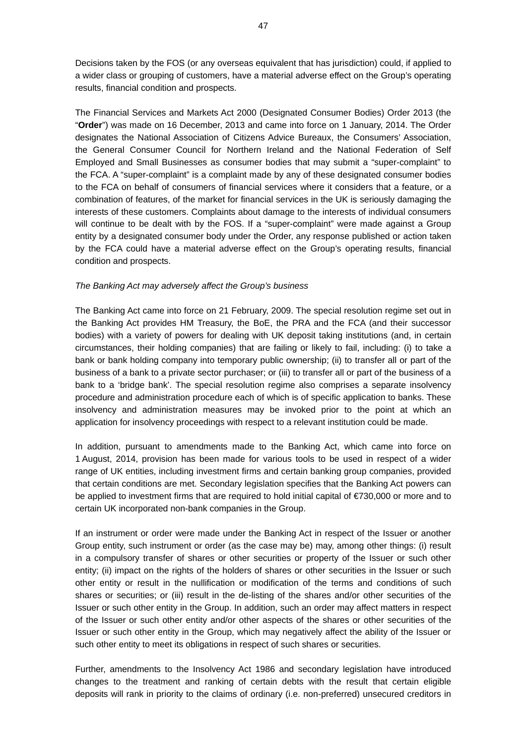Decisions taken by the FOS (or any overseas equivalent that has jurisdiction) could, if applied to a wider class or grouping of customers, have a material adverse effect on the Group's operating results, financial condition and prospects.

The Financial Services and Markets Act 2000 (Designated Consumer Bodies) Order 2013 (the "**Order**") was made on 16 December, 2013 and came into force on 1 January, 2014. The Order designates the National Association of Citizens Advice Bureaux, the Consumers' Association, the General Consumer Council for Northern Ireland and the National Federation of Self Employed and Small Businesses as consumer bodies that may submit a "super-complaint" to the FCA. A "super-complaint" is a complaint made by any of these designated consumer bodies to the FCA on behalf of consumers of financial services where it considers that a feature, or a combination of features, of the market for financial services in the UK is seriously damaging the interests of these customers. Complaints about damage to the interests of individual consumers will continue to be dealt with by the FOS. If a "super-complaint" were made against a Group entity by a designated consumer body under the Order, any response published or action taken by the FCA could have a material adverse effect on the Group's operating results, financial condition and prospects.

#### *The Banking Act may adversely affect the Group's business*

The Banking Act came into force on 21 February, 2009. The special resolution regime set out in the Banking Act provides HM Treasury, the BoE, the PRA and the FCA (and their successor bodies) with a variety of powers for dealing with UK deposit taking institutions (and, in certain circumstances, their holding companies) that are failing or likely to fail, including: (i) to take a bank or bank holding company into temporary public ownership; (ii) to transfer all or part of the business of a bank to a private sector purchaser; or (iii) to transfer all or part of the business of a bank to a 'bridge bank'. The special resolution regime also comprises a separate insolvency procedure and administration procedure each of which is of specific application to banks. These insolvency and administration measures may be invoked prior to the point at which an application for insolvency proceedings with respect to a relevant institution could be made.

In addition, pursuant to amendments made to the Banking Act, which came into force on 1 August, 2014, provision has been made for various tools to be used in respect of a wider range of UK entities, including investment firms and certain banking group companies, provided that certain conditions are met. Secondary legislation specifies that the Banking Act powers can be applied to investment firms that are required to hold initial capital of €730,000 or more and to certain UK incorporated non-bank companies in the Group.

If an instrument or order were made under the Banking Act in respect of the Issuer or another Group entity, such instrument or order (as the case may be) may, among other things: (i) result in a compulsory transfer of shares or other securities or property of the Issuer or such other entity; (ii) impact on the rights of the holders of shares or other securities in the Issuer or such other entity or result in the nullification or modification of the terms and conditions of such shares or securities; or (iii) result in the de-listing of the shares and/or other securities of the Issuer or such other entity in the Group. In addition, such an order may affect matters in respect of the Issuer or such other entity and/or other aspects of the shares or other securities of the Issuer or such other entity in the Group, which may negatively affect the ability of the Issuer or such other entity to meet its obligations in respect of such shares or securities.

Further, amendments to the Insolvency Act 1986 and secondary legislation have introduced changes to the treatment and ranking of certain debts with the result that certain eligible deposits will rank in priority to the claims of ordinary (i.e. non-preferred) unsecured creditors in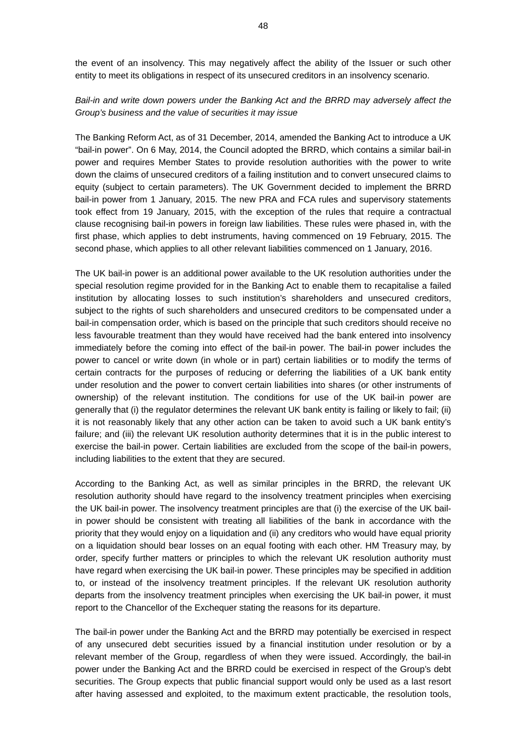the event of an insolvency. This may negatively affect the ability of the Issuer or such other entity to meet its obligations in respect of its unsecured creditors in an insolvency scenario.

# *Bail-in and write down powers under the Banking Act and the BRRD may adversely affect the Group's business and the value of securities it may issue*

The Banking Reform Act, as of 31 December, 2014, amended the Banking Act to introduce a UK "bail-in power". On 6 May, 2014, the Council adopted the BRRD, which contains a similar bail-in power and requires Member States to provide resolution authorities with the power to write down the claims of unsecured creditors of a failing institution and to convert unsecured claims to equity (subject to certain parameters). The UK Government decided to implement the BRRD bail-in power from 1 January, 2015. The new PRA and FCA rules and supervisory statements took effect from 19 January, 2015, with the exception of the rules that require a contractual clause recognising bail-in powers in foreign law liabilities. These rules were phased in, with the first phase, which applies to debt instruments, having commenced on 19 February, 2015. The second phase, which applies to all other relevant liabilities commenced on 1 January, 2016.

The UK bail-in power is an additional power available to the UK resolution authorities under the special resolution regime provided for in the Banking Act to enable them to recapitalise a failed institution by allocating losses to such institution's shareholders and unsecured creditors, subject to the rights of such shareholders and unsecured creditors to be compensated under a bail-in compensation order, which is based on the principle that such creditors should receive no less favourable treatment than they would have received had the bank entered into insolvency immediately before the coming into effect of the bail-in power. The bail-in power includes the power to cancel or write down (in whole or in part) certain liabilities or to modify the terms of certain contracts for the purposes of reducing or deferring the liabilities of a UK bank entity under resolution and the power to convert certain liabilities into shares (or other instruments of ownership) of the relevant institution. The conditions for use of the UK bail-in power are generally that (i) the regulator determines the relevant UK bank entity is failing or likely to fail; (ii) it is not reasonably likely that any other action can be taken to avoid such a UK bank entity's failure; and (iii) the relevant UK resolution authority determines that it is in the public interest to exercise the bail-in power. Certain liabilities are excluded from the scope of the bail-in powers, including liabilities to the extent that they are secured.

According to the Banking Act, as well as similar principles in the BRRD, the relevant UK resolution authority should have regard to the insolvency treatment principles when exercising the UK bail-in power. The insolvency treatment principles are that (i) the exercise of the UK bailin power should be consistent with treating all liabilities of the bank in accordance with the priority that they would enjoy on a liquidation and (ii) any creditors who would have equal priority on a liquidation should bear losses on an equal footing with each other. HM Treasury may, by order, specify further matters or principles to which the relevant UK resolution authority must have regard when exercising the UK bail-in power. These principles may be specified in addition to, or instead of the insolvency treatment principles. If the relevant UK resolution authority departs from the insolvency treatment principles when exercising the UK bail-in power, it must report to the Chancellor of the Exchequer stating the reasons for its departure.

The bail-in power under the Banking Act and the BRRD may potentially be exercised in respect of any unsecured debt securities issued by a financial institution under resolution or by a relevant member of the Group, regardless of when they were issued. Accordingly, the bail-in power under the Banking Act and the BRRD could be exercised in respect of the Group's debt securities. The Group expects that public financial support would only be used as a last resort after having assessed and exploited, to the maximum extent practicable, the resolution tools,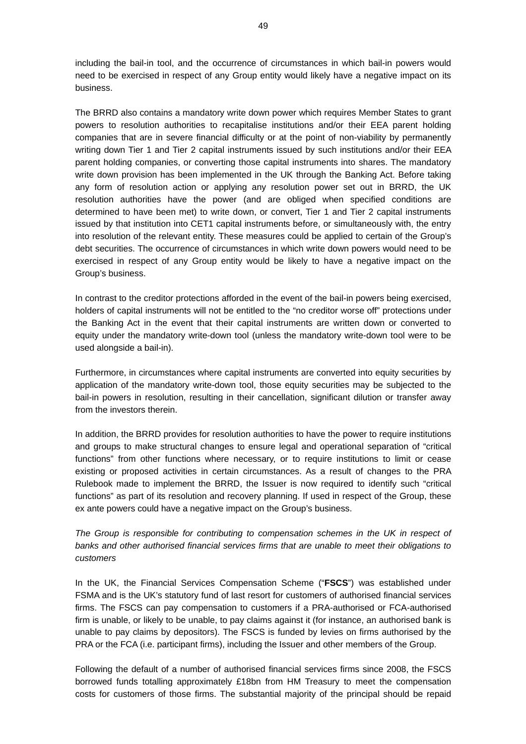including the bail-in tool, and the occurrence of circumstances in which bail-in powers would need to be exercised in respect of any Group entity would likely have a negative impact on its business.

The BRRD also contains a mandatory write down power which requires Member States to grant powers to resolution authorities to recapitalise institutions and/or their EEA parent holding companies that are in severe financial difficulty or at the point of non-viability by permanently writing down Tier 1 and Tier 2 capital instruments issued by such institutions and/or their EEA parent holding companies, or converting those capital instruments into shares. The mandatory write down provision has been implemented in the UK through the Banking Act. Before taking any form of resolution action or applying any resolution power set out in BRRD, the UK resolution authorities have the power (and are obliged when specified conditions are determined to have been met) to write down, or convert, Tier 1 and Tier 2 capital instruments issued by that institution into CET1 capital instruments before, or simultaneously with, the entry into resolution of the relevant entity. These measures could be applied to certain of the Group's debt securities. The occurrence of circumstances in which write down powers would need to be exercised in respect of any Group entity would be likely to have a negative impact on the Group's business.

In contrast to the creditor protections afforded in the event of the bail-in powers being exercised, holders of capital instruments will not be entitled to the "no creditor worse off" protections under the Banking Act in the event that their capital instruments are written down or converted to equity under the mandatory write-down tool (unless the mandatory write-down tool were to be used alongside a bail-in).

Furthermore, in circumstances where capital instruments are converted into equity securities by application of the mandatory write-down tool, those equity securities may be subjected to the bail-in powers in resolution, resulting in their cancellation, significant dilution or transfer away from the investors therein.

In addition, the BRRD provides for resolution authorities to have the power to require institutions and groups to make structural changes to ensure legal and operational separation of "critical functions" from other functions where necessary, or to require institutions to limit or cease existing or proposed activities in certain circumstances. As a result of changes to the PRA Rulebook made to implement the BRRD, the Issuer is now required to identify such "critical functions" as part of its resolution and recovery planning. If used in respect of the Group, these ex ante powers could have a negative impact on the Group's business.

# *The Group is responsible for contributing to compensation schemes in the UK in respect of banks and other authorised financial services firms that are unable to meet their obligations to customers*

In the UK, the Financial Services Compensation Scheme ("**FSCS**") was established under FSMA and is the UK's statutory fund of last resort for customers of authorised financial services firms. The FSCS can pay compensation to customers if a PRA-authorised or FCA-authorised firm is unable, or likely to be unable, to pay claims against it (for instance, an authorised bank is unable to pay claims by depositors). The FSCS is funded by levies on firms authorised by the PRA or the FCA (i.e. participant firms), including the Issuer and other members of the Group.

Following the default of a number of authorised financial services firms since 2008, the FSCS borrowed funds totalling approximately £18bn from HM Treasury to meet the compensation costs for customers of those firms. The substantial majority of the principal should be repaid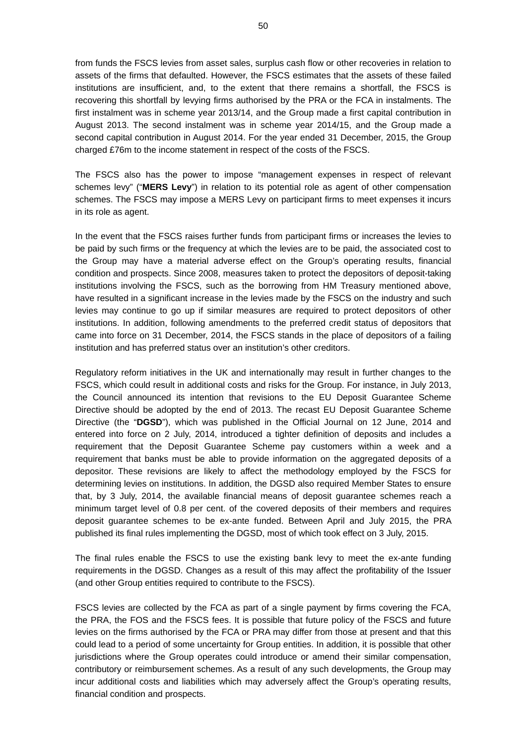from funds the FSCS levies from asset sales, surplus cash flow or other recoveries in relation to assets of the firms that defaulted. However, the FSCS estimates that the assets of these failed institutions are insufficient, and, to the extent that there remains a shortfall, the FSCS is recovering this shortfall by levying firms authorised by the PRA or the FCA in instalments. The first instalment was in scheme year 2013/14, and the Group made a first capital contribution in August 2013. The second instalment was in scheme year 2014/15, and the Group made a second capital contribution in August 2014. For the year ended 31 December, 2015, the Group charged £76m to the income statement in respect of the costs of the FSCS.

The FSCS also has the power to impose "management expenses in respect of relevant schemes levy" ("**MERS Levy**") in relation to its potential role as agent of other compensation schemes. The FSCS may impose a MERS Levy on participant firms to meet expenses it incurs in its role as agent.

In the event that the FSCS raises further funds from participant firms or increases the levies to be paid by such firms or the frequency at which the levies are to be paid, the associated cost to the Group may have a material adverse effect on the Group's operating results, financial condition and prospects. Since 2008, measures taken to protect the depositors of deposit-taking institutions involving the FSCS, such as the borrowing from HM Treasury mentioned above, have resulted in a significant increase in the levies made by the FSCS on the industry and such levies may continue to go up if similar measures are required to protect depositors of other institutions. In addition, following amendments to the preferred credit status of depositors that came into force on 31 December, 2014, the FSCS stands in the place of depositors of a failing institution and has preferred status over an institution's other creditors.

Regulatory reform initiatives in the UK and internationally may result in further changes to the FSCS, which could result in additional costs and risks for the Group. For instance, in July 2013, the Council announced its intention that revisions to the EU Deposit Guarantee Scheme Directive should be adopted by the end of 2013. The recast EU Deposit Guarantee Scheme Directive (the "**DGSD**"), which was published in the Official Journal on 12 June, 2014 and entered into force on 2 July, 2014, introduced a tighter definition of deposits and includes a requirement that the Deposit Guarantee Scheme pay customers within a week and a requirement that banks must be able to provide information on the aggregated deposits of a depositor. These revisions are likely to affect the methodology employed by the FSCS for determining levies on institutions. In addition, the DGSD also required Member States to ensure that, by 3 July, 2014, the available financial means of deposit guarantee schemes reach a minimum target level of 0.8 per cent. of the covered deposits of their members and requires deposit guarantee schemes to be ex-ante funded. Between April and July 2015, the PRA published its final rules implementing the DGSD, most of which took effect on 3 July, 2015.

The final rules enable the FSCS to use the existing bank levy to meet the ex-ante funding requirements in the DGSD. Changes as a result of this may affect the profitability of the Issuer (and other Group entities required to contribute to the FSCS).

FSCS levies are collected by the FCA as part of a single payment by firms covering the FCA, the PRA, the FOS and the FSCS fees. It is possible that future policy of the FSCS and future levies on the firms authorised by the FCA or PRA may differ from those at present and that this could lead to a period of some uncertainty for Group entities. In addition, it is possible that other jurisdictions where the Group operates could introduce or amend their similar compensation, contributory or reimbursement schemes. As a result of any such developments, the Group may incur additional costs and liabilities which may adversely affect the Group's operating results, financial condition and prospects.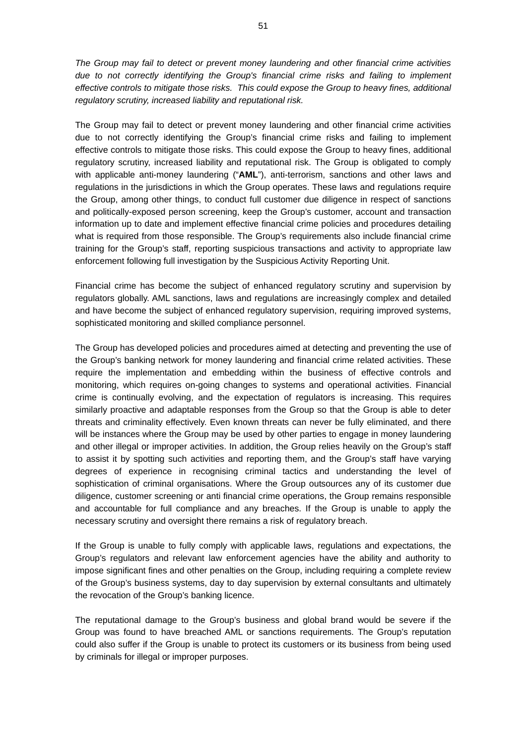*The Group may fail to detect or prevent money laundering and other financial crime activities due to not correctly identifying the Group's financial crime risks and failing to implement effective controls to mitigate those risks. This could expose the Group to heavy fines, additional regulatory scrutiny, increased liability and reputational risk.* 

The Group may fail to detect or prevent money laundering and other financial crime activities due to not correctly identifying the Group's financial crime risks and failing to implement effective controls to mitigate those risks. This could expose the Group to heavy fines, additional regulatory scrutiny, increased liability and reputational risk. The Group is obligated to comply with applicable anti-money laundering ("**AML**"), anti-terrorism, sanctions and other laws and regulations in the jurisdictions in which the Group operates. These laws and regulations require the Group, among other things, to conduct full customer due diligence in respect of sanctions and politically-exposed person screening, keep the Group's customer, account and transaction information up to date and implement effective financial crime policies and procedures detailing what is required from those responsible. The Group's requirements also include financial crime training for the Group's staff, reporting suspicious transactions and activity to appropriate law enforcement following full investigation by the Suspicious Activity Reporting Unit.

Financial crime has become the subject of enhanced regulatory scrutiny and supervision by regulators globally. AML sanctions, laws and regulations are increasingly complex and detailed and have become the subject of enhanced regulatory supervision, requiring improved systems, sophisticated monitoring and skilled compliance personnel.

The Group has developed policies and procedures aimed at detecting and preventing the use of the Group's banking network for money laundering and financial crime related activities. These require the implementation and embedding within the business of effective controls and monitoring, which requires on-going changes to systems and operational activities. Financial crime is continually evolving, and the expectation of regulators is increasing. This requires similarly proactive and adaptable responses from the Group so that the Group is able to deter threats and criminality effectively. Even known threats can never be fully eliminated, and there will be instances where the Group may be used by other parties to engage in money laundering and other illegal or improper activities. In addition, the Group relies heavily on the Group's staff to assist it by spotting such activities and reporting them, and the Group's staff have varying degrees of experience in recognising criminal tactics and understanding the level of sophistication of criminal organisations. Where the Group outsources any of its customer due diligence, customer screening or anti financial crime operations, the Group remains responsible and accountable for full compliance and any breaches. If the Group is unable to apply the necessary scrutiny and oversight there remains a risk of regulatory breach.

If the Group is unable to fully comply with applicable laws, regulations and expectations, the Group's regulators and relevant law enforcement agencies have the ability and authority to impose significant fines and other penalties on the Group, including requiring a complete review of the Group's business systems, day to day supervision by external consultants and ultimately the revocation of the Group's banking licence.

The reputational damage to the Group's business and global brand would be severe if the Group was found to have breached AML or sanctions requirements. The Group's reputation could also suffer if the Group is unable to protect its customers or its business from being used by criminals for illegal or improper purposes.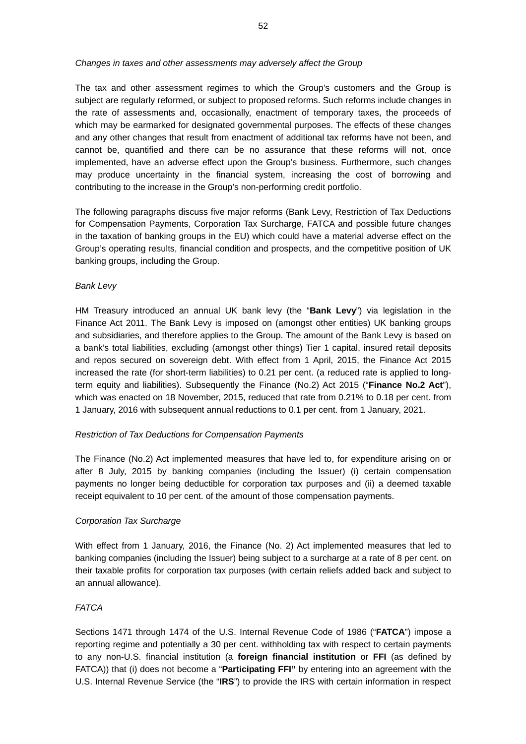### *Changes in taxes and other assessments may adversely affect the Group*

The tax and other assessment regimes to which the Group's customers and the Group is subject are regularly reformed, or subject to proposed reforms. Such reforms include changes in the rate of assessments and, occasionally, enactment of temporary taxes, the proceeds of which may be earmarked for designated governmental purposes. The effects of these changes and any other changes that result from enactment of additional tax reforms have not been, and cannot be, quantified and there can be no assurance that these reforms will not, once implemented, have an adverse effect upon the Group's business. Furthermore, such changes may produce uncertainty in the financial system, increasing the cost of borrowing and contributing to the increase in the Group's non-performing credit portfolio.

The following paragraphs discuss five major reforms (Bank Levy, Restriction of Tax Deductions for Compensation Payments, Corporation Tax Surcharge, FATCA and possible future changes in the taxation of banking groups in the EU) which could have a material adverse effect on the Group's operating results, financial condition and prospects, and the competitive position of UK banking groups, including the Group.

## *Bank Levy*

HM Treasury introduced an annual UK bank levy (the "**Bank Levy**") via legislation in the Finance Act 2011. The Bank Levy is imposed on (amongst other entities) UK banking groups and subsidiaries, and therefore applies to the Group. The amount of the Bank Levy is based on a bank's total liabilities, excluding (amongst other things) Tier 1 capital, insured retail deposits and repos secured on sovereign debt. With effect from 1 April, 2015, the Finance Act 2015 increased the rate (for short-term liabilities) to 0.21 per cent. (a reduced rate is applied to longterm equity and liabilities). Subsequently the Finance (No.2) Act 2015 ("**Finance No.2 Act**"), which was enacted on 18 November, 2015, reduced that rate from 0.21% to 0.18 per cent. from 1 January, 2016 with subsequent annual reductions to 0.1 per cent. from 1 January, 2021.

#### *Restriction of Tax Deductions for Compensation Payments*

The Finance (No.2) Act implemented measures that have led to, for expenditure arising on or after 8 July, 2015 by banking companies (including the Issuer) (i) certain compensation payments no longer being deductible for corporation tax purposes and (ii) a deemed taxable receipt equivalent to 10 per cent. of the amount of those compensation payments.

## *Corporation Tax Surcharge*

With effect from 1 January, 2016, the Finance (No. 2) Act implemented measures that led to banking companies (including the Issuer) being subject to a surcharge at a rate of 8 per cent. on their taxable profits for corporation tax purposes (with certain reliefs added back and subject to an annual allowance).

## *FATCA*

Sections 1471 through 1474 of the U.S. Internal Revenue Code of 1986 ("**FATCA**") impose a reporting regime and potentially a 30 per cent. withholding tax with respect to certain payments to any non-U.S. financial institution (a **foreign financial institution** or **FFI** (as defined by FATCA)) that (i) does not become a "**Participating FFI"** by entering into an agreement with the U.S. Internal Revenue Service (the "**IRS**") to provide the IRS with certain information in respect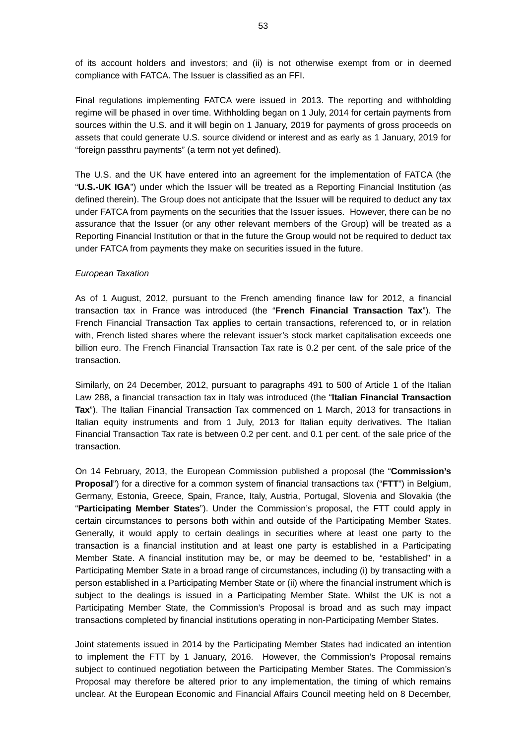of its account holders and investors; and (ii) is not otherwise exempt from or in deemed compliance with FATCA. The Issuer is classified as an FFI.

Final regulations implementing FATCA were issued in 2013. The reporting and withholding regime will be phased in over time. Withholding began on 1 July, 2014 for certain payments from sources within the U.S. and it will begin on 1 January, 2019 for payments of gross proceeds on assets that could generate U.S. source dividend or interest and as early as 1 January, 2019 for "foreign passthru payments" (a term not yet defined).

The U.S. and the UK have entered into an agreement for the implementation of FATCA (the "**U.S.-UK IGA**") under which the Issuer will be treated as a Reporting Financial Institution (as defined therein). The Group does not anticipate that the Issuer will be required to deduct any tax under FATCA from payments on the securities that the Issuer issues. However, there can be no assurance that the Issuer (or any other relevant members of the Group) will be treated as a Reporting Financial Institution or that in the future the Group would not be required to deduct tax under FATCA from payments they make on securities issued in the future.

## *European Taxation*

As of 1 August, 2012, pursuant to the French amending finance law for 2012, a financial transaction tax in France was introduced (the "**French Financial Transaction Tax**"). The French Financial Transaction Tax applies to certain transactions, referenced to, or in relation with, French listed shares where the relevant issuer's stock market capitalisation exceeds one billion euro. The French Financial Transaction Tax rate is 0.2 per cent. of the sale price of the transaction.

Similarly, on 24 December, 2012, pursuant to paragraphs 491 to 500 of Article 1 of the Italian Law 288, a financial transaction tax in Italy was introduced (the "**Italian Financial Transaction Tax**"). The Italian Financial Transaction Tax commenced on 1 March, 2013 for transactions in Italian equity instruments and from 1 July, 2013 for Italian equity derivatives. The Italian Financial Transaction Tax rate is between 0.2 per cent. and 0.1 per cent. of the sale price of the transaction.

On 14 February, 2013, the European Commission published a proposal (the "**Commission's Proposal**") for a directive for a common system of financial transactions tax ("**FTT**") in Belgium, Germany, Estonia, Greece, Spain, France, Italy, Austria, Portugal, Slovenia and Slovakia (the "**Participating Member States**"). Under the Commission's proposal, the FTT could apply in certain circumstances to persons both within and outside of the Participating Member States. Generally, it would apply to certain dealings in securities where at least one party to the transaction is a financial institution and at least one party is established in a Participating Member State. A financial institution may be, or may be deemed to be, "established" in a Participating Member State in a broad range of circumstances, including (i) by transacting with a person established in a Participating Member State or (ii) where the financial instrument which is subject to the dealings is issued in a Participating Member State. Whilst the UK is not a Participating Member State, the Commission's Proposal is broad and as such may impact transactions completed by financial institutions operating in non-Participating Member States.

Joint statements issued in 2014 by the Participating Member States had indicated an intention to implement the FTT by 1 January, 2016. However, the Commission's Proposal remains subject to continued negotiation between the Participating Member States. The Commission's Proposal may therefore be altered prior to any implementation, the timing of which remains unclear. At the European Economic and Financial Affairs Council meeting held on 8 December,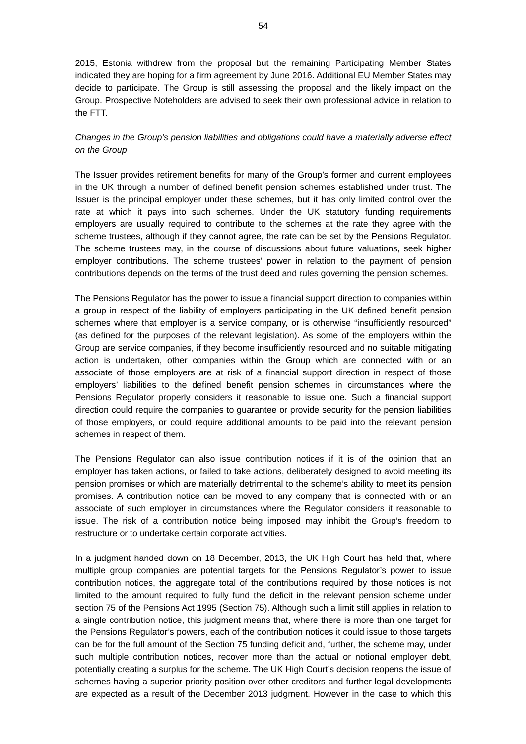2015, Estonia withdrew from the proposal but the remaining Participating Member States indicated they are hoping for a firm agreement by June 2016. Additional EU Member States may decide to participate. The Group is still assessing the proposal and the likely impact on the Group. Prospective Noteholders are advised to seek their own professional advice in relation to the FTT.

# *Changes in the Group's pension liabilities and obligations could have a materially adverse effect on the Group*

The Issuer provides retirement benefits for many of the Group's former and current employees in the UK through a number of defined benefit pension schemes established under trust. The Issuer is the principal employer under these schemes, but it has only limited control over the rate at which it pays into such schemes. Under the UK statutory funding requirements employers are usually required to contribute to the schemes at the rate they agree with the scheme trustees, although if they cannot agree, the rate can be set by the Pensions Regulator. The scheme trustees may, in the course of discussions about future valuations, seek higher employer contributions. The scheme trustees' power in relation to the payment of pension contributions depends on the terms of the trust deed and rules governing the pension schemes.

The Pensions Regulator has the power to issue a financial support direction to companies within a group in respect of the liability of employers participating in the UK defined benefit pension schemes where that employer is a service company, or is otherwise "insufficiently resourced" (as defined for the purposes of the relevant legislation). As some of the employers within the Group are service companies, if they become insufficiently resourced and no suitable mitigating action is undertaken, other companies within the Group which are connected with or an associate of those employers are at risk of a financial support direction in respect of those employers' liabilities to the defined benefit pension schemes in circumstances where the Pensions Regulator properly considers it reasonable to issue one. Such a financial support direction could require the companies to guarantee or provide security for the pension liabilities of those employers, or could require additional amounts to be paid into the relevant pension schemes in respect of them.

The Pensions Regulator can also issue contribution notices if it is of the opinion that an employer has taken actions, or failed to take actions, deliberately designed to avoid meeting its pension promises or which are materially detrimental to the scheme's ability to meet its pension promises. A contribution notice can be moved to any company that is connected with or an associate of such employer in circumstances where the Regulator considers it reasonable to issue. The risk of a contribution notice being imposed may inhibit the Group's freedom to restructure or to undertake certain corporate activities.

In a judgment handed down on 18 December, 2013, the UK High Court has held that, where multiple group companies are potential targets for the Pensions Regulator's power to issue contribution notices, the aggregate total of the contributions required by those notices is not limited to the amount required to fully fund the deficit in the relevant pension scheme under section 75 of the Pensions Act 1995 (Section 75). Although such a limit still applies in relation to a single contribution notice, this judgment means that, where there is more than one target for the Pensions Regulator's powers, each of the contribution notices it could issue to those targets can be for the full amount of the Section 75 funding deficit and, further, the scheme may, under such multiple contribution notices, recover more than the actual or notional employer debt, potentially creating a surplus for the scheme. The UK High Court's decision reopens the issue of schemes having a superior priority position over other creditors and further legal developments are expected as a result of the December 2013 judgment. However in the case to which this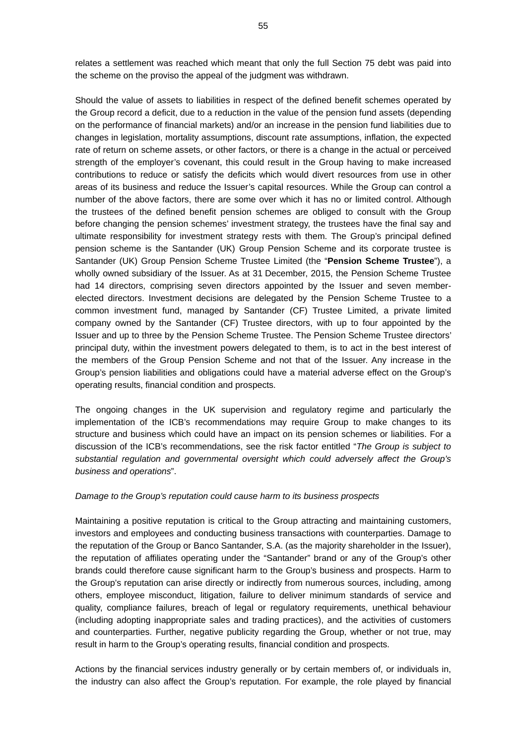relates a settlement was reached which meant that only the full Section 75 debt was paid into the scheme on the proviso the appeal of the judgment was withdrawn.

Should the value of assets to liabilities in respect of the defined benefit schemes operated by the Group record a deficit, due to a reduction in the value of the pension fund assets (depending on the performance of financial markets) and/or an increase in the pension fund liabilities due to changes in legislation, mortality assumptions, discount rate assumptions, inflation, the expected rate of return on scheme assets, or other factors, or there is a change in the actual or perceived strength of the employer's covenant, this could result in the Group having to make increased contributions to reduce or satisfy the deficits which would divert resources from use in other areas of its business and reduce the Issuer's capital resources. While the Group can control a number of the above factors, there are some over which it has no or limited control. Although the trustees of the defined benefit pension schemes are obliged to consult with the Group before changing the pension schemes' investment strategy, the trustees have the final say and ultimate responsibility for investment strategy rests with them. The Group's principal defined pension scheme is the Santander (UK) Group Pension Scheme and its corporate trustee is Santander (UK) Group Pension Scheme Trustee Limited (the "**Pension Scheme Trustee**"), a wholly owned subsidiary of the Issuer. As at 31 December, 2015, the Pension Scheme Trustee had 14 directors, comprising seven directors appointed by the Issuer and seven memberelected directors. Investment decisions are delegated by the Pension Scheme Trustee to a common investment fund, managed by Santander (CF) Trustee Limited, a private limited company owned by the Santander (CF) Trustee directors, with up to four appointed by the Issuer and up to three by the Pension Scheme Trustee. The Pension Scheme Trustee directors' principal duty, within the investment powers delegated to them, is to act in the best interest of the members of the Group Pension Scheme and not that of the Issuer. Any increase in the Group's pension liabilities and obligations could have a material adverse effect on the Group's operating results, financial condition and prospects.

The ongoing changes in the UK supervision and regulatory regime and particularly the implementation of the ICB's recommendations may require Group to make changes to its structure and business which could have an impact on its pension schemes or liabilities. For a discussion of the ICB's recommendations, see the risk factor entitled "*The Group is subject to substantial regulation and governmental oversight which could adversely affect the Group's business and operations*".

### *Damage to the Group's reputation could cause harm to its business prospects*

Maintaining a positive reputation is critical to the Group attracting and maintaining customers, investors and employees and conducting business transactions with counterparties. Damage to the reputation of the Group or Banco Santander, S.A. (as the majority shareholder in the Issuer), the reputation of affiliates operating under the "Santander" brand or any of the Group's other brands could therefore cause significant harm to the Group's business and prospects. Harm to the Group's reputation can arise directly or indirectly from numerous sources, including, among others, employee misconduct, litigation, failure to deliver minimum standards of service and quality, compliance failures, breach of legal or regulatory requirements, unethical behaviour (including adopting inappropriate sales and trading practices), and the activities of customers and counterparties. Further, negative publicity regarding the Group, whether or not true, may result in harm to the Group's operating results, financial condition and prospects.

Actions by the financial services industry generally or by certain members of, or individuals in, the industry can also affect the Group's reputation. For example, the role played by financial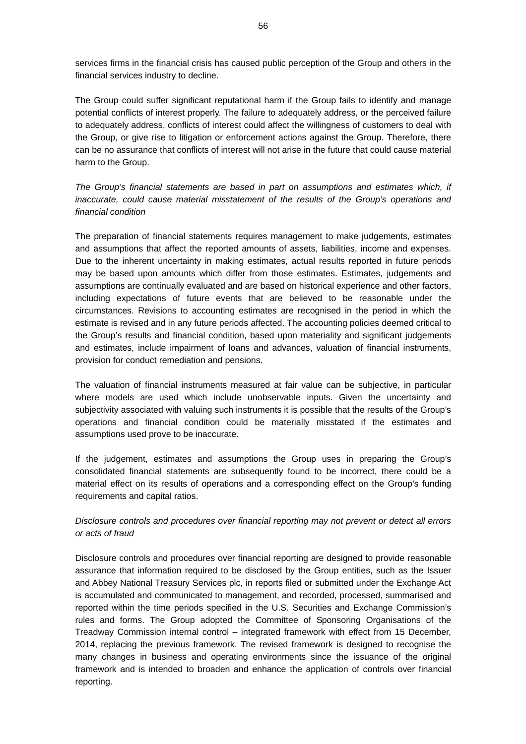services firms in the financial crisis has caused public perception of the Group and others in the financial services industry to decline.

The Group could suffer significant reputational harm if the Group fails to identify and manage potential conflicts of interest properly. The failure to adequately address, or the perceived failure to adequately address, conflicts of interest could affect the willingness of customers to deal with the Group, or give rise to litigation or enforcement actions against the Group. Therefore, there can be no assurance that conflicts of interest will not arise in the future that could cause material harm to the Group.

*The Group's financial statements are based in part on assumptions and estimates which, if inaccurate, could cause material misstatement of the results of the Group's operations and financial condition* 

The preparation of financial statements requires management to make judgements, estimates and assumptions that affect the reported amounts of assets, liabilities, income and expenses. Due to the inherent uncertainty in making estimates, actual results reported in future periods may be based upon amounts which differ from those estimates. Estimates, judgements and assumptions are continually evaluated and are based on historical experience and other factors, including expectations of future events that are believed to be reasonable under the circumstances. Revisions to accounting estimates are recognised in the period in which the estimate is revised and in any future periods affected. The accounting policies deemed critical to the Group's results and financial condition, based upon materiality and significant judgements and estimates, include impairment of loans and advances, valuation of financial instruments, provision for conduct remediation and pensions.

The valuation of financial instruments measured at fair value can be subjective, in particular where models are used which include unobservable inputs. Given the uncertainty and subjectivity associated with valuing such instruments it is possible that the results of the Group's operations and financial condition could be materially misstated if the estimates and assumptions used prove to be inaccurate.

If the judgement, estimates and assumptions the Group uses in preparing the Group's consolidated financial statements are subsequently found to be incorrect, there could be a material effect on its results of operations and a corresponding effect on the Group's funding requirements and capital ratios.

# *Disclosure controls and procedures over financial reporting may not prevent or detect all errors or acts of fraud*

Disclosure controls and procedures over financial reporting are designed to provide reasonable assurance that information required to be disclosed by the Group entities, such as the Issuer and Abbey National Treasury Services plc, in reports filed or submitted under the Exchange Act is accumulated and communicated to management, and recorded, processed, summarised and reported within the time periods specified in the U.S. Securities and Exchange Commission's rules and forms. The Group adopted the Committee of Sponsoring Organisations of the Treadway Commission internal control – integrated framework with effect from 15 December, 2014, replacing the previous framework. The revised framework is designed to recognise the many changes in business and operating environments since the issuance of the original framework and is intended to broaden and enhance the application of controls over financial reporting.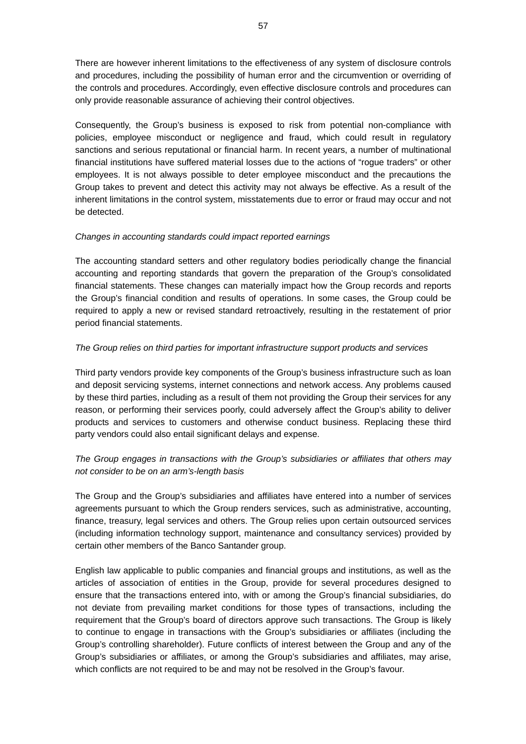There are however inherent limitations to the effectiveness of any system of disclosure controls and procedures, including the possibility of human error and the circumvention or overriding of the controls and procedures. Accordingly, even effective disclosure controls and procedures can only provide reasonable assurance of achieving their control objectives.

Consequently, the Group's business is exposed to risk from potential non-compliance with policies, employee misconduct or negligence and fraud, which could result in regulatory sanctions and serious reputational or financial harm. In recent years, a number of multinational financial institutions have suffered material losses due to the actions of "rogue traders" or other employees. It is not always possible to deter employee misconduct and the precautions the Group takes to prevent and detect this activity may not always be effective. As a result of the inherent limitations in the control system, misstatements due to error or fraud may occur and not be detected.

## *Changes in accounting standards could impact reported earnings*

The accounting standard setters and other regulatory bodies periodically change the financial accounting and reporting standards that govern the preparation of the Group's consolidated financial statements. These changes can materially impact how the Group records and reports the Group's financial condition and results of operations. In some cases, the Group could be required to apply a new or revised standard retroactively, resulting in the restatement of prior period financial statements.

## *The Group relies on third parties for important infrastructure support products and services*

Third party vendors provide key components of the Group's business infrastructure such as loan and deposit servicing systems, internet connections and network access. Any problems caused by these third parties, including as a result of them not providing the Group their services for any reason, or performing their services poorly, could adversely affect the Group's ability to deliver products and services to customers and otherwise conduct business. Replacing these third party vendors could also entail significant delays and expense.

# *The Group engages in transactions with the Group's subsidiaries or affiliates that others may not consider to be on an arm's-length basis*

The Group and the Group's subsidiaries and affiliates have entered into a number of services agreements pursuant to which the Group renders services, such as administrative, accounting, finance, treasury, legal services and others. The Group relies upon certain outsourced services (including information technology support, maintenance and consultancy services) provided by certain other members of the Banco Santander group.

English law applicable to public companies and financial groups and institutions, as well as the articles of association of entities in the Group, provide for several procedures designed to ensure that the transactions entered into, with or among the Group's financial subsidiaries, do not deviate from prevailing market conditions for those types of transactions, including the requirement that the Group's board of directors approve such transactions. The Group is likely to continue to engage in transactions with the Group's subsidiaries or affiliates (including the Group's controlling shareholder). Future conflicts of interest between the Group and any of the Group's subsidiaries or affiliates, or among the Group's subsidiaries and affiliates, may arise, which conflicts are not required to be and may not be resolved in the Group's favour.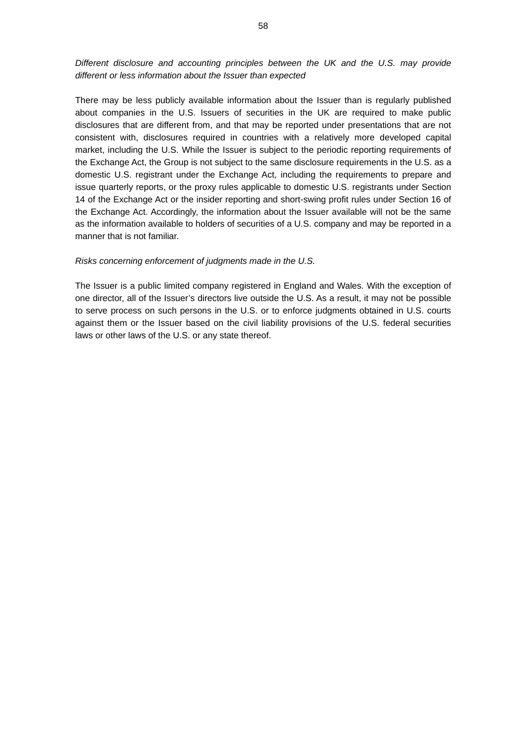# *Different disclosure and accounting principles between the UK and the U.S. may provide different or less information about the Issuer than expected*

There may be less publicly available information about the Issuer than is regularly published about companies in the U.S. Issuers of securities in the UK are required to make public disclosures that are different from, and that may be reported under presentations that are not consistent with, disclosures required in countries with a relatively more developed capital market, including the U.S. While the Issuer is subject to the periodic reporting requirements of the Exchange Act, the Group is not subject to the same disclosure requirements in the U.S. as a domestic U.S. registrant under the Exchange Act, including the requirements to prepare and issue quarterly reports, or the proxy rules applicable to domestic U.S. registrants under Section 14 of the Exchange Act or the insider reporting and short-swing profit rules under Section 16 of the Exchange Act. Accordingly, the information about the Issuer available will not be the same as the information available to holders of securities of a U.S. company and may be reported in a manner that is not familiar.

## *Risks concerning enforcement of judgments made in the U.S.*

The Issuer is a public limited company registered in England and Wales. With the exception of one director, all of the Issuer's directors live outside the U.S. As a result, it may not be possible to serve process on such persons in the U.S. or to enforce judgments obtained in U.S. courts against them or the Issuer based on the civil liability provisions of the U.S. federal securities laws or other laws of the U.S. or any state thereof.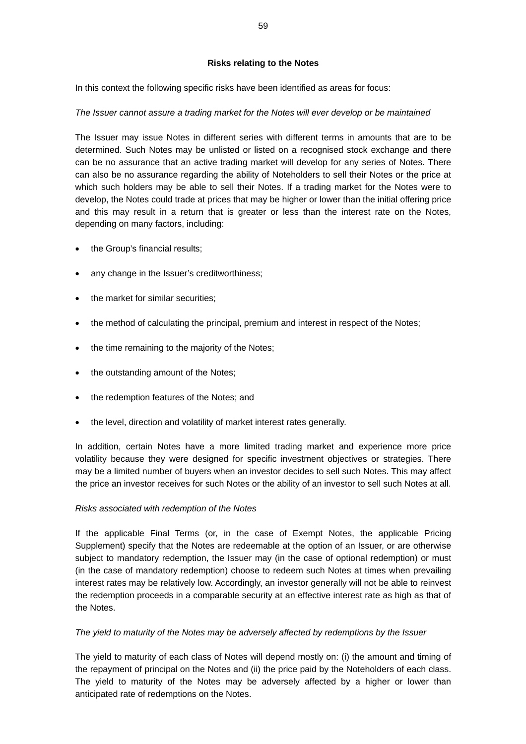# **Risks relating to the Notes**

In this context the following specific risks have been identified as areas for focus:

# *The Issuer cannot assure a trading market for the Notes will ever develop or be maintained*

The Issuer may issue Notes in different series with different terms in amounts that are to be determined. Such Notes may be unlisted or listed on a recognised stock exchange and there can be no assurance that an active trading market will develop for any series of Notes. There can also be no assurance regarding the ability of Noteholders to sell their Notes or the price at which such holders may be able to sell their Notes. If a trading market for the Notes were to develop, the Notes could trade at prices that may be higher or lower than the initial offering price and this may result in a return that is greater or less than the interest rate on the Notes, depending on many factors, including:

- the Group's financial results;
- any change in the Issuer's creditworthiness;
- the market for similar securities;
- the method of calculating the principal, premium and interest in respect of the Notes;
- the time remaining to the majority of the Notes;
- the outstanding amount of the Notes;
- the redemption features of the Notes; and
- the level, direction and volatility of market interest rates generally.

In addition, certain Notes have a more limited trading market and experience more price volatility because they were designed for specific investment objectives or strategies. There may be a limited number of buyers when an investor decides to sell such Notes. This may affect the price an investor receives for such Notes or the ability of an investor to sell such Notes at all.

## *Risks associated with redemption of the Notes*

If the applicable Final Terms (or, in the case of Exempt Notes, the applicable Pricing Supplement) specify that the Notes are redeemable at the option of an Issuer, or are otherwise subject to mandatory redemption, the Issuer may (in the case of optional redemption) or must (in the case of mandatory redemption) choose to redeem such Notes at times when prevailing interest rates may be relatively low. Accordingly, an investor generally will not be able to reinvest the redemption proceeds in a comparable security at an effective interest rate as high as that of the Notes.

## *The yield to maturity of the Notes may be adversely affected by redemptions by the Issuer*

The yield to maturity of each class of Notes will depend mostly on: (i) the amount and timing of the repayment of principal on the Notes and (ii) the price paid by the Noteholders of each class. The yield to maturity of the Notes may be adversely affected by a higher or lower than anticipated rate of redemptions on the Notes.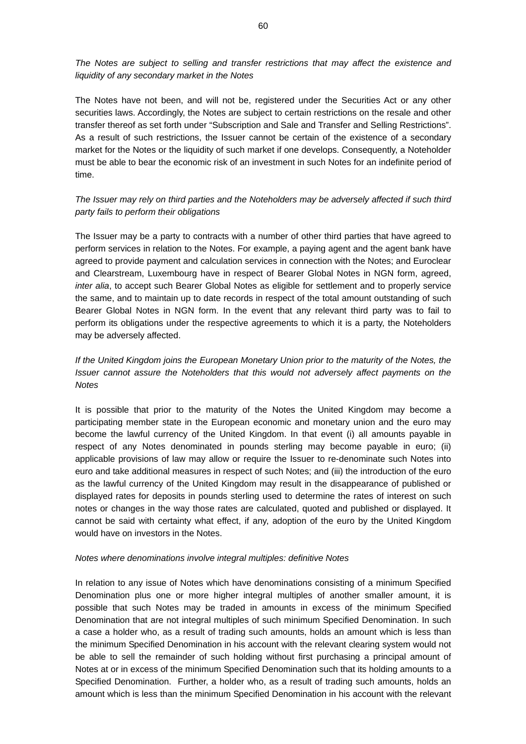*The Notes are subject to selling and transfer restrictions that may affect the existence and liquidity of any secondary market in the Notes* 

The Notes have not been, and will not be, registered under the Securities Act or any other securities laws. Accordingly, the Notes are subject to certain restrictions on the resale and other transfer thereof as set forth under "Subscription and Sale and Transfer and Selling Restrictions". As a result of such restrictions, the Issuer cannot be certain of the existence of a secondary market for the Notes or the liquidity of such market if one develops. Consequently, a Noteholder must be able to bear the economic risk of an investment in such Notes for an indefinite period of time.

# *The Issuer may rely on third parties and the Noteholders may be adversely affected if such third party fails to perform their obligations*

The Issuer may be a party to contracts with a number of other third parties that have agreed to perform services in relation to the Notes. For example, a paying agent and the agent bank have agreed to provide payment and calculation services in connection with the Notes; and Euroclear and Clearstream, Luxembourg have in respect of Bearer Global Notes in NGN form, agreed, *inter alia*, to accept such Bearer Global Notes as eligible for settlement and to properly service the same, and to maintain up to date records in respect of the total amount outstanding of such Bearer Global Notes in NGN form. In the event that any relevant third party was to fail to perform its obligations under the respective agreements to which it is a party, the Noteholders may be adversely affected.

# *If the United Kingdom joins the European Monetary Union prior to the maturity of the Notes, the Issuer cannot assure the Noteholders that this would not adversely affect payments on the Notes*

It is possible that prior to the maturity of the Notes the United Kingdom may become a participating member state in the European economic and monetary union and the euro may become the lawful currency of the United Kingdom. In that event (i) all amounts payable in respect of any Notes denominated in pounds sterling may become payable in euro; (ii) applicable provisions of law may allow or require the Issuer to re-denominate such Notes into euro and take additional measures in respect of such Notes; and (iii) the introduction of the euro as the lawful currency of the United Kingdom may result in the disappearance of published or displayed rates for deposits in pounds sterling used to determine the rates of interest on such notes or changes in the way those rates are calculated, quoted and published or displayed. It cannot be said with certainty what effect, if any, adoption of the euro by the United Kingdom would have on investors in the Notes.

#### *Notes where denominations involve integral multiples: definitive Notes*

In relation to any issue of Notes which have denominations consisting of a minimum Specified Denomination plus one or more higher integral multiples of another smaller amount, it is possible that such Notes may be traded in amounts in excess of the minimum Specified Denomination that are not integral multiples of such minimum Specified Denomination. In such a case a holder who, as a result of trading such amounts, holds an amount which is less than the minimum Specified Denomination in his account with the relevant clearing system would not be able to sell the remainder of such holding without first purchasing a principal amount of Notes at or in excess of the minimum Specified Denomination such that its holding amounts to a Specified Denomination. Further, a holder who, as a result of trading such amounts, holds an amount which is less than the minimum Specified Denomination in his account with the relevant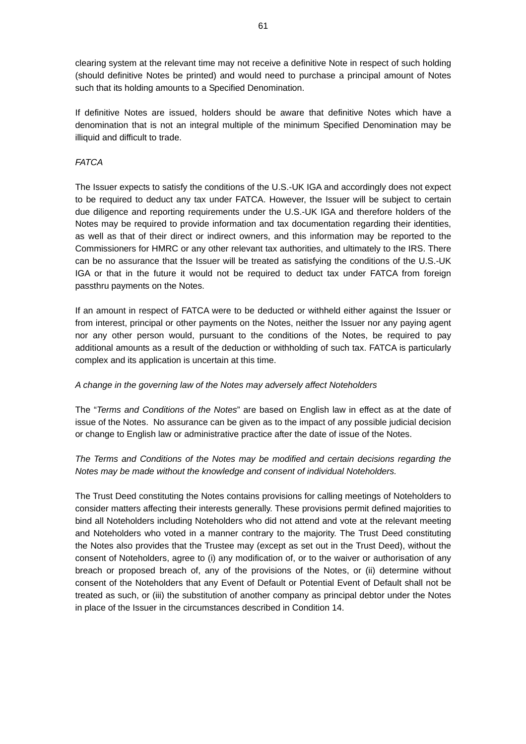clearing system at the relevant time may not receive a definitive Note in respect of such holding (should definitive Notes be printed) and would need to purchase a principal amount of Notes such that its holding amounts to a Specified Denomination.

If definitive Notes are issued, holders should be aware that definitive Notes which have a denomination that is not an integral multiple of the minimum Specified Denomination may be illiquid and difficult to trade.

# *FATCA*

The Issuer expects to satisfy the conditions of the U.S.-UK IGA and accordingly does not expect to be required to deduct any tax under FATCA. However, the Issuer will be subject to certain due diligence and reporting requirements under the U.S.-UK IGA and therefore holders of the Notes may be required to provide information and tax documentation regarding their identities, as well as that of their direct or indirect owners, and this information may be reported to the Commissioners for HMRC or any other relevant tax authorities, and ultimately to the IRS. There can be no assurance that the Issuer will be treated as satisfying the conditions of the U.S.-UK IGA or that in the future it would not be required to deduct tax under FATCA from foreign passthru payments on the Notes.

If an amount in respect of FATCA were to be deducted or withheld either against the Issuer or from interest, principal or other payments on the Notes, neither the Issuer nor any paying agent nor any other person would, pursuant to the conditions of the Notes, be required to pay additional amounts as a result of the deduction or withholding of such tax. FATCA is particularly complex and its application is uncertain at this time.

## *A change in the governing law of the Notes may adversely affect Noteholders*

The "*Terms and Conditions of the Notes*" are based on English law in effect as at the date of issue of the Notes. No assurance can be given as to the impact of any possible judicial decision or change to English law or administrative practice after the date of issue of the Notes.

# *The Terms and Conditions of the Notes may be modified and certain decisions regarding the Notes may be made without the knowledge and consent of individual Noteholders.*

The Trust Deed constituting the Notes contains provisions for calling meetings of Noteholders to consider matters affecting their interests generally. These provisions permit defined majorities to bind all Noteholders including Noteholders who did not attend and vote at the relevant meeting and Noteholders who voted in a manner contrary to the majority. The Trust Deed constituting the Notes also provides that the Trustee may (except as set out in the Trust Deed), without the consent of Noteholders, agree to (i) any modification of, or to the waiver or authorisation of any breach or proposed breach of, any of the provisions of the Notes, or (ii) determine without consent of the Noteholders that any Event of Default or Potential Event of Default shall not be treated as such, or (iii) the substitution of another company as principal debtor under the Notes in place of the Issuer in the circumstances described in Condition 14.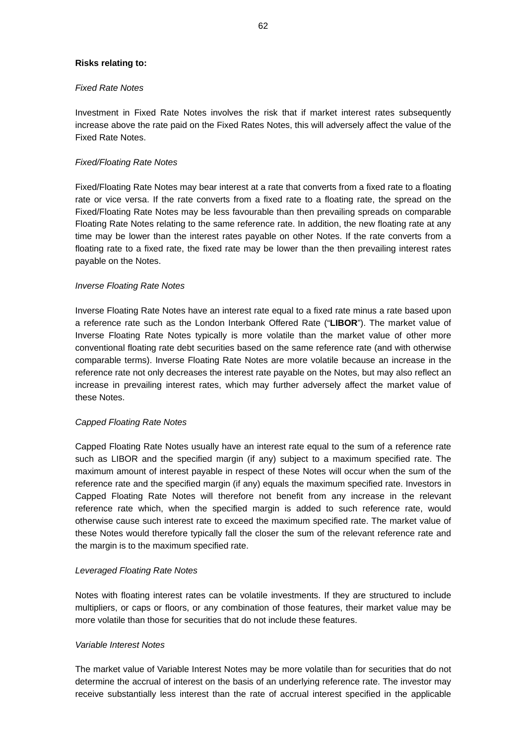### **Risks relating to:**

## *Fixed Rate Notes*

Investment in Fixed Rate Notes involves the risk that if market interest rates subsequently increase above the rate paid on the Fixed Rates Notes, this will adversely affect the value of the Fixed Rate Notes.

## *Fixed/Floating Rate Notes*

Fixed/Floating Rate Notes may bear interest at a rate that converts from a fixed rate to a floating rate or vice versa. If the rate converts from a fixed rate to a floating rate, the spread on the Fixed/Floating Rate Notes may be less favourable than then prevailing spreads on comparable Floating Rate Notes relating to the same reference rate. In addition, the new floating rate at any time may be lower than the interest rates payable on other Notes. If the rate converts from a floating rate to a fixed rate, the fixed rate may be lower than the then prevailing interest rates payable on the Notes.

## *Inverse Floating Rate Notes*

Inverse Floating Rate Notes have an interest rate equal to a fixed rate minus a rate based upon a reference rate such as the London Interbank Offered Rate ("**LIBOR**"). The market value of Inverse Floating Rate Notes typically is more volatile than the market value of other more conventional floating rate debt securities based on the same reference rate (and with otherwise comparable terms). Inverse Floating Rate Notes are more volatile because an increase in the reference rate not only decreases the interest rate payable on the Notes, but may also reflect an increase in prevailing interest rates, which may further adversely affect the market value of these Notes.

## *Capped Floating Rate Notes*

Capped Floating Rate Notes usually have an interest rate equal to the sum of a reference rate such as LIBOR and the specified margin (if any) subject to a maximum specified rate. The maximum amount of interest payable in respect of these Notes will occur when the sum of the reference rate and the specified margin (if any) equals the maximum specified rate. Investors in Capped Floating Rate Notes will therefore not benefit from any increase in the relevant reference rate which, when the specified margin is added to such reference rate, would otherwise cause such interest rate to exceed the maximum specified rate. The market value of these Notes would therefore typically fall the closer the sum of the relevant reference rate and the margin is to the maximum specified rate.

## *Leveraged Floating Rate Notes*

Notes with floating interest rates can be volatile investments. If they are structured to include multipliers, or caps or floors, or any combination of those features, their market value may be more volatile than those for securities that do not include these features.

#### *Variable Interest Notes*

The market value of Variable Interest Notes may be more volatile than for securities that do not determine the accrual of interest on the basis of an underlying reference rate. The investor may receive substantially less interest than the rate of accrual interest specified in the applicable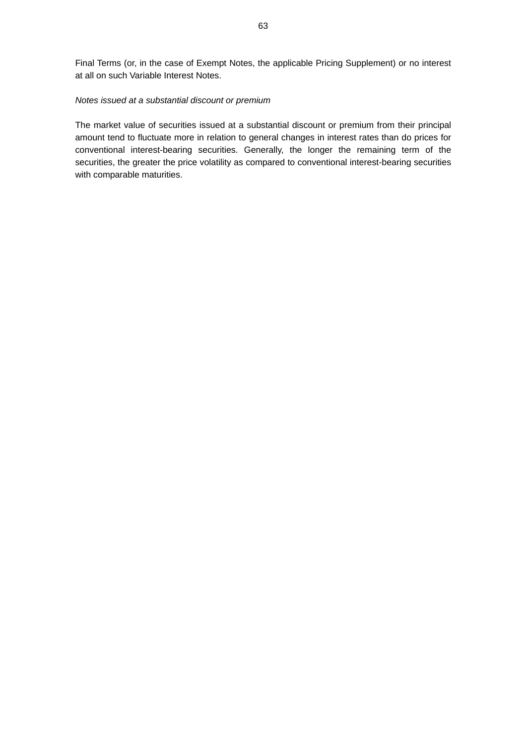Final Terms (or, in the case of Exempt Notes, the applicable Pricing Supplement) or no interest at all on such Variable Interest Notes.

## *Notes issued at a substantial discount or premium*

The market value of securities issued at a substantial discount or premium from their principal amount tend to fluctuate more in relation to general changes in interest rates than do prices for conventional interest-bearing securities. Generally, the longer the remaining term of the securities, the greater the price volatility as compared to conventional interest-bearing securities with comparable maturities.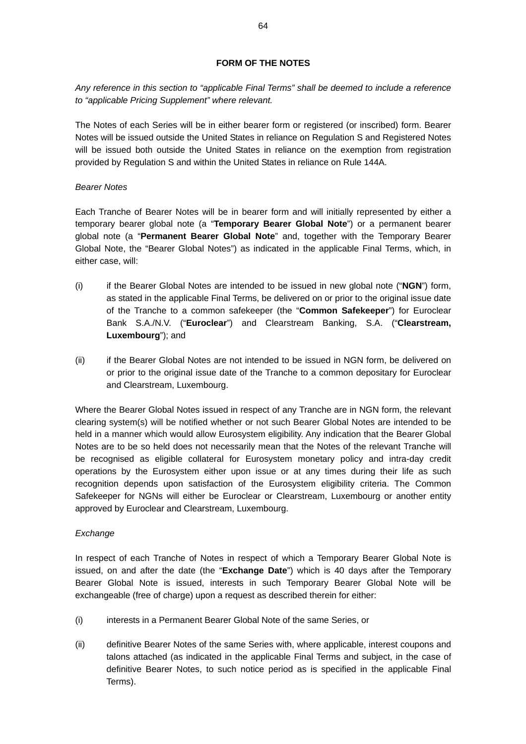# **FORM OF THE NOTES**

*Any reference in this section to "applicable Final Terms" shall be deemed to include a reference to "applicable Pricing Supplement" where relevant.* 

The Notes of each Series will be in either bearer form or registered (or inscribed) form. Bearer Notes will be issued outside the United States in reliance on Regulation S and Registered Notes will be issued both outside the United States in reliance on the exemption from registration provided by Regulation S and within the United States in reliance on Rule 144A.

## *Bearer Notes*

Each Tranche of Bearer Notes will be in bearer form and will initially represented by either a temporary bearer global note (a "**Temporary Bearer Global Note**") or a permanent bearer global note (a "**Permanent Bearer Global Note**" and, together with the Temporary Bearer Global Note, the "Bearer Global Notes") as indicated in the applicable Final Terms, which, in either case, will:

- (i) if the Bearer Global Notes are intended to be issued in new global note ("**NGN**") form, as stated in the applicable Final Terms, be delivered on or prior to the original issue date of the Tranche to a common safekeeper (the "**Common Safekeeper**") for Euroclear Bank S.A./N.V. ("**Euroclear**") and Clearstream Banking, S.A. ("**Clearstream, Luxembourg**"); and
- (ii) if the Bearer Global Notes are not intended to be issued in NGN form, be delivered on or prior to the original issue date of the Tranche to a common depositary for Euroclear and Clearstream, Luxembourg.

Where the Bearer Global Notes issued in respect of any Tranche are in NGN form, the relevant clearing system(s) will be notified whether or not such Bearer Global Notes are intended to be held in a manner which would allow Eurosystem eligibility. Any indication that the Bearer Global Notes are to be so held does not necessarily mean that the Notes of the relevant Tranche will be recognised as eligible collateral for Eurosystem monetary policy and intra-day credit operations by the Eurosystem either upon issue or at any times during their life as such recognition depends upon satisfaction of the Eurosystem eligibility criteria. The Common Safekeeper for NGNs will either be Euroclear or Clearstream, Luxembourg or another entity approved by Euroclear and Clearstream, Luxembourg.

# *Exchange*

In respect of each Tranche of Notes in respect of which a Temporary Bearer Global Note is issued, on and after the date (the "**Exchange Date**") which is 40 days after the Temporary Bearer Global Note is issued, interests in such Temporary Bearer Global Note will be exchangeable (free of charge) upon a request as described therein for either:

- (i) interests in a Permanent Bearer Global Note of the same Series, or
- (ii) definitive Bearer Notes of the same Series with, where applicable, interest coupons and talons attached (as indicated in the applicable Final Terms and subject, in the case of definitive Bearer Notes, to such notice period as is specified in the applicable Final Terms).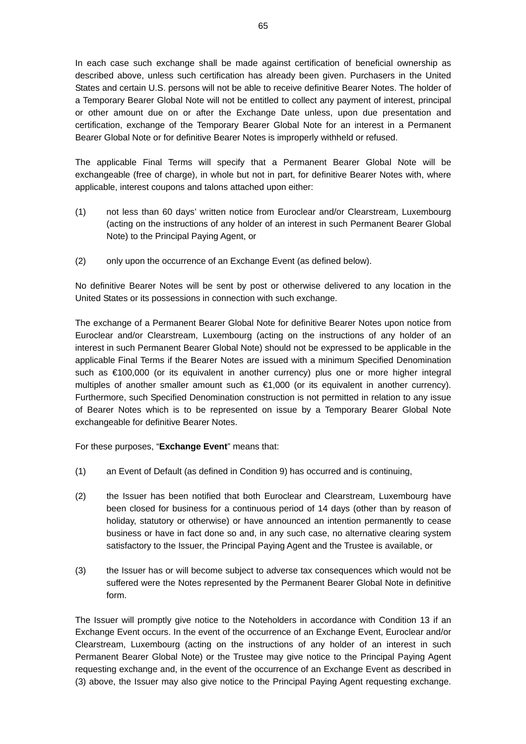In each case such exchange shall be made against certification of beneficial ownership as described above, unless such certification has already been given. Purchasers in the United States and certain U.S. persons will not be able to receive definitive Bearer Notes. The holder of a Temporary Bearer Global Note will not be entitled to collect any payment of interest, principal or other amount due on or after the Exchange Date unless, upon due presentation and certification, exchange of the Temporary Bearer Global Note for an interest in a Permanent Bearer Global Note or for definitive Bearer Notes is improperly withheld or refused.

The applicable Final Terms will specify that a Permanent Bearer Global Note will be exchangeable (free of charge), in whole but not in part, for definitive Bearer Notes with, where applicable, interest coupons and talons attached upon either:

- (1) not less than 60 days' written notice from Euroclear and/or Clearstream, Luxembourg (acting on the instructions of any holder of an interest in such Permanent Bearer Global Note) to the Principal Paying Agent, or
- (2) only upon the occurrence of an Exchange Event (as defined below).

No definitive Bearer Notes will be sent by post or otherwise delivered to any location in the United States or its possessions in connection with such exchange.

The exchange of a Permanent Bearer Global Note for definitive Bearer Notes upon notice from Euroclear and/or Clearstream, Luxembourg (acting on the instructions of any holder of an interest in such Permanent Bearer Global Note) should not be expressed to be applicable in the applicable Final Terms if the Bearer Notes are issued with a minimum Specified Denomination such as €100,000 (or its equivalent in another currency) plus one or more higher integral multiples of another smaller amount such as  $\epsilon$ 1,000 (or its equivalent in another currency). Furthermore, such Specified Denomination construction is not permitted in relation to any issue of Bearer Notes which is to be represented on issue by a Temporary Bearer Global Note exchangeable for definitive Bearer Notes.

For these purposes, "**Exchange Event**" means that:

- (1) an Event of Default (as defined in Condition 9) has occurred and is continuing,
- (2) the Issuer has been notified that both Euroclear and Clearstream, Luxembourg have been closed for business for a continuous period of 14 days (other than by reason of holiday, statutory or otherwise) or have announced an intention permanently to cease business or have in fact done so and, in any such case, no alternative clearing system satisfactory to the Issuer, the Principal Paying Agent and the Trustee is available, or
- (3) the Issuer has or will become subject to adverse tax consequences which would not be suffered were the Notes represented by the Permanent Bearer Global Note in definitive form.

The Issuer will promptly give notice to the Noteholders in accordance with Condition 13 if an Exchange Event occurs. In the event of the occurrence of an Exchange Event, Euroclear and/or Clearstream, Luxembourg (acting on the instructions of any holder of an interest in such Permanent Bearer Global Note) or the Trustee may give notice to the Principal Paying Agent requesting exchange and, in the event of the occurrence of an Exchange Event as described in (3) above, the Issuer may also give notice to the Principal Paying Agent requesting exchange.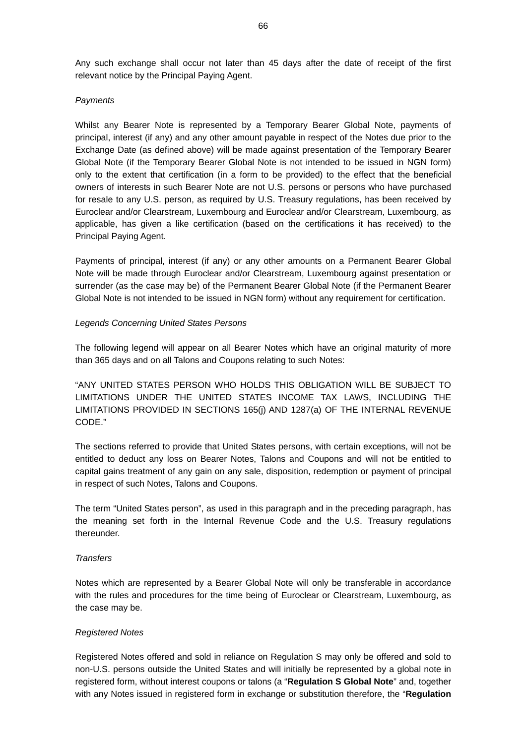Any such exchange shall occur not later than 45 days after the date of receipt of the first relevant notice by the Principal Paying Agent.

### *Payments*

Whilst any Bearer Note is represented by a Temporary Bearer Global Note, payments of principal, interest (if any) and any other amount payable in respect of the Notes due prior to the Exchange Date (as defined above) will be made against presentation of the Temporary Bearer Global Note (if the Temporary Bearer Global Note is not intended to be issued in NGN form) only to the extent that certification (in a form to be provided) to the effect that the beneficial owners of interests in such Bearer Note are not U.S. persons or persons who have purchased for resale to any U.S. person, as required by U.S. Treasury regulations, has been received by Euroclear and/or Clearstream, Luxembourg and Euroclear and/or Clearstream, Luxembourg, as applicable, has given a like certification (based on the certifications it has received) to the Principal Paying Agent.

Payments of principal, interest (if any) or any other amounts on a Permanent Bearer Global Note will be made through Euroclear and/or Clearstream, Luxembourg against presentation or surrender (as the case may be) of the Permanent Bearer Global Note (if the Permanent Bearer Global Note is not intended to be issued in NGN form) without any requirement for certification.

## *Legends Concerning United States Persons*

The following legend will appear on all Bearer Notes which have an original maturity of more than 365 days and on all Talons and Coupons relating to such Notes:

"ANY UNITED STATES PERSON WHO HOLDS THIS OBLIGATION WILL BE SUBJECT TO LIMITATIONS UNDER THE UNITED STATES INCOME TAX LAWS, INCLUDING THE LIMITATIONS PROVIDED IN SECTIONS 165(j) AND 1287(a) OF THE INTERNAL REVENUE CODE."

The sections referred to provide that United States persons, with certain exceptions, will not be entitled to deduct any loss on Bearer Notes, Talons and Coupons and will not be entitled to capital gains treatment of any gain on any sale, disposition, redemption or payment of principal in respect of such Notes, Talons and Coupons.

The term "United States person", as used in this paragraph and in the preceding paragraph, has the meaning set forth in the Internal Revenue Code and the U.S. Treasury regulations thereunder.

#### *Transfers*

Notes which are represented by a Bearer Global Note will only be transferable in accordance with the rules and procedures for the time being of Euroclear or Clearstream, Luxembourg, as the case may be.

## *Registered Notes*

Registered Notes offered and sold in reliance on Regulation S may only be offered and sold to non-U.S. persons outside the United States and will initially be represented by a global note in registered form, without interest coupons or talons (a "**Regulation S Global Note**" and, together with any Notes issued in registered form in exchange or substitution therefore, the "**Regulation**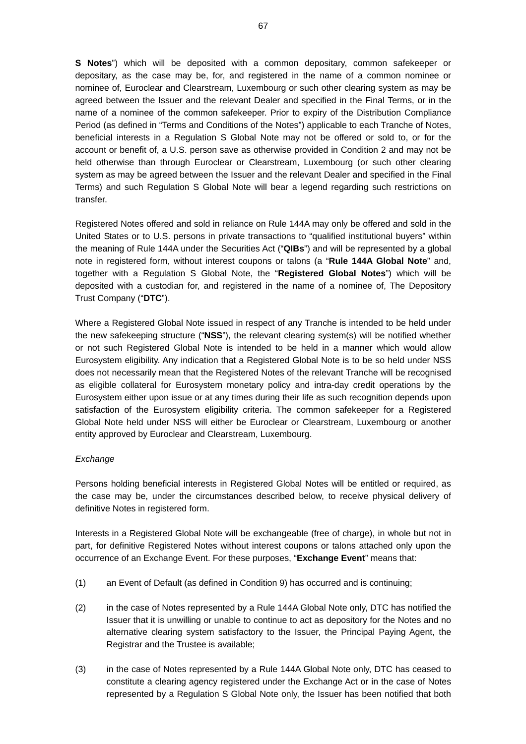**S Notes**") which will be deposited with a common depositary, common safekeeper or depositary, as the case may be, for, and registered in the name of a common nominee or nominee of, Euroclear and Clearstream, Luxembourg or such other clearing system as may be agreed between the Issuer and the relevant Dealer and specified in the Final Terms, or in the name of a nominee of the common safekeeper. Prior to expiry of the Distribution Compliance Period (as defined in "Terms and Conditions of the Notes") applicable to each Tranche of Notes, beneficial interests in a Regulation S Global Note may not be offered or sold to, or for the account or benefit of, a U.S. person save as otherwise provided in Condition 2 and may not be held otherwise than through Euroclear or Clearstream, Luxembourg (or such other clearing system as may be agreed between the Issuer and the relevant Dealer and specified in the Final Terms) and such Regulation S Global Note will bear a legend regarding such restrictions on transfer.

Registered Notes offered and sold in reliance on Rule 144A may only be offered and sold in the United States or to U.S. persons in private transactions to "qualified institutional buyers" within the meaning of Rule 144A under the Securities Act ("**QIBs**") and will be represented by a global note in registered form, without interest coupons or talons (a "**Rule 144A Global Note**" and, together with a Regulation S Global Note, the "**Registered Global Notes**") which will be deposited with a custodian for, and registered in the name of a nominee of, The Depository Trust Company ("**DTC**").

Where a Registered Global Note issued in respect of any Tranche is intended to be held under the new safekeeping structure ("**NSS**"), the relevant clearing system(s) will be notified whether or not such Registered Global Note is intended to be held in a manner which would allow Eurosystem eligibility. Any indication that a Registered Global Note is to be so held under NSS does not necessarily mean that the Registered Notes of the relevant Tranche will be recognised as eligible collateral for Eurosystem monetary policy and intra-day credit operations by the Eurosystem either upon issue or at any times during their life as such recognition depends upon satisfaction of the Eurosystem eligibility criteria. The common safekeeper for a Registered Global Note held under NSS will either be Euroclear or Clearstream, Luxembourg or another entity approved by Euroclear and Clearstream, Luxembourg.

## *Exchange*

Persons holding beneficial interests in Registered Global Notes will be entitled or required, as the case may be, under the circumstances described below, to receive physical delivery of definitive Notes in registered form.

Interests in a Registered Global Note will be exchangeable (free of charge), in whole but not in part, for definitive Registered Notes without interest coupons or talons attached only upon the occurrence of an Exchange Event. For these purposes, "**Exchange Event**" means that:

- (1) an Event of Default (as defined in Condition 9) has occurred and is continuing;
- (2) in the case of Notes represented by a Rule 144A Global Note only, DTC has notified the Issuer that it is unwilling or unable to continue to act as depository for the Notes and no alternative clearing system satisfactory to the Issuer, the Principal Paying Agent, the Registrar and the Trustee is available;
- (3) in the case of Notes represented by a Rule 144A Global Note only, DTC has ceased to constitute a clearing agency registered under the Exchange Act or in the case of Notes represented by a Regulation S Global Note only, the Issuer has been notified that both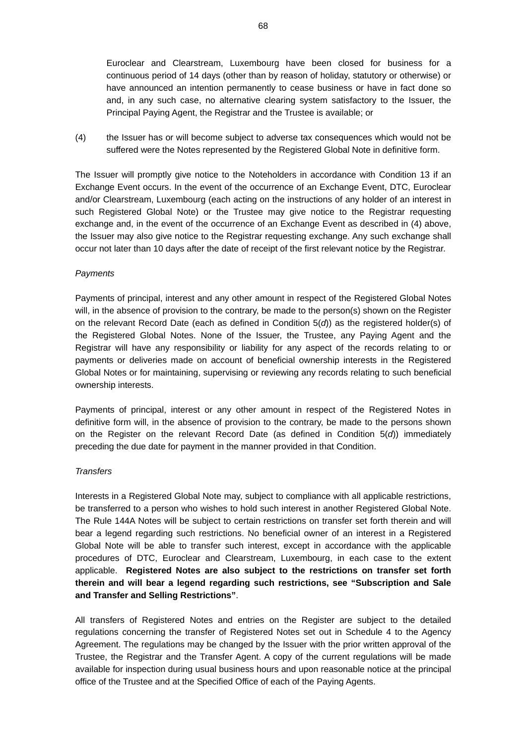Euroclear and Clearstream, Luxembourg have been closed for business for a continuous period of 14 days (other than by reason of holiday, statutory or otherwise) or have announced an intention permanently to cease business or have in fact done so and, in any such case, no alternative clearing system satisfactory to the Issuer, the Principal Paying Agent, the Registrar and the Trustee is available; or

(4) the Issuer has or will become subject to adverse tax consequences which would not be suffered were the Notes represented by the Registered Global Note in definitive form.

The Issuer will promptly give notice to the Noteholders in accordance with Condition 13 if an Exchange Event occurs. In the event of the occurrence of an Exchange Event, DTC, Euroclear and/or Clearstream, Luxembourg (each acting on the instructions of any holder of an interest in such Registered Global Note) or the Trustee may give notice to the Registrar requesting exchange and, in the event of the occurrence of an Exchange Event as described in (4) above, the Issuer may also give notice to the Registrar requesting exchange. Any such exchange shall occur not later than 10 days after the date of receipt of the first relevant notice by the Registrar.

## *Payments*

Payments of principal, interest and any other amount in respect of the Registered Global Notes will, in the absence of provision to the contrary, be made to the person(s) shown on the Register on the relevant Record Date (each as defined in Condition 5(*d*)) as the registered holder(s) of the Registered Global Notes. None of the Issuer, the Trustee, any Paying Agent and the Registrar will have any responsibility or liability for any aspect of the records relating to or payments or deliveries made on account of beneficial ownership interests in the Registered Global Notes or for maintaining, supervising or reviewing any records relating to such beneficial ownership interests.

Payments of principal, interest or any other amount in respect of the Registered Notes in definitive form will, in the absence of provision to the contrary, be made to the persons shown on the Register on the relevant Record Date (as defined in Condition 5(*d*)) immediately preceding the due date for payment in the manner provided in that Condition.

#### *Transfers*

Interests in a Registered Global Note may, subject to compliance with all applicable restrictions, be transferred to a person who wishes to hold such interest in another Registered Global Note. The Rule 144A Notes will be subject to certain restrictions on transfer set forth therein and will bear a legend regarding such restrictions. No beneficial owner of an interest in a Registered Global Note will be able to transfer such interest, except in accordance with the applicable procedures of DTC, Euroclear and Clearstream, Luxembourg, in each case to the extent applicable. **Registered Notes are also subject to the restrictions on transfer set forth therein and will bear a legend regarding such restrictions, see "Subscription and Sale and Transfer and Selling Restrictions"**.

All transfers of Registered Notes and entries on the Register are subject to the detailed regulations concerning the transfer of Registered Notes set out in Schedule 4 to the Agency Agreement. The regulations may be changed by the Issuer with the prior written approval of the Trustee, the Registrar and the Transfer Agent. A copy of the current regulations will be made available for inspection during usual business hours and upon reasonable notice at the principal office of the Trustee and at the Specified Office of each of the Paying Agents.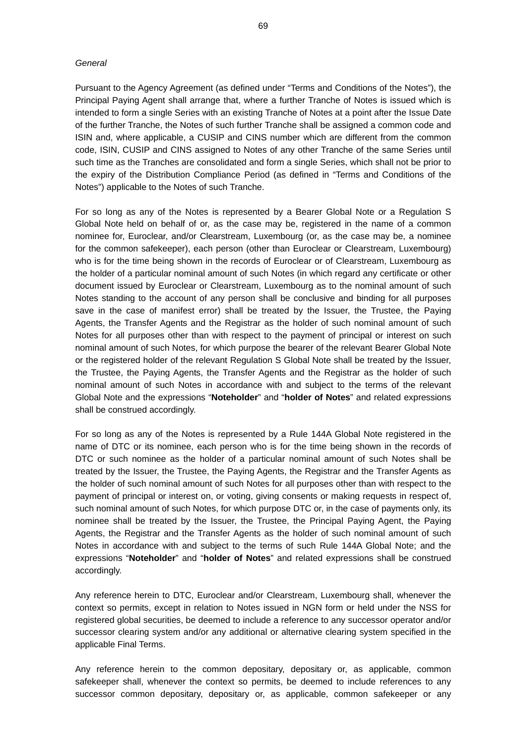## *General*

Pursuant to the Agency Agreement (as defined under "Terms and Conditions of the Notes"), the Principal Paying Agent shall arrange that, where a further Tranche of Notes is issued which is intended to form a single Series with an existing Tranche of Notes at a point after the Issue Date of the further Tranche, the Notes of such further Tranche shall be assigned a common code and ISIN and, where applicable, a CUSIP and CINS number which are different from the common code, ISIN, CUSIP and CINS assigned to Notes of any other Tranche of the same Series until such time as the Tranches are consolidated and form a single Series, which shall not be prior to the expiry of the Distribution Compliance Period (as defined in "Terms and Conditions of the Notes") applicable to the Notes of such Tranche.

For so long as any of the Notes is represented by a Bearer Global Note or a Regulation S Global Note held on behalf of or, as the case may be, registered in the name of a common nominee for, Euroclear, and/or Clearstream, Luxembourg (or, as the case may be, a nominee for the common safekeeper), each person (other than Euroclear or Clearstream, Luxembourg) who is for the time being shown in the records of Euroclear or of Clearstream, Luxembourg as the holder of a particular nominal amount of such Notes (in which regard any certificate or other document issued by Euroclear or Clearstream, Luxembourg as to the nominal amount of such Notes standing to the account of any person shall be conclusive and binding for all purposes save in the case of manifest error) shall be treated by the Issuer, the Trustee, the Paying Agents, the Transfer Agents and the Registrar as the holder of such nominal amount of such Notes for all purposes other than with respect to the payment of principal or interest on such nominal amount of such Notes, for which purpose the bearer of the relevant Bearer Global Note or the registered holder of the relevant Regulation S Global Note shall be treated by the Issuer, the Trustee, the Paying Agents, the Transfer Agents and the Registrar as the holder of such nominal amount of such Notes in accordance with and subject to the terms of the relevant Global Note and the expressions "**Noteholder**" and "**holder of Notes**" and related expressions shall be construed accordingly.

For so long as any of the Notes is represented by a Rule 144A Global Note registered in the name of DTC or its nominee, each person who is for the time being shown in the records of DTC or such nominee as the holder of a particular nominal amount of such Notes shall be treated by the Issuer, the Trustee, the Paying Agents, the Registrar and the Transfer Agents as the holder of such nominal amount of such Notes for all purposes other than with respect to the payment of principal or interest on, or voting, giving consents or making requests in respect of, such nominal amount of such Notes, for which purpose DTC or, in the case of payments only, its nominee shall be treated by the Issuer, the Trustee, the Principal Paying Agent, the Paying Agents, the Registrar and the Transfer Agents as the holder of such nominal amount of such Notes in accordance with and subject to the terms of such Rule 144A Global Note; and the expressions "**Noteholder**" and "**holder of Notes**" and related expressions shall be construed accordingly.

Any reference herein to DTC, Euroclear and/or Clearstream, Luxembourg shall, whenever the context so permits, except in relation to Notes issued in NGN form or held under the NSS for registered global securities, be deemed to include a reference to any successor operator and/or successor clearing system and/or any additional or alternative clearing system specified in the applicable Final Terms.

Any reference herein to the common depositary, depositary or, as applicable, common safekeeper shall, whenever the context so permits, be deemed to include references to any successor common depositary, depositary or, as applicable, common safekeeper or any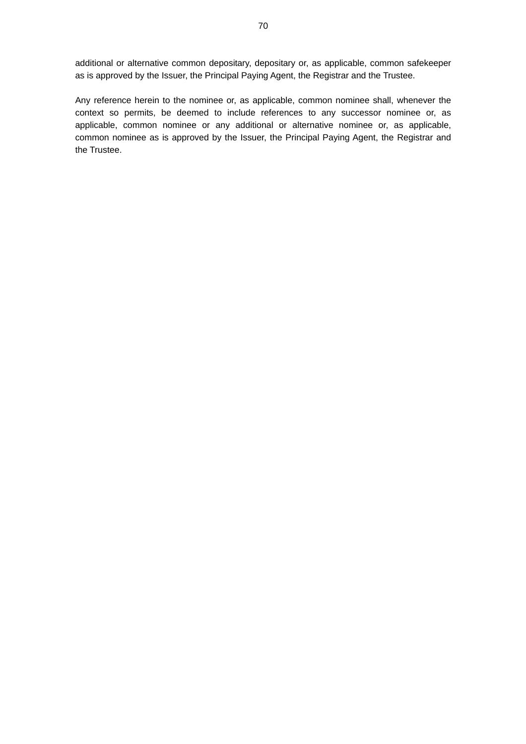additional or alternative common depositary, depositary or, as applicable, common safekeeper as is approved by the Issuer, the Principal Paying Agent, the Registrar and the Trustee.

Any reference herein to the nominee or, as applicable, common nominee shall, whenever the context so permits, be deemed to include references to any successor nominee or, as applicable, common nominee or any additional or alternative nominee or, as applicable, common nominee as is approved by the Issuer, the Principal Paying Agent, the Registrar and the Trustee.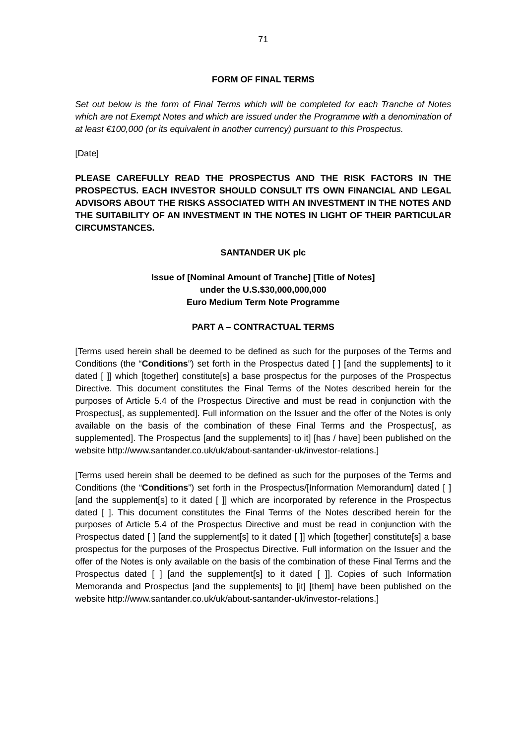#### **FORM OF FINAL TERMS**

*Set out below is the form of Final Terms which will be completed for each Tranche of Notes which are not Exempt Notes and which are issued under the Programme with a denomination of at least €100,000 (or its equivalent in another currency) pursuant to this Prospectus.* 

[Date]

**PLEASE CAREFULLY READ THE PROSPECTUS AND THE RISK FACTORS IN THE PROSPECTUS. EACH INVESTOR SHOULD CONSULT ITS OWN FINANCIAL AND LEGAL ADVISORS ABOUT THE RISKS ASSOCIATED WITH AN INVESTMENT IN THE NOTES AND THE SUITABILITY OF AN INVESTMENT IN THE NOTES IN LIGHT OF THEIR PARTICULAR CIRCUMSTANCES.** 

#### **SANTANDER UK plc**

# **Issue of [Nominal Amount of Tranche] [Title of Notes] under the U.S.\$30,000,000,000 Euro Medium Term Note Programme**

#### **PART A – CONTRACTUAL TERMS**

[Terms used herein shall be deemed to be defined as such for the purposes of the Terms and Conditions (the "**Conditions**") set forth in the Prospectus dated [ ] [and the supplements] to it dated [ ]] which [together] constitute[s] a base prospectus for the purposes of the Prospectus Directive. This document constitutes the Final Terms of the Notes described herein for the purposes of Article 5.4 of the Prospectus Directive and must be read in conjunction with the Prospectus[, as supplemented]. Full information on the Issuer and the offer of the Notes is only available on the basis of the combination of these Final Terms and the Prospectus[, as supplemented]. The Prospectus [and the supplements] to it] [has / have] been published on the website http://www.santander.co.uk/uk/about-santander-uk/investor-relations.]

[Terms used herein shall be deemed to be defined as such for the purposes of the Terms and Conditions (the "**Conditions**") set forth in the Prospectus/[Information Memorandum] dated [ ] [and the supplement[s] to it dated []] which are incorporated by reference in the Prospectus dated [ ]. This document constitutes the Final Terms of the Notes described herein for the purposes of Article 5.4 of the Prospectus Directive and must be read in conjunction with the Prospectus dated [ ] [and the supplement[s] to it dated [ ]] which [together] constitute[s] a base prospectus for the purposes of the Prospectus Directive. Full information on the Issuer and the offer of the Notes is only available on the basis of the combination of these Final Terms and the Prospectus dated [ ] [and the supplement[s] to it dated [ ]]. Copies of such Information Memoranda and Prospectus [and the supplements] to [it] [them] have been published on the website http://www.santander.co.uk/uk/about-santander-uk/investor-relations.]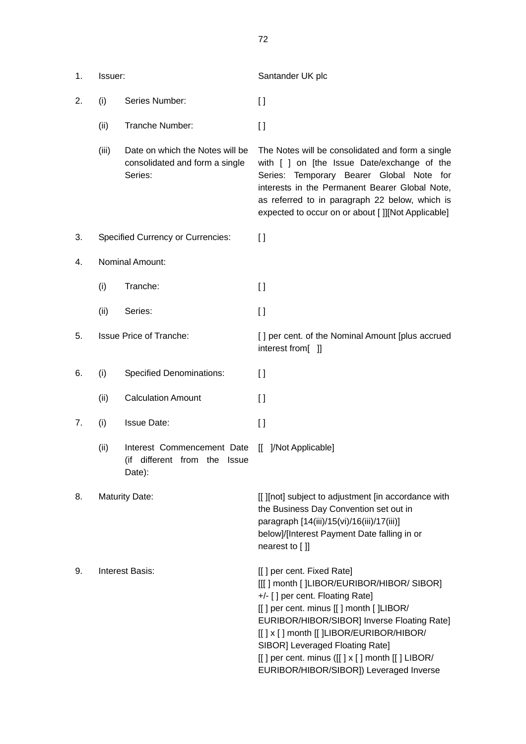| 1. | Issuer:                        |                                                                              | Santander UK plc                                                                                                                                                                                                                                                                                                                                                                      |
|----|--------------------------------|------------------------------------------------------------------------------|---------------------------------------------------------------------------------------------------------------------------------------------------------------------------------------------------------------------------------------------------------------------------------------------------------------------------------------------------------------------------------------|
| 2. | (i)                            | Series Number:                                                               | $\Box$                                                                                                                                                                                                                                                                                                                                                                                |
|    | (ii)                           | Tranche Number:                                                              | $\lceil$                                                                                                                                                                                                                                                                                                                                                                              |
|    | (iii)                          | Date on which the Notes will be<br>consolidated and form a single<br>Series: | The Notes will be consolidated and form a single<br>with [ ] on [the Issue Date/exchange of the<br>Series: Temporary Bearer Global Note for<br>interests in the Permanent Bearer Global Note,<br>as referred to in paragraph 22 below, which is<br>expected to occur on or about []][Not Applicable]                                                                                  |
| 3. |                                | <b>Specified Currency or Currencies:</b>                                     | $\Box$                                                                                                                                                                                                                                                                                                                                                                                |
| 4. | Nominal Amount:                |                                                                              |                                                                                                                                                                                                                                                                                                                                                                                       |
|    | (i)                            | Tranche:                                                                     | $\Box$                                                                                                                                                                                                                                                                                                                                                                                |
|    | (ii)                           | Series:                                                                      | $\mathbf{I}$                                                                                                                                                                                                                                                                                                                                                                          |
| 5. | <b>Issue Price of Tranche:</b> |                                                                              | [] per cent. of the Nominal Amount [plus accrued<br>interest from[ ]]                                                                                                                                                                                                                                                                                                                 |
| 6. | (i)                            | <b>Specified Denominations:</b>                                              | $\lceil$                                                                                                                                                                                                                                                                                                                                                                              |
|    | (ii)                           | <b>Calculation Amount</b>                                                    | $\Box$                                                                                                                                                                                                                                                                                                                                                                                |
| 7. | (i)                            | <b>Issue Date:</b>                                                           | $\mathbf{I}$                                                                                                                                                                                                                                                                                                                                                                          |
|    | (ii)                           | Interest Commencement Date<br>(if different from the Issue<br>Date):         | [[ ]/Not Applicable]                                                                                                                                                                                                                                                                                                                                                                  |
| 8. | <b>Maturity Date:</b>          |                                                                              | [[ ][not] subject to adjustment [in accordance with<br>the Business Day Convention set out in<br>paragraph [14(iii)/15(vi)/16(iii)/17(iii)]<br>below]/[Interest Payment Date falling in or<br>nearest to []]                                                                                                                                                                          |
| 9. | <b>Interest Basis:</b>         |                                                                              | [[] per cent. Fixed Rate]<br>[[[] month []LIBOR/EURIBOR/HIBOR/ SIBOR]<br>+/- [] per cent. Floating Rate]<br>[[] per cent. minus [[] month []LIBOR/<br>EURIBOR/HIBOR/SIBOR] Inverse Floating Rate]<br>[[] x [] month [[]LIBOR/EURIBOR/HIBOR/<br>SIBOR] Leveraged Floating Rate]<br>$[[ ]$ per cent. minus $([[ ] x [ ]$ month $[[ ]$ LIBOR/<br>EURIBOR/HIBOR/SIBOR]) Leveraged Inverse |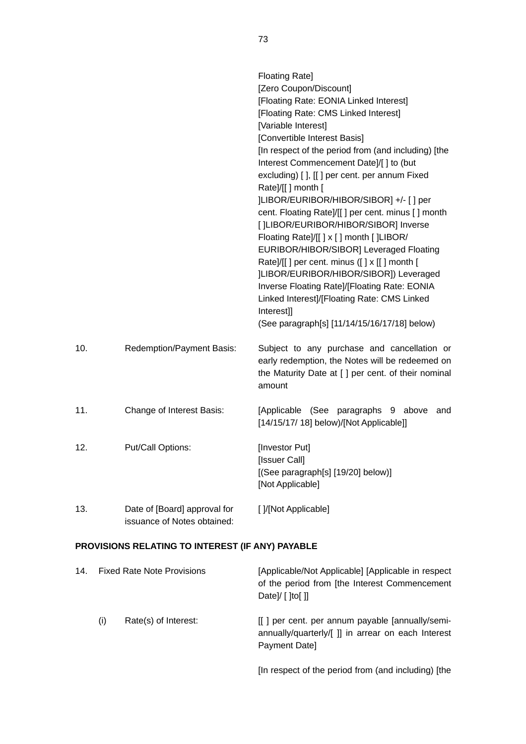|     |                                                             | <b>Floating Rate]</b><br>[Zero Coupon/Discount]<br>[Floating Rate: EONIA Linked Interest]<br>[Floating Rate: CMS Linked Interest]<br>[Variable Interest]<br>[Convertible Interest Basis]<br>[In respect of the period from (and including) [the<br>Interest Commencement Date]/[] to (but<br>excluding) [], [[] per cent. per annum Fixed<br>Rate]/[[] month [<br>]LIBOR/EURIBOR/HIBOR/SIBOR] +/- [] per<br>cent. Floating Rate]/[[] per cent. minus [] month<br>[ ]LIBOR/EURIBOR/HIBOR/SIBOR] Inverse<br>Floating Rate]/[[] x [] month []LIBOR/<br>EURIBOR/HIBOR/SIBOR] Leveraged Floating<br>Rate]/[[] per cent. minus ([] x [[] month [<br>]LIBOR/EURIBOR/HIBOR/SIBOR]) Leveraged<br>Inverse Floating Rate]/[Floating Rate: EONIA<br>Linked Interest]/[Floating Rate: CMS Linked<br>Interest]]<br>(See paragraph[s] [11/14/15/16/17/18] below) |
|-----|-------------------------------------------------------------|---------------------------------------------------------------------------------------------------------------------------------------------------------------------------------------------------------------------------------------------------------------------------------------------------------------------------------------------------------------------------------------------------------------------------------------------------------------------------------------------------------------------------------------------------------------------------------------------------------------------------------------------------------------------------------------------------------------------------------------------------------------------------------------------------------------------------------------------------|
| 10. | Redemption/Payment Basis:                                   | Subject to any purchase and cancellation or<br>early redemption, the Notes will be redeemed on<br>the Maturity Date at [ ] per cent. of their nominal<br>amount                                                                                                                                                                                                                                                                                                                                                                                                                                                                                                                                                                                                                                                                                   |
| 11. | Change of Interest Basis:                                   | [Applicable (See paragraphs 9 above<br>and<br>[14/15/17/ 18] below)/[Not Applicable]]                                                                                                                                                                                                                                                                                                                                                                                                                                                                                                                                                                                                                                                                                                                                                             |
| 12. | Put/Call Options:                                           | [Investor Put]<br>[Issuer Call]<br>[(See paragraph[s] [19/20] below)]<br>[Not Applicable]                                                                                                                                                                                                                                                                                                                                                                                                                                                                                                                                                                                                                                                                                                                                                         |
| 13. | Date of [Board] approval for<br>issuance of Notes obtained: | []/[Not Applicable]                                                                                                                                                                                                                                                                                                                                                                                                                                                                                                                                                                                                                                                                                                                                                                                                                               |

# **PROVISIONS RELATING TO INTEREST (IF ANY) PAYABLE**

| 14. | <b>Fixed Rate Note Provisions</b> |                      | [Applicable/Not Applicable] [Applicable in respect<br>of the period from [the Interest Commencement<br>Date]/ $\lceil$ [to[]] |
|-----|-----------------------------------|----------------------|-------------------------------------------------------------------------------------------------------------------------------|
|     | (i)                               | Rate(s) of Interest: | [[] per cent. per annum payable [annually/semi-<br>annually/quarterly/[ ]] in arrear on each Interest<br>Payment Date]        |
|     |                                   |                      | [In respect of the period from (and including) [the                                                                           |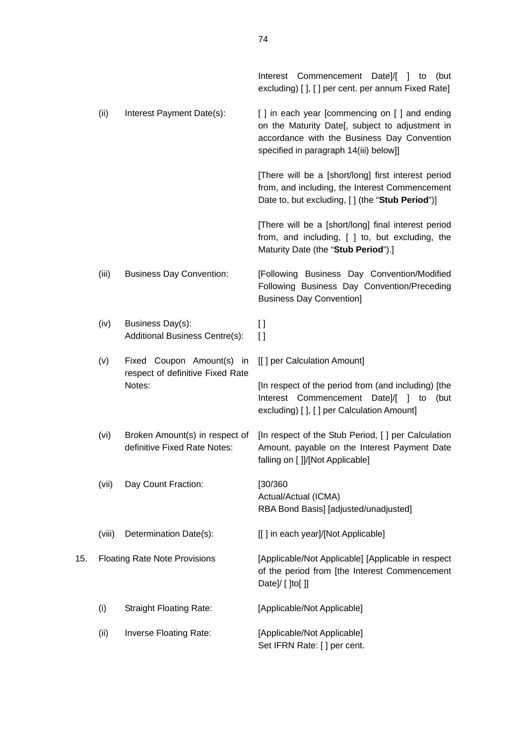|     |        |                                                                | Interest Commencement Date]/[ ] to (but<br>excluding) [], [] per cent. per annum Fixed Rate]                                                                                             |
|-----|--------|----------------------------------------------------------------|------------------------------------------------------------------------------------------------------------------------------------------------------------------------------------------|
|     | (ii)   | Interest Payment Date(s):                                      | [] in each year [commencing on [] and ending<br>on the Maturity Date[, subject to adjustment in<br>accordance with the Business Day Convention<br>specified in paragraph 14(iii) below]] |
|     |        |                                                                | [There will be a [short/long] first interest period<br>from, and including, the Interest Commencement<br>Date to, but excluding, [] (the "Stub Period")]                                 |
|     |        |                                                                | [There will be a [short/long] final interest period<br>from, and including, [ ] to, but excluding, the<br>Maturity Date (the "Stub Period").]                                            |
|     | (iii)  | <b>Business Day Convention:</b>                                | [Following Business Day Convention/Modified<br>Following Business Day Convention/Preceding<br><b>Business Day Convention]</b>                                                            |
|     | (iv)   | Business Day(s):<br>Additional Business Centre(s):             | I)<br>$\mathbf{I}$                                                                                                                                                                       |
|     | (v)    | Fixed Coupon Amount(s) in                                      | [[] per Calculation Amount]                                                                                                                                                              |
|     |        | respect of definitive Fixed Rate<br>Notes:                     | [In respect of the period from (and including) [the<br>Interest Commencement Date]/[<br>-1<br>to<br>(but<br>excluding) [ ], [ ] per Calculation Amount]                                  |
|     | (vi)   | Broken Amount(s) in respect of<br>definitive Fixed Rate Notes: | [In respect of the Stub Period, [] per Calculation<br>Amount, payable on the Interest Payment Date<br>falling on [ ]]/[Not Applicable]                                                   |
|     | (vii)  | Day Count Fraction:                                            | [30/360]<br>Actual/Actual (ICMA)<br>RBA Bond Basis] [adjusted/unadjusted]                                                                                                                |
|     | (viii) | Determination Date(s):                                         | [[] in each year]/[Not Applicable]                                                                                                                                                       |
| 15. |        | <b>Floating Rate Note Provisions</b>                           | [Applicable/Not Applicable] [Applicable in respect<br>of the period from [the Interest Commencement<br>Date]/ [ ]to[ ]]                                                                  |
|     | (i)    | <b>Straight Floating Rate:</b>                                 | [Applicable/Not Applicable]                                                                                                                                                              |
|     | (ii)   | Inverse Floating Rate:                                         | [Applicable/Not Applicable]<br>Set IFRN Rate: [] per cent.                                                                                                                               |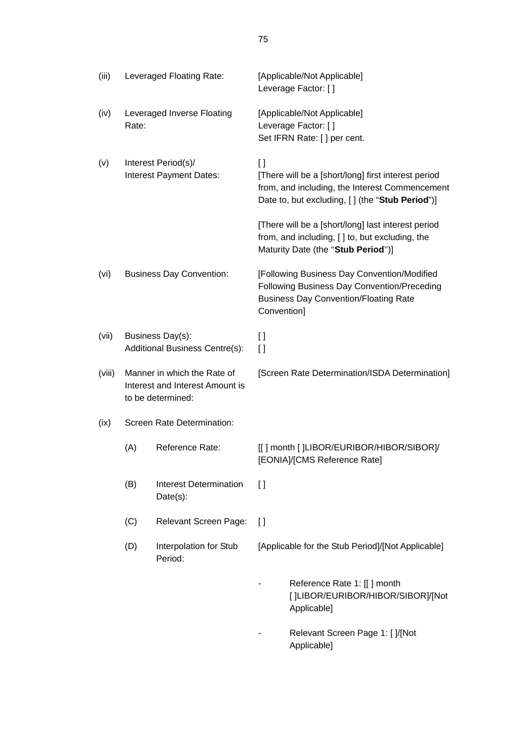|        | Leveraged Floating Rate:                                                            |                                              |                   |                                                                                                                                                          |
|--------|-------------------------------------------------------------------------------------|----------------------------------------------|-------------------|----------------------------------------------------------------------------------------------------------------------------------------------------------|
| (iii)  |                                                                                     |                                              |                   | [Applicable/Not Applicable]<br>Leverage Factor: []                                                                                                       |
| (iv)   | Leveraged Inverse Floating<br>Rate:                                                 |                                              |                   | [Applicable/Not Applicable]<br>Leverage Factor: []<br>Set IFRN Rate: [] per cent.                                                                        |
| (v)    | Interest Period(s)/<br>Interest Payment Dates:                                      |                                              | $\Box$            | [There will be a [short/long] first interest period<br>from, and including, the Interest Commencement<br>Date to, but excluding, [] (the "Stub Period")] |
|        |                                                                                     |                                              |                   | [There will be a [short/long] last interest period<br>from, and including, [ ] to, but excluding, the<br>Maturity Date (the "Stub Period")]              |
| (vi)   | <b>Business Day Convention:</b>                                                     |                                              | Convention]       | [Following Business Day Convention/Modified<br>Following Business Day Convention/Preceding<br><b>Business Day Convention/Floating Rate</b>               |
| (vii)  | Business Day(s):<br>Additional Business Centre(s):                                  |                                              | $[ \ ]$<br>$\Box$ |                                                                                                                                                          |
| (viii) | Manner in which the Rate of<br>Interest and Interest Amount is<br>to be determined: |                                              |                   | [Screen Rate Determination/ISDA Determination]                                                                                                           |
| (ix)   | Screen Rate Determination:                                                          |                                              |                   |                                                                                                                                                          |
|        | (A)                                                                                 | Reference Rate:                              |                   | [[] month []LIBOR/EURIBOR/HIBOR/SIBOR]/<br>[EONIA]/[CMS Reference Rate]                                                                                  |
|        | (B)                                                                                 | <b>Interest Determination</b><br>$Date(s)$ : | $\lceil$          |                                                                                                                                                          |
|        | (C)                                                                                 | <b>Relevant Screen Page:</b>                 | $\Box$            |                                                                                                                                                          |
|        | (D)                                                                                 | Interpolation for Stub<br>Period:            |                   | [Applicable for the Stub Period]/[Not Applicable]                                                                                                        |
|        |                                                                                     |                                              |                   | Reference Rate 1: [[] month<br>[]LIBOR/EURIBOR/HIBOR/SIBOR]/[Not<br>Applicable]                                                                          |
|        |                                                                                     |                                              |                   | Relevant Screen Page 1: [ ]/[Not<br>Applicable]                                                                                                          |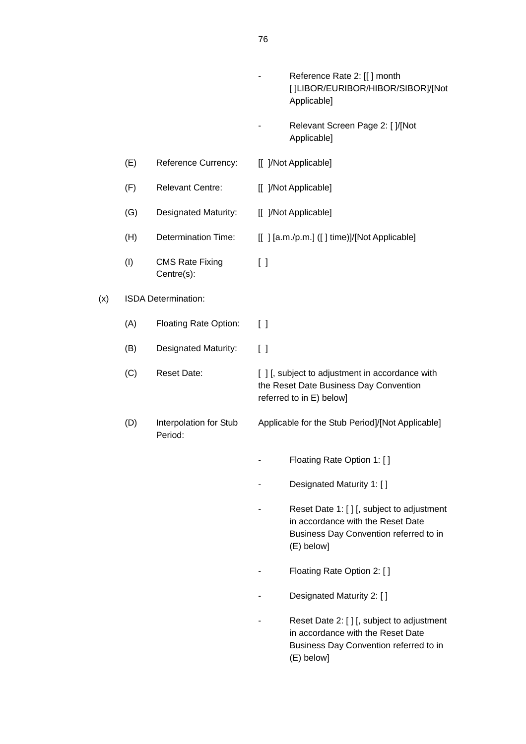|     |     |                                      | Reference Rate 2: [[] month<br>[]LIBOR/EURIBOR/HIBOR/SIBOR]/[Not<br>Applicable]                                                         |
|-----|-----|--------------------------------------|-----------------------------------------------------------------------------------------------------------------------------------------|
|     |     |                                      | Relevant Screen Page 2: [ ]/[Not<br>Applicable]                                                                                         |
|     | (E) | Reference Currency:                  | [[ ]/Not Applicable]                                                                                                                    |
|     | (F) | <b>Relevant Centre:</b>              | [[ ]/Not Applicable]                                                                                                                    |
|     | (G) | <b>Designated Maturity:</b>          | [[ ]/Not Applicable]                                                                                                                    |
|     | (H) | <b>Determination Time:</b>           | [[] [a.m./p.m.] ([] time)]/[Not Applicable]                                                                                             |
|     | (1) | <b>CMS Rate Fixing</b><br>Centre(s): | $\left[ \ \right]$                                                                                                                      |
| (x) |     | ISDA Determination:                  |                                                                                                                                         |
|     | (A) | <b>Floating Rate Option:</b>         | $\left[ \quad \right]$                                                                                                                  |
|     | (B) | Designated Maturity:                 | $\lceil$ $\rceil$                                                                                                                       |
|     | (C) | <b>Reset Date:</b>                   | [ ] [, subject to adjustment in accordance with<br>the Reset Date Business Day Convention<br>referred to in E) below]                   |
|     | (D) | Interpolation for Stub<br>Period:    | Applicable for the Stub Period]/[Not Applicable]                                                                                        |
|     |     |                                      | Floating Rate Option 1: []                                                                                                              |
|     |     |                                      | Designated Maturity 1: []                                                                                                               |
|     |     |                                      | Reset Date 1: [ ] [, subject to adjustment<br>in accordance with the Reset Date<br>Business Day Convention referred to in<br>(E) below] |
|     |     |                                      | Floating Rate Option 2: []                                                                                                              |
|     |     |                                      | Designated Maturity 2: []                                                                                                               |
|     |     |                                      | Reset Date 2: [ ] [, subject to adjustment<br>in accordance with the Reset Date<br>Business Day Convention referred to in<br>(E) below] |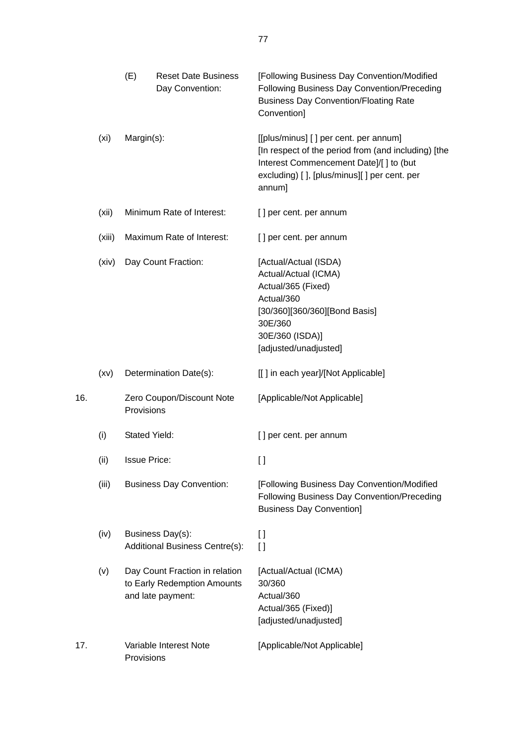|     |        | (E)                  | <b>Reset Date Business</b><br>Day Convention:                                      | [Following Business Day Convention/Modified<br>Following Business Day Convention/Preceding<br><b>Business Day Convention/Floating Rate</b><br>Convention]                                       |
|-----|--------|----------------------|------------------------------------------------------------------------------------|-------------------------------------------------------------------------------------------------------------------------------------------------------------------------------------------------|
|     | (xi)   | Margin(s):           |                                                                                    | [[plus/minus] [] per cent. per annum]<br>[In respect of the period from (and including) [the<br>Interest Commencement Date]/[] to (but<br>excluding) [], [plus/minus][] per cent. per<br>annum] |
|     | (xii)  |                      | Minimum Rate of Interest:                                                          | [] per cent. per annum                                                                                                                                                                          |
|     | (xiii) |                      | Maximum Rate of Interest:                                                          | [] per cent. per annum                                                                                                                                                                          |
|     | (xiv)  |                      | Day Count Fraction:                                                                | [Actual/Actual (ISDA)<br>Actual/Actual (ICMA)<br>Actual/365 (Fixed)<br>Actual/360<br>[30/360][360/360][Bond Basis]<br>30E/360<br>30E/360 (ISDA)]<br>[adjusted/unadjusted]                       |
|     | (xv)   |                      | Determination Date(s):                                                             | [[] in each year]/[Not Applicable]                                                                                                                                                              |
| 16. |        | Provisions           | Zero Coupon/Discount Note                                                          | [Applicable/Not Applicable]                                                                                                                                                                     |
|     | (i)    | <b>Stated Yield:</b> |                                                                                    | [] per cent. per annum                                                                                                                                                                          |
|     | (ii)   | <b>Issue Price:</b>  |                                                                                    | []                                                                                                                                                                                              |
|     | (iii)  |                      | <b>Business Day Convention:</b>                                                    | [Following Business Day Convention/Modified<br>Following Business Day Convention/Preceding<br><b>Business Day Convention]</b>                                                                   |
|     | (iv)   |                      | Business Day(s):<br><b>Additional Business Centre(s):</b>                          | $\mathbf{I}$<br>$\Box$                                                                                                                                                                          |
|     | (v)    |                      | Day Count Fraction in relation<br>to Early Redemption Amounts<br>and late payment: | [Actual/Actual (ICMA)<br>30/360<br>Actual/360<br>Actual/365 (Fixed)]<br>[adjusted/unadjusted]                                                                                                   |
| 17. |        | Provisions           | Variable Interest Note                                                             | [Applicable/Not Applicable]                                                                                                                                                                     |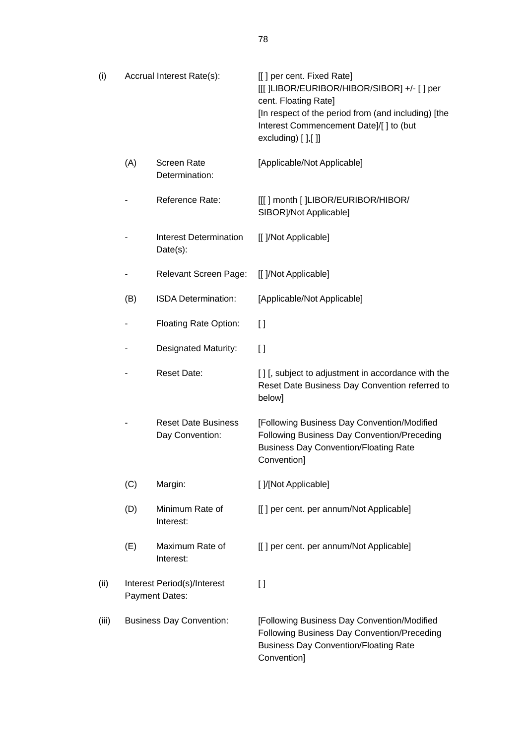| (i)   |     | Accrual Interest Rate(s):                     | [[] per cent. Fixed Rate]<br>[[[ ]LIBOR/EURIBOR/HIBOR/SIBOR] +/- [ ] per<br>cent. Floating Rate]<br>[In respect of the period from (and including) [the<br>Interest Commencement Date]/[] to (but<br>excluding) $[]$ , $[]$ |
|-------|-----|-----------------------------------------------|-----------------------------------------------------------------------------------------------------------------------------------------------------------------------------------------------------------------------------|
|       | (A) | <b>Screen Rate</b><br>Determination:          | [Applicable/Not Applicable]                                                                                                                                                                                                 |
|       |     | Reference Rate:                               | [[[] month [ ]LIBOR/EURIBOR/HIBOR/<br>SIBOR]/Not Applicable]                                                                                                                                                                |
|       |     | <b>Interest Determination</b><br>$Date(s)$ :  | [[ ]/Not Applicable]                                                                                                                                                                                                        |
|       |     | <b>Relevant Screen Page:</b>                  | [[ ]/Not Applicable]                                                                                                                                                                                                        |
|       | (B) | <b>ISDA Determination:</b>                    | [Applicable/Not Applicable]                                                                                                                                                                                                 |
|       |     | <b>Floating Rate Option:</b>                  | $\mathbf{I}$                                                                                                                                                                                                                |
|       |     | <b>Designated Maturity:</b>                   | $\Box$                                                                                                                                                                                                                      |
|       |     | <b>Reset Date:</b>                            | [] [, subject to adjustment in accordance with the<br>Reset Date Business Day Convention referred to<br>below]                                                                                                              |
|       |     | <b>Reset Date Business</b><br>Day Convention: | [Following Business Day Convention/Modified<br>Following Business Day Convention/Preceding<br><b>Business Day Convention/Floating Rate</b><br>Convention]                                                                   |
|       | (C) | Margin:                                       | [ ]/[Not Applicable]                                                                                                                                                                                                        |
|       | (D) | Minimum Rate of<br>Interest:                  | [[] per cent. per annum/Not Applicable]                                                                                                                                                                                     |
|       | (E) | Maximum Rate of<br>Interest:                  | [[] per cent. per annum/Not Applicable]                                                                                                                                                                                     |
| (ii)  |     | Interest Period(s)/Interest<br>Payment Dates: | $\Box$                                                                                                                                                                                                                      |
| (iii) |     | <b>Business Day Convention:</b>               | [Following Business Day Convention/Modified<br>Following Business Day Convention/Preceding<br><b>Business Day Convention/Floating Rate</b><br>Convention]                                                                   |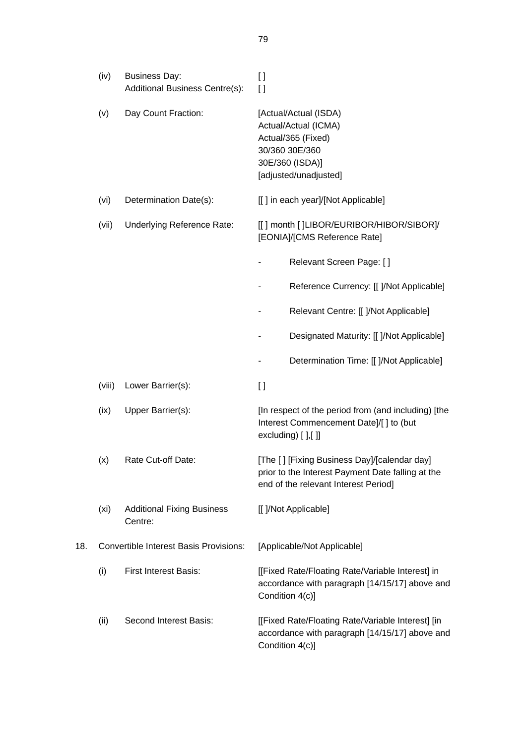|     | (iv)              | <b>Business Day:</b><br>Additional Business Centre(s): | $\mathfrak{g}$<br>$\Box$                                                                                                                  |
|-----|-------------------|--------------------------------------------------------|-------------------------------------------------------------------------------------------------------------------------------------------|
|     | (v)               | Day Count Fraction:                                    | [Actual/Actual (ISDA)<br>Actual/Actual (ICMA)<br>Actual/365 (Fixed)<br>30/360 30E/360<br>30E/360 (ISDA)]<br>[adjusted/unadjusted]         |
|     | (vi)              | Determination Date(s):                                 | [[] in each year]/[Not Applicable]                                                                                                        |
|     | (vii)             | Underlying Reference Rate:                             | [[] month []LIBOR/EURIBOR/HIBOR/SIBOR]/<br>[EONIA]/[CMS Reference Rate]                                                                   |
|     |                   |                                                        | Relevant Screen Page: []                                                                                                                  |
|     |                   |                                                        | Reference Currency: [[ ]/Not Applicable]                                                                                                  |
|     |                   |                                                        | Relevant Centre: [[ ]/Not Applicable]                                                                                                     |
|     |                   |                                                        | Designated Maturity: [[ ]/Not Applicable]                                                                                                 |
|     |                   |                                                        | Determination Time: [[ ]/Not Applicable]                                                                                                  |
|     | (viii)            | Lower Barrier(s):                                      | $\mathbf{I}$                                                                                                                              |
|     | (ix)              | Upper Barrier(s):                                      | [In respect of the period from (and including) [the<br>Interest Commencement Date]/[] to (but<br>excluding) $[]$ , $[]$                   |
|     | (x)               | Rate Cut-off Date:                                     | [The [] [Fixing Business Day]/[calendar day]<br>prior to the Interest Payment Date falling at the<br>end of the relevant Interest Period] |
|     | (x <sub>i</sub> ) | <b>Additional Fixing Business</b><br>Centre:           | [[ ]/Not Applicable]                                                                                                                      |
| 18. |                   | <b>Convertible Interest Basis Provisions:</b>          | [Applicable/Not Applicable]                                                                                                               |
|     | (i)               | <b>First Interest Basis:</b>                           | [[Fixed Rate/Floating Rate/Variable Interest] in<br>accordance with paragraph [14/15/17] above and<br>Condition 4(c)]                     |
|     | (ii)              | Second Interest Basis:                                 | [[Fixed Rate/Floating Rate/Variable Interest] [in<br>accordance with paragraph [14/15/17] above and<br>Condition 4(c)]                    |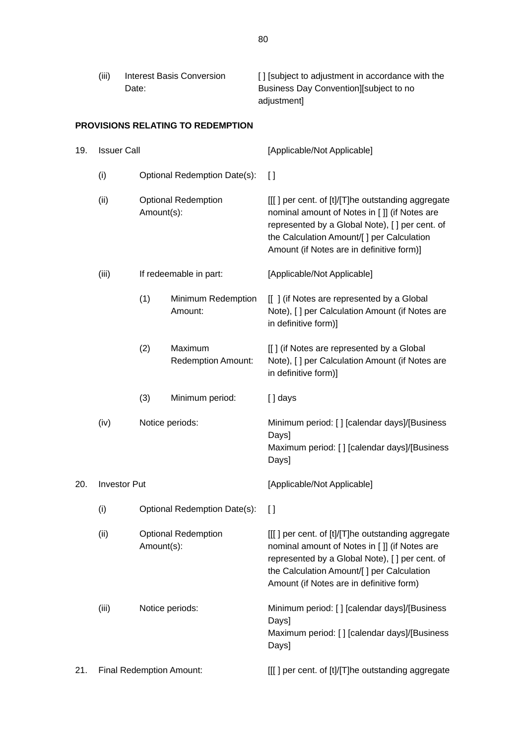| (iii) | Interest Basis Conversion | [] [subject to adjustment in accordance with the |
|-------|---------------------------|--------------------------------------------------|
|       | Date:                     | Business Day Convention Subject to no            |
|       |                           | adiustmentl                                      |

# **PROVISIONS RELATING TO REDEMPTION**

| 19. | <b>Issuer Call</b>              |                                          |                                      | [Applicable/Not Applicable]                                                                                                                                                                                                                     |
|-----|---------------------------------|------------------------------------------|--------------------------------------|-------------------------------------------------------------------------------------------------------------------------------------------------------------------------------------------------------------------------------------------------|
|     | (i)                             |                                          | Optional Redemption Date(s):         | $\lceil$                                                                                                                                                                                                                                        |
|     | (ii)                            | Amount(s):                               | <b>Optional Redemption</b>           | [[[] per cent. of [t]/[T]he outstanding aggregate<br>nominal amount of Notes in [ ]] (if Notes are<br>represented by a Global Note), [ ] per cent. of<br>the Calculation Amount/[] per Calculation<br>Amount (if Notes are in definitive form)] |
|     | (iii)                           |                                          | If redeemable in part:               | [Applicable/Not Applicable]                                                                                                                                                                                                                     |
|     |                                 | (1)                                      | Minimum Redemption<br>Amount:        | [[] (if Notes are represented by a Global<br>Note), [ ] per Calculation Amount (if Notes are<br>in definitive form)]                                                                                                                            |
|     |                                 | (2)                                      | Maximum<br><b>Redemption Amount:</b> | [[] (if Notes are represented by a Global<br>Note), [ ] per Calculation Amount (if Notes are<br>in definitive form)]                                                                                                                            |
|     |                                 | (3)                                      | Minimum period:                      | [] days                                                                                                                                                                                                                                         |
|     | (iv)                            | Notice periods:                          |                                      | Minimum period: [] [calendar days]/[Business<br>Days]<br>Maximum period: [] [calendar days]/[Business<br>Days]                                                                                                                                  |
| 20. | <b>Investor Put</b>             |                                          |                                      | [Applicable/Not Applicable]                                                                                                                                                                                                                     |
|     | (i)                             | Optional Redemption Date(s):             |                                      | $\lceil$                                                                                                                                                                                                                                        |
|     | (ii)                            | <b>Optional Redemption</b><br>Amount(s): |                                      | [[[] per cent. of [t]/[T]he outstanding aggregate<br>nominal amount of Notes in [ ]] (if Notes are<br>represented by a Global Note), [ ] per cent. of<br>the Calculation Amount/[ ] per Calculation<br>Amount (if Notes are in definitive form) |
|     | (iii)                           | Notice periods:                          |                                      | Minimum period: [] [calendar days]/[Business<br>Days]<br>Maximum period: [] [calendar days]/[Business<br>Days]                                                                                                                                  |
| 21. | <b>Final Redemption Amount:</b> |                                          |                                      | [[[] per cent. of [t]/[T]he outstanding aggregate                                                                                                                                                                                               |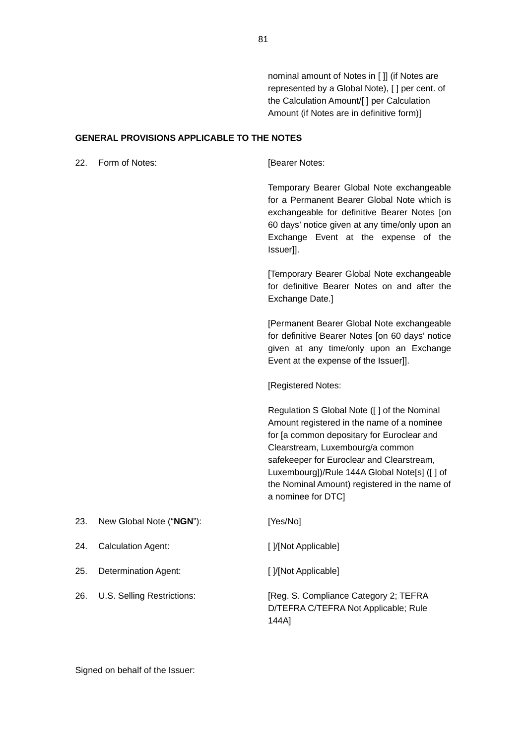nominal amount of Notes in [ ]] (if Notes are represented by a Global Note), [ ] per cent. of the Calculation Amount/[ ] per Calculation Amount (if Notes are in definitive form)]

#### **GENERAL PROVISIONS APPLICABLE TO THE NOTES**

22. Form of Notes: **[Bearer Notes:** 

Temporary Bearer Global Note exchangeable for a Permanent Bearer Global Note which is exchangeable for definitive Bearer Notes [on 60 days' notice given at any time/only upon an Exchange Event at the expense of the Issuer]].

[Temporary Bearer Global Note exchangeable for definitive Bearer Notes on and after the Exchange Date.]

[Permanent Bearer Global Note exchangeable for definitive Bearer Notes [on 60 days' notice given at any time/only upon an Exchange Event at the expense of the Issuer]].

[Registered Notes:

Regulation S Global Note ([ ] of the Nominal Amount registered in the name of a nominee for [a common depositary for Euroclear and Clearstream, Luxembourg/a common safekeeper for Euroclear and Clearstream, Luxembourg])/Rule 144A Global Note[s] ([ ] of the Nominal Amount) registered in the name of a nominee for DTC]

| 23. | New Global Note ("NGN"):   | [Yes/No]                                                                               |
|-----|----------------------------|----------------------------------------------------------------------------------------|
| 24. | <b>Calculation Agent:</b>  | [ ]/[Not Applicable]                                                                   |
| 25. | Determination Agent:       | [ ]/[Not Applicable]                                                                   |
| 26. | U.S. Selling Restrictions: | [Reg. S. Compliance Category 2; TEFRA<br>D/TEFRA C/TEFRA Not Applicable; Rule<br>144A1 |

Signed on behalf of the Issuer: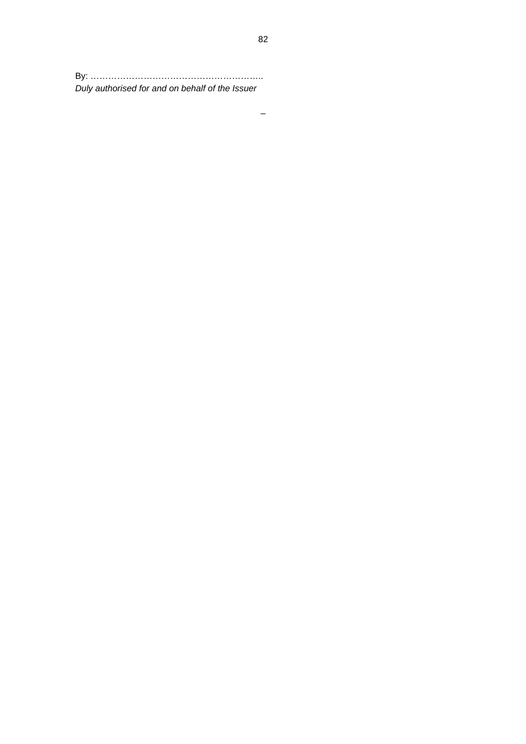By: ………………………………………………….. *Duly authorised for and on behalf of the Issuer*

–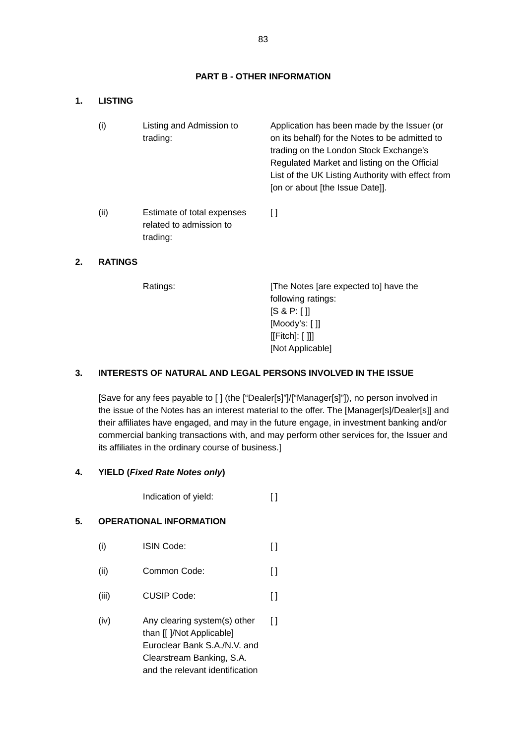# **PART B - OTHER INFORMATION**

#### **1. LISTING**

| (i)  | Listing and Admission to<br>trading:                              | Application has been made by the Issuer (or<br>on its behalf) for the Notes to be admitted to<br>trading on the London Stock Exchange's<br>Regulated Market and listing on the Official<br>List of the UK Listing Authority with effect from<br>[on or about [the Issue Date]]. |
|------|-------------------------------------------------------------------|---------------------------------------------------------------------------------------------------------------------------------------------------------------------------------------------------------------------------------------------------------------------------------|
| (ii) | Estimate of total expenses<br>related to admission to<br>trading: | l I                                                                                                                                                                                                                                                                             |

# **2. RATINGS**

Ratings: [The Notes [are expected to] have the following ratings: [S & P: [ ]] [Moody's: [ ]] [[Fitch]: [ ]]] [Not Applicable]

# **3. INTERESTS OF NATURAL AND LEGAL PERSONS INVOLVED IN THE ISSUE**

[Save for any fees payable to [ ] (the ["Dealer[s]"]/["Manager[s]"]), no person involved in the issue of the Notes has an interest material to the offer. The [Manager[s]/Dealer[s]] and their affiliates have engaged, and may in the future engage, in investment banking and/or commercial banking transactions with, and may perform other services for, the Issuer and its affiliates in the ordinary course of business.]

### **4. YIELD (***Fixed Rate Notes only***)**

Indication of yield: [ ]

# **5. OPERATIONAL INFORMATION**

- (i) ISIN Code: [ ]
- (ii) Common Code: [ ]
- (iii) CUSIP Code: [ ]
- (iv) Any clearing system(s) other than [[ ]/Not Applicable] Euroclear Bank S.A./N.V. and Clearstream Banking, S.A. and the relevant identification  $\lceil$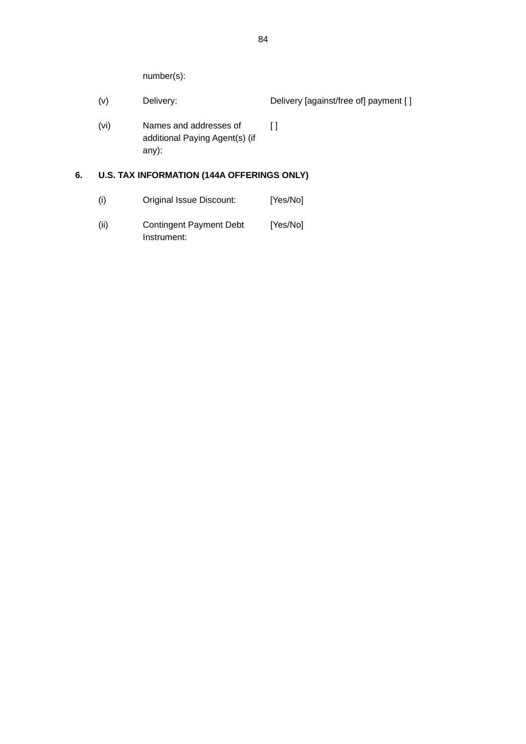number(s):

- (v) Delivery: Delivery [against/free of] payment [ ]
- (vi) Names and addresses of additional Paying Agent(s) (if any):  $\overline{1}$

# **6. U.S. TAX INFORMATION (144A OFFERINGS ONLY)**

- (i) Original Issue Discount: [Yes/No]
- (ii) Contingent Payment Debt Instrument: [Yes/No]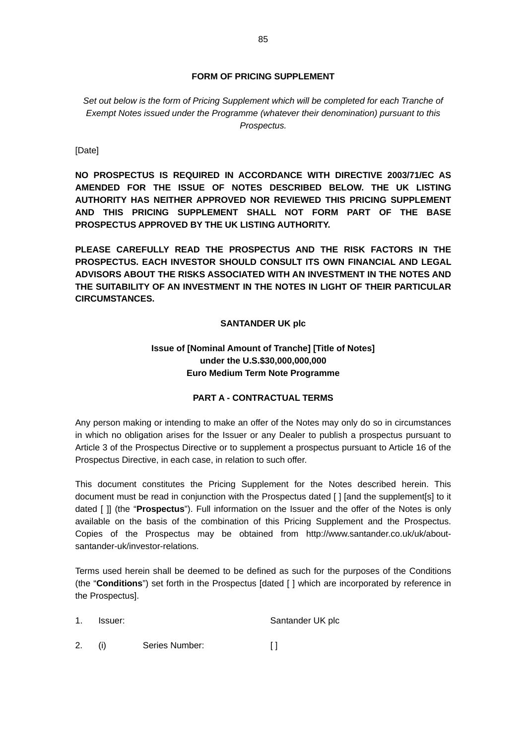# **FORM OF PRICING SUPPLEMENT**

Set out below is the form of Pricing Supplement which will be completed for each Tranche of *Exempt Notes issued under the Programme (whatever their denomination) pursuant to this Prospectus.* 

[Date]

**NO PROSPECTUS IS REQUIRED IN ACCORDANCE WITH DIRECTIVE 2003/71/EC AS AMENDED FOR THE ISSUE OF NOTES DESCRIBED BELOW. THE UK LISTING AUTHORITY HAS NEITHER APPROVED NOR REVIEWED THIS PRICING SUPPLEMENT AND THIS PRICING SUPPLEMENT SHALL NOT FORM PART OF THE BASE PROSPECTUS APPROVED BY THE UK LISTING AUTHORITY.** 

**PLEASE CAREFULLY READ THE PROSPECTUS AND THE RISK FACTORS IN THE PROSPECTUS. EACH INVESTOR SHOULD CONSULT ITS OWN FINANCIAL AND LEGAL ADVISORS ABOUT THE RISKS ASSOCIATED WITH AN INVESTMENT IN THE NOTES AND THE SUITABILITY OF AN INVESTMENT IN THE NOTES IN LIGHT OF THEIR PARTICULAR CIRCUMSTANCES.** 

### **SANTANDER UK plc**

# **Issue of [Nominal Amount of Tranche] [Title of Notes] under the U.S.\$30,000,000,000 Euro Medium Term Note Programme**

# **PART A - CONTRACTUAL TERMS**

Any person making or intending to make an offer of the Notes may only do so in circumstances in which no obligation arises for the Issuer or any Dealer to publish a prospectus pursuant to Article 3 of the Prospectus Directive or to supplement a prospectus pursuant to Article 16 of the Prospectus Directive, in each case, in relation to such offer.

This document constitutes the Pricing Supplement for the Notes described herein. This document must be read in conjunction with the Prospectus dated [ ] [and the supplement[s] to it dated [ ]] (the "**Prospectus**"). Full information on the Issuer and the offer of the Notes is only available on the basis of the combination of this Pricing Supplement and the Prospectus. Copies of the Prospectus may be obtained from http://www.santander.co.uk/uk/aboutsantander-uk/investor-relations.

Terms used herein shall be deemed to be defined as such for the purposes of the Conditions (the "**Conditions**") set forth in the Prospectus [dated [ ] which are incorporated by reference in the Prospectus].

1. Issuer: Santander UK plc

2. (i) Series Number: [ ]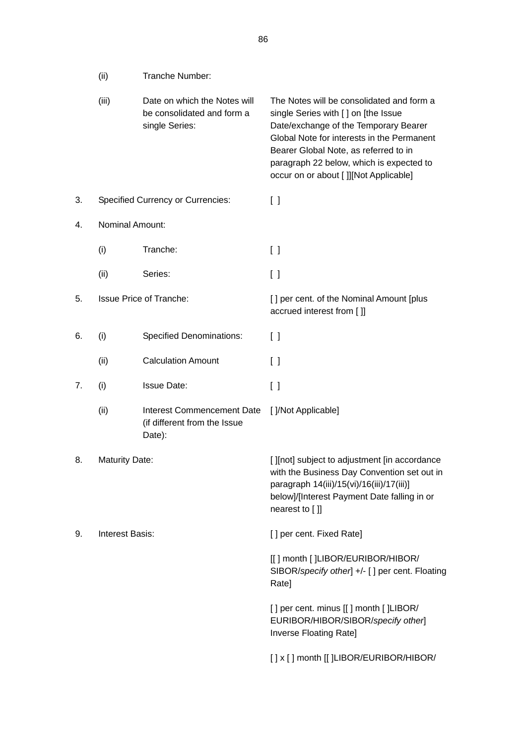|    | (ii)                  | Tranche Number:                                                              |                                                                                                                                                                                                                                                                                                       |
|----|-----------------------|------------------------------------------------------------------------------|-------------------------------------------------------------------------------------------------------------------------------------------------------------------------------------------------------------------------------------------------------------------------------------------------------|
|    | (iii)                 | Date on which the Notes will<br>be consolidated and form a<br>single Series: | The Notes will be consolidated and form a<br>single Series with [] on [the Issue<br>Date/exchange of the Temporary Bearer<br>Global Note for interests in the Permanent<br>Bearer Global Note, as referred to in<br>paragraph 22 below, which is expected to<br>occur on or about []][Not Applicable] |
| 3. |                       | <b>Specified Currency or Currencies:</b>                                     | $\begin{bmatrix} \end{bmatrix}$                                                                                                                                                                                                                                                                       |
| 4. | Nominal Amount:       |                                                                              |                                                                                                                                                                                                                                                                                                       |
|    | (i)                   | Tranche:                                                                     | $\left[ \quad \right]$                                                                                                                                                                                                                                                                                |
|    | (ii)                  | Series:                                                                      | $\begin{bmatrix} \end{bmatrix}$                                                                                                                                                                                                                                                                       |
| 5. |                       | <b>Issue Price of Tranche:</b>                                               | [] per cent. of the Nominal Amount [plus<br>accrued interest from []]                                                                                                                                                                                                                                 |
| 6. | (i)                   | <b>Specified Denominations:</b>                                              | $\left[ \ \right]$                                                                                                                                                                                                                                                                                    |
|    | (ii)                  | <b>Calculation Amount</b>                                                    | $\Box$                                                                                                                                                                                                                                                                                                |
| 7. | (i)                   | <b>Issue Date:</b>                                                           | $\left[ \begin{array}{c} \end{array} \right]$                                                                                                                                                                                                                                                         |
|    | (ii)                  | <b>Interest Commencement Date</b><br>(if different from the Issue<br>Date):  | []/Not Applicable]                                                                                                                                                                                                                                                                                    |
| 8. | <b>Maturity Date:</b> |                                                                              | [ ][not] subject to adjustment [in accordance<br>with the Business Day Convention set out in<br>paragraph 14(iii)/15(vi)/16(iii)/17(iii)]<br>below]/[Interest Payment Date falling in or<br>nearest to []]                                                                                            |
| 9. | Interest Basis:       |                                                                              | [] per cent. Fixed Rate]                                                                                                                                                                                                                                                                              |
|    |                       |                                                                              | [[] month []LIBOR/EURIBOR/HIBOR/<br>SIBOR/specify other] +/- [] per cent. Floating<br>Rate]                                                                                                                                                                                                           |
|    |                       |                                                                              | [] per cent. minus [[] month []LIBOR/<br>EURIBOR/HIBOR/SIBOR/specify other]<br>Inverse Floating Rate]                                                                                                                                                                                                 |
|    |                       |                                                                              | [] x [] month [[]LIBOR/EURIBOR/HIBOR/                                                                                                                                                                                                                                                                 |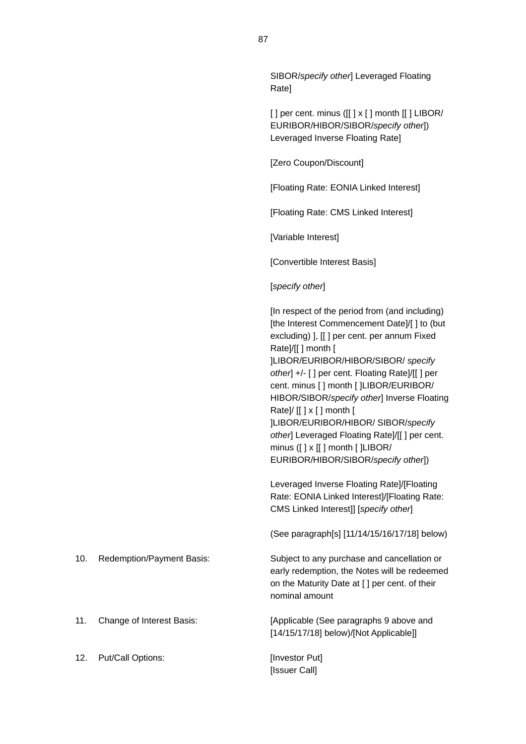SIBOR/*specify other*] Leveraged Floating Rate]

 $[ ]$  per cent. minus  $([ ] x [ ]$  month  $[ ]$  LIBOR/ EURIBOR/HIBOR/SIBOR/*specify other*]) Leveraged Inverse Floating Rate]

[Zero Coupon/Discount]

[Floating Rate: EONIA Linked Interest]

[Floating Rate: CMS Linked Interest]

[Variable Interest]

[Convertible Interest Basis]

[*specify other*]

[In respect of the period from (and including) [the Interest Commencement Date]/[] to (but excluding) ], [[ ] per cent. per annum Fixed Rate]/[[ ] month [ ]LIBOR/EURIBOR/HIBOR/SIBOR/ *specify other*] +/- [ ] per cent. Floating Rate]/[[ ] per cent. minus [ ] month [ ]LIBOR/EURIBOR/ HIBOR/SIBOR/*specify other*] Inverse Floating Rate]/ [[ ] x [ ] month [ ]LIBOR/EURIBOR/HIBOR/ SIBOR/*specify other*] Leveraged Floating Rate]/[[ ] per cent. minus ([ ] x [[ ] month [ ]LIBOR/ EURIBOR/HIBOR/SIBOR/*specify other*])

Leveraged Inverse Floating Rate]/[Floating Rate: EONIA Linked Interest]/[Floating Rate: CMS Linked Interest]] [*specify other*]

(See paragraph[s] [11/14/15/16/17/18] below)

10. Redemption/Payment Basis: Subject to any purchase and cancellation or early redemption, the Notes will be redeemed on the Maturity Date at [ ] per cent. of their nominal amount

11. Change of Interest Basis: [Applicable (See paragraphs 9 above and [14/15/17/18] below)/[Not Applicable]]

[Issuer Call]

12. Put/Call Options: [Investor Put]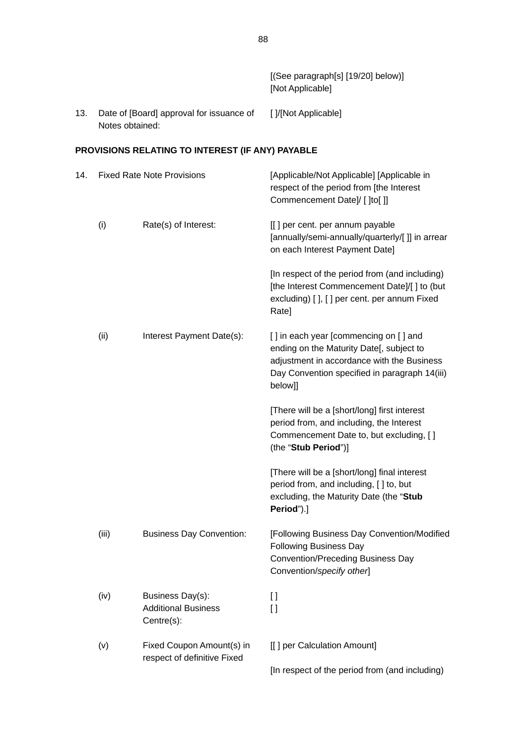|     |                 |                                                              | [(See paragraph[s] [19/20] below)]<br>[Not Applicable]                                                                                                                                      |
|-----|-----------------|--------------------------------------------------------------|---------------------------------------------------------------------------------------------------------------------------------------------------------------------------------------------|
| 13. | Notes obtained: | Date of [Board] approval for issuance of                     | [ ]/[Not Applicable]                                                                                                                                                                        |
|     |                 | PROVISIONS RELATING TO INTEREST (IF ANY) PAYABLE             |                                                                                                                                                                                             |
| 14. |                 | <b>Fixed Rate Note Provisions</b>                            | [Applicable/Not Applicable] [Applicable in<br>respect of the period from [the Interest<br>Commencement Date]/ [ ]to[ ]]                                                                     |
|     | (i)             | Rate(s) of Interest:                                         | [[] per cent. per annum payable<br>[annually/semi-annually/quarterly/[ ]] in arrear<br>on each Interest Payment Date]                                                                       |
|     |                 |                                                              | [In respect of the period from (and including)<br>[the Interest Commencement Date]/[] to (but<br>excluding) [], [] per cent. per annum Fixed<br>Rate]                                       |
|     | (ii)            | Interest Payment Date(s):                                    | [] in each year [commencing on [] and<br>ending on the Maturity Date[, subject to<br>adjustment in accordance with the Business<br>Day Convention specified in paragraph 14(iii)<br>below]] |
|     |                 |                                                              | [There will be a [short/long] first interest<br>period from, and including, the Interest<br>Commencement Date to, but excluding, []<br>(the "Stub Period")]                                 |
|     |                 |                                                              | [There will be a [short/long] final interest<br>period from, and including, [] to, but<br>excluding, the Maturity Date (the "Stub<br>Period").]                                             |
|     | (iii)           | <b>Business Day Convention:</b>                              | [Following Business Day Convention/Modified<br><b>Following Business Day</b><br><b>Convention/Preceding Business Day</b><br>Convention/specify other                                        |
|     | (iv)            | Business Day(s):<br><b>Additional Business</b><br>Centre(s): | I l<br>$\Box$                                                                                                                                                                               |
|     | (v)             | Fixed Coupon Amount(s) in<br>respect of definitive Fixed     | [[] per Calculation Amount]                                                                                                                                                                 |
|     |                 |                                                              | [In respect of the period from (and including)                                                                                                                                              |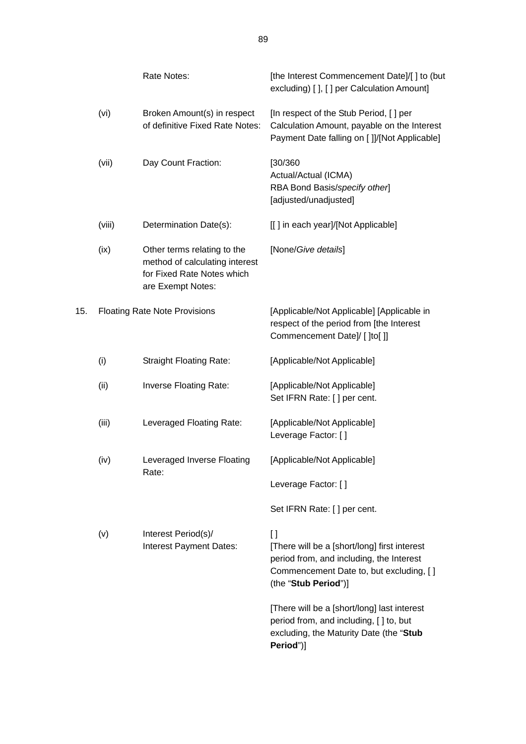|     |        | Rate Notes:                                                                                                      | [the Interest Commencement Date]/[] to (but<br>excluding) [ ], [ ] per Calculation Amount]                                                                                  |
|-----|--------|------------------------------------------------------------------------------------------------------------------|-----------------------------------------------------------------------------------------------------------------------------------------------------------------------------|
|     | (vi)   | Broken Amount(s) in respect<br>of definitive Fixed Rate Notes:                                                   | [In respect of the Stub Period, [] per<br>Calculation Amount, payable on the Interest<br>Payment Date falling on []]/[Not Applicable]                                       |
|     | (vii)  | Day Count Fraction:                                                                                              | [30/360<br>Actual/Actual (ICMA)<br>RBA Bond Basis/specify other]<br>[adjusted/unadjusted]                                                                                   |
|     | (viii) | Determination Date(s):                                                                                           | [[] in each year]/[Not Applicable]                                                                                                                                          |
|     | (ix)   | Other terms relating to the<br>method of calculating interest<br>for Fixed Rate Notes which<br>are Exempt Notes: | [None/Give details]                                                                                                                                                         |
| 15. |        | <b>Floating Rate Note Provisions</b>                                                                             | [Applicable/Not Applicable] [Applicable in<br>respect of the period from [the Interest<br>Commencement Date]/ [ ]to[ ]]                                                     |
|     | (i)    | <b>Straight Floating Rate:</b>                                                                                   | [Applicable/Not Applicable]                                                                                                                                                 |
|     | (ii)   | Inverse Floating Rate:                                                                                           | [Applicable/Not Applicable]<br>Set IFRN Rate: [] per cent.                                                                                                                  |
|     | (iii)  | Leveraged Floating Rate:                                                                                         | [Applicable/Not Applicable]<br>Leverage Factor: []                                                                                                                          |
|     | (iv)   | Leveraged Inverse Floating                                                                                       | [Applicable/Not Applicable]                                                                                                                                                 |
|     |        | Rate:                                                                                                            | Leverage Factor: []                                                                                                                                                         |
|     |        |                                                                                                                  | Set IFRN Rate: [] per cent.                                                                                                                                                 |
|     | (v)    | Interest Period(s)/<br>Interest Payment Dates:                                                                   | $\mathbf{I}$<br>[There will be a [short/long] first interest<br>period from, and including, the Interest<br>Commencement Date to, but excluding, []<br>(the "Stub Period")] |
|     |        |                                                                                                                  | [There will be a [short/long] last interest<br>period from, and including, [] to, but<br>excluding, the Maturity Date (the "Stub<br>Period")]                               |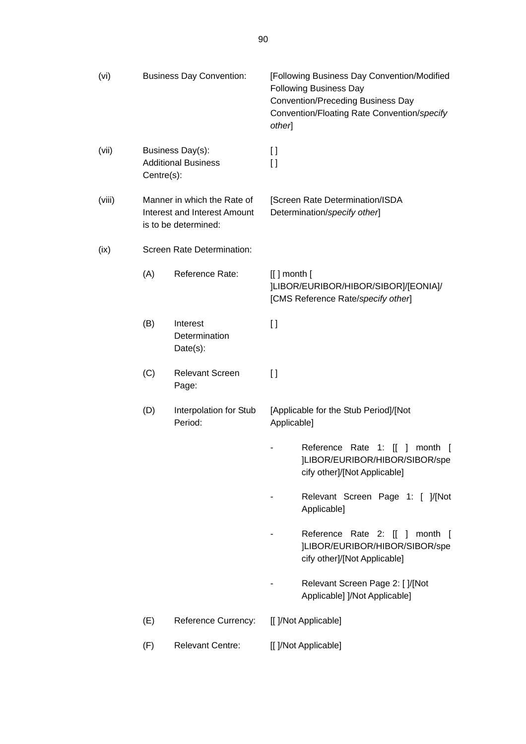| (vi)   |            | <b>Business Day Convention:</b>                                                            | [Following Business Day Convention/Modified<br><b>Following Business Day</b><br><b>Convention/Preceding Business Day</b><br>Convention/Floating Rate Convention/specify<br>other] |
|--------|------------|--------------------------------------------------------------------------------------------|-----------------------------------------------------------------------------------------------------------------------------------------------------------------------------------|
| (vii)  | Centre(s): | Business Day(s):<br><b>Additional Business</b>                                             | $\mathfrak{g}$<br>$\Box$                                                                                                                                                          |
| (viii) |            | Manner in which the Rate of<br><b>Interest and Interest Amount</b><br>is to be determined: | [Screen Rate Determination/ISDA<br>Determination/specify other]                                                                                                                   |
| (ix)   |            | Screen Rate Determination:                                                                 |                                                                                                                                                                                   |
|        | (A)        | Reference Rate:                                                                            | $[[]$ month $[$<br>]LIBOR/EURIBOR/HIBOR/SIBOR]/[EONIA]/<br>[CMS Reference Rate/specify other]                                                                                     |
|        | (B)        | Interest<br>Determination<br>Date(s):                                                      | $\left[\right]$                                                                                                                                                                   |
|        | (C)        | <b>Relevant Screen</b><br>Page:                                                            | $\Box$                                                                                                                                                                            |
|        | (D)        | Interpolation for Stub<br>Period:                                                          | [Applicable for the Stub Period]/[Not<br>Applicable]                                                                                                                              |
|        |            |                                                                                            | Reference Rate 1: [[ ] month [<br>]LIBOR/EURIBOR/HIBOR/SIBOR/spe<br>cify other]/[Not Applicable]                                                                                  |
|        |            |                                                                                            | Relevant Screen Page 1: [ ]/[Not<br>Applicable]                                                                                                                                   |
|        |            |                                                                                            | Reference Rate 2: [[ ] month [<br>]LIBOR/EURIBOR/HIBOR/SIBOR/spe<br>cify other]/[Not Applicable]                                                                                  |
|        |            |                                                                                            | Relevant Screen Page 2: [ ]/[Not<br>Applicable] ]/Not Applicable]                                                                                                                 |
|        | (E)        | <b>Reference Currency:</b>                                                                 | [[ ]/Not Applicable]                                                                                                                                                              |
|        | (F)        | <b>Relevant Centre:</b>                                                                    | [[ ]/Not Applicable]                                                                                                                                                              |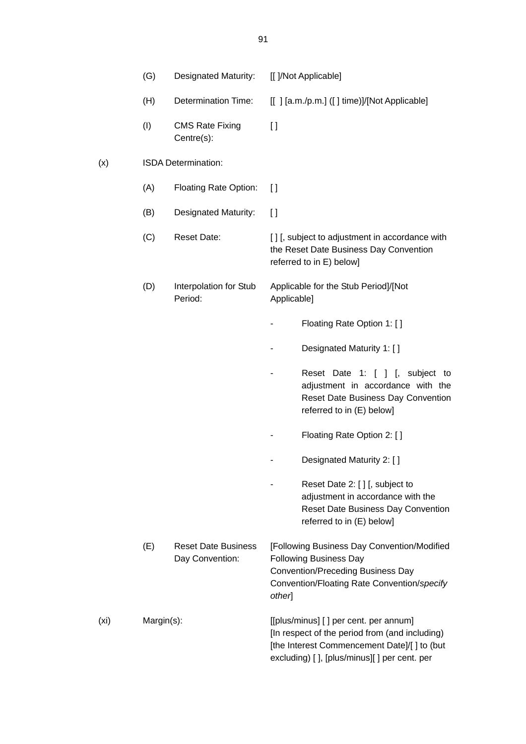|                   | (G)        | <b>Designated Maturity:</b>                   |             | [[ ]/Not Applicable]                                                                                                                                                                     |
|-------------------|------------|-----------------------------------------------|-------------|------------------------------------------------------------------------------------------------------------------------------------------------------------------------------------------|
|                   | (H)        | <b>Determination Time:</b>                    |             | [[] [a.m./p.m.] ([] time)]/[Not Applicable]                                                                                                                                              |
|                   | (1)        | <b>CMS Rate Fixing</b><br>Centre(s):          | $\Box$      |                                                                                                                                                                                          |
| (x)               |            | ISDA Determination:                           |             |                                                                                                                                                                                          |
|                   | (A)        | <b>Floating Rate Option:</b>                  | $\Box$      |                                                                                                                                                                                          |
|                   | (B)        | <b>Designated Maturity:</b>                   | $\lceil$    |                                                                                                                                                                                          |
|                   | (C)        | <b>Reset Date:</b>                            |             | [] [, subject to adjustment in accordance with<br>the Reset Date Business Day Convention<br>referred to in E) below]                                                                     |
|                   | (D)        | Interpolation for Stub<br>Period:             | Applicable] | Applicable for the Stub Period]/[Not                                                                                                                                                     |
|                   |            |                                               |             | Floating Rate Option 1: []                                                                                                                                                               |
|                   |            |                                               |             | Designated Maturity 1: []                                                                                                                                                                |
|                   |            |                                               |             | Reset Date 1: [ ] [, subject<br>to<br>adjustment in accordance with the<br>Reset Date Business Day Convention<br>referred to in (E) below]                                               |
|                   |            |                                               |             | Floating Rate Option 2: []                                                                                                                                                               |
|                   |            |                                               |             | Designated Maturity 2: []                                                                                                                                                                |
|                   |            |                                               |             | Reset Date 2: [ ] [, subject to<br>adjustment in accordance with the<br><b>Reset Date Business Day Convention</b><br>referred to in (E) below]                                           |
|                   | (E)        | <b>Reset Date Business</b><br>Day Convention: | $other$ ]   | [Following Business Day Convention/Modified<br><b>Following Business Day</b><br><b>Convention/Preceding Business Day</b><br>Convention/Floating Rate Convention/specify                  |
| (x <sub>i</sub> ) | Margin(s): |                                               |             | [[plus/minus] [] per cent. per annum]<br>[In respect of the period from (and including)<br>[the Interest Commencement Date]/[ ] to (but<br>excluding) [ ], [plus/minus][ ] per cent. per |

91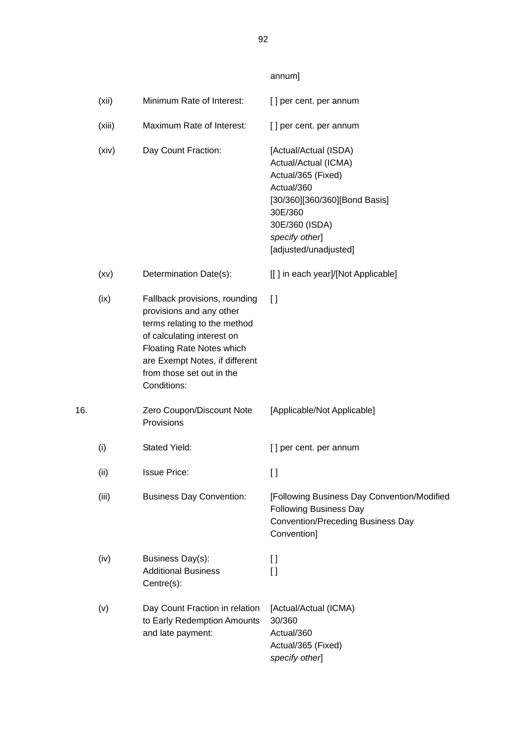|     | (xii)  | Minimum Rate of Interest:                                                                                                                                                                                                                 | [] per cent. per annum                                                                                                                                                                     |
|-----|--------|-------------------------------------------------------------------------------------------------------------------------------------------------------------------------------------------------------------------------------------------|--------------------------------------------------------------------------------------------------------------------------------------------------------------------------------------------|
|     | (xiii) | Maximum Rate of Interest:                                                                                                                                                                                                                 | [] per cent. per annum                                                                                                                                                                     |
|     | (xiv)  | Day Count Fraction:                                                                                                                                                                                                                       | [Actual/Actual (ISDA)<br>Actual/Actual (ICMA)<br>Actual/365 (Fixed)<br>Actual/360<br>[30/360][360/360][Bond Basis]<br>30E/360<br>30E/360 (ISDA)<br>specify other]<br>[adjusted/unadjusted] |
|     | (xv)   | Determination Date(s):                                                                                                                                                                                                                    | [[] in each year]/[Not Applicable]                                                                                                                                                         |
|     | (ix)   | Fallback provisions, rounding<br>provisions and any other<br>terms relating to the method<br>of calculating interest on<br><b>Floating Rate Notes which</b><br>are Exempt Notes, if different<br>from those set out in the<br>Conditions: | $\Box$                                                                                                                                                                                     |
| 16. |        | Zero Coupon/Discount Note<br>Provisions                                                                                                                                                                                                   | [Applicable/Not Applicable]                                                                                                                                                                |
|     | (i)    | <b>Stated Yield:</b>                                                                                                                                                                                                                      | [] per cent. per annum                                                                                                                                                                     |
|     | (ii)   | <b>Issue Price:</b>                                                                                                                                                                                                                       | $\mathbf{I}$                                                                                                                                                                               |
|     | (iii)  | <b>Business Day Convention:</b>                                                                                                                                                                                                           | [Following Business Day Convention/Modified<br><b>Following Business Day</b><br><b>Convention/Preceding Business Day</b><br>Convention]                                                    |
|     | (iv)   | Business Day(s):<br><b>Additional Business</b><br>Centre(s):                                                                                                                                                                              | I l<br>$\Box$                                                                                                                                                                              |
|     | (v)    | Day Count Fraction in relation<br>to Early Redemption Amounts<br>and late payment:                                                                                                                                                        | [Actual/Actual (ICMA)<br>30/360<br>Actual/360<br>Actual/365 (Fixed)<br>specify other]                                                                                                      |

annum]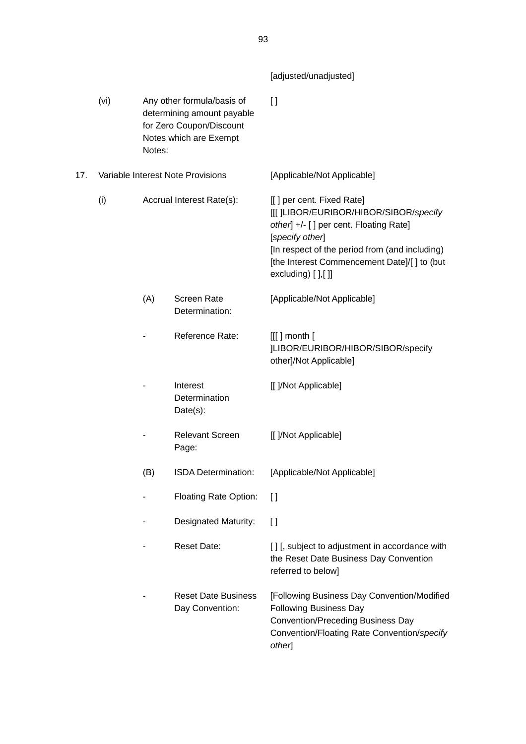|     |      |        |                                                                                                                | [adjusted/unadjusted]                                                                                                                                                                                                                                        |
|-----|------|--------|----------------------------------------------------------------------------------------------------------------|--------------------------------------------------------------------------------------------------------------------------------------------------------------------------------------------------------------------------------------------------------------|
|     | (vi) | Notes: | Any other formula/basis of<br>determining amount payable<br>for Zero Coupon/Discount<br>Notes which are Exempt | $\Box$                                                                                                                                                                                                                                                       |
| 17. |      |        | Variable Interest Note Provisions                                                                              | [Applicable/Not Applicable]                                                                                                                                                                                                                                  |
|     | (i)  |        | Accrual Interest Rate(s):                                                                                      | [[] per cent. Fixed Rate]<br>[[[ ]LIBOR/EURIBOR/HIBOR/SIBOR/specify<br>other] +/- [] per cent. Floating Rate]<br>[specify other]<br>[In respect of the period from (and including)<br>[the Interest Commencement Date]/[ ] to (but<br>$excluding)$ [ ], [ ]] |
|     |      | (A)    | <b>Screen Rate</b><br>Determination:                                                                           | [Applicable/Not Applicable]                                                                                                                                                                                                                                  |
|     |      |        | Reference Rate:                                                                                                | $[[[]]$ month $[$<br>]LIBOR/EURIBOR/HIBOR/SIBOR/specify<br>other]/Not Applicable]                                                                                                                                                                            |
|     |      |        | Interest<br>Determination<br>Date(s):                                                                          | [[ ]/Not Applicable]                                                                                                                                                                                                                                         |
|     |      |        | <b>Relevant Screen</b><br>Page:                                                                                | [[ ]/Not Applicable]                                                                                                                                                                                                                                         |
|     |      | (B)    | ISDA Determination:                                                                                            | [Applicable/Not Applicable]                                                                                                                                                                                                                                  |
|     |      |        | <b>Floating Rate Option:</b>                                                                                   | $\Box$                                                                                                                                                                                                                                                       |
|     |      |        | Designated Maturity:                                                                                           | I l                                                                                                                                                                                                                                                          |
|     |      |        | <b>Reset Date:</b>                                                                                             | [] [, subject to adjustment in accordance with<br>the Reset Date Business Day Convention<br>referred to below]                                                                                                                                               |
|     |      |        | <b>Reset Date Business</b><br>Day Convention:                                                                  | [Following Business Day Convention/Modified<br><b>Following Business Day</b><br><b>Convention/Preceding Business Day</b><br>Convention/Floating Rate Convention/specify<br>other]                                                                            |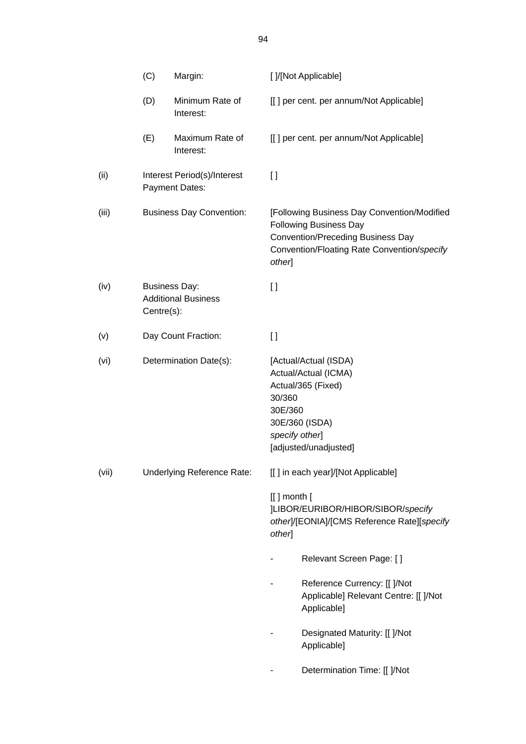|       | (C)        | Margin:                                            |                           | [ ]/[Not Applicable]                                                                                                                                                    |
|-------|------------|----------------------------------------------------|---------------------------|-------------------------------------------------------------------------------------------------------------------------------------------------------------------------|
|       | (D)        | Minimum Rate of<br>Interest:                       |                           | [[] per cent. per annum/Not Applicable]                                                                                                                                 |
|       | (E)        | Maximum Rate of<br>Interest:                       |                           | [[] per cent. per annum/Not Applicable]                                                                                                                                 |
| (ii)  |            | Interest Period(s)/Interest<br>Payment Dates:      | $\Box$                    |                                                                                                                                                                         |
| (iii) |            | <b>Business Day Convention:</b>                    | other]                    | [Following Business Day Convention/Modified<br><b>Following Business Day</b><br><b>Convention/Preceding Business Day</b><br>Convention/Floating Rate Convention/specify |
| (iv)  | Centre(s): | <b>Business Day:</b><br><b>Additional Business</b> | $\mathbf{I}$              |                                                                                                                                                                         |
| (v)   |            | Day Count Fraction:                                | $\lceil$                  |                                                                                                                                                                         |
| (vi)  |            | Determination Date(s):                             | 30/360<br>30E/360         | [Actual/Actual (ISDA)<br>Actual/Actual (ICMA)<br>Actual/365 (Fixed)<br>30E/360 (ISDA)<br>specify other]<br>[adjusted/unadjusted]                                        |
| (vii) |            | Underlying Reference Rate:                         |                           | [[] in each year]/[Not Applicable]                                                                                                                                      |
|       |            |                                                    | $[[]$ month $[$<br>other] | ]LIBOR/EURIBOR/HIBOR/SIBOR/specify<br>other]/[EONIA]/[CMS Reference Rate][specify                                                                                       |
|       |            |                                                    |                           | Relevant Screen Page: []                                                                                                                                                |
|       |            |                                                    |                           | Reference Currency: [[ ]/Not<br>Applicable] Relevant Centre: [[ ]/Not<br>Applicable]                                                                                    |
|       |            |                                                    |                           | Designated Maturity: [[ ]/Not<br>Applicable]                                                                                                                            |
|       |            |                                                    |                           | Determination Time: [[ ]/Not                                                                                                                                            |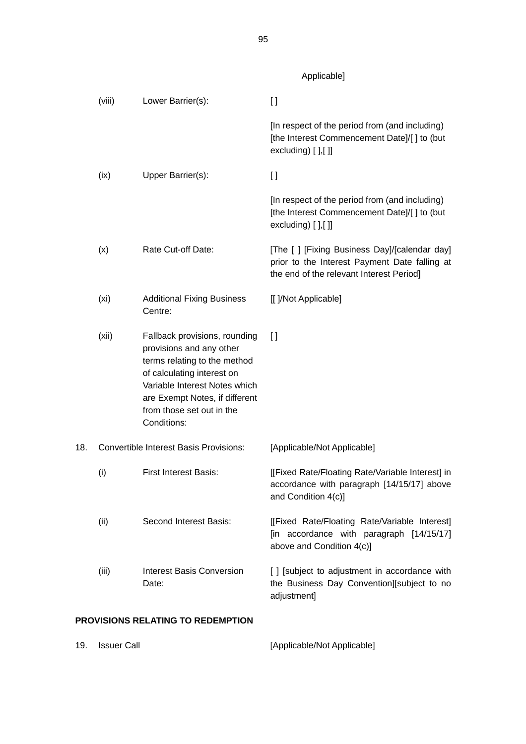Applicable]

|     | (viii)            | Lower Barrier(s):                                                                                                                                                                                                                      | $\mathfrak{g}$                                                                                                                             |
|-----|-------------------|----------------------------------------------------------------------------------------------------------------------------------------------------------------------------------------------------------------------------------------|--------------------------------------------------------------------------------------------------------------------------------------------|
|     |                   |                                                                                                                                                                                                                                        | [In respect of the period from (and including)<br>[the Interest Commencement Date]/[] to (but<br>excluding) $[]$ , $[]$                    |
|     | (ix)              | Upper Barrier(s):                                                                                                                                                                                                                      | $\mathbf{I}$                                                                                                                               |
|     |                   |                                                                                                                                                                                                                                        | [In respect of the period from (and including)<br>[the Interest Commencement Date]/[] to (but<br>excluding) $[]$ , $[]$                    |
|     | (x)               | Rate Cut-off Date:                                                                                                                                                                                                                     | [The [ ] [Fixing Business Day]/[calendar day]<br>prior to the Interest Payment Date falling at<br>the end of the relevant Interest Period] |
|     | (x <sub>i</sub> ) | <b>Additional Fixing Business</b><br>Centre:                                                                                                                                                                                           | [[ ]/Not Applicable]                                                                                                                       |
|     | (xii)             | Fallback provisions, rounding<br>provisions and any other<br>terms relating to the method<br>of calculating interest on<br>Variable Interest Notes which<br>are Exempt Notes, if different<br>from those set out in the<br>Conditions: | $\Box$                                                                                                                                     |
| 18. |                   | <b>Convertible Interest Basis Provisions:</b>                                                                                                                                                                                          | [Applicable/Not Applicable]                                                                                                                |
|     | (i)               | <b>First Interest Basis:</b>                                                                                                                                                                                                           | [[Fixed Rate/Floating Rate/Variable Interest] in<br>accordance with paragraph [14/15/17] above<br>and Condition 4(c)]                      |
|     | (ii)              | Second Interest Basis:                                                                                                                                                                                                                 | [[Fixed Rate/Floating Rate/Variable Interest]<br>[in accordance with paragraph [14/15/17]<br>above and Condition 4(c)]                     |
|     | (iii)             | <b>Interest Basis Conversion</b><br>Date:                                                                                                                                                                                              | [ ] [subject to adjustment in accordance with<br>the Business Day Convention][subject to no<br>adjustment]                                 |

# **PROVISIONS RELATING TO REDEMPTION**

| [Applicable/Not Applicable]<br>19.<br>Issuer Call |  |
|---------------------------------------------------|--|
|---------------------------------------------------|--|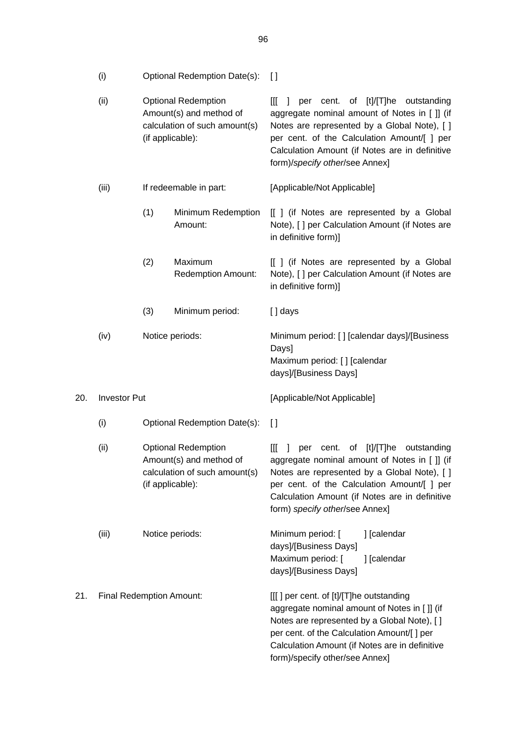|     | (ii)                | <b>Optional Redemption</b><br>Amount(s) and method of<br>calculation of such amount(s)<br>(if applicable):                                 |                                      | per cent. of [t]/[T]he outstanding<br>[[[<br>$\mathbf{I}$<br>aggregate nominal amount of Notes in [ ]] (if<br>Notes are represented by a Global Note), [ ]<br>per cent. of the Calculation Amount/[ ] per<br>Calculation Amount (if Notes are in definitive<br>form)/specify other/see Annex]  |
|-----|---------------------|--------------------------------------------------------------------------------------------------------------------------------------------|--------------------------------------|------------------------------------------------------------------------------------------------------------------------------------------------------------------------------------------------------------------------------------------------------------------------------------------------|
|     | (iii)               |                                                                                                                                            | If redeemable in part:               | [Applicable/Not Applicable]                                                                                                                                                                                                                                                                    |
|     |                     | (1)                                                                                                                                        | Minimum Redemption<br>Amount:        | [[ ] (if Notes are represented by a Global<br>Note), [ ] per Calculation Amount (if Notes are<br>in definitive form)]                                                                                                                                                                          |
|     |                     | (2)                                                                                                                                        | Maximum<br><b>Redemption Amount:</b> | [[ ] (if Notes are represented by a Global<br>Note), [ ] per Calculation Amount (if Notes are<br>in definitive form)]                                                                                                                                                                          |
|     |                     | (3)                                                                                                                                        | Minimum period:                      | [] days                                                                                                                                                                                                                                                                                        |
|     | (iv)                |                                                                                                                                            | Notice periods:                      | Minimum period: [] [calendar days]/[Business<br>Days]<br>Maximum period: [] [calendar<br>days]/[Business Days]                                                                                                                                                                                 |
| 20. | <b>Investor Put</b> |                                                                                                                                            |                                      | [Applicable/Not Applicable]                                                                                                                                                                                                                                                                    |
|     | (i)                 | Optional Redemption Date(s):<br><b>Optional Redemption</b><br>Amount(s) and method of<br>calculation of such amount(s)<br>(if applicable): |                                      | $\Box$                                                                                                                                                                                                                                                                                         |
|     | (ii)                |                                                                                                                                            |                                      | III<br>cent.<br>[t]/[T]he<br>outstanding<br>1<br>per<br>of<br>aggregate nominal amount of Notes in [ ]] (if<br>Notes are represented by a Global Note), [ ]<br>per cent. of the Calculation Amount/[ ] per<br>Calculation Amount (if Notes are in definitive<br>form) specify other/see Annex] |
|     | (iii)               |                                                                                                                                            | Notice periods:                      | Minimum period: [<br>] [calendar<br>days]/[Business Days]<br>Maximum period: [<br>] [calendar<br>days]/[Business Days]                                                                                                                                                                         |
| 21. |                     | Final Redemption Amount:                                                                                                                   |                                      | [[[] per cent. of [t]/[T]he outstanding<br>aggregate nominal amount of Notes in [ ]] (if<br>Notes are represented by a Global Note), [ ]<br>per cent. of the Calculation Amount/[ ] per<br>Calculation Amount (if Notes are in definitive<br>form)/specify other/see Annex]                    |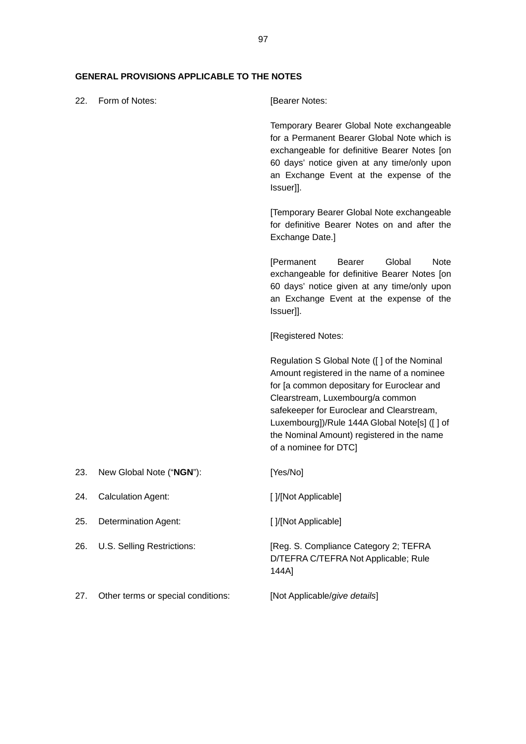# **GENERAL PROVISIONS APPLICABLE TO THE NOTES**

| 22. | Form of Notes:                     | [Bearer Notes:                                                                                                                                                                                                                                                                                                                                    |
|-----|------------------------------------|---------------------------------------------------------------------------------------------------------------------------------------------------------------------------------------------------------------------------------------------------------------------------------------------------------------------------------------------------|
|     |                                    | Temporary Bearer Global Note exchangeable<br>for a Permanent Bearer Global Note which is<br>exchangeable for definitive Bearer Notes [on<br>60 days' notice given at any time/only upon<br>an Exchange Event at the expense of the<br>Issuer]].                                                                                                   |
|     |                                    | [Temporary Bearer Global Note exchangeable<br>for definitive Bearer Notes on and after the<br>Exchange Date.]                                                                                                                                                                                                                                     |
|     |                                    | Global<br><b>Note</b><br>[Permanent<br><b>Bearer</b><br>exchangeable for definitive Bearer Notes [on<br>60 days' notice given at any time/only upon<br>an Exchange Event at the expense of the<br>Issuer]].                                                                                                                                       |
|     |                                    | [Registered Notes:                                                                                                                                                                                                                                                                                                                                |
|     |                                    | Regulation S Global Note ([ ] of the Nominal<br>Amount registered in the name of a nominee<br>for [a common depositary for Euroclear and<br>Clearstream, Luxembourg/a common<br>safekeeper for Euroclear and Clearstream,<br>Luxembourg])/Rule 144A Global Note[s] ([ ] of<br>the Nominal Amount) registered in the name<br>of a nominee for DTC] |
| 23. | New Global Note ("NGN"):           | [Yes/No]                                                                                                                                                                                                                                                                                                                                          |
| 24. | <b>Calculation Agent:</b>          | [ ]/[Not Applicable]                                                                                                                                                                                                                                                                                                                              |
| 25. | <b>Determination Agent:</b>        | [ ]/[Not Applicable]                                                                                                                                                                                                                                                                                                                              |
| 26. | U.S. Selling Restrictions:         | [Reg. S. Compliance Category 2; TEFRA<br>D/TEFRA C/TEFRA Not Applicable; Rule<br>144A]                                                                                                                                                                                                                                                            |
| 27. | Other terms or special conditions: | [Not Applicable/give details]                                                                                                                                                                                                                                                                                                                     |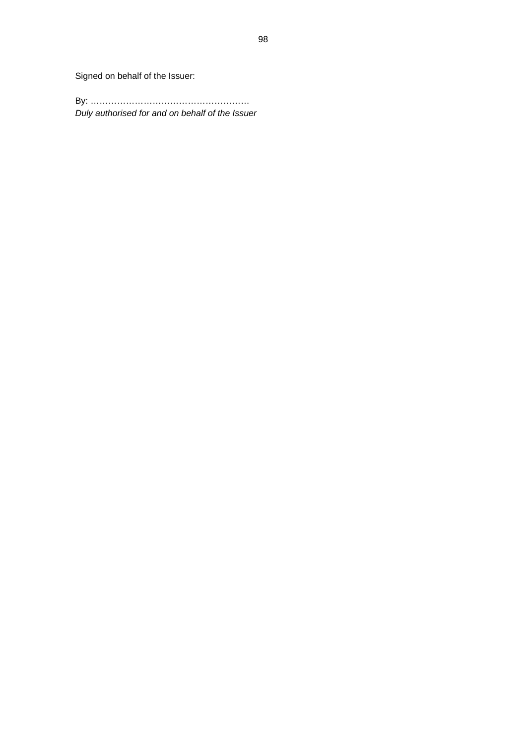Signed on behalf of the Issuer:

By: ……………………………………………… *Duly authorised for and on behalf of the Issuer*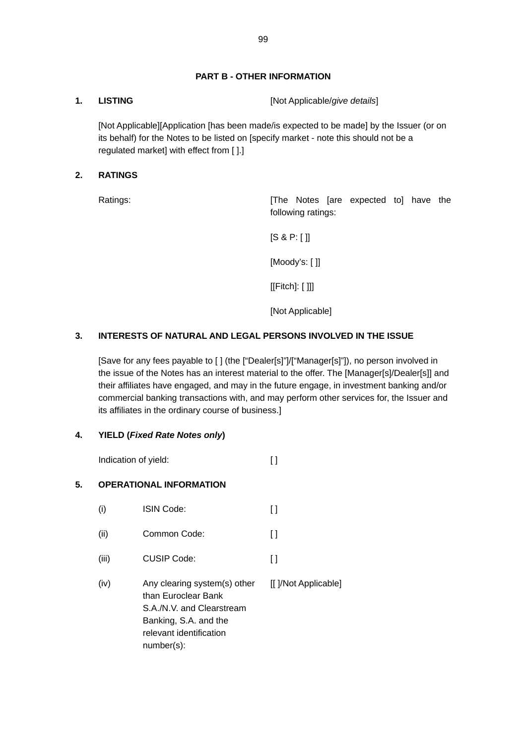# **PART B - OTHER INFORMATION**

**1. LISTING** [Not Applicable/*give details*]

 [Not Applicable][Application [has been made/is expected to be made] by the Issuer (or on its behalf) for the Notes to be listed on [specify market - note this should not be a regulated market] with effect from [ ].]

# **2. RATINGS**

Ratings: The Notes [are expected to] have the following ratings:

[S & P: [ ]]

[Moody's: [ ]]

[[Fitch]: [ ]]]

[Not Applicable]

# **3. INTERESTS OF NATURAL AND LEGAL PERSONS INVOLVED IN THE ISSUE**

[Save for any fees payable to [ ] (the ["Dealer[s]"]/["Manager[s]"]), no person involved in the issue of the Notes has an interest material to the offer. The [Manager[s]/Dealer[s]] and their affiliates have engaged, and may in the future engage, in investment banking and/or commercial banking transactions with, and may perform other services for, the Issuer and its affiliates in the ordinary course of business.]

# **4. YIELD (***Fixed Rate Notes only***)**

Indication of yield: [ ]

# **5. OPERATIONAL INFORMATION**

(i) ISIN Code: [ ] (ii) Common Code: [ ] (iii) CUSIP Code: [ ] (iv) Any clearing system(s) other than Euroclear Bank S.A./N.V. and Clearstream Banking, S.A. and the relevant identification number(s): [[ ]/Not Applicable]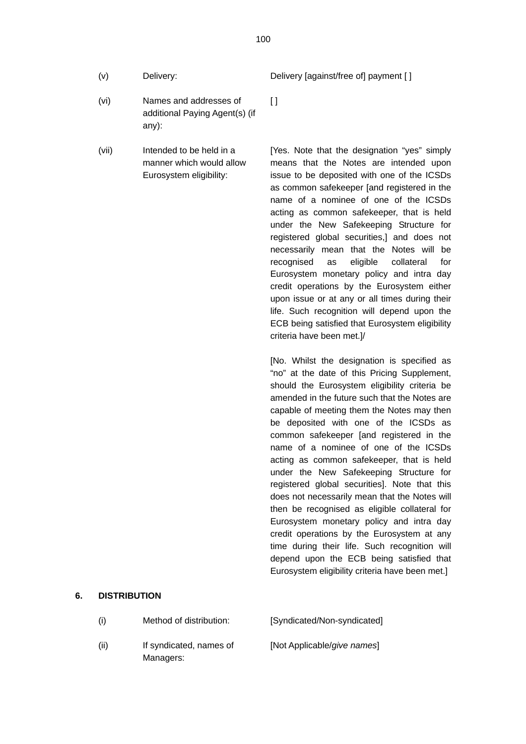- 
- (vi) Names and addresses of additional Paying Agent(s) (if any):
- (vii) Intended to be held in a manner which would allow Eurosystem eligibility:

(v) Delivery: Delivery [against/free of] payment [ ]

 $\lceil$   $\rceil$ 

[Yes. Note that the designation "yes" simply means that the Notes are intended upon issue to be deposited with one of the ICSDs as common safekeeper [and registered in the name of a nominee of one of the ICSDs acting as common safekeeper, that is held under the New Safekeeping Structure for registered global securities,] and does not necessarily mean that the Notes will be recognised as eligible collateral for Eurosystem monetary policy and intra day credit operations by the Eurosystem either upon issue or at any or all times during their life. Such recognition will depend upon the ECB being satisfied that Eurosystem eligibility criteria have been met.]/

[No. Whilst the designation is specified as "no" at the date of this Pricing Supplement, should the Eurosystem eligibility criteria be amended in the future such that the Notes are capable of meeting them the Notes may then be deposited with one of the ICSDs as common safekeeper [and registered in the name of a nominee of one of the ICSDs acting as common safekeeper, that is held under the New Safekeeping Structure for registered global securities]. Note that this does not necessarily mean that the Notes will then be recognised as eligible collateral for Eurosystem monetary policy and intra day credit operations by the Eurosystem at any time during their life. Such recognition will depend upon the ECB being satisfied that Eurosystem eligibility criteria have been met.]

### **6. DISTRIBUTION**

Managers:

(i) Method of distribution: [Syndicated/Non-syndicated] (ii) If syndicated, names of [Not Applicable/*give names*]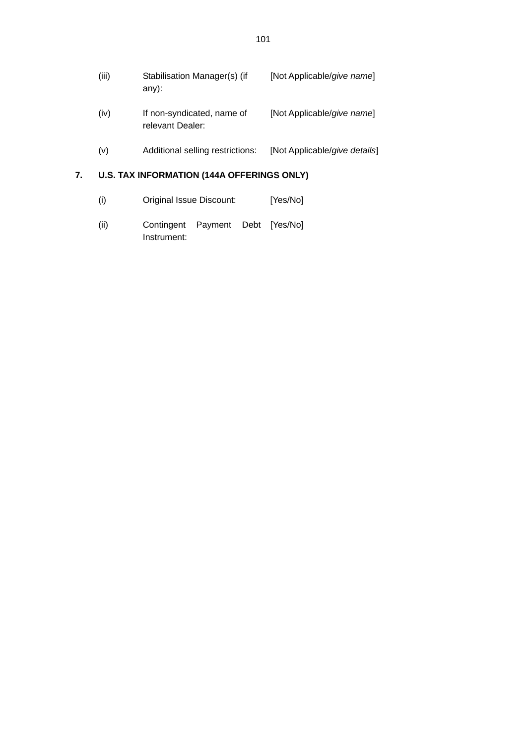| (iii) | Stabilisation Manager(s) (if<br>$any)$ :       | [Not Applicable/give name]    |
|-------|------------------------------------------------|-------------------------------|
| (iv)  | If non-syndicated, name of<br>relevant Dealer: | [Not Applicable/give name]    |
| (v)   | Additional selling restrictions:               | [Not Applicable/give details] |

# **7. U.S. TAX INFORMATION (144A OFFERINGS ONLY)**

| (i) | Original Issue Discount: | [Yes/No] |
|-----|--------------------------|----------|
|-----|--------------------------|----------|

(ii) Contingent Payment Debt [Yes/No] Instrument: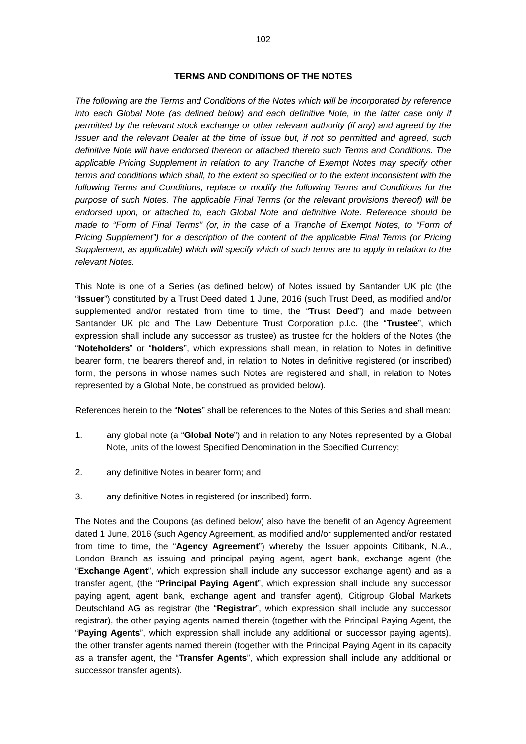*The following are the Terms and Conditions of the Notes which will be incorporated by reference*  into each Global Note (as defined below) and each definitive Note, in the latter case only if *permitted by the relevant stock exchange or other relevant authority (if any) and agreed by the Issuer and the relevant Dealer at the time of issue but, if not so permitted and agreed, such definitive Note will have endorsed thereon or attached thereto such Terms and Conditions. The applicable Pricing Supplement in relation to any Tranche of Exempt Notes may specify other terms and conditions which shall, to the extent so specified or to the extent inconsistent with the following Terms and Conditions, replace or modify the following Terms and Conditions for the purpose of such Notes. The applicable Final Terms (or the relevant provisions thereof) will be endorsed upon, or attached to, each Global Note and definitive Note. Reference should be made to "Form of Final Terms" (or, in the case of a Tranche of Exempt Notes, to "Form of Pricing Supplement") for a description of the content of the applicable Final Terms (or Pricing Supplement, as applicable) which will specify which of such terms are to apply in relation to the relevant Notes.* 

This Note is one of a Series (as defined below) of Notes issued by Santander UK plc (the "**Issuer**") constituted by a Trust Deed dated 1 June, 2016 (such Trust Deed, as modified and/or supplemented and/or restated from time to time, the "**Trust Deed**") and made between Santander UK plc and The Law Debenture Trust Corporation p.l.c. (the "**Trustee**", which expression shall include any successor as trustee) as trustee for the holders of the Notes (the "**Noteholders**" or "**holders**", which expressions shall mean, in relation to Notes in definitive bearer form, the bearers thereof and, in relation to Notes in definitive registered (or inscribed) form, the persons in whose names such Notes are registered and shall, in relation to Notes represented by a Global Note, be construed as provided below).

References herein to the "**Notes**" shall be references to the Notes of this Series and shall mean:

- 1. any global note (a "**Global Note**") and in relation to any Notes represented by a Global Note, units of the lowest Specified Denomination in the Specified Currency;
- 2. any definitive Notes in bearer form; and
- 3. any definitive Notes in registered (or inscribed) form.

The Notes and the Coupons (as defined below) also have the benefit of an Agency Agreement dated 1 June, 2016 (such Agency Agreement, as modified and/or supplemented and/or restated from time to time, the "**Agency Agreement**") whereby the Issuer appoints Citibank, N.A., London Branch as issuing and principal paying agent, agent bank, exchange agent (the "**Exchange Agent**", which expression shall include any successor exchange agent) and as a transfer agent, (the "**Principal Paying Agent**", which expression shall include any successor paying agent, agent bank, exchange agent and transfer agent), Citigroup Global Markets Deutschland AG as registrar (the "**Registrar**", which expression shall include any successor registrar), the other paying agents named therein (together with the Principal Paying Agent, the "**Paying Agents**", which expression shall include any additional or successor paying agents), the other transfer agents named therein (together with the Principal Paying Agent in its capacity as a transfer agent, the "**Transfer Agents**", which expression shall include any additional or successor transfer agents).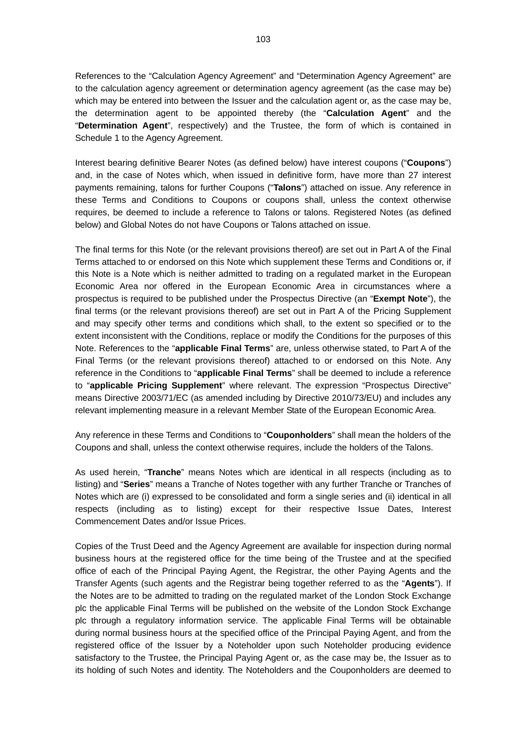References to the "Calculation Agency Agreement" and "Determination Agency Agreement" are to the calculation agency agreement or determination agency agreement (as the case may be) which may be entered into between the Issuer and the calculation agent or, as the case may be, the determination agent to be appointed thereby (the "**Calculation Agent**" and the "**Determination Agent**", respectively) and the Trustee, the form of which is contained in Schedule 1 to the Agency Agreement.

Interest bearing definitive Bearer Notes (as defined below) have interest coupons ("**Coupons**") and, in the case of Notes which, when issued in definitive form, have more than 27 interest payments remaining, talons for further Coupons ("**Talons**") attached on issue. Any reference in these Terms and Conditions to Coupons or coupons shall, unless the context otherwise requires, be deemed to include a reference to Talons or talons. Registered Notes (as defined below) and Global Notes do not have Coupons or Talons attached on issue.

The final terms for this Note (or the relevant provisions thereof) are set out in Part A of the Final Terms attached to or endorsed on this Note which supplement these Terms and Conditions or, if this Note is a Note which is neither admitted to trading on a regulated market in the European Economic Area nor offered in the European Economic Area in circumstances where a prospectus is required to be published under the Prospectus Directive (an "**Exempt Note**"), the final terms (or the relevant provisions thereof) are set out in Part A of the Pricing Supplement and may specify other terms and conditions which shall, to the extent so specified or to the extent inconsistent with the Conditions, replace or modify the Conditions for the purposes of this Note. References to the "**applicable Final Terms**" are, unless otherwise stated, to Part A of the Final Terms (or the relevant provisions thereof) attached to or endorsed on this Note. Any reference in the Conditions to "**applicable Final Terms**" shall be deemed to include a reference to "**applicable Pricing Supplement**" where relevant. The expression "Prospectus Directive" means Directive 2003/71/EC (as amended including by Directive 2010/73/EU) and includes any relevant implementing measure in a relevant Member State of the European Economic Area.

Any reference in these Terms and Conditions to "**Couponholders**" shall mean the holders of the Coupons and shall, unless the context otherwise requires, include the holders of the Talons.

As used herein, "**Tranche**" means Notes which are identical in all respects (including as to listing) and "**Series**" means a Tranche of Notes together with any further Tranche or Tranches of Notes which are (i) expressed to be consolidated and form a single series and (ii) identical in all respects (including as to listing) except for their respective Issue Dates, Interest Commencement Dates and/or Issue Prices.

Copies of the Trust Deed and the Agency Agreement are available for inspection during normal business hours at the registered office for the time being of the Trustee and at the specified office of each of the Principal Paying Agent, the Registrar, the other Paying Agents and the Transfer Agents (such agents and the Registrar being together referred to as the "**Agents**"). If the Notes are to be admitted to trading on the regulated market of the London Stock Exchange plc the applicable Final Terms will be published on the website of the London Stock Exchange plc through a regulatory information service. The applicable Final Terms will be obtainable during normal business hours at the specified office of the Principal Paying Agent, and from the registered office of the Issuer by a Noteholder upon such Noteholder producing evidence satisfactory to the Trustee, the Principal Paying Agent or, as the case may be, the Issuer as to its holding of such Notes and identity. The Noteholders and the Couponholders are deemed to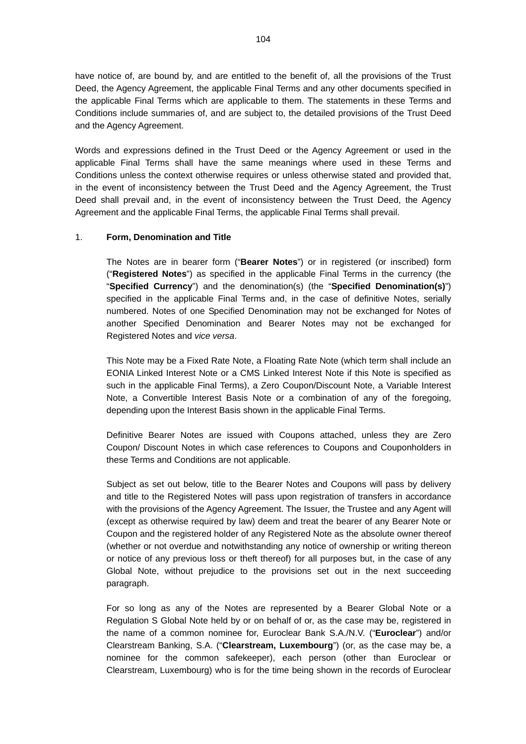have notice of, are bound by, and are entitled to the benefit of, all the provisions of the Trust Deed, the Agency Agreement, the applicable Final Terms and any other documents specified in the applicable Final Terms which are applicable to them. The statements in these Terms and Conditions include summaries of, and are subject to, the detailed provisions of the Trust Deed and the Agency Agreement.

Words and expressions defined in the Trust Deed or the Agency Agreement or used in the applicable Final Terms shall have the same meanings where used in these Terms and Conditions unless the context otherwise requires or unless otherwise stated and provided that, in the event of inconsistency between the Trust Deed and the Agency Agreement, the Trust Deed shall prevail and, in the event of inconsistency between the Trust Deed, the Agency Agreement and the applicable Final Terms, the applicable Final Terms shall prevail.

### 1. **Form, Denomination and Title**

The Notes are in bearer form ("**Bearer Notes**") or in registered (or inscribed) form ("**Registered Notes**") as specified in the applicable Final Terms in the currency (the "**Specified Currency**") and the denomination(s) (the "**Specified Denomination(s)**") specified in the applicable Final Terms and, in the case of definitive Notes, serially numbered. Notes of one Specified Denomination may not be exchanged for Notes of another Specified Denomination and Bearer Notes may not be exchanged for Registered Notes and *vice versa*.

This Note may be a Fixed Rate Note, a Floating Rate Note (which term shall include an EONIA Linked Interest Note or a CMS Linked Interest Note if this Note is specified as such in the applicable Final Terms), a Zero Coupon/Discount Note, a Variable Interest Note, a Convertible Interest Basis Note or a combination of any of the foregoing, depending upon the Interest Basis shown in the applicable Final Terms.

Definitive Bearer Notes are issued with Coupons attached, unless they are Zero Coupon/ Discount Notes in which case references to Coupons and Couponholders in these Terms and Conditions are not applicable.

Subject as set out below, title to the Bearer Notes and Coupons will pass by delivery and title to the Registered Notes will pass upon registration of transfers in accordance with the provisions of the Agency Agreement. The Issuer, the Trustee and any Agent will (except as otherwise required by law) deem and treat the bearer of any Bearer Note or Coupon and the registered holder of any Registered Note as the absolute owner thereof (whether or not overdue and notwithstanding any notice of ownership or writing thereon or notice of any previous loss or theft thereof) for all purposes but, in the case of any Global Note, without prejudice to the provisions set out in the next succeeding paragraph.

For so long as any of the Notes are represented by a Bearer Global Note or a Regulation S Global Note held by or on behalf of or, as the case may be, registered in the name of a common nominee for, Euroclear Bank S.A./N.V. ("**Euroclear**") and/or Clearstream Banking, S.A. ("**Clearstream, Luxembourg**") (or, as the case may be, a nominee for the common safekeeper), each person (other than Euroclear or Clearstream, Luxembourg) who is for the time being shown in the records of Euroclear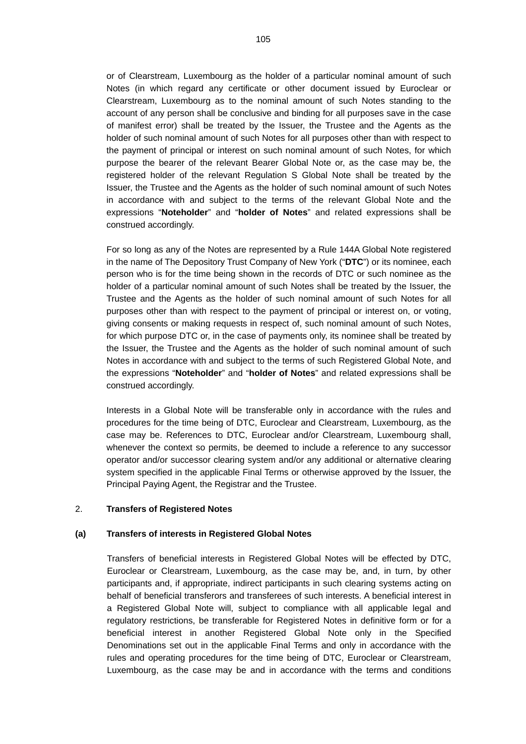or of Clearstream, Luxembourg as the holder of a particular nominal amount of such Notes (in which regard any certificate or other document issued by Euroclear or Clearstream, Luxembourg as to the nominal amount of such Notes standing to the account of any person shall be conclusive and binding for all purposes save in the case of manifest error) shall be treated by the Issuer, the Trustee and the Agents as the holder of such nominal amount of such Notes for all purposes other than with respect to the payment of principal or interest on such nominal amount of such Notes, for which purpose the bearer of the relevant Bearer Global Note or, as the case may be, the registered holder of the relevant Regulation S Global Note shall be treated by the Issuer, the Trustee and the Agents as the holder of such nominal amount of such Notes in accordance with and subject to the terms of the relevant Global Note and the expressions "**Noteholder**" and "**holder of Notes**" and related expressions shall be construed accordingly.

For so long as any of the Notes are represented by a Rule 144A Global Note registered in the name of The Depository Trust Company of New York ("**DTC**") or its nominee, each person who is for the time being shown in the records of DTC or such nominee as the holder of a particular nominal amount of such Notes shall be treated by the Issuer, the Trustee and the Agents as the holder of such nominal amount of such Notes for all purposes other than with respect to the payment of principal or interest on, or voting, giving consents or making requests in respect of, such nominal amount of such Notes, for which purpose DTC or, in the case of payments only, its nominee shall be treated by the Issuer, the Trustee and the Agents as the holder of such nominal amount of such Notes in accordance with and subject to the terms of such Registered Global Note, and the expressions "**Noteholder**" and "**holder of Notes**" and related expressions shall be construed accordingly.

Interests in a Global Note will be transferable only in accordance with the rules and procedures for the time being of DTC, Euroclear and Clearstream, Luxembourg, as the case may be. References to DTC, Euroclear and/or Clearstream, Luxembourg shall, whenever the context so permits, be deemed to include a reference to any successor operator and/or successor clearing system and/or any additional or alternative clearing system specified in the applicable Final Terms or otherwise approved by the Issuer, the Principal Paying Agent, the Registrar and the Trustee.

#### 2. **Transfers of Registered Notes**

#### **(a) Transfers of interests in Registered Global Notes**

Transfers of beneficial interests in Registered Global Notes will be effected by DTC, Euroclear or Clearstream, Luxembourg, as the case may be, and, in turn, by other participants and, if appropriate, indirect participants in such clearing systems acting on behalf of beneficial transferors and transferees of such interests. A beneficial interest in a Registered Global Note will, subject to compliance with all applicable legal and regulatory restrictions, be transferable for Registered Notes in definitive form or for a beneficial interest in another Registered Global Note only in the Specified Denominations set out in the applicable Final Terms and only in accordance with the rules and operating procedures for the time being of DTC, Euroclear or Clearstream, Luxembourg, as the case may be and in accordance with the terms and conditions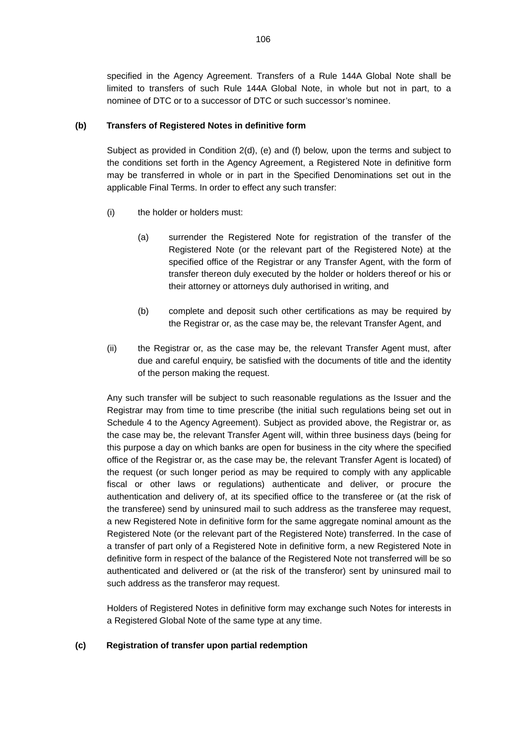specified in the Agency Agreement. Transfers of a Rule 144A Global Note shall be limited to transfers of such Rule 144A Global Note, in whole but not in part, to a nominee of DTC or to a successor of DTC or such successor's nominee.

## **(b) Transfers of Registered Notes in definitive form**

Subject as provided in Condition 2(d), (e) and (f) below, upon the terms and subject to the conditions set forth in the Agency Agreement, a Registered Note in definitive form may be transferred in whole or in part in the Specified Denominations set out in the applicable Final Terms. In order to effect any such transfer:

- (i) the holder or holders must:
	- (a) surrender the Registered Note for registration of the transfer of the Registered Note (or the relevant part of the Registered Note) at the specified office of the Registrar or any Transfer Agent, with the form of transfer thereon duly executed by the holder or holders thereof or his or their attorney or attorneys duly authorised in writing, and
	- (b) complete and deposit such other certifications as may be required by the Registrar or, as the case may be, the relevant Transfer Agent, and
- (ii) the Registrar or, as the case may be, the relevant Transfer Agent must, after due and careful enquiry, be satisfied with the documents of title and the identity of the person making the request.

Any such transfer will be subject to such reasonable regulations as the Issuer and the Registrar may from time to time prescribe (the initial such regulations being set out in Schedule 4 to the Agency Agreement). Subject as provided above, the Registrar or, as the case may be, the relevant Transfer Agent will, within three business days (being for this purpose a day on which banks are open for business in the city where the specified office of the Registrar or, as the case may be, the relevant Transfer Agent is located) of the request (or such longer period as may be required to comply with any applicable fiscal or other laws or regulations) authenticate and deliver, or procure the authentication and delivery of, at its specified office to the transferee or (at the risk of the transferee) send by uninsured mail to such address as the transferee may request, a new Registered Note in definitive form for the same aggregate nominal amount as the Registered Note (or the relevant part of the Registered Note) transferred. In the case of a transfer of part only of a Registered Note in definitive form, a new Registered Note in definitive form in respect of the balance of the Registered Note not transferred will be so authenticated and delivered or (at the risk of the transferor) sent by uninsured mail to such address as the transferor may request.

Holders of Registered Notes in definitive form may exchange such Notes for interests in a Registered Global Note of the same type at any time.

# **(c) Registration of transfer upon partial redemption**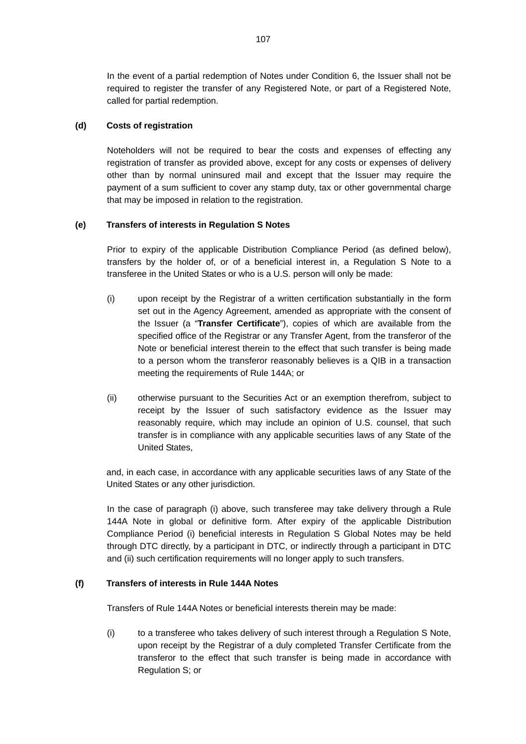In the event of a partial redemption of Notes under Condition 6, the Issuer shall not be required to register the transfer of any Registered Note, or part of a Registered Note, called for partial redemption.

# **(d) Costs of registration**

Noteholders will not be required to bear the costs and expenses of effecting any registration of transfer as provided above, except for any costs or expenses of delivery other than by normal uninsured mail and except that the Issuer may require the payment of a sum sufficient to cover any stamp duty, tax or other governmental charge that may be imposed in relation to the registration.

### **(e) Transfers of interests in Regulation S Notes**

Prior to expiry of the applicable Distribution Compliance Period (as defined below), transfers by the holder of, or of a beneficial interest in, a Regulation S Note to a transferee in the United States or who is a U.S. person will only be made:

- (i) upon receipt by the Registrar of a written certification substantially in the form set out in the Agency Agreement, amended as appropriate with the consent of the Issuer (a "**Transfer Certificate**"), copies of which are available from the specified office of the Registrar or any Transfer Agent, from the transferor of the Note or beneficial interest therein to the effect that such transfer is being made to a person whom the transferor reasonably believes is a QIB in a transaction meeting the requirements of Rule 144A; or
- (ii) otherwise pursuant to the Securities Act or an exemption therefrom, subject to receipt by the Issuer of such satisfactory evidence as the Issuer may reasonably require, which may include an opinion of U.S. counsel, that such transfer is in compliance with any applicable securities laws of any State of the United States,

and, in each case, in accordance with any applicable securities laws of any State of the United States or any other jurisdiction.

In the case of paragraph (i) above, such transferee may take delivery through a Rule 144A Note in global or definitive form. After expiry of the applicable Distribution Compliance Period (i) beneficial interests in Regulation S Global Notes may be held through DTC directly, by a participant in DTC, or indirectly through a participant in DTC and (ii) such certification requirements will no longer apply to such transfers.

#### **(f) Transfers of interests in Rule 144A Notes**

Transfers of Rule 144A Notes or beneficial interests therein may be made:

(i) to a transferee who takes delivery of such interest through a Regulation S Note, upon receipt by the Registrar of a duly completed Transfer Certificate from the transferor to the effect that such transfer is being made in accordance with Regulation S; or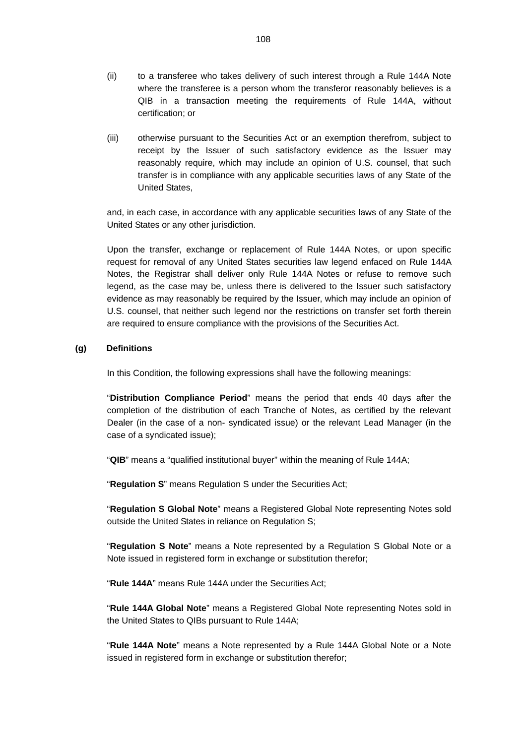- (ii) to a transferee who takes delivery of such interest through a Rule 144A Note where the transferee is a person whom the transferor reasonably believes is a QIB in a transaction meeting the requirements of Rule 144A, without certification; or
- (iii) otherwise pursuant to the Securities Act or an exemption therefrom, subject to receipt by the Issuer of such satisfactory evidence as the Issuer may reasonably require, which may include an opinion of U.S. counsel, that such transfer is in compliance with any applicable securities laws of any State of the United States,

and, in each case, in accordance with any applicable securities laws of any State of the United States or any other jurisdiction.

Upon the transfer, exchange or replacement of Rule 144A Notes, or upon specific request for removal of any United States securities law legend enfaced on Rule 144A Notes, the Registrar shall deliver only Rule 144A Notes or refuse to remove such legend, as the case may be, unless there is delivered to the Issuer such satisfactory evidence as may reasonably be required by the Issuer, which may include an opinion of U.S. counsel, that neither such legend nor the restrictions on transfer set forth therein are required to ensure compliance with the provisions of the Securities Act.

# **(g) Definitions**

In this Condition, the following expressions shall have the following meanings:

"**Distribution Compliance Period**" means the period that ends 40 days after the completion of the distribution of each Tranche of Notes, as certified by the relevant Dealer (in the case of a non- syndicated issue) or the relevant Lead Manager (in the case of a syndicated issue);

"**QIB**" means a "qualified institutional buyer" within the meaning of Rule 144A;

"**Regulation S**" means Regulation S under the Securities Act;

"**Regulation S Global Note**" means a Registered Global Note representing Notes sold outside the United States in reliance on Regulation S;

"**Regulation S Note**" means a Note represented by a Regulation S Global Note or a Note issued in registered form in exchange or substitution therefor;

"**Rule 144A**" means Rule 144A under the Securities Act;

"**Rule 144A Global Note**" means a Registered Global Note representing Notes sold in the United States to QIBs pursuant to Rule 144A;

"**Rule 144A Note**" means a Note represented by a Rule 144A Global Note or a Note issued in registered form in exchange or substitution therefor;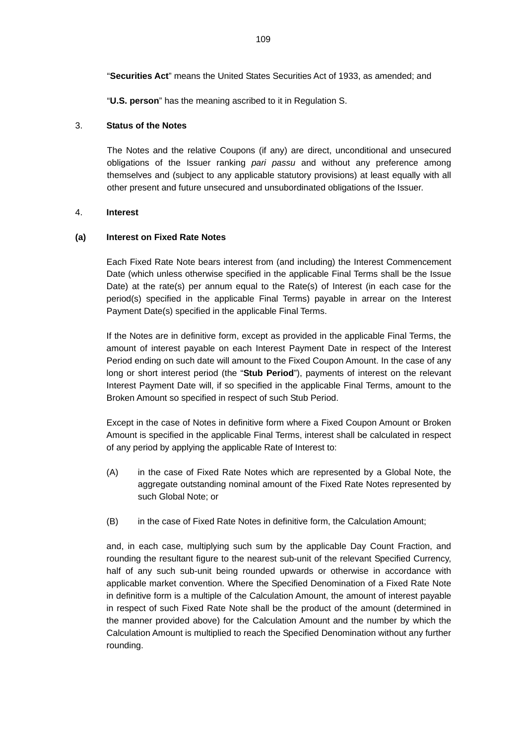"**Securities Act**" means the United States Securities Act of 1933, as amended; and

"**U.S. person**" has the meaning ascribed to it in Regulation S.

## 3. **Status of the Notes**

The Notes and the relative Coupons (if any) are direct, unconditional and unsecured obligations of the Issuer ranking *pari passu* and without any preference among themselves and (subject to any applicable statutory provisions) at least equally with all other present and future unsecured and unsubordinated obligations of the Issuer.

## 4. **Interest**

## **(a) Interest on Fixed Rate Notes**

Each Fixed Rate Note bears interest from (and including) the Interest Commencement Date (which unless otherwise specified in the applicable Final Terms shall be the Issue Date) at the rate(s) per annum equal to the Rate(s) of Interest (in each case for the period(s) specified in the applicable Final Terms) payable in arrear on the Interest Payment Date(s) specified in the applicable Final Terms.

If the Notes are in definitive form, except as provided in the applicable Final Terms, the amount of interest payable on each Interest Payment Date in respect of the Interest Period ending on such date will amount to the Fixed Coupon Amount. In the case of any long or short interest period (the "**Stub Period**"), payments of interest on the relevant Interest Payment Date will, if so specified in the applicable Final Terms, amount to the Broken Amount so specified in respect of such Stub Period.

Except in the case of Notes in definitive form where a Fixed Coupon Amount or Broken Amount is specified in the applicable Final Terms, interest shall be calculated in respect of any period by applying the applicable Rate of Interest to:

- (A) in the case of Fixed Rate Notes which are represented by a Global Note, the aggregate outstanding nominal amount of the Fixed Rate Notes represented by such Global Note; or
- (B) in the case of Fixed Rate Notes in definitive form, the Calculation Amount;

and, in each case, multiplying such sum by the applicable Day Count Fraction, and rounding the resultant figure to the nearest sub-unit of the relevant Specified Currency, half of any such sub-unit being rounded upwards or otherwise in accordance with applicable market convention. Where the Specified Denomination of a Fixed Rate Note in definitive form is a multiple of the Calculation Amount, the amount of interest payable in respect of such Fixed Rate Note shall be the product of the amount (determined in the manner provided above) for the Calculation Amount and the number by which the Calculation Amount is multiplied to reach the Specified Denomination without any further rounding.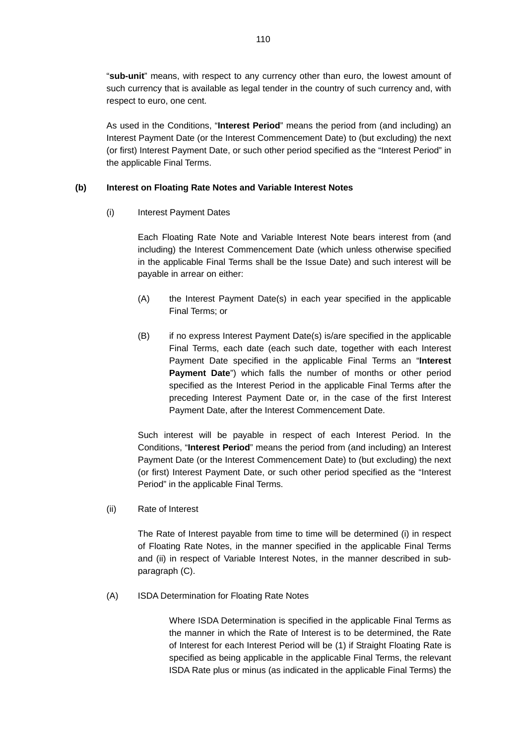"**sub-unit**" means, with respect to any currency other than euro, the lowest amount of such currency that is available as legal tender in the country of such currency and, with respect to euro, one cent.

As used in the Conditions, "**Interest Period**" means the period from (and including) an Interest Payment Date (or the Interest Commencement Date) to (but excluding) the next (or first) Interest Payment Date, or such other period specified as the "Interest Period" in the applicable Final Terms.

#### **(b) Interest on Floating Rate Notes and Variable Interest Notes**

#### (i) Interest Payment Dates

Each Floating Rate Note and Variable Interest Note bears interest from (and including) the Interest Commencement Date (which unless otherwise specified in the applicable Final Terms shall be the Issue Date) and such interest will be payable in arrear on either:

- (A) the Interest Payment Date(s) in each year specified in the applicable Final Terms; or
- (B) if no express Interest Payment Date(s) is/are specified in the applicable Final Terms, each date (each such date, together with each Interest Payment Date specified in the applicable Final Terms an "**Interest Payment Date**") which falls the number of months or other period specified as the Interest Period in the applicable Final Terms after the preceding Interest Payment Date or, in the case of the first Interest Payment Date, after the Interest Commencement Date.

Such interest will be payable in respect of each Interest Period. In the Conditions, "**Interest Period**" means the period from (and including) an Interest Payment Date (or the Interest Commencement Date) to (but excluding) the next (or first) Interest Payment Date, or such other period specified as the "Interest Period" in the applicable Final Terms.

(ii) Rate of Interest

The Rate of Interest payable from time to time will be determined (i) in respect of Floating Rate Notes, in the manner specified in the applicable Final Terms and (ii) in respect of Variable Interest Notes, in the manner described in subparagraph (C).

(A) ISDA Determination for Floating Rate Notes

Where ISDA Determination is specified in the applicable Final Terms as the manner in which the Rate of Interest is to be determined, the Rate of Interest for each Interest Period will be (1) if Straight Floating Rate is specified as being applicable in the applicable Final Terms, the relevant ISDA Rate plus or minus (as indicated in the applicable Final Terms) the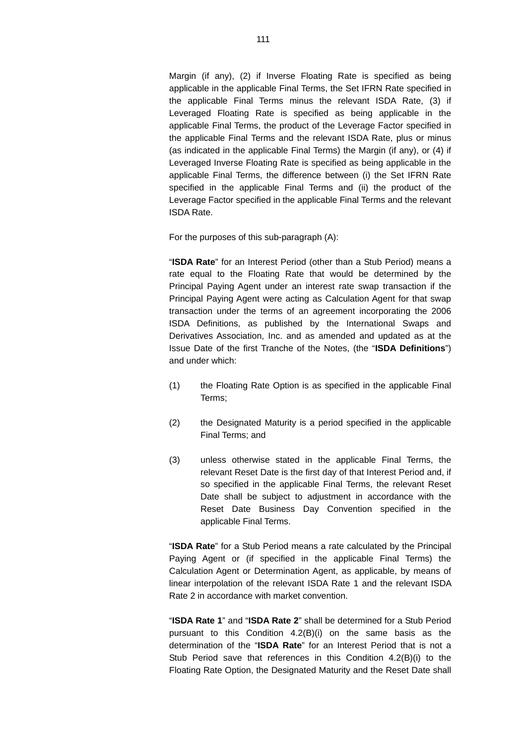Margin (if any), (2) if Inverse Floating Rate is specified as being applicable in the applicable Final Terms, the Set IFRN Rate specified in the applicable Final Terms minus the relevant ISDA Rate, (3) if Leveraged Floating Rate is specified as being applicable in the applicable Final Terms, the product of the Leverage Factor specified in the applicable Final Terms and the relevant ISDA Rate, plus or minus (as indicated in the applicable Final Terms) the Margin (if any), or (4) if Leveraged Inverse Floating Rate is specified as being applicable in the applicable Final Terms, the difference between (i) the Set IFRN Rate specified in the applicable Final Terms and (ii) the product of the Leverage Factor specified in the applicable Final Terms and the relevant ISDA Rate.

For the purposes of this sub-paragraph (A):

"**ISDA Rate**" for an Interest Period (other than a Stub Period) means a rate equal to the Floating Rate that would be determined by the Principal Paying Agent under an interest rate swap transaction if the Principal Paying Agent were acting as Calculation Agent for that swap transaction under the terms of an agreement incorporating the 2006 ISDA Definitions, as published by the International Swaps and Derivatives Association, Inc. and as amended and updated as at the Issue Date of the first Tranche of the Notes, (the "**ISDA Definitions**") and under which:

- (1) the Floating Rate Option is as specified in the applicable Final Terms;
- (2) the Designated Maturity is a period specified in the applicable Final Terms; and
- (3) unless otherwise stated in the applicable Final Terms, the relevant Reset Date is the first day of that Interest Period and, if so specified in the applicable Final Terms, the relevant Reset Date shall be subject to adjustment in accordance with the Reset Date Business Day Convention specified in the applicable Final Terms.

"**ISDA Rate**" for a Stub Period means a rate calculated by the Principal Paying Agent or (if specified in the applicable Final Terms) the Calculation Agent or Determination Agent, as applicable, by means of linear interpolation of the relevant ISDA Rate 1 and the relevant ISDA Rate 2 in accordance with market convention.

"**ISDA Rate 1**" and "**ISDA Rate 2**" shall be determined for a Stub Period pursuant to this Condition 4.2(B)(i) on the same basis as the determination of the "**ISDA Rate**" for an Interest Period that is not a Stub Period save that references in this Condition 4.2(B)(i) to the Floating Rate Option, the Designated Maturity and the Reset Date shall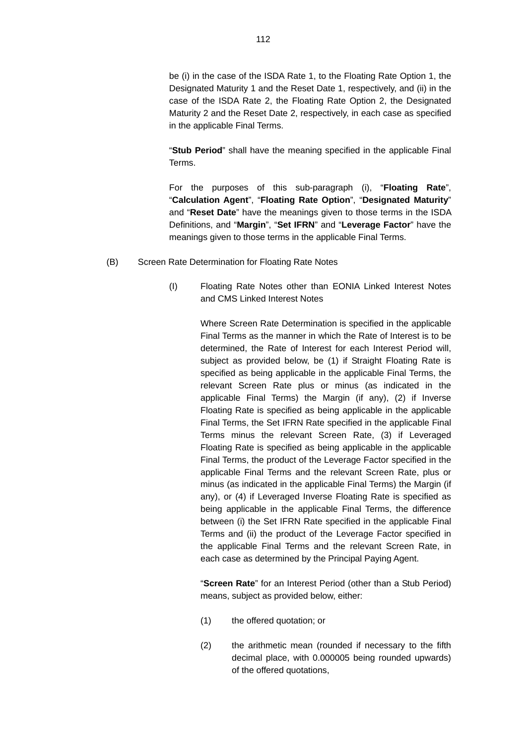be (i) in the case of the ISDA Rate 1, to the Floating Rate Option 1, the Designated Maturity 1 and the Reset Date 1, respectively, and (ii) in the case of the ISDA Rate 2, the Floating Rate Option 2, the Designated Maturity 2 and the Reset Date 2, respectively, in each case as specified in the applicable Final Terms.

"**Stub Period**" shall have the meaning specified in the applicable Final Terms.

For the purposes of this sub-paragraph (i), "**Floating Rate**", "**Calculation Agent**", "**Floating Rate Option**", "**Designated Maturity**" and "**Reset Date**" have the meanings given to those terms in the ISDA Definitions, and "**Margin**", "**Set IFRN**" and "**Leverage Factor**" have the meanings given to those terms in the applicable Final Terms.

- (B) Screen Rate Determination for Floating Rate Notes
	- (I) Floating Rate Notes other than EONIA Linked Interest Notes and CMS Linked Interest Notes

Where Screen Rate Determination is specified in the applicable Final Terms as the manner in which the Rate of Interest is to be determined, the Rate of Interest for each Interest Period will, subject as provided below, be (1) if Straight Floating Rate is specified as being applicable in the applicable Final Terms, the relevant Screen Rate plus or minus (as indicated in the applicable Final Terms) the Margin (if any), (2) if Inverse Floating Rate is specified as being applicable in the applicable Final Terms, the Set IFRN Rate specified in the applicable Final Terms minus the relevant Screen Rate, (3) if Leveraged Floating Rate is specified as being applicable in the applicable Final Terms, the product of the Leverage Factor specified in the applicable Final Terms and the relevant Screen Rate, plus or minus (as indicated in the applicable Final Terms) the Margin (if any), or (4) if Leveraged Inverse Floating Rate is specified as being applicable in the applicable Final Terms, the difference between (i) the Set IFRN Rate specified in the applicable Final Terms and (ii) the product of the Leverage Factor specified in the applicable Final Terms and the relevant Screen Rate, in each case as determined by the Principal Paying Agent.

"**Screen Rate**" for an Interest Period (other than a Stub Period) means, subject as provided below, either:

- (1) the offered quotation; or
- (2) the arithmetic mean (rounded if necessary to the fifth decimal place, with 0.000005 being rounded upwards) of the offered quotations,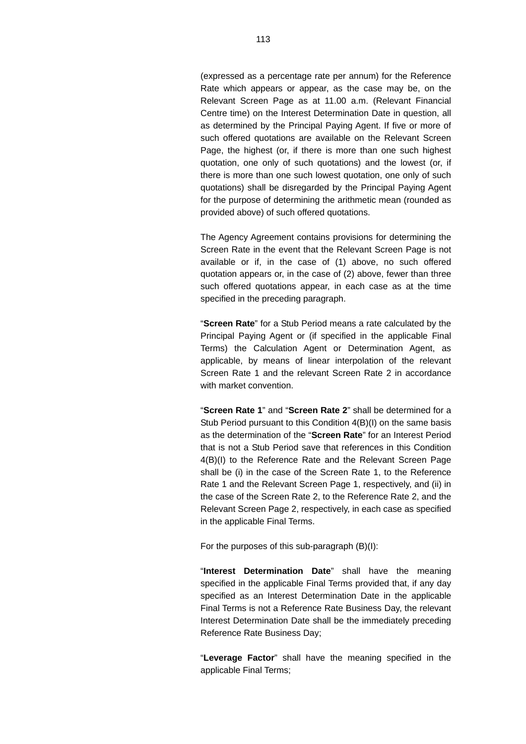(expressed as a percentage rate per annum) for the Reference Rate which appears or appear, as the case may be, on the Relevant Screen Page as at 11.00 a.m. (Relevant Financial Centre time) on the Interest Determination Date in question, all as determined by the Principal Paying Agent. If five or more of such offered quotations are available on the Relevant Screen Page, the highest (or, if there is more than one such highest quotation, one only of such quotations) and the lowest (or, if there is more than one such lowest quotation, one only of such quotations) shall be disregarded by the Principal Paying Agent for the purpose of determining the arithmetic mean (rounded as provided above) of such offered quotations.

The Agency Agreement contains provisions for determining the Screen Rate in the event that the Relevant Screen Page is not available or if, in the case of (1) above, no such offered quotation appears or, in the case of (2) above, fewer than three such offered quotations appear, in each case as at the time specified in the preceding paragraph.

"**Screen Rate**" for a Stub Period means a rate calculated by the Principal Paying Agent or (if specified in the applicable Final Terms) the Calculation Agent or Determination Agent, as applicable, by means of linear interpolation of the relevant Screen Rate 1 and the relevant Screen Rate 2 in accordance with market convention

"**Screen Rate 1**" and "**Screen Rate 2**" shall be determined for a Stub Period pursuant to this Condition 4(B)(I) on the same basis as the determination of the "**Screen Rate**" for an Interest Period that is not a Stub Period save that references in this Condition 4(B)(I) to the Reference Rate and the Relevant Screen Page shall be (i) in the case of the Screen Rate 1, to the Reference Rate 1 and the Relevant Screen Page 1, respectively, and (ii) in the case of the Screen Rate 2, to the Reference Rate 2, and the Relevant Screen Page 2, respectively, in each case as specified in the applicable Final Terms.

For the purposes of this sub-paragraph (B)(I):

"**Interest Determination Date**" shall have the meaning specified in the applicable Final Terms provided that, if any day specified as an Interest Determination Date in the applicable Final Terms is not a Reference Rate Business Day, the relevant Interest Determination Date shall be the immediately preceding Reference Rate Business Day;

"**Leverage Factor**" shall have the meaning specified in the applicable Final Terms;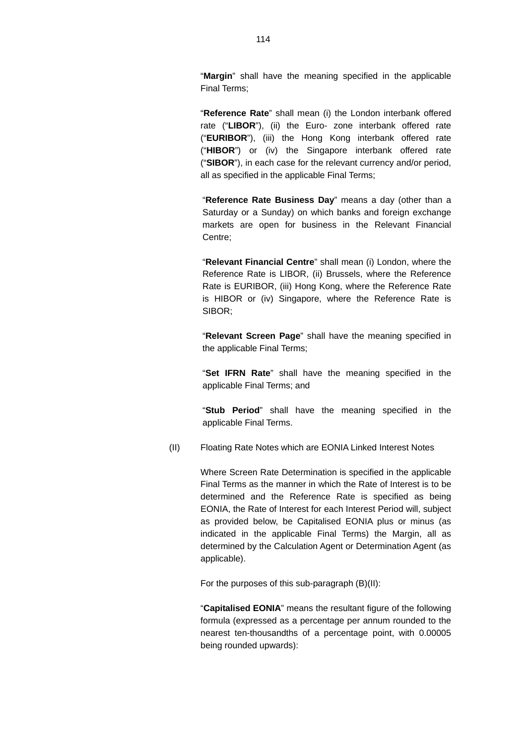"**Margin**" shall have the meaning specified in the applicable Final Terms;

"**Reference Rate**" shall mean (i) the London interbank offered rate ("**LIBOR**"), (ii) the Euro- zone interbank offered rate ("**EURIBOR**"), (iii) the Hong Kong interbank offered rate ("**HIBOR**") or (iv) the Singapore interbank offered rate ("**SIBOR**"), in each case for the relevant currency and/or period, all as specified in the applicable Final Terms;

"**Reference Rate Business Day**" means a day (other than a Saturday or a Sunday) on which banks and foreign exchange markets are open for business in the Relevant Financial Centre;

"**Relevant Financial Centre**" shall mean (i) London, where the Reference Rate is LIBOR, (ii) Brussels, where the Reference Rate is EURIBOR, (iii) Hong Kong, where the Reference Rate is HIBOR or (iv) Singapore, where the Reference Rate is SIBOR;

"**Relevant Screen Page**" shall have the meaning specified in the applicable Final Terms;

"**Set IFRN Rate**" shall have the meaning specified in the applicable Final Terms; and

"**Stub Period**" shall have the meaning specified in the applicable Final Terms.

(II) Floating Rate Notes which are EONIA Linked Interest Notes

Where Screen Rate Determination is specified in the applicable Final Terms as the manner in which the Rate of Interest is to be determined and the Reference Rate is specified as being EONIA, the Rate of Interest for each Interest Period will, subject as provided below, be Capitalised EONIA plus or minus (as indicated in the applicable Final Terms) the Margin, all as determined by the Calculation Agent or Determination Agent (as applicable).

For the purposes of this sub-paragraph (B)(II):

"**Capitalised EONIA**" means the resultant figure of the following formula (expressed as a percentage per annum rounded to the nearest ten-thousandths of a percentage point, with 0.00005 being rounded upwards):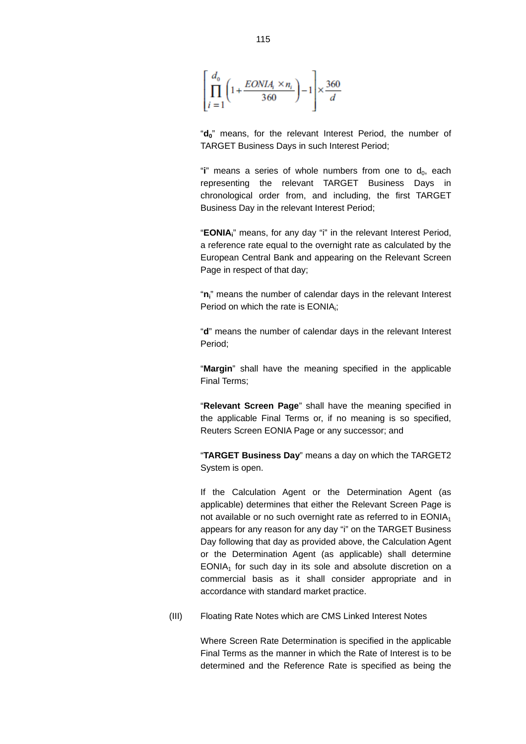$$
\left[\prod_{i=1}^{d_0} \left(1 + \frac{EONIA_i \times n_i}{360}\right) - 1\right] \times \frac{360}{d}
$$

"**d**<sup>"</sup> means, for the relevant Interest Period, the number of TARGET Business Days in such Interest Period;

" $\mathbf{i}$ " means a series of whole numbers from one to  $\mathbf{d}_0$ , each representing the relevant TARGET Business Days in chronological order from, and including, the first TARGET Business Day in the relevant Interest Period;

"**EONIAi**" means, for any day "i" in the relevant Interest Period, a reference rate equal to the overnight rate as calculated by the European Central Bank and appearing on the Relevant Screen Page in respect of that day;

"ni<sup>"</sup> means the number of calendar days in the relevant Interest Period on which the rate is EONIA<sub>i</sub>;

"**d**" means the number of calendar days in the relevant Interest Period;

"**Margin**" shall have the meaning specified in the applicable Final Terms;

"**Relevant Screen Page**" shall have the meaning specified in the applicable Final Terms or, if no meaning is so specified, Reuters Screen EONIA Page or any successor; and

"**TARGET Business Day**" means a day on which the TARGET2 System is open.

If the Calculation Agent or the Determination Agent (as applicable) determines that either the Relevant Screen Page is not available or no such overnight rate as referred to in EONIA<sub>1</sub> appears for any reason for any day "i" on the TARGET Business Day following that day as provided above, the Calculation Agent or the Determination Agent (as applicable) shall determine  $EONIA<sub>1</sub>$  for such day in its sole and absolute discretion on a commercial basis as it shall consider appropriate and in accordance with standard market practice.

(III) Floating Rate Notes which are CMS Linked Interest Notes

Where Screen Rate Determination is specified in the applicable Final Terms as the manner in which the Rate of Interest is to be determined and the Reference Rate is specified as being the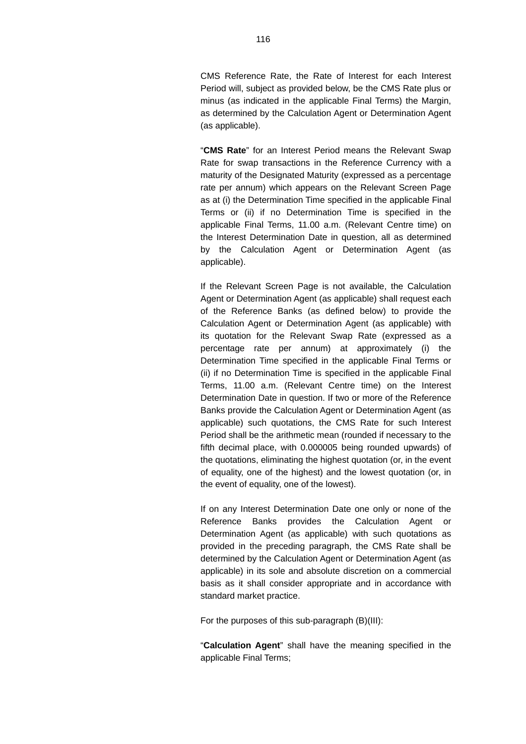CMS Reference Rate, the Rate of Interest for each Interest Period will, subject as provided below, be the CMS Rate plus or minus (as indicated in the applicable Final Terms) the Margin, as determined by the Calculation Agent or Determination Agent (as applicable).

"**CMS Rate**" for an Interest Period means the Relevant Swap Rate for swap transactions in the Reference Currency with a maturity of the Designated Maturity (expressed as a percentage rate per annum) which appears on the Relevant Screen Page as at (i) the Determination Time specified in the applicable Final Terms or (ii) if no Determination Time is specified in the applicable Final Terms, 11.00 a.m. (Relevant Centre time) on the Interest Determination Date in question, all as determined by the Calculation Agent or Determination Agent (as applicable).

If the Relevant Screen Page is not available, the Calculation Agent or Determination Agent (as applicable) shall request each of the Reference Banks (as defined below) to provide the Calculation Agent or Determination Agent (as applicable) with its quotation for the Relevant Swap Rate (expressed as a percentage rate per annum) at approximately (i) the Determination Time specified in the applicable Final Terms or (ii) if no Determination Time is specified in the applicable Final Terms, 11.00 a.m. (Relevant Centre time) on the Interest Determination Date in question. If two or more of the Reference Banks provide the Calculation Agent or Determination Agent (as applicable) such quotations, the CMS Rate for such Interest Period shall be the arithmetic mean (rounded if necessary to the fifth decimal place, with 0.000005 being rounded upwards) of the quotations, eliminating the highest quotation (or, in the event of equality, one of the highest) and the lowest quotation (or, in the event of equality, one of the lowest).

If on any Interest Determination Date one only or none of the Reference Banks provides the Calculation Agent or Determination Agent (as applicable) with such quotations as provided in the preceding paragraph, the CMS Rate shall be determined by the Calculation Agent or Determination Agent (as applicable) in its sole and absolute discretion on a commercial basis as it shall consider appropriate and in accordance with standard market practice.

For the purposes of this sub-paragraph (B)(III):

"**Calculation Agent**" shall have the meaning specified in the applicable Final Terms;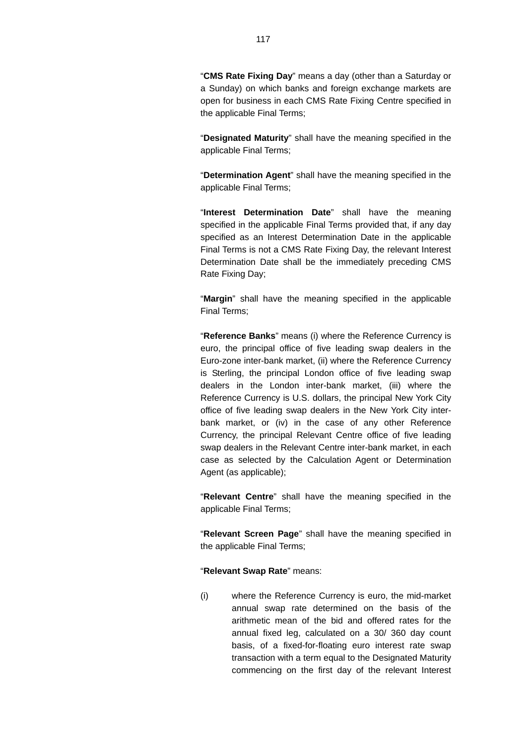"**CMS Rate Fixing Day**" means a day (other than a Saturday or a Sunday) on which banks and foreign exchange markets are open for business in each CMS Rate Fixing Centre specified in the applicable Final Terms;

"**Designated Maturity**" shall have the meaning specified in the applicable Final Terms;

"**Determination Agent**" shall have the meaning specified in the applicable Final Terms;

"**Interest Determination Date**" shall have the meaning specified in the applicable Final Terms provided that, if any day specified as an Interest Determination Date in the applicable Final Terms is not a CMS Rate Fixing Day, the relevant Interest Determination Date shall be the immediately preceding CMS Rate Fixing Day;

"**Margin**" shall have the meaning specified in the applicable Final Terms;

"**Reference Banks**" means (i) where the Reference Currency is euro, the principal office of five leading swap dealers in the Euro-zone inter-bank market, (ii) where the Reference Currency is Sterling, the principal London office of five leading swap dealers in the London inter-bank market, (iii) where the Reference Currency is U.S. dollars, the principal New York City office of five leading swap dealers in the New York City interbank market, or (iv) in the case of any other Reference Currency, the principal Relevant Centre office of five leading swap dealers in the Relevant Centre inter-bank market, in each case as selected by the Calculation Agent or Determination Agent (as applicable);

"**Relevant Centre**" shall have the meaning specified in the applicable Final Terms;

"**Relevant Screen Page**" shall have the meaning specified in the applicable Final Terms;

#### "**Relevant Swap Rate**" means:

(i) where the Reference Currency is euro, the mid-market annual swap rate determined on the basis of the arithmetic mean of the bid and offered rates for the annual fixed leg, calculated on a 30/ 360 day count basis, of a fixed-for-floating euro interest rate swap transaction with a term equal to the Designated Maturity commencing on the first day of the relevant Interest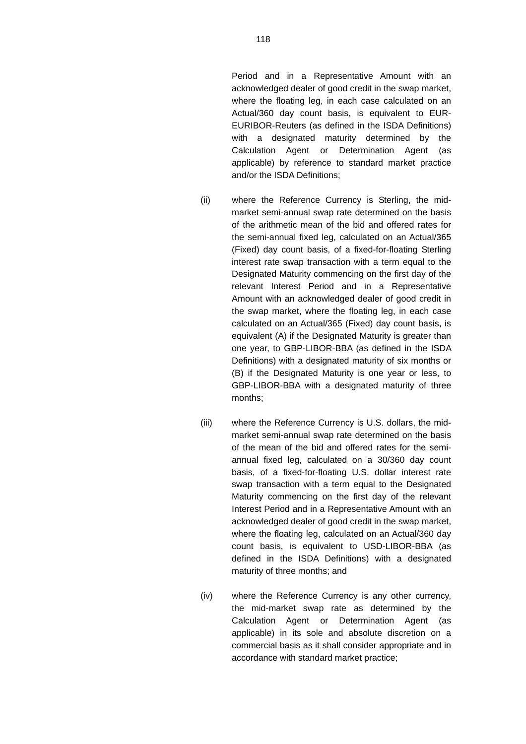Period and in a Representative Amount with an acknowledged dealer of good credit in the swap market, where the floating leg, in each case calculated on an Actual/360 day count basis, is equivalent to EUR-EURIBOR-Reuters (as defined in the ISDA Definitions) with a designated maturity determined by the Calculation Agent or Determination Agent (as applicable) by reference to standard market practice and/or the ISDA Definitions;

- (ii) where the Reference Currency is Sterling, the midmarket semi-annual swap rate determined on the basis of the arithmetic mean of the bid and offered rates for the semi-annual fixed leg, calculated on an Actual/365 (Fixed) day count basis, of a fixed-for-floating Sterling interest rate swap transaction with a term equal to the Designated Maturity commencing on the first day of the relevant Interest Period and in a Representative Amount with an acknowledged dealer of good credit in the swap market, where the floating leg, in each case calculated on an Actual/365 (Fixed) day count basis, is equivalent (A) if the Designated Maturity is greater than one year, to GBP-LIBOR-BBA (as defined in the ISDA Definitions) with a designated maturity of six months or (B) if the Designated Maturity is one year or less, to GBP-LIBOR-BBA with a designated maturity of three months;
- (iii) where the Reference Currency is U.S. dollars, the midmarket semi-annual swap rate determined on the basis of the mean of the bid and offered rates for the semiannual fixed leg, calculated on a 30/360 day count basis, of a fixed-for-floating U.S. dollar interest rate swap transaction with a term equal to the Designated Maturity commencing on the first day of the relevant Interest Period and in a Representative Amount with an acknowledged dealer of good credit in the swap market, where the floating leg, calculated on an Actual/360 day count basis, is equivalent to USD-LIBOR-BBA (as defined in the ISDA Definitions) with a designated maturity of three months; and
- (iv) where the Reference Currency is any other currency, the mid-market swap rate as determined by the Calculation Agent or Determination Agent (as applicable) in its sole and absolute discretion on a commercial basis as it shall consider appropriate and in accordance with standard market practice;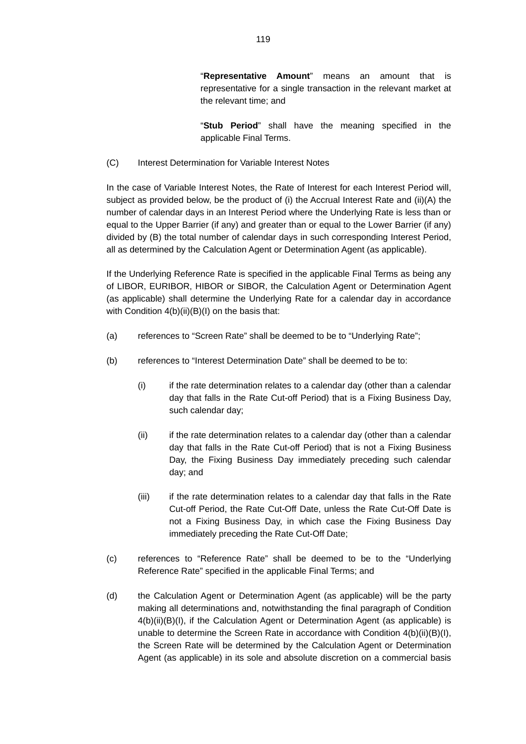"**Stub Period**" shall have the meaning specified in the applicable Final Terms.

(C) Interest Determination for Variable Interest Notes

In the case of Variable Interest Notes, the Rate of Interest for each Interest Period will, subject as provided below, be the product of (i) the Accrual Interest Rate and (ii)(A) the number of calendar days in an Interest Period where the Underlying Rate is less than or equal to the Upper Barrier (if any) and greater than or equal to the Lower Barrier (if any) divided by (B) the total number of calendar days in such corresponding Interest Period, all as determined by the Calculation Agent or Determination Agent (as applicable).

If the Underlying Reference Rate is specified in the applicable Final Terms as being any of LIBOR, EURIBOR, HIBOR or SIBOR, the Calculation Agent or Determination Agent (as applicable) shall determine the Underlying Rate for a calendar day in accordance with Condition 4(b)(ii)(B)(I) on the basis that:

- (a) references to "Screen Rate" shall be deemed to be to "Underlying Rate";
- (b) references to "Interest Determination Date" shall be deemed to be to:
	- (i) if the rate determination relates to a calendar day (other than a calendar day that falls in the Rate Cut-off Period) that is a Fixing Business Day, such calendar day;
	- (ii) if the rate determination relates to a calendar day (other than a calendar day that falls in the Rate Cut-off Period) that is not a Fixing Business Day, the Fixing Business Day immediately preceding such calendar day; and
	- (iii) if the rate determination relates to a calendar day that falls in the Rate Cut-off Period, the Rate Cut-Off Date, unless the Rate Cut-Off Date is not a Fixing Business Day, in which case the Fixing Business Day immediately preceding the Rate Cut-Off Date;
- (c) references to "Reference Rate" shall be deemed to be to the "Underlying Reference Rate" specified in the applicable Final Terms; and
- (d) the Calculation Agent or Determination Agent (as applicable) will be the party making all determinations and, notwithstanding the final paragraph of Condition 4(b)(ii)(B)(I), if the Calculation Agent or Determination Agent (as applicable) is unable to determine the Screen Rate in accordance with Condition 4(b)(ii)(B)(I), the Screen Rate will be determined by the Calculation Agent or Determination Agent (as applicable) in its sole and absolute discretion on a commercial basis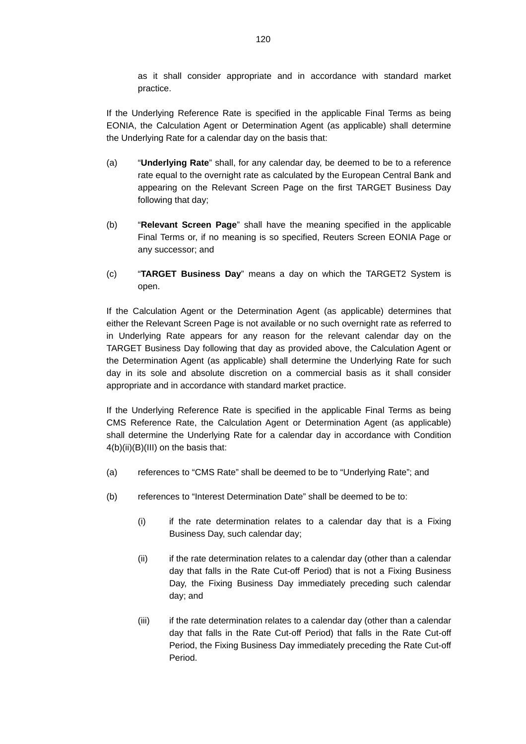as it shall consider appropriate and in accordance with standard market practice.

If the Underlying Reference Rate is specified in the applicable Final Terms as being EONIA, the Calculation Agent or Determination Agent (as applicable) shall determine the Underlying Rate for a calendar day on the basis that:

- (a) "**Underlying Rate**" shall, for any calendar day, be deemed to be to a reference rate equal to the overnight rate as calculated by the European Central Bank and appearing on the Relevant Screen Page on the first TARGET Business Day following that day;
- (b) "**Relevant Screen Page**" shall have the meaning specified in the applicable Final Terms or, if no meaning is so specified, Reuters Screen EONIA Page or any successor; and
- (c) "**TARGET Business Day**" means a day on which the TARGET2 System is open.

If the Calculation Agent or the Determination Agent (as applicable) determines that either the Relevant Screen Page is not available or no such overnight rate as referred to in Underlying Rate appears for any reason for the relevant calendar day on the TARGET Business Day following that day as provided above, the Calculation Agent or the Determination Agent (as applicable) shall determine the Underlying Rate for such day in its sole and absolute discretion on a commercial basis as it shall consider appropriate and in accordance with standard market practice.

If the Underlying Reference Rate is specified in the applicable Final Terms as being CMS Reference Rate, the Calculation Agent or Determination Agent (as applicable) shall determine the Underlying Rate for a calendar day in accordance with Condition 4(b)(ii)(B)(III) on the basis that:

- (a) references to "CMS Rate" shall be deemed to be to "Underlying Rate"; and
- (b) references to "Interest Determination Date" shall be deemed to be to:
	- (i) if the rate determination relates to a calendar day that is a Fixing Business Day, such calendar day;
	- (ii) if the rate determination relates to a calendar day (other than a calendar day that falls in the Rate Cut-off Period) that is not a Fixing Business Day, the Fixing Business Day immediately preceding such calendar day; and
	- (iii) if the rate determination relates to a calendar day (other than a calendar day that falls in the Rate Cut-off Period) that falls in the Rate Cut-off Period, the Fixing Business Day immediately preceding the Rate Cut-off Period.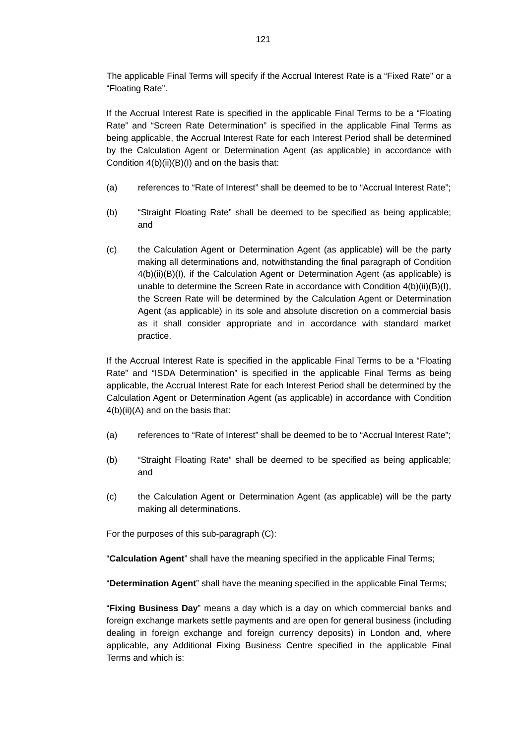The applicable Final Terms will specify if the Accrual Interest Rate is a "Fixed Rate" or a "Floating Rate".

If the Accrual Interest Rate is specified in the applicable Final Terms to be a "Floating Rate" and "Screen Rate Determination" is specified in the applicable Final Terms as being applicable, the Accrual Interest Rate for each Interest Period shall be determined by the Calculation Agent or Determination Agent (as applicable) in accordance with Condition 4(b)(ii)(B)(I) and on the basis that:

- (a) references to "Rate of Interest" shall be deemed to be to "Accrual Interest Rate";
- (b) "Straight Floating Rate" shall be deemed to be specified as being applicable; and
- (c) the Calculation Agent or Determination Agent (as applicable) will be the party making all determinations and, notwithstanding the final paragraph of Condition 4(b)(ii)(B)(I), if the Calculation Agent or Determination Agent (as applicable) is unable to determine the Screen Rate in accordance with Condition 4(b)(ii)(B)(I), the Screen Rate will be determined by the Calculation Agent or Determination Agent (as applicable) in its sole and absolute discretion on a commercial basis as it shall consider appropriate and in accordance with standard market practice.

If the Accrual Interest Rate is specified in the applicable Final Terms to be a "Floating Rate" and "ISDA Determination" is specified in the applicable Final Terms as being applicable, the Accrual Interest Rate for each Interest Period shall be determined by the Calculation Agent or Determination Agent (as applicable) in accordance with Condition 4(b)(ii)(A) and on the basis that:

- (a) references to "Rate of Interest" shall be deemed to be to "Accrual Interest Rate";
- (b) "Straight Floating Rate" shall be deemed to be specified as being applicable; and
- (c) the Calculation Agent or Determination Agent (as applicable) will be the party making all determinations.

For the purposes of this sub-paragraph (C):

"**Calculation Agent**" shall have the meaning specified in the applicable Final Terms;

"**Determination Agent**" shall have the meaning specified in the applicable Final Terms;

"**Fixing Business Day**" means a day which is a day on which commercial banks and foreign exchange markets settle payments and are open for general business (including dealing in foreign exchange and foreign currency deposits) in London and, where applicable, any Additional Fixing Business Centre specified in the applicable Final Terms and which is: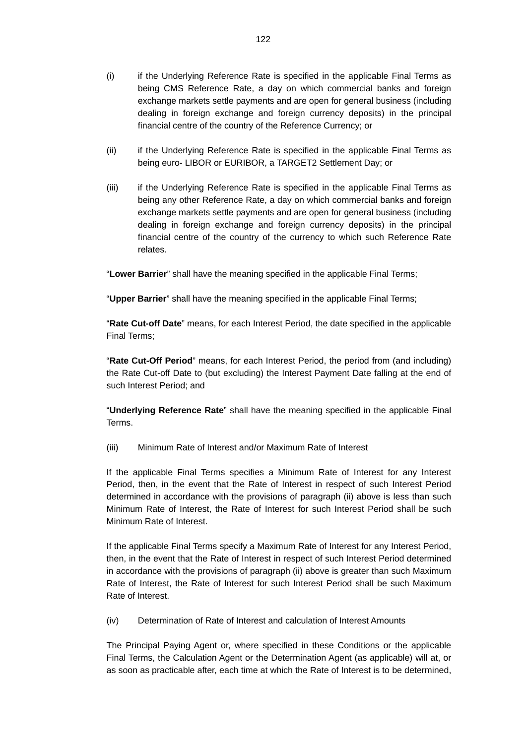- (i) if the Underlying Reference Rate is specified in the applicable Final Terms as being CMS Reference Rate, a day on which commercial banks and foreign exchange markets settle payments and are open for general business (including dealing in foreign exchange and foreign currency deposits) in the principal financial centre of the country of the Reference Currency; or
- (ii) if the Underlying Reference Rate is specified in the applicable Final Terms as being euro- LIBOR or EURIBOR, a TARGET2 Settlement Day; or
- (iii) if the Underlying Reference Rate is specified in the applicable Final Terms as being any other Reference Rate, a day on which commercial banks and foreign exchange markets settle payments and are open for general business (including dealing in foreign exchange and foreign currency deposits) in the principal financial centre of the country of the currency to which such Reference Rate relates.

"**Lower Barrier**" shall have the meaning specified in the applicable Final Terms;

"**Upper Barrier**" shall have the meaning specified in the applicable Final Terms;

"**Rate Cut-off Date**" means, for each Interest Period, the date specified in the applicable Final Terms;

"**Rate Cut-Off Period**" means, for each Interest Period, the period from (and including) the Rate Cut-off Date to (but excluding) the Interest Payment Date falling at the end of such Interest Period; and

"**Underlying Reference Rate**" shall have the meaning specified in the applicable Final Terms.

(iii) Minimum Rate of Interest and/or Maximum Rate of Interest

If the applicable Final Terms specifies a Minimum Rate of Interest for any Interest Period, then, in the event that the Rate of Interest in respect of such Interest Period determined in accordance with the provisions of paragraph (ii) above is less than such Minimum Rate of Interest, the Rate of Interest for such Interest Period shall be such Minimum Rate of Interest.

If the applicable Final Terms specify a Maximum Rate of Interest for any Interest Period, then, in the event that the Rate of Interest in respect of such Interest Period determined in accordance with the provisions of paragraph (ii) above is greater than such Maximum Rate of Interest, the Rate of Interest for such Interest Period shall be such Maximum Rate of Interest.

(iv) Determination of Rate of Interest and calculation of Interest Amounts

The Principal Paying Agent or, where specified in these Conditions or the applicable Final Terms, the Calculation Agent or the Determination Agent (as applicable) will at, or as soon as practicable after, each time at which the Rate of Interest is to be determined,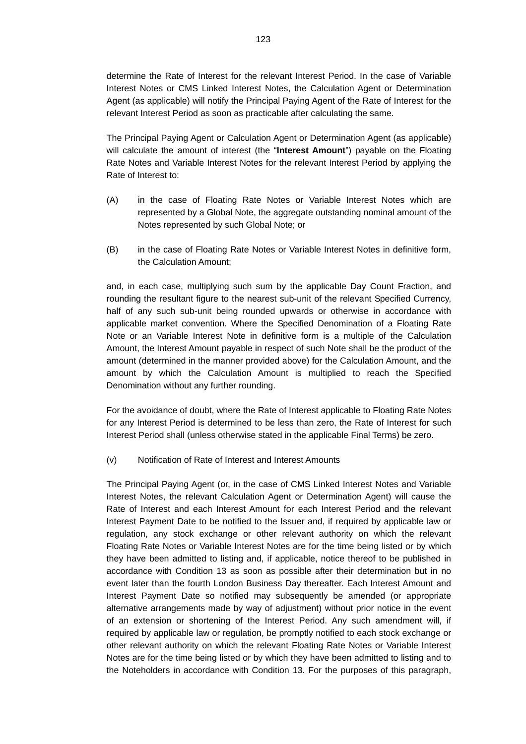determine the Rate of Interest for the relevant Interest Period. In the case of Variable Interest Notes or CMS Linked Interest Notes, the Calculation Agent or Determination Agent (as applicable) will notify the Principal Paying Agent of the Rate of Interest for the relevant Interest Period as soon as practicable after calculating the same.

The Principal Paying Agent or Calculation Agent or Determination Agent (as applicable) will calculate the amount of interest (the "**Interest Amount**") payable on the Floating Rate Notes and Variable Interest Notes for the relevant Interest Period by applying the Rate of Interest to:

- (A) in the case of Floating Rate Notes or Variable Interest Notes which are represented by a Global Note, the aggregate outstanding nominal amount of the Notes represented by such Global Note; or
- (B) in the case of Floating Rate Notes or Variable Interest Notes in definitive form, the Calculation Amount;

and, in each case, multiplying such sum by the applicable Day Count Fraction, and rounding the resultant figure to the nearest sub-unit of the relevant Specified Currency, half of any such sub-unit being rounded upwards or otherwise in accordance with applicable market convention. Where the Specified Denomination of a Floating Rate Note or an Variable Interest Note in definitive form is a multiple of the Calculation Amount, the Interest Amount payable in respect of such Note shall be the product of the amount (determined in the manner provided above) for the Calculation Amount, and the amount by which the Calculation Amount is multiplied to reach the Specified Denomination without any further rounding.

For the avoidance of doubt, where the Rate of Interest applicable to Floating Rate Notes for any Interest Period is determined to be less than zero, the Rate of Interest for such Interest Period shall (unless otherwise stated in the applicable Final Terms) be zero.

(v) Notification of Rate of Interest and Interest Amounts

The Principal Paying Agent (or, in the case of CMS Linked Interest Notes and Variable Interest Notes, the relevant Calculation Agent or Determination Agent) will cause the Rate of Interest and each Interest Amount for each Interest Period and the relevant Interest Payment Date to be notified to the Issuer and, if required by applicable law or regulation, any stock exchange or other relevant authority on which the relevant Floating Rate Notes or Variable Interest Notes are for the time being listed or by which they have been admitted to listing and, if applicable, notice thereof to be published in accordance with Condition 13 as soon as possible after their determination but in no event later than the fourth London Business Day thereafter. Each Interest Amount and Interest Payment Date so notified may subsequently be amended (or appropriate alternative arrangements made by way of adjustment) without prior notice in the event of an extension or shortening of the Interest Period. Any such amendment will, if required by applicable law or regulation, be promptly notified to each stock exchange or other relevant authority on which the relevant Floating Rate Notes or Variable Interest Notes are for the time being listed or by which they have been admitted to listing and to the Noteholders in accordance with Condition 13. For the purposes of this paragraph,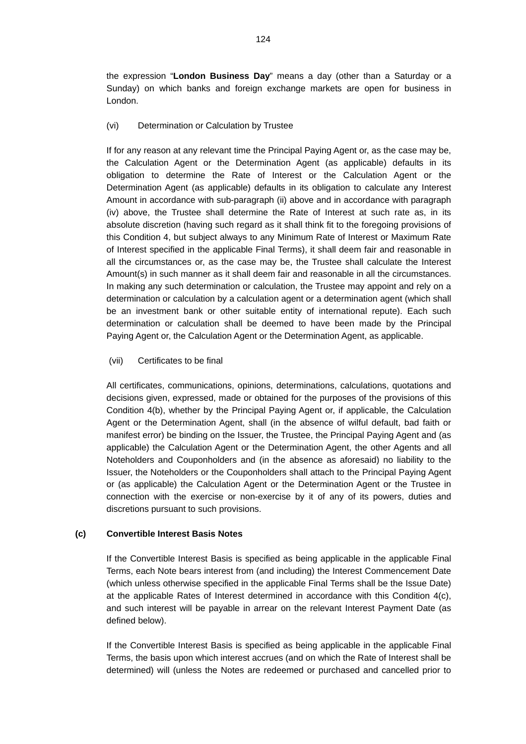the expression "**London Business Day**" means a day (other than a Saturday or a Sunday) on which banks and foreign exchange markets are open for business in London.

(vi) Determination or Calculation by Trustee

If for any reason at any relevant time the Principal Paying Agent or, as the case may be, the Calculation Agent or the Determination Agent (as applicable) defaults in its obligation to determine the Rate of Interest or the Calculation Agent or the Determination Agent (as applicable) defaults in its obligation to calculate any Interest Amount in accordance with sub-paragraph (ii) above and in accordance with paragraph (iv) above, the Trustee shall determine the Rate of Interest at such rate as, in its absolute discretion (having such regard as it shall think fit to the foregoing provisions of this Condition 4, but subject always to any Minimum Rate of Interest or Maximum Rate of Interest specified in the applicable Final Terms), it shall deem fair and reasonable in all the circumstances or, as the case may be, the Trustee shall calculate the Interest Amount(s) in such manner as it shall deem fair and reasonable in all the circumstances. In making any such determination or calculation, the Trustee may appoint and rely on a determination or calculation by a calculation agent or a determination agent (which shall be an investment bank or other suitable entity of international repute). Each such determination or calculation shall be deemed to have been made by the Principal Paying Agent or, the Calculation Agent or the Determination Agent, as applicable.

(vii) Certificates to be final

All certificates, communications, opinions, determinations, calculations, quotations and decisions given, expressed, made or obtained for the purposes of the provisions of this Condition 4(b), whether by the Principal Paying Agent or, if applicable, the Calculation Agent or the Determination Agent, shall (in the absence of wilful default, bad faith or manifest error) be binding on the Issuer, the Trustee, the Principal Paying Agent and (as applicable) the Calculation Agent or the Determination Agent, the other Agents and all Noteholders and Couponholders and (in the absence as aforesaid) no liability to the Issuer, the Noteholders or the Couponholders shall attach to the Principal Paying Agent or (as applicable) the Calculation Agent or the Determination Agent or the Trustee in connection with the exercise or non-exercise by it of any of its powers, duties and discretions pursuant to such provisions.

# **(c) Convertible Interest Basis Notes**

If the Convertible Interest Basis is specified as being applicable in the applicable Final Terms, each Note bears interest from (and including) the Interest Commencement Date (which unless otherwise specified in the applicable Final Terms shall be the Issue Date) at the applicable Rates of Interest determined in accordance with this Condition 4(c), and such interest will be payable in arrear on the relevant Interest Payment Date (as defined below).

If the Convertible Interest Basis is specified as being applicable in the applicable Final Terms, the basis upon which interest accrues (and on which the Rate of Interest shall be determined) will (unless the Notes are redeemed or purchased and cancelled prior to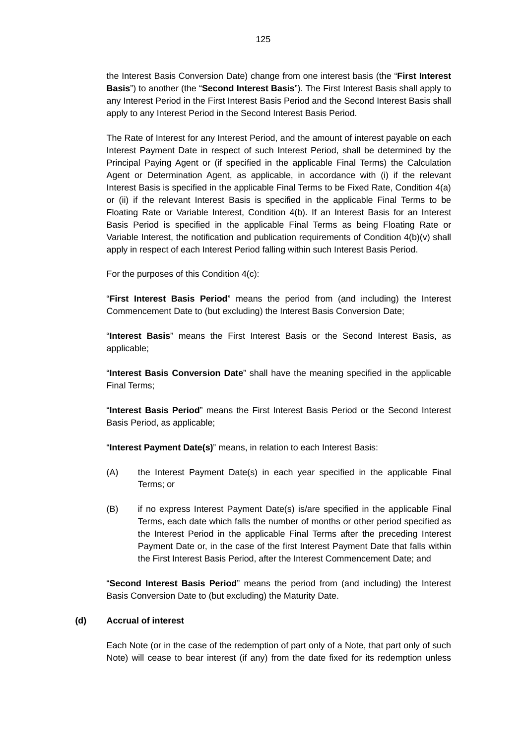the Interest Basis Conversion Date) change from one interest basis (the "**First Interest Basis**") to another (the "**Second Interest Basis**"). The First Interest Basis shall apply to any Interest Period in the First Interest Basis Period and the Second Interest Basis shall apply to any Interest Period in the Second Interest Basis Period.

The Rate of Interest for any Interest Period, and the amount of interest payable on each Interest Payment Date in respect of such Interest Period, shall be determined by the Principal Paying Agent or (if specified in the applicable Final Terms) the Calculation Agent or Determination Agent, as applicable, in accordance with (i) if the relevant Interest Basis is specified in the applicable Final Terms to be Fixed Rate, Condition 4(a) or (ii) if the relevant Interest Basis is specified in the applicable Final Terms to be Floating Rate or Variable Interest, Condition 4(b). If an Interest Basis for an Interest Basis Period is specified in the applicable Final Terms as being Floating Rate or Variable Interest, the notification and publication requirements of Condition 4(b)(v) shall apply in respect of each Interest Period falling within such Interest Basis Period.

For the purposes of this Condition 4(c):

"**First Interest Basis Period**" means the period from (and including) the Interest Commencement Date to (but excluding) the Interest Basis Conversion Date;

"**Interest Basis**" means the First Interest Basis or the Second Interest Basis, as applicable;

"**Interest Basis Conversion Date**" shall have the meaning specified in the applicable Final Terms;

"**Interest Basis Period**" means the First Interest Basis Period or the Second Interest Basis Period, as applicable;

"**Interest Payment Date(s)**" means, in relation to each Interest Basis:

- (A) the Interest Payment Date(s) in each year specified in the applicable Final Terms; or
- (B) if no express Interest Payment Date(s) is/are specified in the applicable Final Terms, each date which falls the number of months or other period specified as the Interest Period in the applicable Final Terms after the preceding Interest Payment Date or, in the case of the first Interest Payment Date that falls within the First Interest Basis Period, after the Interest Commencement Date; and

"**Second Interest Basis Period**" means the period from (and including) the Interest Basis Conversion Date to (but excluding) the Maturity Date.

### **(d) Accrual of interest**

Each Note (or in the case of the redemption of part only of a Note, that part only of such Note) will cease to bear interest (if any) from the date fixed for its redemption unless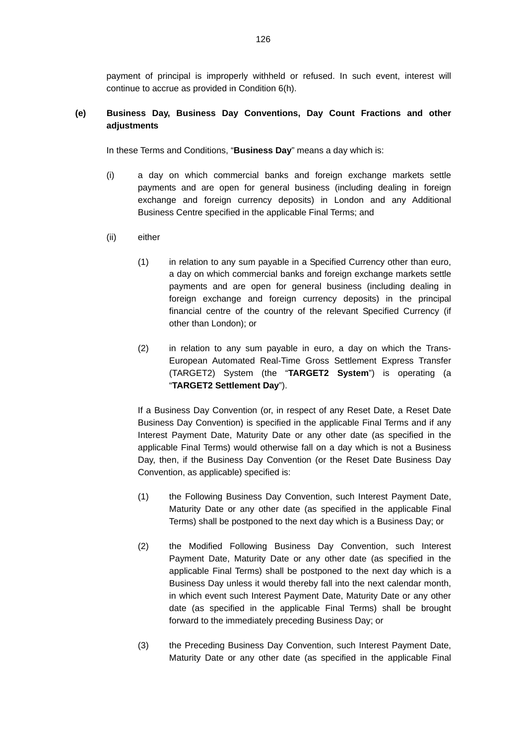payment of principal is improperly withheld or refused. In such event, interest will continue to accrue as provided in Condition 6(h).

# **(e) Business Day, Business Day Conventions, Day Count Fractions and other adjustments**

In these Terms and Conditions, "**Business Day**" means a day which is:

- (i) a day on which commercial banks and foreign exchange markets settle payments and are open for general business (including dealing in foreign exchange and foreign currency deposits) in London and any Additional Business Centre specified in the applicable Final Terms; and
- (ii) either
	- (1) in relation to any sum payable in a Specified Currency other than euro, a day on which commercial banks and foreign exchange markets settle payments and are open for general business (including dealing in foreign exchange and foreign currency deposits) in the principal financial centre of the country of the relevant Specified Currency (if other than London); or
	- (2) in relation to any sum payable in euro, a day on which the Trans-European Automated Real-Time Gross Settlement Express Transfer (TARGET2) System (the "**TARGET2 System**") is operating (a "**TARGET2 Settlement Day**").

If a Business Day Convention (or, in respect of any Reset Date, a Reset Date Business Day Convention) is specified in the applicable Final Terms and if any Interest Payment Date, Maturity Date or any other date (as specified in the applicable Final Terms) would otherwise fall on a day which is not a Business Day, then, if the Business Day Convention (or the Reset Date Business Day Convention, as applicable) specified is:

- (1) the Following Business Day Convention, such Interest Payment Date, Maturity Date or any other date (as specified in the applicable Final Terms) shall be postponed to the next day which is a Business Day; or
- (2) the Modified Following Business Day Convention, such Interest Payment Date, Maturity Date or any other date (as specified in the applicable Final Terms) shall be postponed to the next day which is a Business Day unless it would thereby fall into the next calendar month, in which event such Interest Payment Date, Maturity Date or any other date (as specified in the applicable Final Terms) shall be brought forward to the immediately preceding Business Day; or
- (3) the Preceding Business Day Convention, such Interest Payment Date, Maturity Date or any other date (as specified in the applicable Final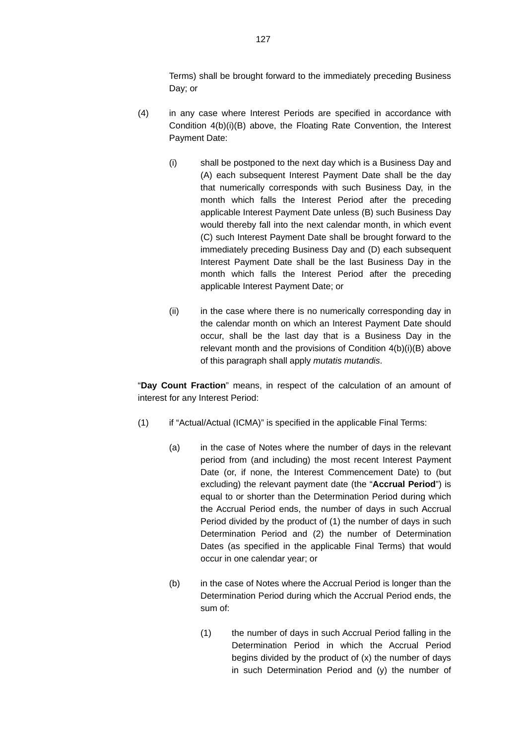Terms) shall be brought forward to the immediately preceding Business Day; or

- (4) in any case where Interest Periods are specified in accordance with Condition 4(b)(i)(B) above, the Floating Rate Convention, the Interest Payment Date:
	- (i) shall be postponed to the next day which is a Business Day and (A) each subsequent Interest Payment Date shall be the day that numerically corresponds with such Business Day, in the month which falls the Interest Period after the preceding applicable Interest Payment Date unless (B) such Business Day would thereby fall into the next calendar month, in which event (C) such Interest Payment Date shall be brought forward to the immediately preceding Business Day and (D) each subsequent Interest Payment Date shall be the last Business Day in the month which falls the Interest Period after the preceding applicable Interest Payment Date; or
	- (ii) in the case where there is no numerically corresponding day in the calendar month on which an Interest Payment Date should occur, shall be the last day that is a Business Day in the relevant month and the provisions of Condition 4(b)(i)(B) above of this paragraph shall apply *mutatis mutandis*.

"**Day Count Fraction**" means, in respect of the calculation of an amount of interest for any Interest Period:

- (1) if "Actual/Actual (ICMA)" is specified in the applicable Final Terms:
	- (a) in the case of Notes where the number of days in the relevant period from (and including) the most recent Interest Payment Date (or, if none, the Interest Commencement Date) to (but excluding) the relevant payment date (the "**Accrual Period**") is equal to or shorter than the Determination Period during which the Accrual Period ends, the number of days in such Accrual Period divided by the product of (1) the number of days in such Determination Period and (2) the number of Determination Dates (as specified in the applicable Final Terms) that would occur in one calendar year; or
	- (b) in the case of Notes where the Accrual Period is longer than the Determination Period during which the Accrual Period ends, the sum of:
		- (1) the number of days in such Accrual Period falling in the Determination Period in which the Accrual Period begins divided by the product of (x) the number of days in such Determination Period and (y) the number of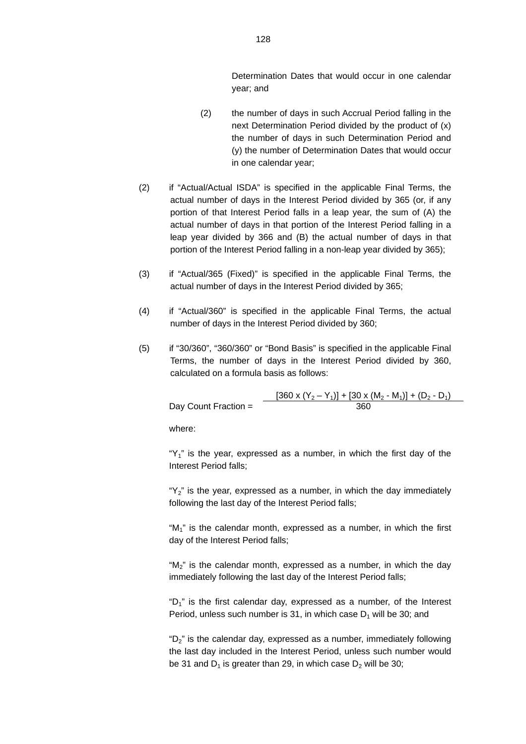Determination Dates that would occur in one calendar year; and

- (2) the number of days in such Accrual Period falling in the next Determination Period divided by the product of (x) the number of days in such Determination Period and (y) the number of Determination Dates that would occur in one calendar year;
- (2) if "Actual/Actual ISDA" is specified in the applicable Final Terms, the actual number of days in the Interest Period divided by 365 (or, if any portion of that Interest Period falls in a leap year, the sum of (A) the actual number of days in that portion of the Interest Period falling in a leap year divided by 366 and (B) the actual number of days in that portion of the Interest Period falling in a non-leap year divided by 365);
- (3) if "Actual/365 (Fixed)" is specified in the applicable Final Terms, the actual number of days in the Interest Period divided by 365;
- (4) if "Actual/360" is specified in the applicable Final Terms, the actual number of days in the Interest Period divided by 360;
- (5) if "30/360", "360/360" or "Bond Basis" is specified in the applicable Final Terms, the number of days in the Interest Period divided by 360, calculated on a formula basis as follows:

 $[360 \times (Y_2 - Y_1)] + [30 \times (M_2 - M_1)] + (D_2 - D_1)$ Day Count Fraction = 360

where:

" $Y_1$ " is the year, expressed as a number, in which the first day of the Interest Period falls;

"Y<sub>2</sub>" is the year, expressed as a number, in which the day immediately following the last day of the Interest Period falls;

"M1" is the calendar month, expressed as a number, in which the first day of the Interest Period falls;

" $M_2$ " is the calendar month, expressed as a number, in which the day immediately following the last day of the Interest Period falls;

" $D_1$ " is the first calendar day, expressed as a number, of the Interest Period, unless such number is 31, in which case  $D_1$  will be 30; and

"D2" is the calendar day, expressed as a number, immediately following the last day included in the Interest Period, unless such number would be 31 and  $D_1$  is greater than 29, in which case  $D_2$  will be 30;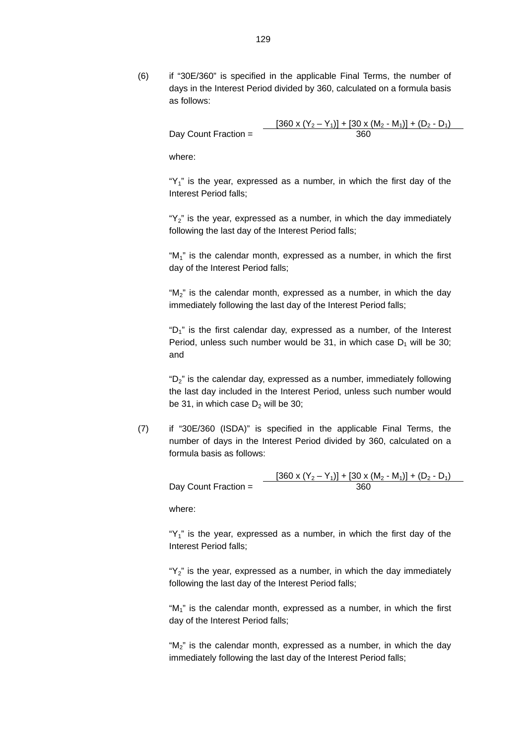(6) if "30E/360" is specified in the applicable Final Terms, the number of days in the Interest Period divided by 360, calculated on a formula basis as follows:

$$
\text{Day Count Fraction} = \frac{[360 \times (Y_2 - Y_1)] + [30 \times (M_2 - M_1)] + (D_2 - D_1)}{360}
$$

where:

" $Y_1$ " is the year, expressed as a number, in which the first day of the Interest Period falls;

" $Y_2$ " is the year, expressed as a number, in which the day immediately following the last day of the Interest Period falls;

" $M_1$ " is the calendar month, expressed as a number, in which the first day of the Interest Period falls;

"M<sub>2</sub>" is the calendar month, expressed as a number, in which the day immediately following the last day of the Interest Period falls;

"D1" is the first calendar day, expressed as a number, of the Interest Period, unless such number would be 31, in which case  $D_1$  will be 30; and

"D2" is the calendar day, expressed as a number, immediately following the last day included in the Interest Period, unless such number would be 31, in which case  $D_2$  will be 30;

(7) if "30E/360 (ISDA)" is specified in the applicable Final Terms, the number of days in the Interest Period divided by 360, calculated on a formula basis as follows:

> $[360 \times (Y_2 - Y_1)] + [30 \times (M_2 - M_1)] + (D_2 - D_1)$ Day Count Fraction = 360

where:

" $Y_1$ " is the year, expressed as a number, in which the first day of the Interest Period falls;

" $Y_2$ " is the year, expressed as a number, in which the day immediately following the last day of the Interest Period falls;

"M<sub>1</sub>" is the calendar month, expressed as a number, in which the first day of the Interest Period falls;

"M<sub>2</sub>" is the calendar month, expressed as a number, in which the day immediately following the last day of the Interest Period falls;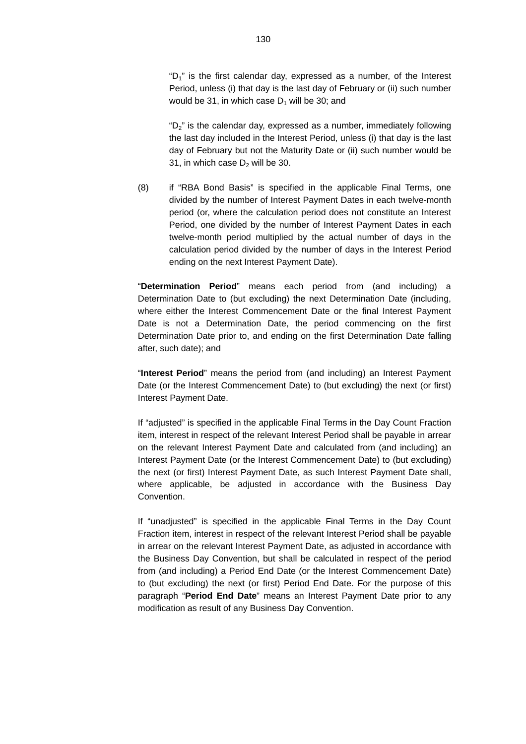" $D_1$ " is the first calendar day, expressed as a number, of the Interest Period, unless (i) that day is the last day of February or (ii) such number would be 31, in which case  $D_1$  will be 30; and

" $D_2$ " is the calendar day, expressed as a number, immediately following the last day included in the Interest Period, unless (i) that day is the last day of February but not the Maturity Date or (ii) such number would be 31, in which case  $D<sub>2</sub>$  will be 30.

(8) if "RBA Bond Basis" is specified in the applicable Final Terms, one divided by the number of Interest Payment Dates in each twelve-month period (or, where the calculation period does not constitute an Interest Period, one divided by the number of Interest Payment Dates in each twelve-month period multiplied by the actual number of days in the calculation period divided by the number of days in the Interest Period ending on the next Interest Payment Date).

"**Determination Period**" means each period from (and including) a Determination Date to (but excluding) the next Determination Date (including, where either the Interest Commencement Date or the final Interest Payment Date is not a Determination Date, the period commencing on the first Determination Date prior to, and ending on the first Determination Date falling after, such date); and

"**Interest Period**" means the period from (and including) an Interest Payment Date (or the Interest Commencement Date) to (but excluding) the next (or first) Interest Payment Date.

If "adjusted" is specified in the applicable Final Terms in the Day Count Fraction item, interest in respect of the relevant Interest Period shall be payable in arrear on the relevant Interest Payment Date and calculated from (and including) an Interest Payment Date (or the Interest Commencement Date) to (but excluding) the next (or first) Interest Payment Date, as such Interest Payment Date shall, where applicable, be adjusted in accordance with the Business Day Convention.

If "unadjusted" is specified in the applicable Final Terms in the Day Count Fraction item, interest in respect of the relevant Interest Period shall be payable in arrear on the relevant Interest Payment Date, as adjusted in accordance with the Business Day Convention, but shall be calculated in respect of the period from (and including) a Period End Date (or the Interest Commencement Date) to (but excluding) the next (or first) Period End Date. For the purpose of this paragraph "**Period End Date**" means an Interest Payment Date prior to any modification as result of any Business Day Convention.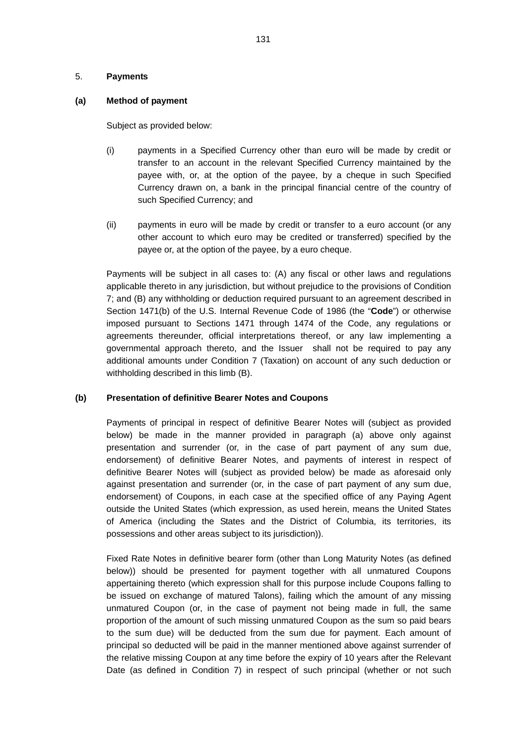### 5. **Payments**

# **(a) Method of payment**

Subject as provided below:

- (i) payments in a Specified Currency other than euro will be made by credit or transfer to an account in the relevant Specified Currency maintained by the payee with, or, at the option of the payee, by a cheque in such Specified Currency drawn on, a bank in the principal financial centre of the country of such Specified Currency; and
- (ii) payments in euro will be made by credit or transfer to a euro account (or any other account to which euro may be credited or transferred) specified by the payee or, at the option of the payee, by a euro cheque.

Payments will be subject in all cases to: (A) any fiscal or other laws and regulations applicable thereto in any jurisdiction, but without prejudice to the provisions of Condition 7; and (B) any withholding or deduction required pursuant to an agreement described in Section 1471(b) of the U.S. Internal Revenue Code of 1986 (the "**Code**") or otherwise imposed pursuant to Sections 1471 through 1474 of the Code, any regulations or agreements thereunder, official interpretations thereof, or any law implementing a governmental approach thereto, and the Issuer shall not be required to pay any additional amounts under Condition 7 (Taxation) on account of any such deduction or withholding described in this limb (B).

# **(b) Presentation of definitive Bearer Notes and Coupons**

Payments of principal in respect of definitive Bearer Notes will (subject as provided below) be made in the manner provided in paragraph (a) above only against presentation and surrender (or, in the case of part payment of any sum due, endorsement) of definitive Bearer Notes, and payments of interest in respect of definitive Bearer Notes will (subject as provided below) be made as aforesaid only against presentation and surrender (or, in the case of part payment of any sum due, endorsement) of Coupons, in each case at the specified office of any Paying Agent outside the United States (which expression, as used herein, means the United States of America (including the States and the District of Columbia, its territories, its possessions and other areas subject to its jurisdiction)).

Fixed Rate Notes in definitive bearer form (other than Long Maturity Notes (as defined below)) should be presented for payment together with all unmatured Coupons appertaining thereto (which expression shall for this purpose include Coupons falling to be issued on exchange of matured Talons), failing which the amount of any missing unmatured Coupon (or, in the case of payment not being made in full, the same proportion of the amount of such missing unmatured Coupon as the sum so paid bears to the sum due) will be deducted from the sum due for payment. Each amount of principal so deducted will be paid in the manner mentioned above against surrender of the relative missing Coupon at any time before the expiry of 10 years after the Relevant Date (as defined in Condition 7) in respect of such principal (whether or not such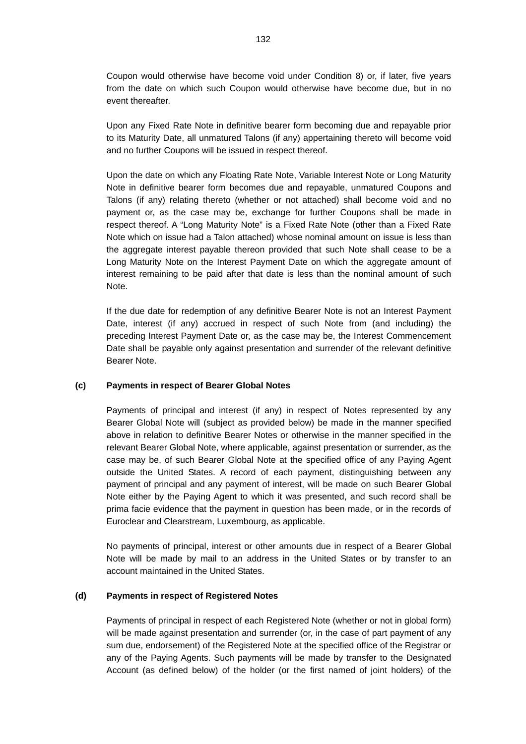Coupon would otherwise have become void under Condition 8) or, if later, five years from the date on which such Coupon would otherwise have become due, but in no event thereafter.

Upon any Fixed Rate Note in definitive bearer form becoming due and repayable prior to its Maturity Date, all unmatured Talons (if any) appertaining thereto will become void and no further Coupons will be issued in respect thereof.

Upon the date on which any Floating Rate Note, Variable Interest Note or Long Maturity Note in definitive bearer form becomes due and repayable, unmatured Coupons and Talons (if any) relating thereto (whether or not attached) shall become void and no payment or, as the case may be, exchange for further Coupons shall be made in respect thereof. A "Long Maturity Note" is a Fixed Rate Note (other than a Fixed Rate Note which on issue had a Talon attached) whose nominal amount on issue is less than the aggregate interest payable thereon provided that such Note shall cease to be a Long Maturity Note on the Interest Payment Date on which the aggregate amount of interest remaining to be paid after that date is less than the nominal amount of such Note.

If the due date for redemption of any definitive Bearer Note is not an Interest Payment Date, interest (if any) accrued in respect of such Note from (and including) the preceding Interest Payment Date or, as the case may be, the Interest Commencement Date shall be payable only against presentation and surrender of the relevant definitive Bearer Note.

#### **(c) Payments in respect of Bearer Global Notes**

Payments of principal and interest (if any) in respect of Notes represented by any Bearer Global Note will (subject as provided below) be made in the manner specified above in relation to definitive Bearer Notes or otherwise in the manner specified in the relevant Bearer Global Note, where applicable, against presentation or surrender, as the case may be, of such Bearer Global Note at the specified office of any Paying Agent outside the United States. A record of each payment, distinguishing between any payment of principal and any payment of interest, will be made on such Bearer Global Note either by the Paying Agent to which it was presented, and such record shall be prima facie evidence that the payment in question has been made, or in the records of Euroclear and Clearstream, Luxembourg, as applicable.

No payments of principal, interest or other amounts due in respect of a Bearer Global Note will be made by mail to an address in the United States or by transfer to an account maintained in the United States.

#### **(d) Payments in respect of Registered Notes**

Payments of principal in respect of each Registered Note (whether or not in global form) will be made against presentation and surrender (or, in the case of part payment of any sum due, endorsement) of the Registered Note at the specified office of the Registrar or any of the Paying Agents. Such payments will be made by transfer to the Designated Account (as defined below) of the holder (or the first named of joint holders) of the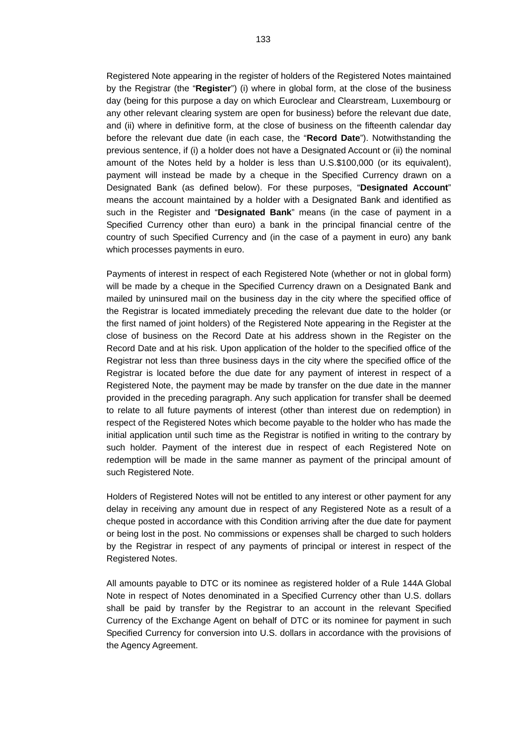Registered Note appearing in the register of holders of the Registered Notes maintained by the Registrar (the "**Register**") (i) where in global form, at the close of the business day (being for this purpose a day on which Euroclear and Clearstream, Luxembourg or any other relevant clearing system are open for business) before the relevant due date, and (ii) where in definitive form, at the close of business on the fifteenth calendar day before the relevant due date (in each case, the "**Record Date**"). Notwithstanding the previous sentence, if (i) a holder does not have a Designated Account or (ii) the nominal amount of the Notes held by a holder is less than U.S.\$100,000 (or its equivalent), payment will instead be made by a cheque in the Specified Currency drawn on a Designated Bank (as defined below). For these purposes, "**Designated Account**" means the account maintained by a holder with a Designated Bank and identified as such in the Register and "**Designated Bank**" means (in the case of payment in a Specified Currency other than euro) a bank in the principal financial centre of the country of such Specified Currency and (in the case of a payment in euro) any bank which processes payments in euro.

Payments of interest in respect of each Registered Note (whether or not in global form) will be made by a cheque in the Specified Currency drawn on a Designated Bank and mailed by uninsured mail on the business day in the city where the specified office of the Registrar is located immediately preceding the relevant due date to the holder (or the first named of joint holders) of the Registered Note appearing in the Register at the close of business on the Record Date at his address shown in the Register on the Record Date and at his risk. Upon application of the holder to the specified office of the Registrar not less than three business days in the city where the specified office of the Registrar is located before the due date for any payment of interest in respect of a Registered Note, the payment may be made by transfer on the due date in the manner provided in the preceding paragraph. Any such application for transfer shall be deemed to relate to all future payments of interest (other than interest due on redemption) in respect of the Registered Notes which become payable to the holder who has made the initial application until such time as the Registrar is notified in writing to the contrary by such holder. Payment of the interest due in respect of each Registered Note on redemption will be made in the same manner as payment of the principal amount of such Registered Note.

Holders of Registered Notes will not be entitled to any interest or other payment for any delay in receiving any amount due in respect of any Registered Note as a result of a cheque posted in accordance with this Condition arriving after the due date for payment or being lost in the post. No commissions or expenses shall be charged to such holders by the Registrar in respect of any payments of principal or interest in respect of the Registered Notes.

All amounts payable to DTC or its nominee as registered holder of a Rule 144A Global Note in respect of Notes denominated in a Specified Currency other than U.S. dollars shall be paid by transfer by the Registrar to an account in the relevant Specified Currency of the Exchange Agent on behalf of DTC or its nominee for payment in such Specified Currency for conversion into U.S. dollars in accordance with the provisions of the Agency Agreement.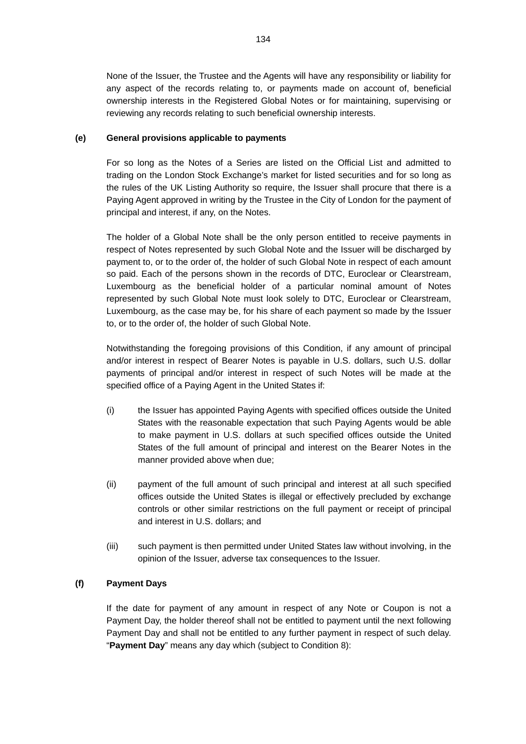None of the Issuer, the Trustee and the Agents will have any responsibility or liability for any aspect of the records relating to, or payments made on account of, beneficial ownership interests in the Registered Global Notes or for maintaining, supervising or reviewing any records relating to such beneficial ownership interests.

# **(e) General provisions applicable to payments**

For so long as the Notes of a Series are listed on the Official List and admitted to trading on the London Stock Exchange's market for listed securities and for so long as the rules of the UK Listing Authority so require, the Issuer shall procure that there is a Paying Agent approved in writing by the Trustee in the City of London for the payment of principal and interest, if any, on the Notes.

The holder of a Global Note shall be the only person entitled to receive payments in respect of Notes represented by such Global Note and the Issuer will be discharged by payment to, or to the order of, the holder of such Global Note in respect of each amount so paid. Each of the persons shown in the records of DTC, Euroclear or Clearstream, Luxembourg as the beneficial holder of a particular nominal amount of Notes represented by such Global Note must look solely to DTC, Euroclear or Clearstream, Luxembourg, as the case may be, for his share of each payment so made by the Issuer to, or to the order of, the holder of such Global Note.

Notwithstanding the foregoing provisions of this Condition, if any amount of principal and/or interest in respect of Bearer Notes is payable in U.S. dollars, such U.S. dollar payments of principal and/or interest in respect of such Notes will be made at the specified office of a Paying Agent in the United States if:

- (i) the Issuer has appointed Paying Agents with specified offices outside the United States with the reasonable expectation that such Paying Agents would be able to make payment in U.S. dollars at such specified offices outside the United States of the full amount of principal and interest on the Bearer Notes in the manner provided above when due;
- (ii) payment of the full amount of such principal and interest at all such specified offices outside the United States is illegal or effectively precluded by exchange controls or other similar restrictions on the full payment or receipt of principal and interest in U.S. dollars; and
- (iii) such payment is then permitted under United States law without involving, in the opinion of the Issuer, adverse tax consequences to the Issuer.

# **(f) Payment Days**

If the date for payment of any amount in respect of any Note or Coupon is not a Payment Day, the holder thereof shall not be entitled to payment until the next following Payment Day and shall not be entitled to any further payment in respect of such delay. "**Payment Day**" means any day which (subject to Condition 8):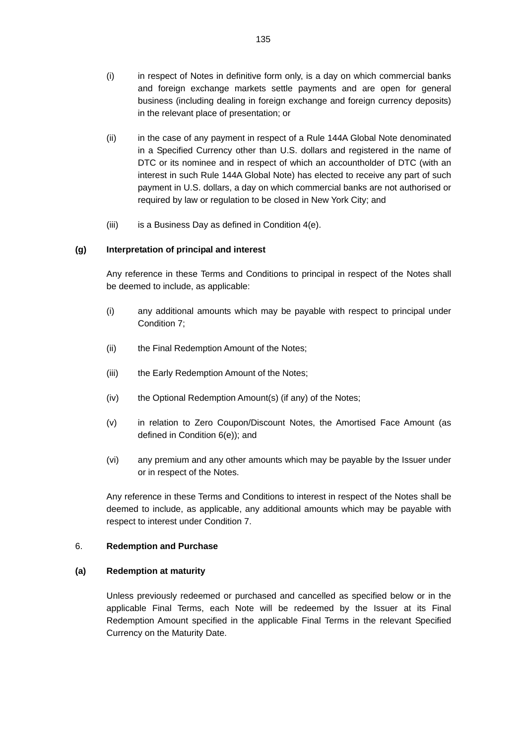- (i) in respect of Notes in definitive form only, is a day on which commercial banks and foreign exchange markets settle payments and are open for general business (including dealing in foreign exchange and foreign currency deposits) in the relevant place of presentation; or
- (ii) in the case of any payment in respect of a Rule 144A Global Note denominated in a Specified Currency other than U.S. dollars and registered in the name of DTC or its nominee and in respect of which an accountholder of DTC (with an interest in such Rule 144A Global Note) has elected to receive any part of such payment in U.S. dollars, a day on which commercial banks are not authorised or required by law or regulation to be closed in New York City; and
- (iii) is a Business Day as defined in Condition 4(e).

## **(g) Interpretation of principal and interest**

Any reference in these Terms and Conditions to principal in respect of the Notes shall be deemed to include, as applicable:

- (i) any additional amounts which may be payable with respect to principal under Condition 7;
- (ii) the Final Redemption Amount of the Notes;
- (iii) the Early Redemption Amount of the Notes;
- (iv) the Optional Redemption Amount(s) (if any) of the Notes;
- (v) in relation to Zero Coupon/Discount Notes, the Amortised Face Amount (as defined in Condition 6(e)); and
- (vi) any premium and any other amounts which may be payable by the Issuer under or in respect of the Notes.

Any reference in these Terms and Conditions to interest in respect of the Notes shall be deemed to include, as applicable, any additional amounts which may be payable with respect to interest under Condition 7.

## 6. **Redemption and Purchase**

#### **(a) Redemption at maturity**

Unless previously redeemed or purchased and cancelled as specified below or in the applicable Final Terms, each Note will be redeemed by the Issuer at its Final Redemption Amount specified in the applicable Final Terms in the relevant Specified Currency on the Maturity Date.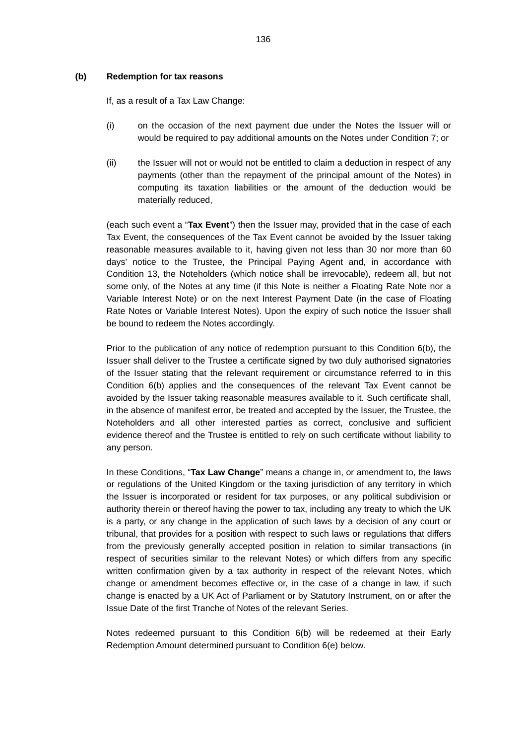#### **(b) Redemption for tax reasons**

If, as a result of a Tax Law Change:

- (i) on the occasion of the next payment due under the Notes the Issuer will or would be required to pay additional amounts on the Notes under Condition 7; or
- (ii) the Issuer will not or would not be entitled to claim a deduction in respect of any payments (other than the repayment of the principal amount of the Notes) in computing its taxation liabilities or the amount of the deduction would be materially reduced,

(each such event a "**Tax Event**") then the Issuer may, provided that in the case of each Tax Event, the consequences of the Tax Event cannot be avoided by the Issuer taking reasonable measures available to it, having given not less than 30 nor more than 60 days' notice to the Trustee, the Principal Paying Agent and, in accordance with Condition 13, the Noteholders (which notice shall be irrevocable), redeem all, but not some only, of the Notes at any time (if this Note is neither a Floating Rate Note nor a Variable Interest Note) or on the next Interest Payment Date (in the case of Floating Rate Notes or Variable Interest Notes). Upon the expiry of such notice the Issuer shall be bound to redeem the Notes accordingly.

Prior to the publication of any notice of redemption pursuant to this Condition 6(b), the Issuer shall deliver to the Trustee a certificate signed by two duly authorised signatories of the Issuer stating that the relevant requirement or circumstance referred to in this Condition 6(b) applies and the consequences of the relevant Tax Event cannot be avoided by the Issuer taking reasonable measures available to it. Such certificate shall, in the absence of manifest error, be treated and accepted by the Issuer, the Trustee, the Noteholders and all other interested parties as correct, conclusive and sufficient evidence thereof and the Trustee is entitled to rely on such certificate without liability to any person.

In these Conditions, "**Tax Law Change**" means a change in, or amendment to, the laws or regulations of the United Kingdom or the taxing jurisdiction of any territory in which the Issuer is incorporated or resident for tax purposes, or any political subdivision or authority therein or thereof having the power to tax, including any treaty to which the UK is a party, or any change in the application of such laws by a decision of any court or tribunal, that provides for a position with respect to such laws or regulations that differs from the previously generally accepted position in relation to similar transactions (in respect of securities similar to the relevant Notes) or which differs from any specific written confirmation given by a tax authority in respect of the relevant Notes, which change or amendment becomes effective or, in the case of a change in law, if such change is enacted by a UK Act of Parliament or by Statutory Instrument, on or after the Issue Date of the first Tranche of Notes of the relevant Series.

Notes redeemed pursuant to this Condition 6(b) will be redeemed at their Early Redemption Amount determined pursuant to Condition 6(e) below.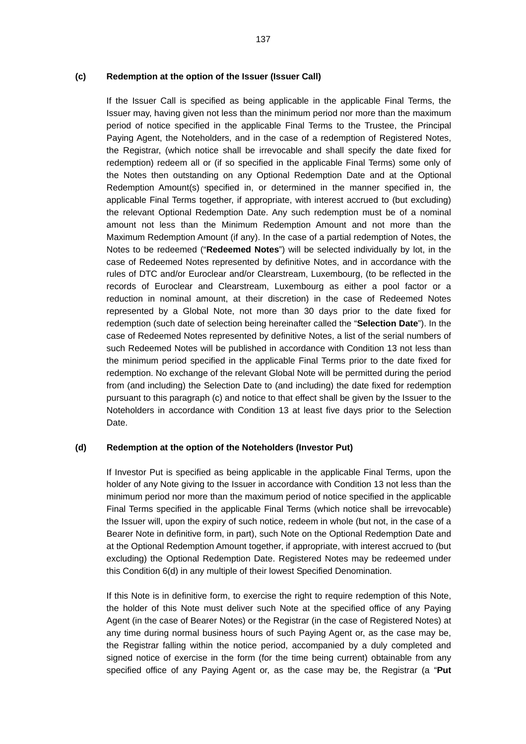### **(c) Redemption at the option of the Issuer (Issuer Call)**

If the Issuer Call is specified as being applicable in the applicable Final Terms, the Issuer may, having given not less than the minimum period nor more than the maximum period of notice specified in the applicable Final Terms to the Trustee, the Principal Paying Agent, the Noteholders, and in the case of a redemption of Registered Notes, the Registrar, (which notice shall be irrevocable and shall specify the date fixed for redemption) redeem all or (if so specified in the applicable Final Terms) some only of the Notes then outstanding on any Optional Redemption Date and at the Optional Redemption Amount(s) specified in, or determined in the manner specified in, the applicable Final Terms together, if appropriate, with interest accrued to (but excluding) the relevant Optional Redemption Date. Any such redemption must be of a nominal amount not less than the Minimum Redemption Amount and not more than the Maximum Redemption Amount (if any). In the case of a partial redemption of Notes, the Notes to be redeemed ("**Redeemed Notes**") will be selected individually by lot, in the case of Redeemed Notes represented by definitive Notes, and in accordance with the rules of DTC and/or Euroclear and/or Clearstream, Luxembourg, (to be reflected in the records of Euroclear and Clearstream, Luxembourg as either a pool factor or a reduction in nominal amount, at their discretion) in the case of Redeemed Notes represented by a Global Note, not more than 30 days prior to the date fixed for redemption (such date of selection being hereinafter called the "**Selection Date**"). In the case of Redeemed Notes represented by definitive Notes, a list of the serial numbers of such Redeemed Notes will be published in accordance with Condition 13 not less than the minimum period specified in the applicable Final Terms prior to the date fixed for redemption. No exchange of the relevant Global Note will be permitted during the period from (and including) the Selection Date to (and including) the date fixed for redemption pursuant to this paragraph (c) and notice to that effect shall be given by the Issuer to the Noteholders in accordance with Condition 13 at least five days prior to the Selection Date.

#### **(d) Redemption at the option of the Noteholders (Investor Put)**

If Investor Put is specified as being applicable in the applicable Final Terms, upon the holder of any Note giving to the Issuer in accordance with Condition 13 not less than the minimum period nor more than the maximum period of notice specified in the applicable Final Terms specified in the applicable Final Terms (which notice shall be irrevocable) the Issuer will, upon the expiry of such notice, redeem in whole (but not, in the case of a Bearer Note in definitive form, in part), such Note on the Optional Redemption Date and at the Optional Redemption Amount together, if appropriate, with interest accrued to (but excluding) the Optional Redemption Date. Registered Notes may be redeemed under this Condition 6(d) in any multiple of their lowest Specified Denomination.

If this Note is in definitive form, to exercise the right to require redemption of this Note, the holder of this Note must deliver such Note at the specified office of any Paying Agent (in the case of Bearer Notes) or the Registrar (in the case of Registered Notes) at any time during normal business hours of such Paying Agent or, as the case may be, the Registrar falling within the notice period, accompanied by a duly completed and signed notice of exercise in the form (for the time being current) obtainable from any specified office of any Paying Agent or, as the case may be, the Registrar (a "**Put**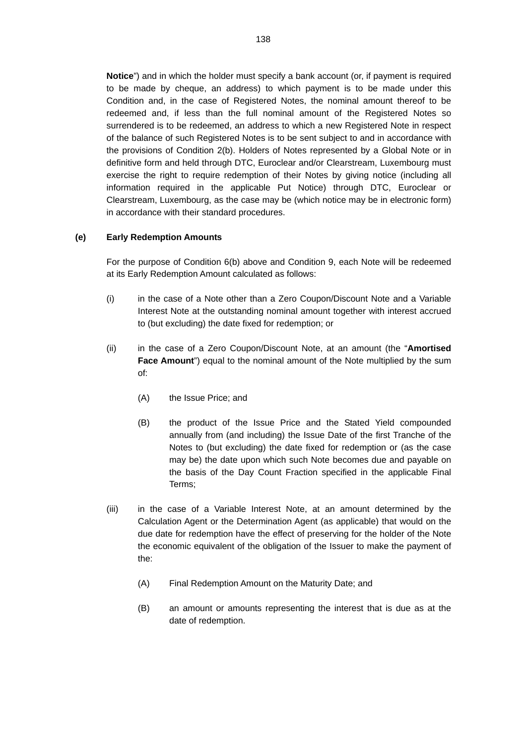**Notice**") and in which the holder must specify a bank account (or, if payment is required to be made by cheque, an address) to which payment is to be made under this Condition and, in the case of Registered Notes, the nominal amount thereof to be redeemed and, if less than the full nominal amount of the Registered Notes so surrendered is to be redeemed, an address to which a new Registered Note in respect of the balance of such Registered Notes is to be sent subject to and in accordance with the provisions of Condition 2(b). Holders of Notes represented by a Global Note or in definitive form and held through DTC, Euroclear and/or Clearstream, Luxembourg must exercise the right to require redemption of their Notes by giving notice (including all information required in the applicable Put Notice) through DTC, Euroclear or Clearstream, Luxembourg, as the case may be (which notice may be in electronic form) in accordance with their standard procedures.

# **(e) Early Redemption Amounts**

For the purpose of Condition 6(b) above and Condition 9, each Note will be redeemed at its Early Redemption Amount calculated as follows:

- (i) in the case of a Note other than a Zero Coupon/Discount Note and a Variable Interest Note at the outstanding nominal amount together with interest accrued to (but excluding) the date fixed for redemption; or
- (ii) in the case of a Zero Coupon/Discount Note, at an amount (the "**Amortised Face Amount**") equal to the nominal amount of the Note multiplied by the sum of:
	- (A) the Issue Price; and
	- (B) the product of the Issue Price and the Stated Yield compounded annually from (and including) the Issue Date of the first Tranche of the Notes to (but excluding) the date fixed for redemption or (as the case may be) the date upon which such Note becomes due and payable on the basis of the Day Count Fraction specified in the applicable Final Terms;
- (iii) in the case of a Variable Interest Note, at an amount determined by the Calculation Agent or the Determination Agent (as applicable) that would on the due date for redemption have the effect of preserving for the holder of the Note the economic equivalent of the obligation of the Issuer to make the payment of the:
	- (A) Final Redemption Amount on the Maturity Date; and
	- (B) an amount or amounts representing the interest that is due as at the date of redemption.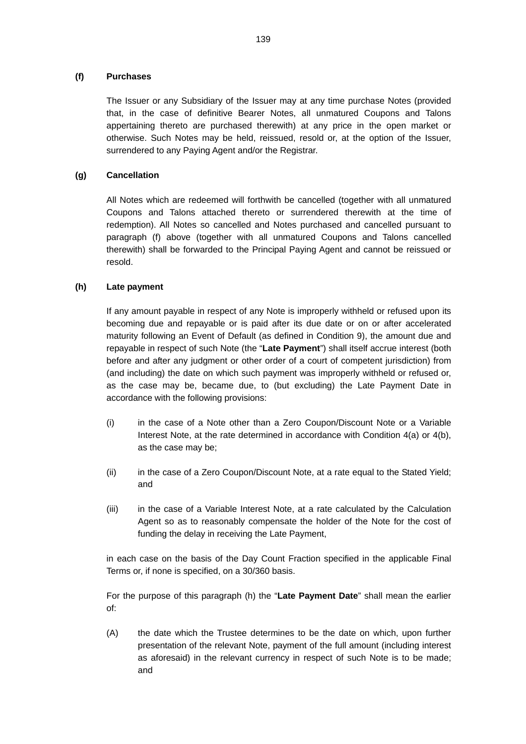# **(f) Purchases**

The Issuer or any Subsidiary of the Issuer may at any time purchase Notes (provided that, in the case of definitive Bearer Notes, all unmatured Coupons and Talons appertaining thereto are purchased therewith) at any price in the open market or otherwise. Such Notes may be held, reissued, resold or, at the option of the Issuer, surrendered to any Paying Agent and/or the Registrar.

# **(g) Cancellation**

All Notes which are redeemed will forthwith be cancelled (together with all unmatured Coupons and Talons attached thereto or surrendered therewith at the time of redemption). All Notes so cancelled and Notes purchased and cancelled pursuant to paragraph (f) above (together with all unmatured Coupons and Talons cancelled therewith) shall be forwarded to the Principal Paying Agent and cannot be reissued or resold.

# **(h) Late payment**

If any amount payable in respect of any Note is improperly withheld or refused upon its becoming due and repayable or is paid after its due date or on or after accelerated maturity following an Event of Default (as defined in Condition 9), the amount due and repayable in respect of such Note (the "**Late Payment**") shall itself accrue interest (both before and after any judgment or other order of a court of competent jurisdiction) from (and including) the date on which such payment was improperly withheld or refused or, as the case may be, became due, to (but excluding) the Late Payment Date in accordance with the following provisions:

- (i) in the case of a Note other than a Zero Coupon/Discount Note or a Variable Interest Note, at the rate determined in accordance with Condition 4(a) or 4(b), as the case may be;
- (ii) in the case of a Zero Coupon/Discount Note, at a rate equal to the Stated Yield; and
- (iii) in the case of a Variable Interest Note, at a rate calculated by the Calculation Agent so as to reasonably compensate the holder of the Note for the cost of funding the delay in receiving the Late Payment,

in each case on the basis of the Day Count Fraction specified in the applicable Final Terms or, if none is specified, on a 30/360 basis.

For the purpose of this paragraph (h) the "**Late Payment Date**" shall mean the earlier of:

(A) the date which the Trustee determines to be the date on which, upon further presentation of the relevant Note, payment of the full amount (including interest as aforesaid) in the relevant currency in respect of such Note is to be made; and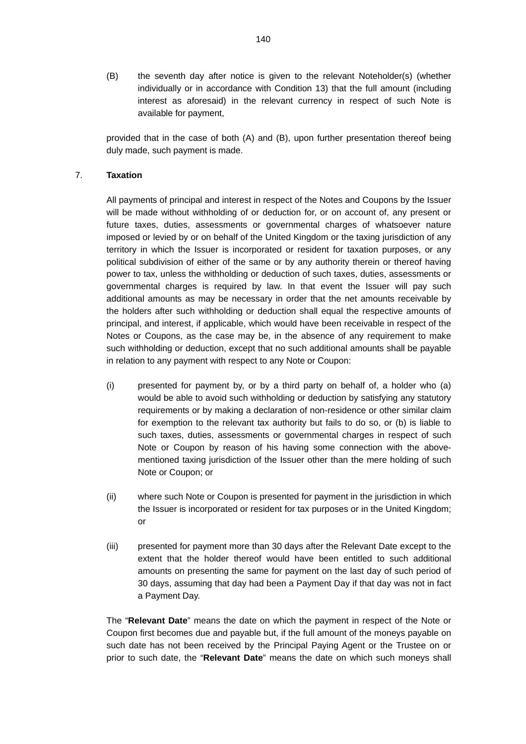(B) the seventh day after notice is given to the relevant Noteholder(s) (whether individually or in accordance with Condition 13) that the full amount (including interest as aforesaid) in the relevant currency in respect of such Note is available for payment,

provided that in the case of both (A) and (B), upon further presentation thereof being duly made, such payment is made.

## 7. **Taxation**

All payments of principal and interest in respect of the Notes and Coupons by the Issuer will be made without withholding of or deduction for, or on account of, any present or future taxes, duties, assessments or governmental charges of whatsoever nature imposed or levied by or on behalf of the United Kingdom or the taxing jurisdiction of any territory in which the Issuer is incorporated or resident for taxation purposes, or any political subdivision of either of the same or by any authority therein or thereof having power to tax, unless the withholding or deduction of such taxes, duties, assessments or governmental charges is required by law. In that event the Issuer will pay such additional amounts as may be necessary in order that the net amounts receivable by the holders after such withholding or deduction shall equal the respective amounts of principal, and interest, if applicable, which would have been receivable in respect of the Notes or Coupons, as the case may be, in the absence of any requirement to make such withholding or deduction, except that no such additional amounts shall be payable in relation to any payment with respect to any Note or Coupon:

- (i) presented for payment by, or by a third party on behalf of, a holder who (a) would be able to avoid such withholding or deduction by satisfying any statutory requirements or by making a declaration of non-residence or other similar claim for exemption to the relevant tax authority but fails to do so, or (b) is liable to such taxes, duties, assessments or governmental charges in respect of such Note or Coupon by reason of his having some connection with the abovementioned taxing jurisdiction of the Issuer other than the mere holding of such Note or Coupon; or
- (ii) where such Note or Coupon is presented for payment in the jurisdiction in which the Issuer is incorporated or resident for tax purposes or in the United Kingdom; or
- (iii) presented for payment more than 30 days after the Relevant Date except to the extent that the holder thereof would have been entitled to such additional amounts on presenting the same for payment on the last day of such period of 30 days, assuming that day had been a Payment Day if that day was not in fact a Payment Day.

The "**Relevant Date**" means the date on which the payment in respect of the Note or Coupon first becomes due and payable but, if the full amount of the moneys payable on such date has not been received by the Principal Paying Agent or the Trustee on or prior to such date, the "**Relevant Date**" means the date on which such moneys shall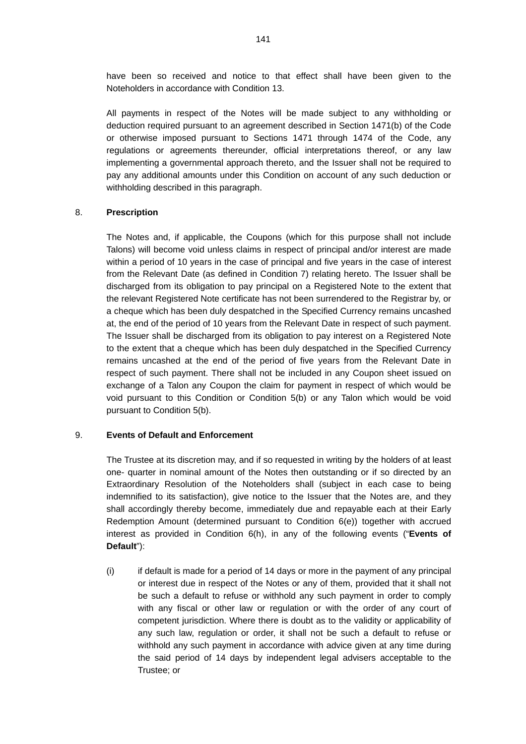have been so received and notice to that effect shall have been given to the Noteholders in accordance with Condition 13.

All payments in respect of the Notes will be made subject to any withholding or deduction required pursuant to an agreement described in Section 1471(b) of the Code or otherwise imposed pursuant to Sections 1471 through 1474 of the Code, any regulations or agreements thereunder, official interpretations thereof, or any law implementing a governmental approach thereto, and the Issuer shall not be required to pay any additional amounts under this Condition on account of any such deduction or withholding described in this paragraph.

#### 8. **Prescription**

The Notes and, if applicable, the Coupons (which for this purpose shall not include Talons) will become void unless claims in respect of principal and/or interest are made within a period of 10 years in the case of principal and five years in the case of interest from the Relevant Date (as defined in Condition 7) relating hereto. The Issuer shall be discharged from its obligation to pay principal on a Registered Note to the extent that the relevant Registered Note certificate has not been surrendered to the Registrar by, or a cheque which has been duly despatched in the Specified Currency remains uncashed at, the end of the period of 10 years from the Relevant Date in respect of such payment. The Issuer shall be discharged from its obligation to pay interest on a Registered Note to the extent that a cheque which has been duly despatched in the Specified Currency remains uncashed at the end of the period of five years from the Relevant Date in respect of such payment. There shall not be included in any Coupon sheet issued on exchange of a Talon any Coupon the claim for payment in respect of which would be void pursuant to this Condition or Condition 5(b) or any Talon which would be void pursuant to Condition 5(b).

# 9. **Events of Default and Enforcement**

The Trustee at its discretion may, and if so requested in writing by the holders of at least one- quarter in nominal amount of the Notes then outstanding or if so directed by an Extraordinary Resolution of the Noteholders shall (subject in each case to being indemnified to its satisfaction), give notice to the Issuer that the Notes are, and they shall accordingly thereby become, immediately due and repayable each at their Early Redemption Amount (determined pursuant to Condition 6(e)) together with accrued interest as provided in Condition 6(h), in any of the following events ("**Events of Default**"):

(i) if default is made for a period of 14 days or more in the payment of any principal or interest due in respect of the Notes or any of them, provided that it shall not be such a default to refuse or withhold any such payment in order to comply with any fiscal or other law or regulation or with the order of any court of competent jurisdiction. Where there is doubt as to the validity or applicability of any such law, regulation or order, it shall not be such a default to refuse or withhold any such payment in accordance with advice given at any time during the said period of 14 days by independent legal advisers acceptable to the Trustee; or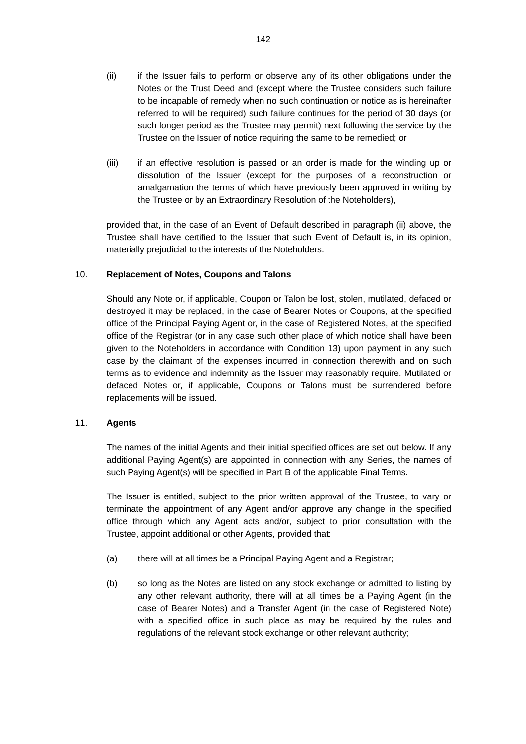- (ii) if the Issuer fails to perform or observe any of its other obligations under the Notes or the Trust Deed and (except where the Trustee considers such failure to be incapable of remedy when no such continuation or notice as is hereinafter referred to will be required) such failure continues for the period of 30 days (or such longer period as the Trustee may permit) next following the service by the Trustee on the Issuer of notice requiring the same to be remedied; or
- (iii) if an effective resolution is passed or an order is made for the winding up or dissolution of the Issuer (except for the purposes of a reconstruction or amalgamation the terms of which have previously been approved in writing by the Trustee or by an Extraordinary Resolution of the Noteholders),

provided that, in the case of an Event of Default described in paragraph (ii) above, the Trustee shall have certified to the Issuer that such Event of Default is, in its opinion, materially prejudicial to the interests of the Noteholders.

## 10. **Replacement of Notes, Coupons and Talons**

Should any Note or, if applicable, Coupon or Talon be lost, stolen, mutilated, defaced or destroyed it may be replaced, in the case of Bearer Notes or Coupons, at the specified office of the Principal Paying Agent or, in the case of Registered Notes, at the specified office of the Registrar (or in any case such other place of which notice shall have been given to the Noteholders in accordance with Condition 13) upon payment in any such case by the claimant of the expenses incurred in connection therewith and on such terms as to evidence and indemnity as the Issuer may reasonably require. Mutilated or defaced Notes or, if applicable, Coupons or Talons must be surrendered before replacements will be issued.

# 11. **Agents**

The names of the initial Agents and their initial specified offices are set out below. If any additional Paying Agent(s) are appointed in connection with any Series, the names of such Paying Agent(s) will be specified in Part B of the applicable Final Terms.

The Issuer is entitled, subject to the prior written approval of the Trustee, to vary or terminate the appointment of any Agent and/or approve any change in the specified office through which any Agent acts and/or, subject to prior consultation with the Trustee, appoint additional or other Agents, provided that:

- (a) there will at all times be a Principal Paying Agent and a Registrar;
- (b) so long as the Notes are listed on any stock exchange or admitted to listing by any other relevant authority, there will at all times be a Paying Agent (in the case of Bearer Notes) and a Transfer Agent (in the case of Registered Note) with a specified office in such place as may be required by the rules and regulations of the relevant stock exchange or other relevant authority;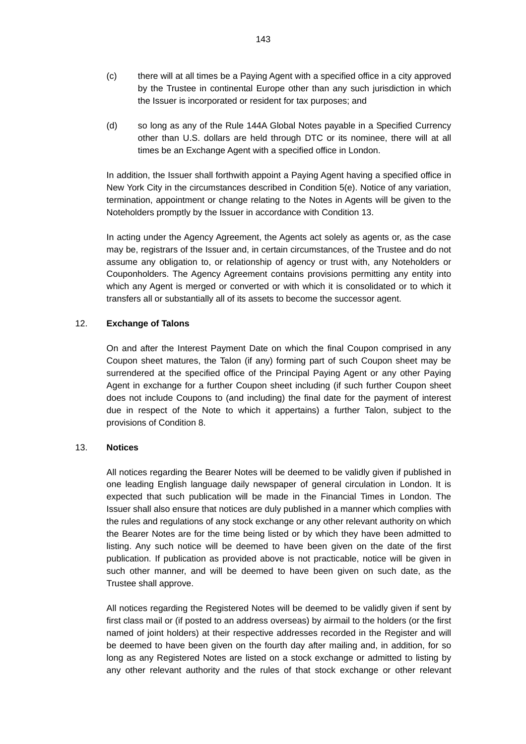- (c) there will at all times be a Paying Agent with a specified office in a city approved by the Trustee in continental Europe other than any such jurisdiction in which the Issuer is incorporated or resident for tax purposes; and
- (d) so long as any of the Rule 144A Global Notes payable in a Specified Currency other than U.S. dollars are held through DTC or its nominee, there will at all times be an Exchange Agent with a specified office in London.

In addition, the Issuer shall forthwith appoint a Paying Agent having a specified office in New York City in the circumstances described in Condition 5(e). Notice of any variation, termination, appointment or change relating to the Notes in Agents will be given to the Noteholders promptly by the Issuer in accordance with Condition 13.

In acting under the Agency Agreement, the Agents act solely as agents or, as the case may be, registrars of the Issuer and, in certain circumstances, of the Trustee and do not assume any obligation to, or relationship of agency or trust with, any Noteholders or Couponholders. The Agency Agreement contains provisions permitting any entity into which any Agent is merged or converted or with which it is consolidated or to which it transfers all or substantially all of its assets to become the successor agent.

## 12. **Exchange of Talons**

On and after the Interest Payment Date on which the final Coupon comprised in any Coupon sheet matures, the Talon (if any) forming part of such Coupon sheet may be surrendered at the specified office of the Principal Paying Agent or any other Paying Agent in exchange for a further Coupon sheet including (if such further Coupon sheet does not include Coupons to (and including) the final date for the payment of interest due in respect of the Note to which it appertains) a further Talon, subject to the provisions of Condition 8.

#### 13. **Notices**

All notices regarding the Bearer Notes will be deemed to be validly given if published in one leading English language daily newspaper of general circulation in London. It is expected that such publication will be made in the Financial Times in London. The Issuer shall also ensure that notices are duly published in a manner which complies with the rules and regulations of any stock exchange or any other relevant authority on which the Bearer Notes are for the time being listed or by which they have been admitted to listing. Any such notice will be deemed to have been given on the date of the first publication. If publication as provided above is not practicable, notice will be given in such other manner, and will be deemed to have been given on such date, as the Trustee shall approve.

All notices regarding the Registered Notes will be deemed to be validly given if sent by first class mail or (if posted to an address overseas) by airmail to the holders (or the first named of joint holders) at their respective addresses recorded in the Register and will be deemed to have been given on the fourth day after mailing and, in addition, for so long as any Registered Notes are listed on a stock exchange or admitted to listing by any other relevant authority and the rules of that stock exchange or other relevant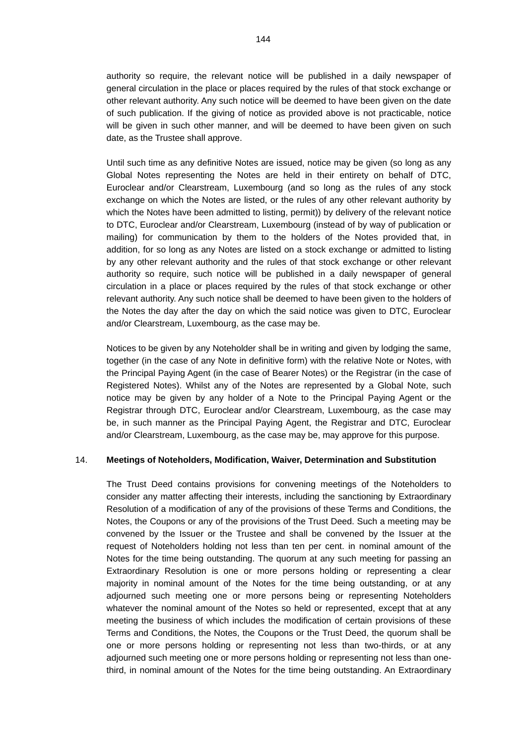authority so require, the relevant notice will be published in a daily newspaper of general circulation in the place or places required by the rules of that stock exchange or other relevant authority. Any such notice will be deemed to have been given on the date of such publication. If the giving of notice as provided above is not practicable, notice will be given in such other manner, and will be deemed to have been given on such date, as the Trustee shall approve.

Until such time as any definitive Notes are issued, notice may be given (so long as any Global Notes representing the Notes are held in their entirety on behalf of DTC, Euroclear and/or Clearstream, Luxembourg (and so long as the rules of any stock exchange on which the Notes are listed, or the rules of any other relevant authority by which the Notes have been admitted to listing, permit)) by delivery of the relevant notice to DTC, Euroclear and/or Clearstream, Luxembourg (instead of by way of publication or mailing) for communication by them to the holders of the Notes provided that, in addition, for so long as any Notes are listed on a stock exchange or admitted to listing by any other relevant authority and the rules of that stock exchange or other relevant authority so require, such notice will be published in a daily newspaper of general circulation in a place or places required by the rules of that stock exchange or other relevant authority. Any such notice shall be deemed to have been given to the holders of the Notes the day after the day on which the said notice was given to DTC, Euroclear and/or Clearstream, Luxembourg, as the case may be.

Notices to be given by any Noteholder shall be in writing and given by lodging the same, together (in the case of any Note in definitive form) with the relative Note or Notes, with the Principal Paying Agent (in the case of Bearer Notes) or the Registrar (in the case of Registered Notes). Whilst any of the Notes are represented by a Global Note, such notice may be given by any holder of a Note to the Principal Paying Agent or the Registrar through DTC, Euroclear and/or Clearstream, Luxembourg, as the case may be, in such manner as the Principal Paying Agent, the Registrar and DTC, Euroclear and/or Clearstream, Luxembourg, as the case may be, may approve for this purpose.

# 14. **Meetings of Noteholders, Modification, Waiver, Determination and Substitution**

The Trust Deed contains provisions for convening meetings of the Noteholders to consider any matter affecting their interests, including the sanctioning by Extraordinary Resolution of a modification of any of the provisions of these Terms and Conditions, the Notes, the Coupons or any of the provisions of the Trust Deed. Such a meeting may be convened by the Issuer or the Trustee and shall be convened by the Issuer at the request of Noteholders holding not less than ten per cent. in nominal amount of the Notes for the time being outstanding. The quorum at any such meeting for passing an Extraordinary Resolution is one or more persons holding or representing a clear majority in nominal amount of the Notes for the time being outstanding, or at any adjourned such meeting one or more persons being or representing Noteholders whatever the nominal amount of the Notes so held or represented, except that at any meeting the business of which includes the modification of certain provisions of these Terms and Conditions, the Notes, the Coupons or the Trust Deed, the quorum shall be one or more persons holding or representing not less than two-thirds, or at any adjourned such meeting one or more persons holding or representing not less than onethird, in nominal amount of the Notes for the time being outstanding. An Extraordinary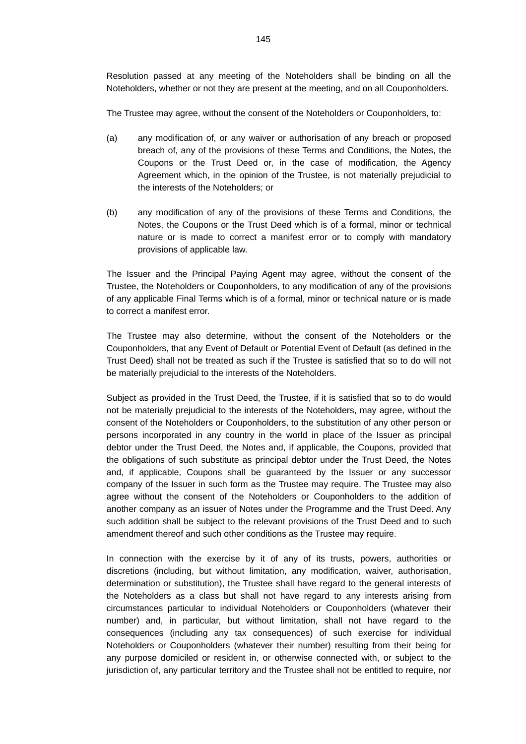Resolution passed at any meeting of the Noteholders shall be binding on all the Noteholders, whether or not they are present at the meeting, and on all Couponholders.

The Trustee may agree, without the consent of the Noteholders or Couponholders, to:

- (a) any modification of, or any waiver or authorisation of any breach or proposed breach of, any of the provisions of these Terms and Conditions, the Notes, the Coupons or the Trust Deed or, in the case of modification, the Agency Agreement which, in the opinion of the Trustee, is not materially prejudicial to the interests of the Noteholders; or
- (b) any modification of any of the provisions of these Terms and Conditions, the Notes, the Coupons or the Trust Deed which is of a formal, minor or technical nature or is made to correct a manifest error or to comply with mandatory provisions of applicable law.

The Issuer and the Principal Paying Agent may agree, without the consent of the Trustee, the Noteholders or Couponholders, to any modification of any of the provisions of any applicable Final Terms which is of a formal, minor or technical nature or is made to correct a manifest error.

The Trustee may also determine, without the consent of the Noteholders or the Couponholders, that any Event of Default or Potential Event of Default (as defined in the Trust Deed) shall not be treated as such if the Trustee is satisfied that so to do will not be materially prejudicial to the interests of the Noteholders.

Subject as provided in the Trust Deed, the Trustee, if it is satisfied that so to do would not be materially prejudicial to the interests of the Noteholders, may agree, without the consent of the Noteholders or Couponholders, to the substitution of any other person or persons incorporated in any country in the world in place of the Issuer as principal debtor under the Trust Deed, the Notes and, if applicable, the Coupons, provided that the obligations of such substitute as principal debtor under the Trust Deed, the Notes and, if applicable, Coupons shall be guaranteed by the Issuer or any successor company of the Issuer in such form as the Trustee may require. The Trustee may also agree without the consent of the Noteholders or Couponholders to the addition of another company as an issuer of Notes under the Programme and the Trust Deed. Any such addition shall be subject to the relevant provisions of the Trust Deed and to such amendment thereof and such other conditions as the Trustee may require.

In connection with the exercise by it of any of its trusts, powers, authorities or discretions (including, but without limitation, any modification, waiver, authorisation, determination or substitution), the Trustee shall have regard to the general interests of the Noteholders as a class but shall not have regard to any interests arising from circumstances particular to individual Noteholders or Couponholders (whatever their number) and, in particular, but without limitation, shall not have regard to the consequences (including any tax consequences) of such exercise for individual Noteholders or Couponholders (whatever their number) resulting from their being for any purpose domiciled or resident in, or otherwise connected with, or subject to the jurisdiction of, any particular territory and the Trustee shall not be entitled to require, nor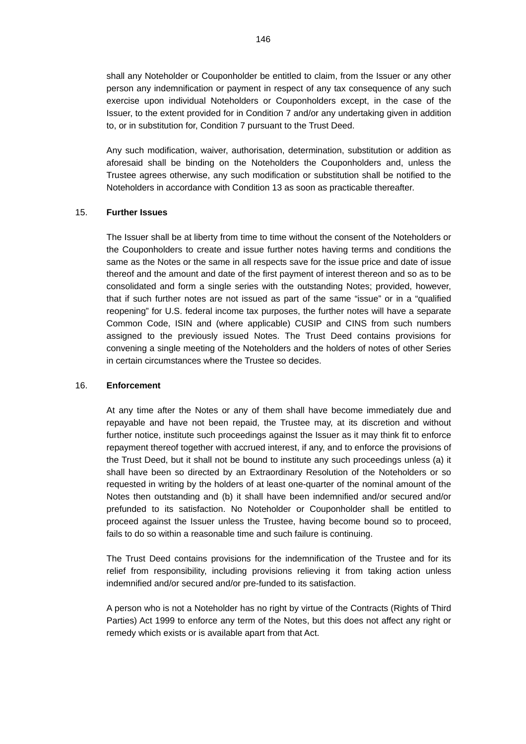shall any Noteholder or Couponholder be entitled to claim, from the Issuer or any other person any indemnification or payment in respect of any tax consequence of any such exercise upon individual Noteholders or Couponholders except, in the case of the Issuer, to the extent provided for in Condition 7 and/or any undertaking given in addition to, or in substitution for, Condition 7 pursuant to the Trust Deed.

Any such modification, waiver, authorisation, determination, substitution or addition as aforesaid shall be binding on the Noteholders the Couponholders and, unless the Trustee agrees otherwise, any such modification or substitution shall be notified to the Noteholders in accordance with Condition 13 as soon as practicable thereafter.

## 15. **Further Issues**

The Issuer shall be at liberty from time to time without the consent of the Noteholders or the Couponholders to create and issue further notes having terms and conditions the same as the Notes or the same in all respects save for the issue price and date of issue thereof and the amount and date of the first payment of interest thereon and so as to be consolidated and form a single series with the outstanding Notes; provided, however, that if such further notes are not issued as part of the same "issue" or in a "qualified reopening" for U.S. federal income tax purposes, the further notes will have a separate Common Code, ISIN and (where applicable) CUSIP and CINS from such numbers assigned to the previously issued Notes. The Trust Deed contains provisions for convening a single meeting of the Noteholders and the holders of notes of other Series in certain circumstances where the Trustee so decides.

### 16. **Enforcement**

At any time after the Notes or any of them shall have become immediately due and repayable and have not been repaid, the Trustee may, at its discretion and without further notice, institute such proceedings against the Issuer as it may think fit to enforce repayment thereof together with accrued interest, if any, and to enforce the provisions of the Trust Deed, but it shall not be bound to institute any such proceedings unless (a) it shall have been so directed by an Extraordinary Resolution of the Noteholders or so requested in writing by the holders of at least one-quarter of the nominal amount of the Notes then outstanding and (b) it shall have been indemnified and/or secured and/or prefunded to its satisfaction. No Noteholder or Couponholder shall be entitled to proceed against the Issuer unless the Trustee, having become bound so to proceed, fails to do so within a reasonable time and such failure is continuing.

The Trust Deed contains provisions for the indemnification of the Trustee and for its relief from responsibility, including provisions relieving it from taking action unless indemnified and/or secured and/or pre-funded to its satisfaction.

A person who is not a Noteholder has no right by virtue of the Contracts (Rights of Third Parties) Act 1999 to enforce any term of the Notes, but this does not affect any right or remedy which exists or is available apart from that Act.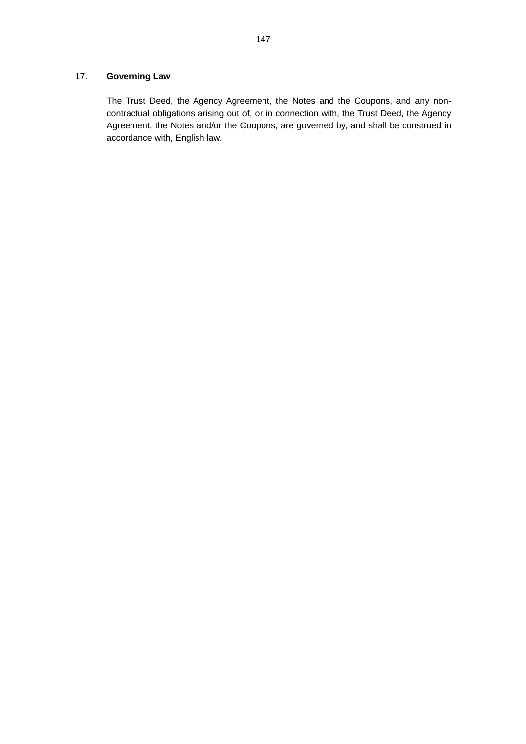# 17. **Governing Law**

The Trust Deed, the Agency Agreement, the Notes and the Coupons, and any noncontractual obligations arising out of, or in connection with, the Trust Deed, the Agency Agreement, the Notes and/or the Coupons, are governed by, and shall be construed in accordance with, English law.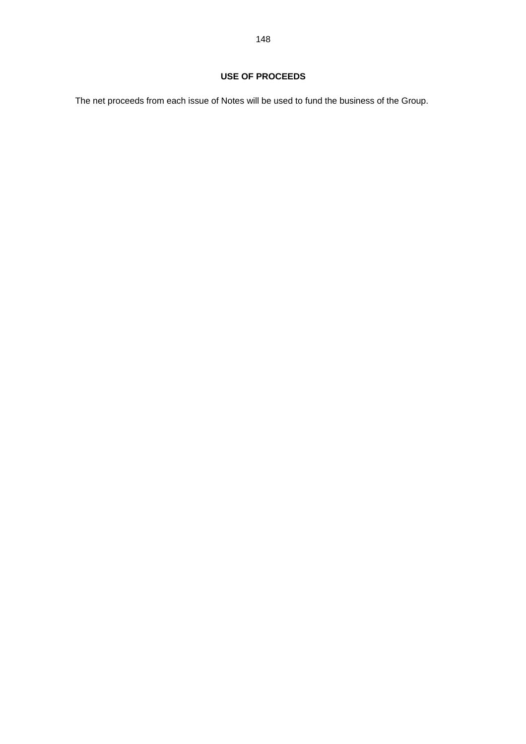The net proceeds from each issue of Notes will be used to fund the business of the Group.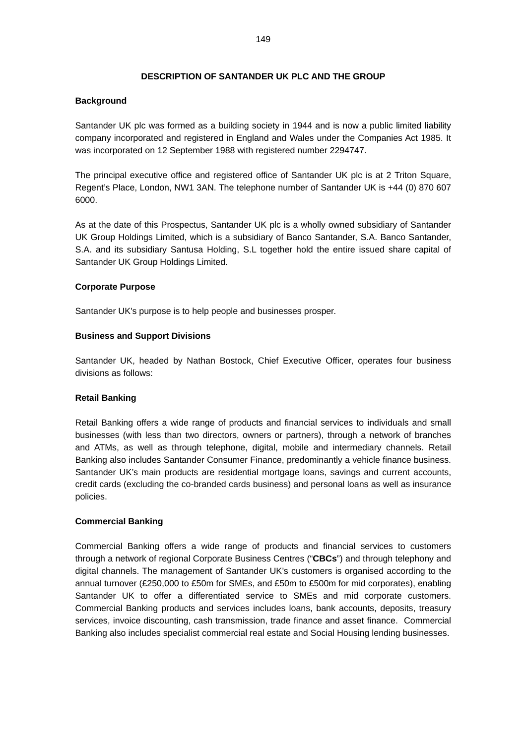## **DESCRIPTION OF SANTANDER UK PLC AND THE GROUP**

## **Background**

Santander UK plc was formed as a building society in 1944 and is now a public limited liability company incorporated and registered in England and Wales under the Companies Act 1985. It was incorporated on 12 September 1988 with registered number 2294747.

The principal executive office and registered office of Santander UK plc is at 2 Triton Square, Regent's Place, London, NW1 3AN. The telephone number of Santander UK is +44 (0) 870 607 6000.

As at the date of this Prospectus, Santander UK plc is a wholly owned subsidiary of Santander UK Group Holdings Limited, which is a subsidiary of Banco Santander, S.A. Banco Santander, S.A. and its subsidiary Santusa Holding, S.L together hold the entire issued share capital of Santander UK Group Holdings Limited.

## **Corporate Purpose**

Santander UK's purpose is to help people and businesses prosper.

## **Business and Support Divisions**

Santander UK, headed by Nathan Bostock, Chief Executive Officer, operates four business divisions as follows:

## **Retail Banking**

Retail Banking offers a wide range of products and financial services to individuals and small businesses (with less than two directors, owners or partners), through a network of branches and ATMs, as well as through telephone, digital, mobile and intermediary channels. Retail Banking also includes Santander Consumer Finance, predominantly a vehicle finance business. Santander UK's main products are residential mortgage loans, savings and current accounts, credit cards (excluding the co-branded cards business) and personal loans as well as insurance policies.

## **Commercial Banking**

Commercial Banking offers a wide range of products and financial services to customers through a network of regional Corporate Business Centres ("**CBCs**") and through telephony and digital channels. The management of Santander UK's customers is organised according to the annual turnover (£250,000 to £50m for SMEs, and £50m to £500m for mid corporates), enabling Santander UK to offer a differentiated service to SMEs and mid corporate customers. Commercial Banking products and services includes loans, bank accounts, deposits, treasury services, invoice discounting, cash transmission, trade finance and asset finance. Commercial Banking also includes specialist commercial real estate and Social Housing lending businesses.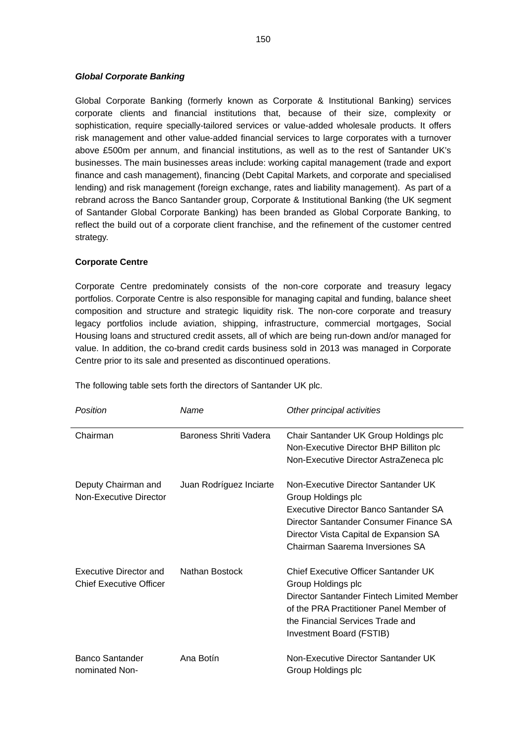## *Global Corporate Banking*

Global Corporate Banking (formerly known as Corporate & Institutional Banking) services corporate clients and financial institutions that, because of their size, complexity or sophistication, require specially-tailored services or value-added wholesale products. It offers risk management and other value-added financial services to large corporates with a turnover above £500m per annum, and financial institutions, as well as to the rest of Santander UK's businesses. The main businesses areas include: working capital management (trade and export finance and cash management), financing (Debt Capital Markets, and corporate and specialised lending) and risk management (foreign exchange, rates and liability management). As part of a rebrand across the Banco Santander group, Corporate & Institutional Banking (the UK segment of Santander Global Corporate Banking) has been branded as Global Corporate Banking, to reflect the build out of a corporate client franchise, and the refinement of the customer centred strategy.

## **Corporate Centre**

Corporate Centre predominately consists of the non-core corporate and treasury legacy portfolios. Corporate Centre is also responsible for managing capital and funding, balance sheet composition and structure and strategic liquidity risk. The non-core corporate and treasury legacy portfolios include aviation, shipping, infrastructure, commercial mortgages, Social Housing loans and structured credit assets, all of which are being run-down and/or managed for value. In addition, the co-brand credit cards business sold in 2013 was managed in Corporate Centre prior to its sale and presented as discontinued operations.

The following table sets forth the directors of Santander UK plc.

| Position                                                 | Name                    | Other principal activities                                                                                                                                                                                                |
|----------------------------------------------------------|-------------------------|---------------------------------------------------------------------------------------------------------------------------------------------------------------------------------------------------------------------------|
| Chairman                                                 | Baroness Shriti Vadera  | Chair Santander UK Group Holdings plc<br>Non-Executive Director BHP Billiton plc<br>Non-Executive Director AstraZeneca plc                                                                                                |
| Deputy Chairman and<br>Non-Executive Director            | Juan Rodríguez Inciarte | Non-Executive Director Santander UK<br>Group Holdings plc<br>Executive Director Banco Santander SA<br>Director Santander Consumer Finance SA<br>Director Vista Capital de Expansion SA<br>Chairman Saarema Inversiones SA |
| Executive Director and<br><b>Chief Executive Officer</b> | Nathan Bostock          | Chief Executive Officer Santander UK<br>Group Holdings plc<br>Director Santander Fintech Limited Member<br>of the PRA Practitioner Panel Member of<br>the Financial Services Trade and<br>Investment Board (FSTIB)        |
| Banco Santander<br>nominated Non-                        | Ana Botín               | Non-Executive Director Santander UK<br>Group Holdings plc                                                                                                                                                                 |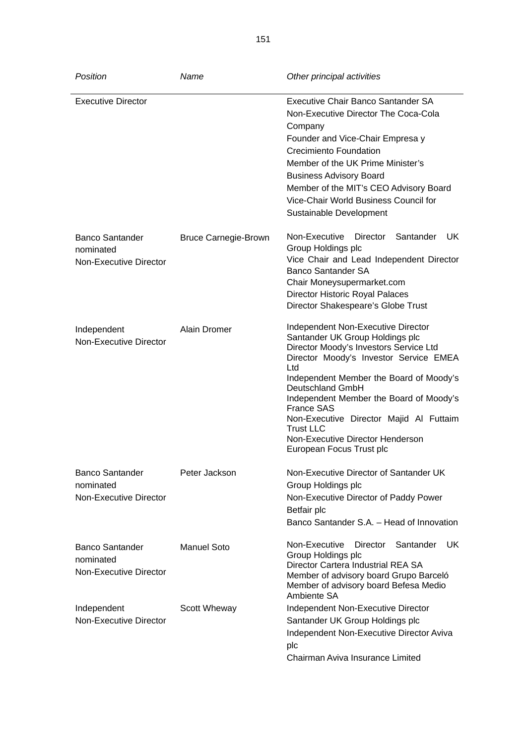| Position                                                             | Name                        | Other principal activities                                                                                                                                                                                                                                                                                                                                                                                                     |
|----------------------------------------------------------------------|-----------------------------|--------------------------------------------------------------------------------------------------------------------------------------------------------------------------------------------------------------------------------------------------------------------------------------------------------------------------------------------------------------------------------------------------------------------------------|
| <b>Executive Director</b>                                            |                             | Executive Chair Banco Santander SA<br>Non-Executive Director The Coca-Cola<br>Company<br>Founder and Vice-Chair Empresa y<br><b>Crecimiento Foundation</b><br>Member of the UK Prime Minister's<br><b>Business Advisory Board</b><br>Member of the MIT's CEO Advisory Board<br>Vice-Chair World Business Council for<br>Sustainable Development                                                                                |
| <b>Banco Santander</b><br>nominated<br>Non-Executive Director        | <b>Bruce Carnegie-Brown</b> | Non-Executive<br>Santander<br>UK.<br>Director<br>Group Holdings plc<br>Vice Chair and Lead Independent Director<br><b>Banco Santander SA</b><br>Chair Moneysupermarket.com<br>Director Historic Royal Palaces<br>Director Shakespeare's Globe Trust                                                                                                                                                                            |
| Independent<br>Non-Executive Director                                | Alain Dromer                | Independent Non-Executive Director<br>Santander UK Group Holdings plc<br>Director Moody's Investors Service Ltd<br>Director Moody's Investor Service EMEA<br>Ltd<br>Independent Member the Board of Moody's<br>Deutschland GmbH<br>Independent Member the Board of Moody's<br><b>France SAS</b><br>Non-Executive Director Majid Al Futtaim<br><b>Trust LLC</b><br>Non-Executive Director Henderson<br>European Focus Trust plc |
| <b>Banco Santander</b><br>nominated<br><b>Non-Executive Director</b> | Peter Jackson               | Non-Executive Director of Santander UK<br>Group Holdings plc<br>Non-Executive Director of Paddy Power<br>Betfair plc<br>Banco Santander S.A. - Head of Innovation                                                                                                                                                                                                                                                              |
| <b>Banco Santander</b><br>nominated<br><b>Non-Executive Director</b> | <b>Manuel Soto</b>          | Non-Executive<br>UK<br><b>Director</b><br>Santander<br>Group Holdings plc<br>Director Cartera Industrial REA SA<br>Member of advisory board Grupo Barceló<br>Member of advisory board Befesa Medio<br>Ambiente SA                                                                                                                                                                                                              |
| Independent<br>Non-Executive Director                                | Scott Wheway                | Independent Non-Executive Director<br>Santander UK Group Holdings plc<br>Independent Non-Executive Director Aviva<br>plc<br>Chairman Aviva Insurance Limited                                                                                                                                                                                                                                                                   |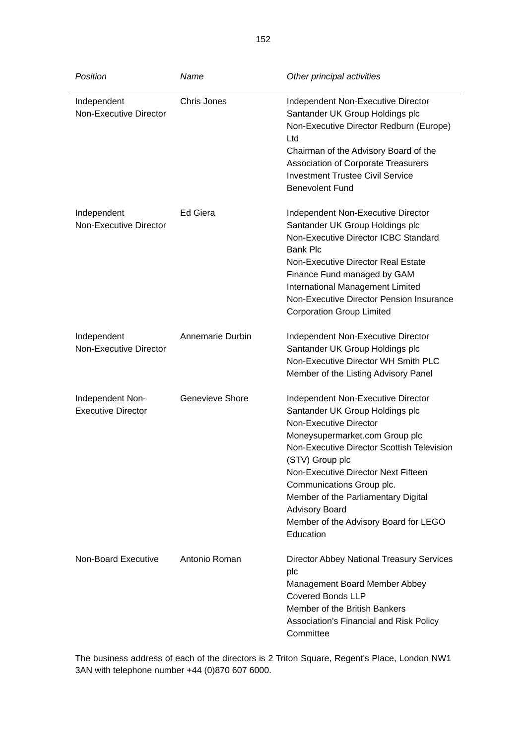| Position                                      | Name             | Other principal activities                                                                                                                                                                                                                                                                                                                                                                   |
|-----------------------------------------------|------------------|----------------------------------------------------------------------------------------------------------------------------------------------------------------------------------------------------------------------------------------------------------------------------------------------------------------------------------------------------------------------------------------------|
| Independent<br><b>Non-Executive Director</b>  | Chris Jones      | Independent Non-Executive Director<br>Santander UK Group Holdings plc<br>Non-Executive Director Redburn (Europe)<br>Ltd<br>Chairman of the Advisory Board of the<br><b>Association of Corporate Treasurers</b><br><b>Investment Trustee Civil Service</b><br><b>Benevolent Fund</b>                                                                                                          |
| Independent<br><b>Non-Executive Director</b>  | Ed Giera         | Independent Non-Executive Director<br>Santander UK Group Holdings plc<br>Non-Executive Director ICBC Standard<br><b>Bank Plc</b><br><b>Non-Executive Director Real Estate</b><br>Finance Fund managed by GAM<br>International Management Limited<br>Non-Executive Director Pension Insurance<br><b>Corporation Group Limited</b>                                                             |
| Independent<br>Non-Executive Director         | Annemarie Durbin | Independent Non-Executive Director<br>Santander UK Group Holdings plc<br>Non-Executive Director WH Smith PLC<br>Member of the Listing Advisory Panel                                                                                                                                                                                                                                         |
| Independent Non-<br><b>Executive Director</b> | Genevieve Shore  | Independent Non-Executive Director<br>Santander UK Group Holdings plc<br>Non-Executive Director<br>Moneysupermarket.com Group plc<br>Non-Executive Director Scottish Television<br>(STV) Group plc<br>Non-Executive Director Next Fifteen<br>Communications Group plc.<br>Member of the Parliamentary Digital<br><b>Advisory Board</b><br>Member of the Advisory Board for LEGO<br>Education |
| Non-Board Executive                           | Antonio Roman    | <b>Director Abbey National Treasury Services</b><br>plc<br>Management Board Member Abbey<br><b>Covered Bonds LLP</b><br>Member of the British Bankers<br>Association's Financial and Risk Policy<br>Committee                                                                                                                                                                                |

The business address of each of the directors is 2 Triton Square, Regent's Place, London NW1 3AN with telephone number +44 (0)870 607 6000.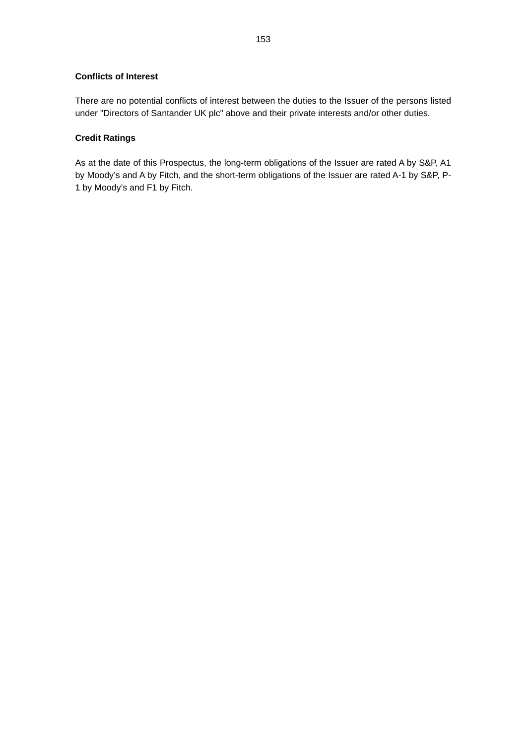## **Conflicts of Interest**

There are no potential conflicts of interest between the duties to the Issuer of the persons listed under "Directors of Santander UK plc" above and their private interests and/or other duties.

## **Credit Ratings**

As at the date of this Prospectus, the long-term obligations of the Issuer are rated A by S&P, A1 by Moody's and A by Fitch, and the short-term obligations of the Issuer are rated A-1 by S&P, P-1 by Moody's and F1 by Fitch.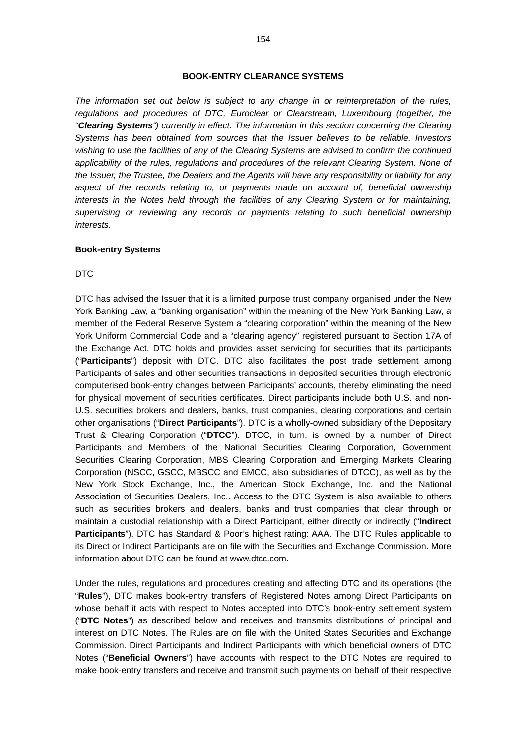*The information set out below is subject to any change in or reinterpretation of the rules, regulations and procedures of DTC, Euroclear or Clearstream, Luxembourg (together, the "Clearing Systems") currently in effect. The information in this section concerning the Clearing Systems has been obtained from sources that the Issuer believes to be reliable. Investors wishing to use the facilities of any of the Clearing Systems are advised to confirm the continued*  applicability of the rules, regulations and procedures of the relevant Clearing System. None of *the Issuer, the Trustee, the Dealers and the Agents will have any responsibility or liability for any aspect of the records relating to, or payments made on account of, beneficial ownership interests in the Notes held through the facilities of any Clearing System or for maintaining, supervising or reviewing any records or payments relating to such beneficial ownership interests.* 

### **Book-entry Systems**

#### DTC

DTC has advised the Issuer that it is a limited purpose trust company organised under the New York Banking Law, a "banking organisation" within the meaning of the New York Banking Law, a member of the Federal Reserve System a "clearing corporation" within the meaning of the New York Uniform Commercial Code and a "clearing agency" registered pursuant to Section 17A of the Exchange Act. DTC holds and provides asset servicing for securities that its participants ("**Participants**") deposit with DTC. DTC also facilitates the post trade settlement among Participants of sales and other securities transactions in deposited securities through electronic computerised book-entry changes between Participants' accounts, thereby eliminating the need for physical movement of securities certificates. Direct participants include both U.S. and non-U.S. securities brokers and dealers, banks, trust companies, clearing corporations and certain other organisations ("**Direct Participants**"). DTC is a wholly-owned subsidiary of the Depositary Trust & Clearing Corporation ("**DTCC**"). DTCC, in turn, is owned by a number of Direct Participants and Members of the National Securities Clearing Corporation, Government Securities Clearing Corporation, MBS Clearing Corporation and Emerging Markets Clearing Corporation (NSCC, GSCC, MBSCC and EMCC, also subsidiaries of DTCC), as well as by the New York Stock Exchange, Inc., the American Stock Exchange, Inc. and the National Association of Securities Dealers, Inc.. Access to the DTC System is also available to others such as securities brokers and dealers, banks and trust companies that clear through or maintain a custodial relationship with a Direct Participant, either directly or indirectly ("**Indirect Participants**"). DTC has Standard & Poor's highest rating: AAA. The DTC Rules applicable to its Direct or Indirect Participants are on file with the Securities and Exchange Commission. More information about DTC can be found at www.dtcc.com.

Under the rules, regulations and procedures creating and affecting DTC and its operations (the "**Rules**"), DTC makes book-entry transfers of Registered Notes among Direct Participants on whose behalf it acts with respect to Notes accepted into DTC's book-entry settlement system ("**DTC Notes**") as described below and receives and transmits distributions of principal and interest on DTC Notes. The Rules are on file with the United States Securities and Exchange Commission. Direct Participants and Indirect Participants with which beneficial owners of DTC Notes ("**Beneficial Owners**") have accounts with respect to the DTC Notes are required to make book-entry transfers and receive and transmit such payments on behalf of their respective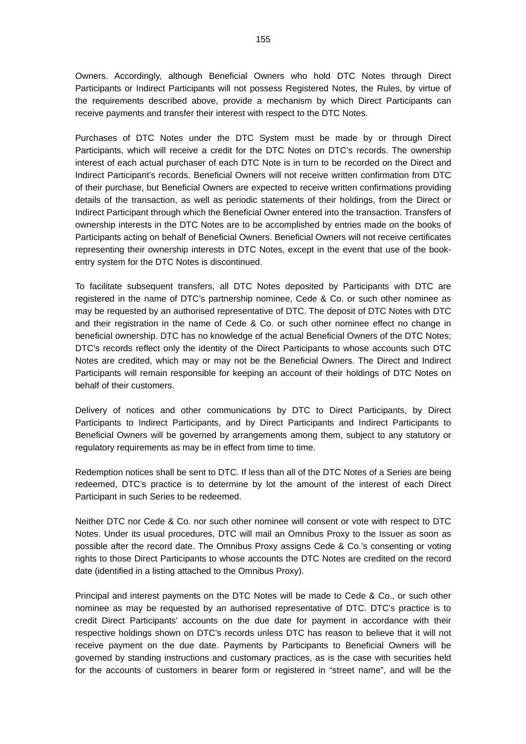Owners. Accordingly, although Beneficial Owners who hold DTC Notes through Direct Participants or Indirect Participants will not possess Registered Notes, the Rules, by virtue of the requirements described above, provide a mechanism by which Direct Participants can receive payments and transfer their interest with respect to the DTC Notes.

Purchases of DTC Notes under the DTC System must be made by or through Direct Participants, which will receive a credit for the DTC Notes on DTC's records. The ownership interest of each actual purchaser of each DTC Note is in turn to be recorded on the Direct and Indirect Participant's records. Beneficial Owners will not receive written confirmation from DTC of their purchase, but Beneficial Owners are expected to receive written confirmations providing details of the transaction, as well as periodic statements of their holdings, from the Direct or Indirect Participant through which the Beneficial Owner entered into the transaction. Transfers of ownership interests in the DTC Notes are to be accomplished by entries made on the books of Participants acting on behalf of Beneficial Owners. Beneficial Owners will not receive certificates representing their ownership interests in DTC Notes, except in the event that use of the bookentry system for the DTC Notes is discontinued.

To facilitate subsequent transfers, all DTC Notes deposited by Participants with DTC are registered in the name of DTC's partnership nominee, Cede & Co. or such other nominee as may be requested by an authorised representative of DTC. The deposit of DTC Notes with DTC and their registration in the name of Cede & Co. or such other nominee effect no change in beneficial ownership. DTC has no knowledge of the actual Beneficial Owners of the DTC Notes; DTC's records reflect only the identity of the Direct Participants to whose accounts such DTC Notes are credited, which may or may not be the Beneficial Owners. The Direct and Indirect Participants will remain responsible for keeping an account of their holdings of DTC Notes on behalf of their customers.

Delivery of notices and other communications by DTC to Direct Participants, by Direct Participants to Indirect Participants, and by Direct Participants and Indirect Participants to Beneficial Owners will be governed by arrangements among them, subject to any statutory or regulatory requirements as may be in effect from time to time.

Redemption notices shall be sent to DTC. If less than all of the DTC Notes of a Series are being redeemed, DTC's practice is to determine by lot the amount of the interest of each Direct Participant in such Series to be redeemed.

Neither DTC nor Cede & Co. nor such other nominee will consent or vote with respect to DTC Notes. Under its usual procedures, DTC will mail an Omnibus Proxy to the Issuer as soon as possible after the record date. The Omnibus Proxy assigns Cede & Co.'s consenting or voting rights to those Direct Participants to whose accounts the DTC Notes are credited on the record date (identified in a listing attached to the Omnibus Proxy).

Principal and interest payments on the DTC Notes will be made to Cede & Co., or such other nominee as may be requested by an authorised representative of DTC. DTC's practice is to credit Direct Participants' accounts on the due date for payment in accordance with their respective holdings shown on DTC's records unless DTC has reason to believe that it will not receive payment on the due date. Payments by Participants to Beneficial Owners will be governed by standing instructions and customary practices, as is the case with securities held for the accounts of customers in bearer form or registered in "street name", and will be the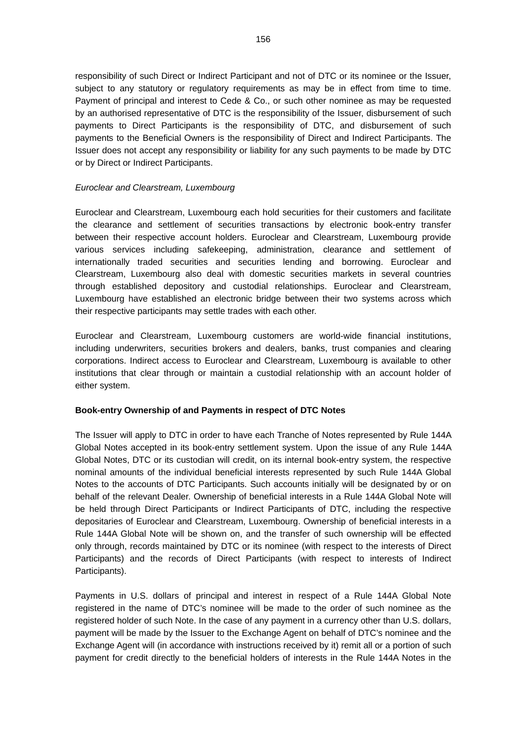responsibility of such Direct or Indirect Participant and not of DTC or its nominee or the Issuer, subject to any statutory or regulatory requirements as may be in effect from time to time. Payment of principal and interest to Cede & Co., or such other nominee as may be requested by an authorised representative of DTC is the responsibility of the Issuer, disbursement of such payments to Direct Participants is the responsibility of DTC, and disbursement of such payments to the Beneficial Owners is the responsibility of Direct and Indirect Participants. The Issuer does not accept any responsibility or liability for any such payments to be made by DTC or by Direct or Indirect Participants.

## *Euroclear and Clearstream, Luxembourg*

Euroclear and Clearstream, Luxembourg each hold securities for their customers and facilitate the clearance and settlement of securities transactions by electronic book-entry transfer between their respective account holders. Euroclear and Clearstream, Luxembourg provide various services including safekeeping, administration, clearance and settlement of internationally traded securities and securities lending and borrowing. Euroclear and Clearstream, Luxembourg also deal with domestic securities markets in several countries through established depository and custodial relationships. Euroclear and Clearstream, Luxembourg have established an electronic bridge between their two systems across which their respective participants may settle trades with each other.

Euroclear and Clearstream, Luxembourg customers are world-wide financial institutions, including underwriters, securities brokers and dealers, banks, trust companies and clearing corporations. Indirect access to Euroclear and Clearstream, Luxembourg is available to other institutions that clear through or maintain a custodial relationship with an account holder of either system.

## **Book-entry Ownership of and Payments in respect of DTC Notes**

The Issuer will apply to DTC in order to have each Tranche of Notes represented by Rule 144A Global Notes accepted in its book-entry settlement system. Upon the issue of any Rule 144A Global Notes, DTC or its custodian will credit, on its internal book-entry system, the respective nominal amounts of the individual beneficial interests represented by such Rule 144A Global Notes to the accounts of DTC Participants. Such accounts initially will be designated by or on behalf of the relevant Dealer. Ownership of beneficial interests in a Rule 144A Global Note will be held through Direct Participants or Indirect Participants of DTC, including the respective depositaries of Euroclear and Clearstream, Luxembourg. Ownership of beneficial interests in a Rule 144A Global Note will be shown on, and the transfer of such ownership will be effected only through, records maintained by DTC or its nominee (with respect to the interests of Direct Participants) and the records of Direct Participants (with respect to interests of Indirect Participants).

Payments in U.S. dollars of principal and interest in respect of a Rule 144A Global Note registered in the name of DTC's nominee will be made to the order of such nominee as the registered holder of such Note. In the case of any payment in a currency other than U.S. dollars, payment will be made by the Issuer to the Exchange Agent on behalf of DTC's nominee and the Exchange Agent will (in accordance with instructions received by it) remit all or a portion of such payment for credit directly to the beneficial holders of interests in the Rule 144A Notes in the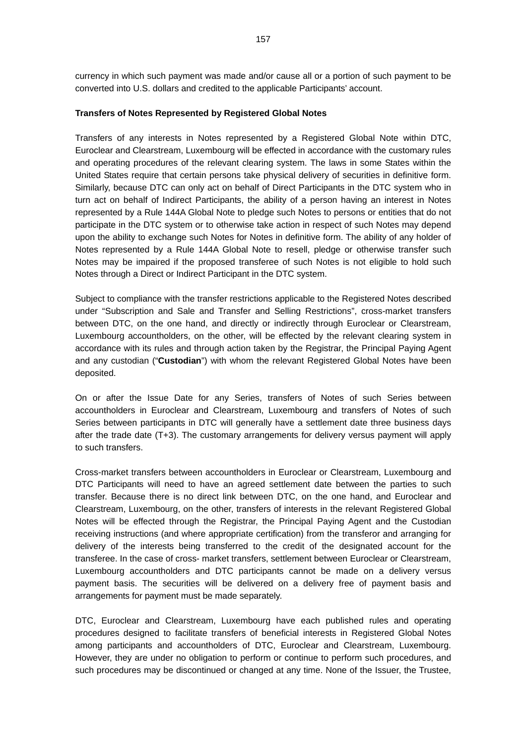currency in which such payment was made and/or cause all or a portion of such payment to be converted into U.S. dollars and credited to the applicable Participants' account.

### **Transfers of Notes Represented by Registered Global Notes**

Transfers of any interests in Notes represented by a Registered Global Note within DTC, Euroclear and Clearstream, Luxembourg will be effected in accordance with the customary rules and operating procedures of the relevant clearing system. The laws in some States within the United States require that certain persons take physical delivery of securities in definitive form. Similarly, because DTC can only act on behalf of Direct Participants in the DTC system who in turn act on behalf of Indirect Participants, the ability of a person having an interest in Notes represented by a Rule 144A Global Note to pledge such Notes to persons or entities that do not participate in the DTC system or to otherwise take action in respect of such Notes may depend upon the ability to exchange such Notes for Notes in definitive form. The ability of any holder of Notes represented by a Rule 144A Global Note to resell, pledge or otherwise transfer such Notes may be impaired if the proposed transferee of such Notes is not eligible to hold such Notes through a Direct or Indirect Participant in the DTC system.

Subject to compliance with the transfer restrictions applicable to the Registered Notes described under "Subscription and Sale and Transfer and Selling Restrictions", cross-market transfers between DTC, on the one hand, and directly or indirectly through Euroclear or Clearstream, Luxembourg accountholders, on the other, will be effected by the relevant clearing system in accordance with its rules and through action taken by the Registrar, the Principal Paying Agent and any custodian ("**Custodian**") with whom the relevant Registered Global Notes have been deposited.

On or after the Issue Date for any Series, transfers of Notes of such Series between accountholders in Euroclear and Clearstream, Luxembourg and transfers of Notes of such Series between participants in DTC will generally have a settlement date three business days after the trade date (T+3). The customary arrangements for delivery versus payment will apply to such transfers.

Cross-market transfers between accountholders in Euroclear or Clearstream, Luxembourg and DTC Participants will need to have an agreed settlement date between the parties to such transfer. Because there is no direct link between DTC, on the one hand, and Euroclear and Clearstream, Luxembourg, on the other, transfers of interests in the relevant Registered Global Notes will be effected through the Registrar, the Principal Paying Agent and the Custodian receiving instructions (and where appropriate certification) from the transferor and arranging for delivery of the interests being transferred to the credit of the designated account for the transferee. In the case of cross- market transfers, settlement between Euroclear or Clearstream, Luxembourg accountholders and DTC participants cannot be made on a delivery versus payment basis. The securities will be delivered on a delivery free of payment basis and arrangements for payment must be made separately.

DTC, Euroclear and Clearstream, Luxembourg have each published rules and operating procedures designed to facilitate transfers of beneficial interests in Registered Global Notes among participants and accountholders of DTC, Euroclear and Clearstream, Luxembourg. However, they are under no obligation to perform or continue to perform such procedures, and such procedures may be discontinued or changed at any time. None of the Issuer, the Trustee,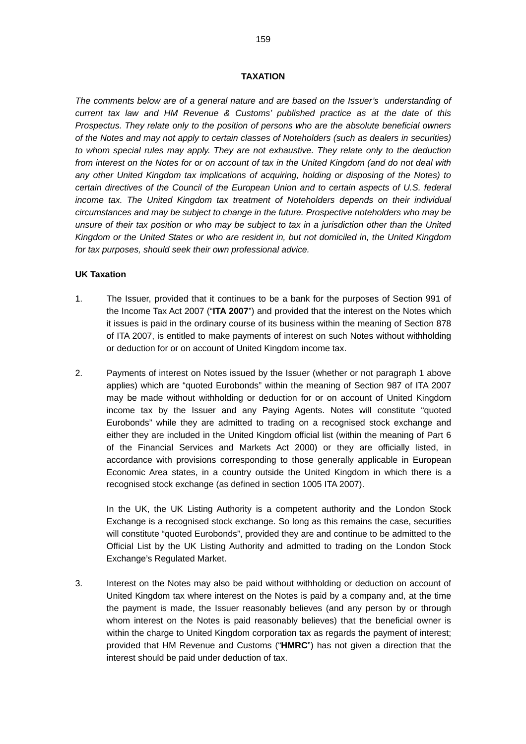#### **TAXATION**

*The comments below are of a general nature and are based on the Issuer's understanding of current tax law and HM Revenue & Customs' published practice as at the date of this Prospectus. They relate only to the position of persons who are the absolute beneficial owners of the Notes and may not apply to certain classes of Noteholders (such as dealers in securities) to whom special rules may apply. They are not exhaustive. They relate only to the deduction from interest on the Notes for or on account of tax in the United Kingdom (and do not deal with any other United Kingdom tax implications of acquiring, holding or disposing of the Notes) to certain directives of the Council of the European Union and to certain aspects of U.S. federal income tax. The United Kingdom tax treatment of Noteholders depends on their individual circumstances and may be subject to change in the future. Prospective noteholders who may be unsure of their tax position or who may be subject to tax in a jurisdiction other than the United Kingdom or the United States or who are resident in, but not domiciled in, the United Kingdom for tax purposes, should seek their own professional advice.* 

### **UK Taxation**

- 1. The Issuer, provided that it continues to be a bank for the purposes of Section 991 of the Income Tax Act 2007 ("**ITA 2007**") and provided that the interest on the Notes which it issues is paid in the ordinary course of its business within the meaning of Section 878 of ITA 2007, is entitled to make payments of interest on such Notes without withholding or deduction for or on account of United Kingdom income tax.
- 2. Payments of interest on Notes issued by the Issuer (whether or not paragraph 1 above applies) which are "quoted Eurobonds" within the meaning of Section 987 of ITA 2007 may be made without withholding or deduction for or on account of United Kingdom income tax by the Issuer and any Paying Agents. Notes will constitute "quoted Eurobonds" while they are admitted to trading on a recognised stock exchange and either they are included in the United Kingdom official list (within the meaning of Part 6 of the Financial Services and Markets Act 2000) or they are officially listed, in accordance with provisions corresponding to those generally applicable in European Economic Area states, in a country outside the United Kingdom in which there is a recognised stock exchange (as defined in section 1005 ITA 2007).

In the UK, the UK Listing Authority is a competent authority and the London Stock Exchange is a recognised stock exchange. So long as this remains the case, securities will constitute "quoted Eurobonds", provided they are and continue to be admitted to the Official List by the UK Listing Authority and admitted to trading on the London Stock Exchange's Regulated Market.

3. Interest on the Notes may also be paid without withholding or deduction on account of United Kingdom tax where interest on the Notes is paid by a company and, at the time the payment is made, the Issuer reasonably believes (and any person by or through whom interest on the Notes is paid reasonably believes) that the beneficial owner is within the charge to United Kingdom corporation tax as regards the payment of interest; provided that HM Revenue and Customs ("**HMRC**") has not given a direction that the interest should be paid under deduction of tax.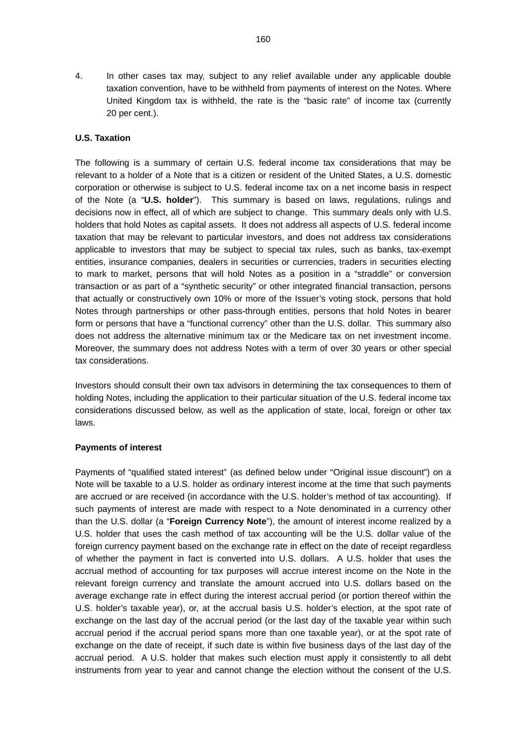4. In other cases tax may, subject to any relief available under any applicable double taxation convention, have to be withheld from payments of interest on the Notes. Where United Kingdom tax is withheld, the rate is the "basic rate" of income tax (currently 20 per cent.).

## **U.S. Taxation**

The following is a summary of certain U.S. federal income tax considerations that may be relevant to a holder of a Note that is a citizen or resident of the United States, a U.S. domestic corporation or otherwise is subject to U.S. federal income tax on a net income basis in respect of the Note (a "**U.S. holder**"). This summary is based on laws, regulations, rulings and decisions now in effect, all of which are subject to change. This summary deals only with U.S. holders that hold Notes as capital assets. It does not address all aspects of U.S. federal income taxation that may be relevant to particular investors, and does not address tax considerations applicable to investors that may be subject to special tax rules, such as banks, tax-exempt entities, insurance companies, dealers in securities or currencies, traders in securities electing to mark to market, persons that will hold Notes as a position in a "straddle" or conversion transaction or as part of a "synthetic security" or other integrated financial transaction, persons that actually or constructively own 10% or more of the Issuer's voting stock, persons that hold Notes through partnerships or other pass-through entities, persons that hold Notes in bearer form or persons that have a "functional currency" other than the U.S. dollar. This summary also does not address the alternative minimum tax or the Medicare tax on net investment income. Moreover, the summary does not address Notes with a term of over 30 years or other special tax considerations.

Investors should consult their own tax advisors in determining the tax consequences to them of holding Notes, including the application to their particular situation of the U.S. federal income tax considerations discussed below, as well as the application of state, local, foreign or other tax laws.

## **Payments of interest**

Payments of "qualified stated interest" (as defined below under "Original issue discount") on a Note will be taxable to a U.S. holder as ordinary interest income at the time that such payments are accrued or are received (in accordance with the U.S. holder's method of tax accounting). If such payments of interest are made with respect to a Note denominated in a currency other than the U.S. dollar (a "**Foreign Currency Note**"), the amount of interest income realized by a U.S. holder that uses the cash method of tax accounting will be the U.S. dollar value of the foreign currency payment based on the exchange rate in effect on the date of receipt regardless of whether the payment in fact is converted into U.S. dollars. A U.S. holder that uses the accrual method of accounting for tax purposes will accrue interest income on the Note in the relevant foreign currency and translate the amount accrued into U.S. dollars based on the average exchange rate in effect during the interest accrual period (or portion thereof within the U.S. holder's taxable year), or, at the accrual basis U.S. holder's election, at the spot rate of exchange on the last day of the accrual period (or the last day of the taxable year within such accrual period if the accrual period spans more than one taxable year), or at the spot rate of exchange on the date of receipt, if such date is within five business days of the last day of the accrual period. A U.S. holder that makes such election must apply it consistently to all debt instruments from year to year and cannot change the election without the consent of the U.S.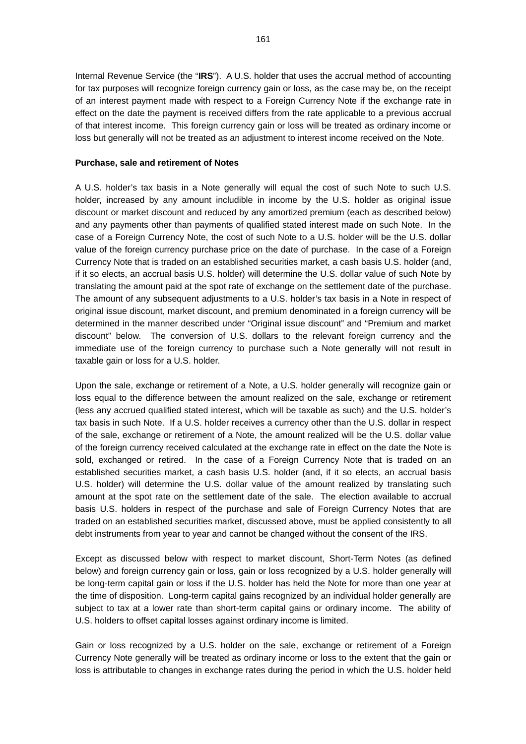Internal Revenue Service (the "**IRS**"). A U.S. holder that uses the accrual method of accounting for tax purposes will recognize foreign currency gain or loss, as the case may be, on the receipt of an interest payment made with respect to a Foreign Currency Note if the exchange rate in effect on the date the payment is received differs from the rate applicable to a previous accrual of that interest income. This foreign currency gain or loss will be treated as ordinary income or loss but generally will not be treated as an adjustment to interest income received on the Note.

### **Purchase, sale and retirement of Notes**

A U.S. holder's tax basis in a Note generally will equal the cost of such Note to such U.S. holder, increased by any amount includible in income by the U.S. holder as original issue discount or market discount and reduced by any amortized premium (each as described below) and any payments other than payments of qualified stated interest made on such Note. In the case of a Foreign Currency Note, the cost of such Note to a U.S. holder will be the U.S. dollar value of the foreign currency purchase price on the date of purchase. In the case of a Foreign Currency Note that is traded on an established securities market, a cash basis U.S. holder (and, if it so elects, an accrual basis U.S. holder) will determine the U.S. dollar value of such Note by translating the amount paid at the spot rate of exchange on the settlement date of the purchase. The amount of any subsequent adjustments to a U.S. holder's tax basis in a Note in respect of original issue discount, market discount, and premium denominated in a foreign currency will be determined in the manner described under "Original issue discount" and "Premium and market discount" below. The conversion of U.S. dollars to the relevant foreign currency and the immediate use of the foreign currency to purchase such a Note generally will not result in taxable gain or loss for a U.S. holder.

Upon the sale, exchange or retirement of a Note, a U.S. holder generally will recognize gain or loss equal to the difference between the amount realized on the sale, exchange or retirement (less any accrued qualified stated interest, which will be taxable as such) and the U.S. holder's tax basis in such Note. If a U.S. holder receives a currency other than the U.S. dollar in respect of the sale, exchange or retirement of a Note, the amount realized will be the U.S. dollar value of the foreign currency received calculated at the exchange rate in effect on the date the Note is sold, exchanged or retired. In the case of a Foreign Currency Note that is traded on an established securities market, a cash basis U.S. holder (and, if it so elects, an accrual basis U.S. holder) will determine the U.S. dollar value of the amount realized by translating such amount at the spot rate on the settlement date of the sale. The election available to accrual basis U.S. holders in respect of the purchase and sale of Foreign Currency Notes that are traded on an established securities market, discussed above, must be applied consistently to all debt instruments from year to year and cannot be changed without the consent of the IRS.

Except as discussed below with respect to market discount, Short-Term Notes (as defined below) and foreign currency gain or loss, gain or loss recognized by a U.S. holder generally will be long-term capital gain or loss if the U.S. holder has held the Note for more than one year at the time of disposition. Long-term capital gains recognized by an individual holder generally are subject to tax at a lower rate than short-term capital gains or ordinary income. The ability of U.S. holders to offset capital losses against ordinary income is limited.

Gain or loss recognized by a U.S. holder on the sale, exchange or retirement of a Foreign Currency Note generally will be treated as ordinary income or loss to the extent that the gain or loss is attributable to changes in exchange rates during the period in which the U.S. holder held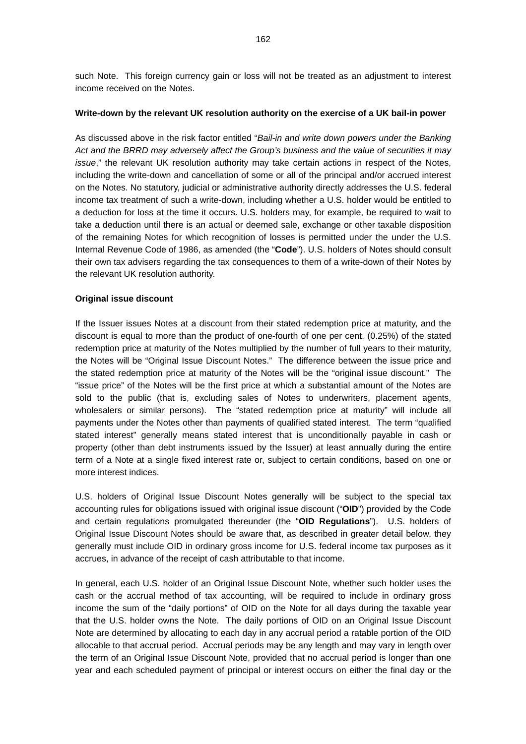such Note. This foreign currency gain or loss will not be treated as an adjustment to interest income received on the Notes.

#### **Write-down by the relevant UK resolution authority on the exercise of a UK bail-in power**

As discussed above in the risk factor entitled "*Bail-in and write down powers under the Banking Act and the BRRD may adversely affect the Group's business and the value of securities it may issue*," the relevant UK resolution authority may take certain actions in respect of the Notes, including the write-down and cancellation of some or all of the principal and/or accrued interest on the Notes. No statutory, judicial or administrative authority directly addresses the U.S. federal income tax treatment of such a write-down, including whether a U.S. holder would be entitled to a deduction for loss at the time it occurs. U.S. holders may, for example, be required to wait to take a deduction until there is an actual or deemed sale, exchange or other taxable disposition of the remaining Notes for which recognition of losses is permitted under the under the U.S. Internal Revenue Code of 1986, as amended (the "**Code**"). U.S. holders of Notes should consult their own tax advisers regarding the tax consequences to them of a write-down of their Notes by the relevant UK resolution authority.

### **Original issue discount**

If the Issuer issues Notes at a discount from their stated redemption price at maturity, and the discount is equal to more than the product of one-fourth of one per cent. (0.25%) of the stated redemption price at maturity of the Notes multiplied by the number of full years to their maturity, the Notes will be "Original Issue Discount Notes." The difference between the issue price and the stated redemption price at maturity of the Notes will be the "original issue discount." The "issue price" of the Notes will be the first price at which a substantial amount of the Notes are sold to the public (that is, excluding sales of Notes to underwriters, placement agents, wholesalers or similar persons). The "stated redemption price at maturity" will include all payments under the Notes other than payments of qualified stated interest. The term "qualified stated interest" generally means stated interest that is unconditionally payable in cash or property (other than debt instruments issued by the Issuer) at least annually during the entire term of a Note at a single fixed interest rate or, subject to certain conditions, based on one or more interest indices.

U.S. holders of Original Issue Discount Notes generally will be subject to the special tax accounting rules for obligations issued with original issue discount ("**OID**") provided by the Code and certain regulations promulgated thereunder (the "**OID Regulations**"). U.S. holders of Original Issue Discount Notes should be aware that, as described in greater detail below, they generally must include OID in ordinary gross income for U.S. federal income tax purposes as it accrues, in advance of the receipt of cash attributable to that income.

In general, each U.S. holder of an Original Issue Discount Note, whether such holder uses the cash or the accrual method of tax accounting, will be required to include in ordinary gross income the sum of the "daily portions" of OID on the Note for all days during the taxable year that the U.S. holder owns the Note. The daily portions of OID on an Original Issue Discount Note are determined by allocating to each day in any accrual period a ratable portion of the OID allocable to that accrual period. Accrual periods may be any length and may vary in length over the term of an Original Issue Discount Note, provided that no accrual period is longer than one year and each scheduled payment of principal or interest occurs on either the final day or the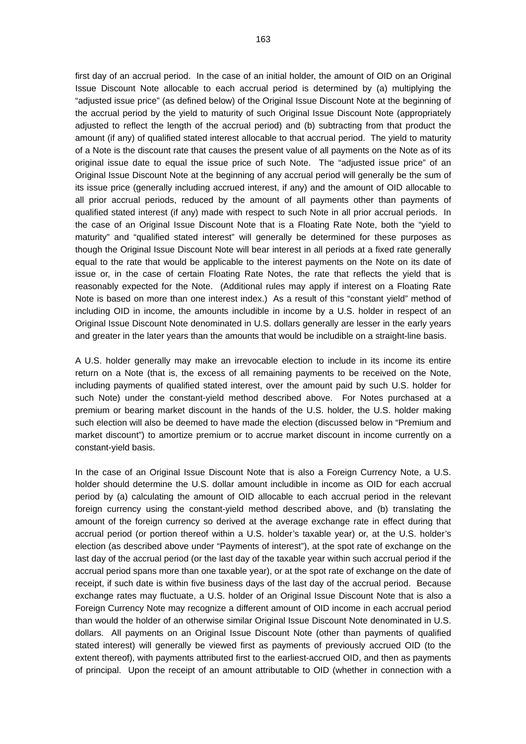first day of an accrual period. In the case of an initial holder, the amount of OID on an Original Issue Discount Note allocable to each accrual period is determined by (a) multiplying the "adjusted issue price" (as defined below) of the Original Issue Discount Note at the beginning of the accrual period by the yield to maturity of such Original Issue Discount Note (appropriately adjusted to reflect the length of the accrual period) and (b) subtracting from that product the amount (if any) of qualified stated interest allocable to that accrual period. The yield to maturity of a Note is the discount rate that causes the present value of all payments on the Note as of its original issue date to equal the issue price of such Note. The "adjusted issue price" of an Original Issue Discount Note at the beginning of any accrual period will generally be the sum of its issue price (generally including accrued interest, if any) and the amount of OID allocable to all prior accrual periods, reduced by the amount of all payments other than payments of qualified stated interest (if any) made with respect to such Note in all prior accrual periods. In the case of an Original Issue Discount Note that is a Floating Rate Note, both the "yield to maturity" and "qualified stated interest" will generally be determined for these purposes as though the Original Issue Discount Note will bear interest in all periods at a fixed rate generally equal to the rate that would be applicable to the interest payments on the Note on its date of issue or, in the case of certain Floating Rate Notes, the rate that reflects the yield that is reasonably expected for the Note. (Additional rules may apply if interest on a Floating Rate Note is based on more than one interest index.) As a result of this "constant yield" method of including OID in income, the amounts includible in income by a U.S. holder in respect of an Original Issue Discount Note denominated in U.S. dollars generally are lesser in the early years and greater in the later years than the amounts that would be includible on a straight-line basis.

A U.S. holder generally may make an irrevocable election to include in its income its entire return on a Note (that is, the excess of all remaining payments to be received on the Note, including payments of qualified stated interest, over the amount paid by such U.S. holder for such Note) under the constant-yield method described above. For Notes purchased at a premium or bearing market discount in the hands of the U.S. holder, the U.S. holder making such election will also be deemed to have made the election (discussed below in "Premium and market discount") to amortize premium or to accrue market discount in income currently on a constant-yield basis.

In the case of an Original Issue Discount Note that is also a Foreign Currency Note, a U.S. holder should determine the U.S. dollar amount includible in income as OID for each accrual period by (a) calculating the amount of OID allocable to each accrual period in the relevant foreign currency using the constant-yield method described above, and (b) translating the amount of the foreign currency so derived at the average exchange rate in effect during that accrual period (or portion thereof within a U.S. holder's taxable year) or, at the U.S. holder's election (as described above under "Payments of interest"), at the spot rate of exchange on the last day of the accrual period (or the last day of the taxable year within such accrual period if the accrual period spans more than one taxable year), or at the spot rate of exchange on the date of receipt, if such date is within five business days of the last day of the accrual period. Because exchange rates may fluctuate, a U.S. holder of an Original Issue Discount Note that is also a Foreign Currency Note may recognize a different amount of OID income in each accrual period than would the holder of an otherwise similar Original Issue Discount Note denominated in U.S. dollars. All payments on an Original Issue Discount Note (other than payments of qualified stated interest) will generally be viewed first as payments of previously accrued OID (to the extent thereof), with payments attributed first to the earliest-accrued OID, and then as payments of principal. Upon the receipt of an amount attributable to OID (whether in connection with a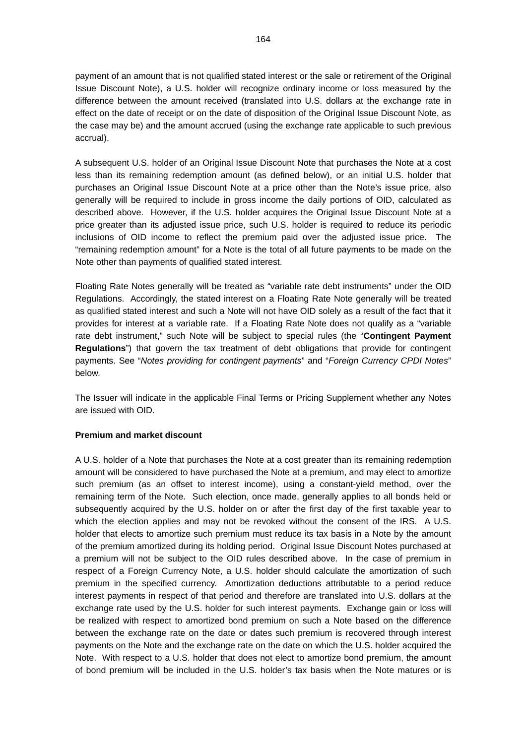payment of an amount that is not qualified stated interest or the sale or retirement of the Original Issue Discount Note), a U.S. holder will recognize ordinary income or loss measured by the difference between the amount received (translated into U.S. dollars at the exchange rate in effect on the date of receipt or on the date of disposition of the Original Issue Discount Note, as the case may be) and the amount accrued (using the exchange rate applicable to such previous accrual).

A subsequent U.S. holder of an Original Issue Discount Note that purchases the Note at a cost less than its remaining redemption amount (as defined below), or an initial U.S. holder that purchases an Original Issue Discount Note at a price other than the Note's issue price, also generally will be required to include in gross income the daily portions of OID, calculated as described above. However, if the U.S. holder acquires the Original Issue Discount Note at a price greater than its adjusted issue price, such U.S. holder is required to reduce its periodic inclusions of OID income to reflect the premium paid over the adjusted issue price. The "remaining redemption amount" for a Note is the total of all future payments to be made on the Note other than payments of qualified stated interest.

Floating Rate Notes generally will be treated as "variable rate debt instruments" under the OID Regulations. Accordingly, the stated interest on a Floating Rate Note generally will be treated as qualified stated interest and such a Note will not have OID solely as a result of the fact that it provides for interest at a variable rate. If a Floating Rate Note does not qualify as a "variable rate debt instrument," such Note will be subject to special rules (the "**Contingent Payment Regulations**") that govern the tax treatment of debt obligations that provide for contingent payments. See "*Notes providing for contingent payments*" and "*Foreign Currency CPDI Notes*" below.

The Issuer will indicate in the applicable Final Terms or Pricing Supplement whether any Notes are issued with OID.

## **Premium and market discount**

A U.S. holder of a Note that purchases the Note at a cost greater than its remaining redemption amount will be considered to have purchased the Note at a premium, and may elect to amortize such premium (as an offset to interest income), using a constant-yield method, over the remaining term of the Note. Such election, once made, generally applies to all bonds held or subsequently acquired by the U.S. holder on or after the first day of the first taxable year to which the election applies and may not be revoked without the consent of the IRS. A U.S. holder that elects to amortize such premium must reduce its tax basis in a Note by the amount of the premium amortized during its holding period. Original Issue Discount Notes purchased at a premium will not be subject to the OID rules described above. In the case of premium in respect of a Foreign Currency Note, a U.S. holder should calculate the amortization of such premium in the specified currency. Amortization deductions attributable to a period reduce interest payments in respect of that period and therefore are translated into U.S. dollars at the exchange rate used by the U.S. holder for such interest payments. Exchange gain or loss will be realized with respect to amortized bond premium on such a Note based on the difference between the exchange rate on the date or dates such premium is recovered through interest payments on the Note and the exchange rate on the date on which the U.S. holder acquired the Note. With respect to a U.S. holder that does not elect to amortize bond premium, the amount of bond premium will be included in the U.S. holder's tax basis when the Note matures or is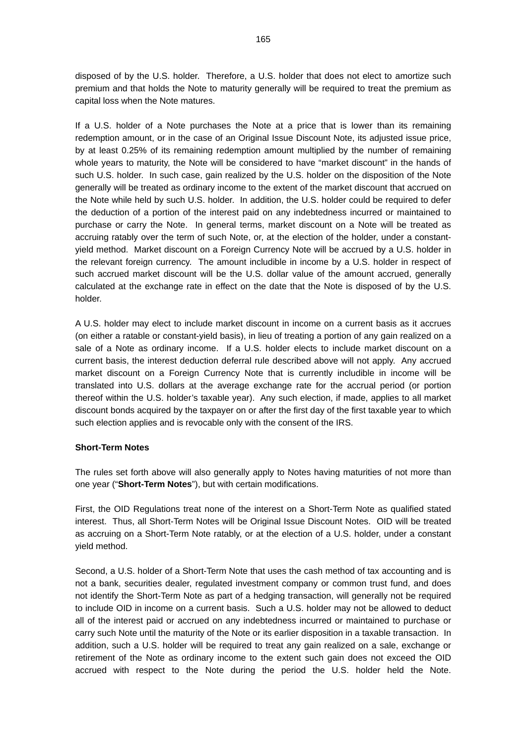disposed of by the U.S. holder. Therefore, a U.S. holder that does not elect to amortize such premium and that holds the Note to maturity generally will be required to treat the premium as capital loss when the Note matures.

If a U.S. holder of a Note purchases the Note at a price that is lower than its remaining redemption amount, or in the case of an Original Issue Discount Note, its adjusted issue price, by at least 0.25% of its remaining redemption amount multiplied by the number of remaining whole years to maturity, the Note will be considered to have "market discount" in the hands of such U.S. holder. In such case, gain realized by the U.S. holder on the disposition of the Note generally will be treated as ordinary income to the extent of the market discount that accrued on the Note while held by such U.S. holder. In addition, the U.S. holder could be required to defer the deduction of a portion of the interest paid on any indebtedness incurred or maintained to purchase or carry the Note. In general terms, market discount on a Note will be treated as accruing ratably over the term of such Note, or, at the election of the holder, under a constantyield method. Market discount on a Foreign Currency Note will be accrued by a U.S. holder in the relevant foreign currency. The amount includible in income by a U.S. holder in respect of such accrued market discount will be the U.S. dollar value of the amount accrued, generally calculated at the exchange rate in effect on the date that the Note is disposed of by the U.S. holder.

A U.S. holder may elect to include market discount in income on a current basis as it accrues (on either a ratable or constant-yield basis), in lieu of treating a portion of any gain realized on a sale of a Note as ordinary income. If a U.S. holder elects to include market discount on a current basis, the interest deduction deferral rule described above will not apply. Any accrued market discount on a Foreign Currency Note that is currently includible in income will be translated into U.S. dollars at the average exchange rate for the accrual period (or portion thereof within the U.S. holder's taxable year). Any such election, if made, applies to all market discount bonds acquired by the taxpayer on or after the first day of the first taxable year to which such election applies and is revocable only with the consent of the IRS.

### **Short-Term Notes**

The rules set forth above will also generally apply to Notes having maturities of not more than one year ("**Short-Term Notes**"), but with certain modifications.

First, the OID Regulations treat none of the interest on a Short-Term Note as qualified stated interest. Thus, all Short-Term Notes will be Original Issue Discount Notes. OID will be treated as accruing on a Short-Term Note ratably, or at the election of a U.S. holder, under a constant yield method.

Second, a U.S. holder of a Short-Term Note that uses the cash method of tax accounting and is not a bank, securities dealer, regulated investment company or common trust fund, and does not identify the Short-Term Note as part of a hedging transaction, will generally not be required to include OID in income on a current basis. Such a U.S. holder may not be allowed to deduct all of the interest paid or accrued on any indebtedness incurred or maintained to purchase or carry such Note until the maturity of the Note or its earlier disposition in a taxable transaction. In addition, such a U.S. holder will be required to treat any gain realized on a sale, exchange or retirement of the Note as ordinary income to the extent such gain does not exceed the OID accrued with respect to the Note during the period the U.S. holder held the Note.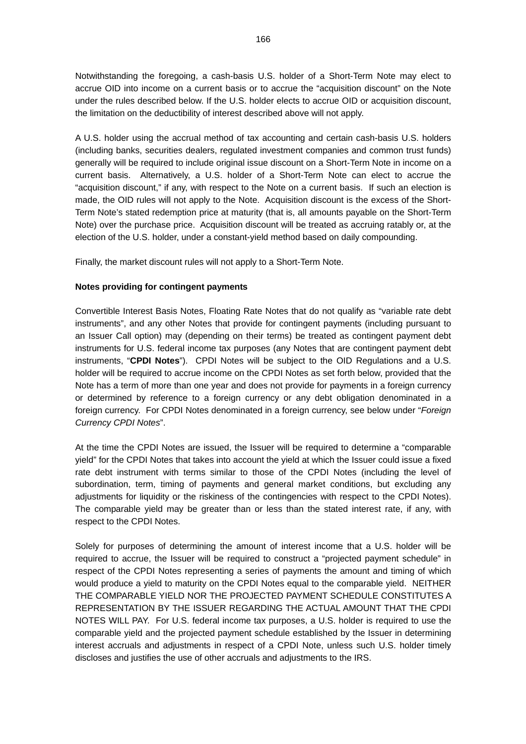Notwithstanding the foregoing, a cash-basis U.S. holder of a Short-Term Note may elect to accrue OID into income on a current basis or to accrue the "acquisition discount" on the Note under the rules described below. If the U.S. holder elects to accrue OID or acquisition discount, the limitation on the deductibility of interest described above will not apply.

A U.S. holder using the accrual method of tax accounting and certain cash-basis U.S. holders (including banks, securities dealers, regulated investment companies and common trust funds) generally will be required to include original issue discount on a Short-Term Note in income on a current basis. Alternatively, a U.S. holder of a Short-Term Note can elect to accrue the "acquisition discount," if any, with respect to the Note on a current basis. If such an election is made, the OID rules will not apply to the Note. Acquisition discount is the excess of the Short-Term Note's stated redemption price at maturity (that is, all amounts payable on the Short-Term Note) over the purchase price. Acquisition discount will be treated as accruing ratably or, at the election of the U.S. holder, under a constant-yield method based on daily compounding.

Finally, the market discount rules will not apply to a Short-Term Note.

## **Notes providing for contingent payments**

Convertible Interest Basis Notes, Floating Rate Notes that do not qualify as "variable rate debt instruments", and any other Notes that provide for contingent payments (including pursuant to an Issuer Call option) may (depending on their terms) be treated as contingent payment debt instruments for U.S. federal income tax purposes (any Notes that are contingent payment debt instruments, "**CPDI Notes**"). CPDI Notes will be subject to the OID Regulations and a U.S. holder will be required to accrue income on the CPDI Notes as set forth below, provided that the Note has a term of more than one year and does not provide for payments in a foreign currency or determined by reference to a foreign currency or any debt obligation denominated in a foreign currency. For CPDI Notes denominated in a foreign currency, see below under "*Foreign Currency CPDI Notes*".

At the time the CPDI Notes are issued, the Issuer will be required to determine a "comparable yield" for the CPDI Notes that takes into account the yield at which the Issuer could issue a fixed rate debt instrument with terms similar to those of the CPDI Notes (including the level of subordination, term, timing of payments and general market conditions, but excluding any adjustments for liquidity or the riskiness of the contingencies with respect to the CPDI Notes). The comparable yield may be greater than or less than the stated interest rate, if any, with respect to the CPDI Notes.

Solely for purposes of determining the amount of interest income that a U.S. holder will be required to accrue, the Issuer will be required to construct a "projected payment schedule" in respect of the CPDI Notes representing a series of payments the amount and timing of which would produce a yield to maturity on the CPDI Notes equal to the comparable yield. NEITHER THE COMPARABLE YIELD NOR THE PROJECTED PAYMENT SCHEDULE CONSTITUTES A REPRESENTATION BY THE ISSUER REGARDING THE ACTUAL AMOUNT THAT THE CPDI NOTES WILL PAY. For U.S. federal income tax purposes, a U.S. holder is required to use the comparable yield and the projected payment schedule established by the Issuer in determining interest accruals and adjustments in respect of a CPDI Note, unless such U.S. holder timely discloses and justifies the use of other accruals and adjustments to the IRS.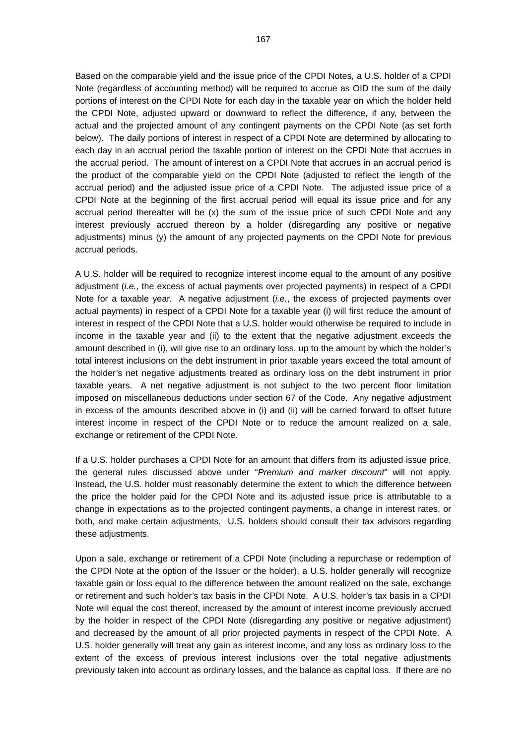Based on the comparable yield and the issue price of the CPDI Notes, a U.S. holder of a CPDI Note (regardless of accounting method) will be required to accrue as OID the sum of the daily portions of interest on the CPDI Note for each day in the taxable year on which the holder held the CPDI Note, adjusted upward or downward to reflect the difference, if any, between the actual and the projected amount of any contingent payments on the CPDI Note (as set forth below). The daily portions of interest in respect of a CPDI Note are determined by allocating to each day in an accrual period the taxable portion of interest on the CPDI Note that accrues in the accrual period. The amount of interest on a CPDI Note that accrues in an accrual period is the product of the comparable yield on the CPDI Note (adjusted to reflect the length of the accrual period) and the adjusted issue price of a CPDI Note. The adjusted issue price of a CPDI Note at the beginning of the first accrual period will equal its issue price and for any accrual period thereafter will be (x) the sum of the issue price of such CPDI Note and any interest previously accrued thereon by a holder (disregarding any positive or negative adjustments) minus (y) the amount of any projected payments on the CPDI Note for previous accrual periods.

A U.S. holder will be required to recognize interest income equal to the amount of any positive adjustment (*i.e.*, the excess of actual payments over projected payments) in respect of a CPDI Note for a taxable year. A negative adjustment (*i.e.*, the excess of projected payments over actual payments) in respect of a CPDI Note for a taxable year (i) will first reduce the amount of interest in respect of the CPDI Note that a U.S. holder would otherwise be required to include in income in the taxable year and (ii) to the extent that the negative adjustment exceeds the amount described in (i), will give rise to an ordinary loss, up to the amount by which the holder's total interest inclusions on the debt instrument in prior taxable years exceed the total amount of the holder's net negative adjustments treated as ordinary loss on the debt instrument in prior taxable years. A net negative adjustment is not subject to the two percent floor limitation imposed on miscellaneous deductions under section 67 of the Code. Any negative adjustment in excess of the amounts described above in (i) and (ii) will be carried forward to offset future interest income in respect of the CPDI Note or to reduce the amount realized on a sale, exchange or retirement of the CPDI Note.

If a U.S. holder purchases a CPDI Note for an amount that differs from its adjusted issue price, the general rules discussed above under "*Premium and market discount*" will not apply. Instead, the U.S. holder must reasonably determine the extent to which the difference between the price the holder paid for the CPDI Note and its adjusted issue price is attributable to a change in expectations as to the projected contingent payments, a change in interest rates, or both, and make certain adjustments. U.S. holders should consult their tax advisors regarding these adjustments.

Upon a sale, exchange or retirement of a CPDI Note (including a repurchase or redemption of the CPDI Note at the option of the Issuer or the holder), a U.S. holder generally will recognize taxable gain or loss equal to the difference between the amount realized on the sale, exchange or retirement and such holder's tax basis in the CPDI Note. A U.S. holder's tax basis in a CPDI Note will equal the cost thereof, increased by the amount of interest income previously accrued by the holder in respect of the CPDI Note (disregarding any positive or negative adjustment) and decreased by the amount of all prior projected payments in respect of the CPDI Note. A U.S. holder generally will treat any gain as interest income, and any loss as ordinary loss to the extent of the excess of previous interest inclusions over the total negative adjustments previously taken into account as ordinary losses, and the balance as capital loss. If there are no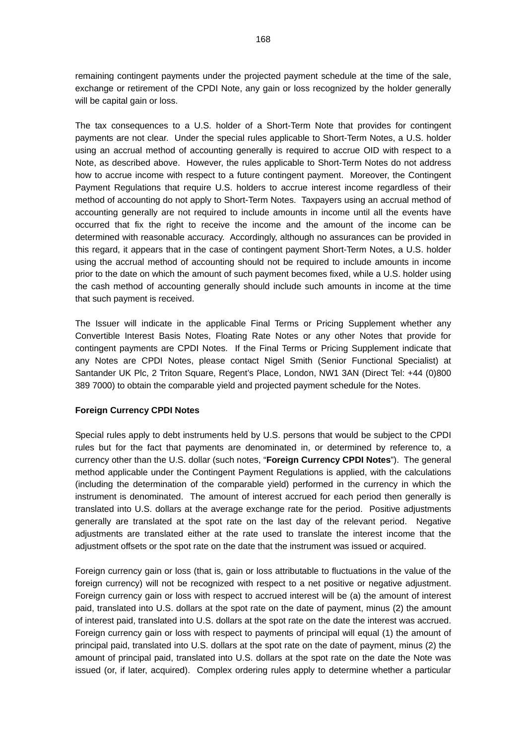remaining contingent payments under the projected payment schedule at the time of the sale, exchange or retirement of the CPDI Note, any gain or loss recognized by the holder generally will be capital gain or loss.

The tax consequences to a U.S. holder of a Short-Term Note that provides for contingent payments are not clear. Under the special rules applicable to Short-Term Notes, a U.S. holder using an accrual method of accounting generally is required to accrue OID with respect to a Note, as described above. However, the rules applicable to Short-Term Notes do not address how to accrue income with respect to a future contingent payment. Moreover, the Contingent Payment Regulations that require U.S. holders to accrue interest income regardless of their method of accounting do not apply to Short-Term Notes. Taxpayers using an accrual method of accounting generally are not required to include amounts in income until all the events have occurred that fix the right to receive the income and the amount of the income can be determined with reasonable accuracy. Accordingly, although no assurances can be provided in this regard, it appears that in the case of contingent payment Short-Term Notes, a U.S. holder using the accrual method of accounting should not be required to include amounts in income prior to the date on which the amount of such payment becomes fixed, while a U.S. holder using the cash method of accounting generally should include such amounts in income at the time that such payment is received.

The Issuer will indicate in the applicable Final Terms or Pricing Supplement whether any Convertible Interest Basis Notes, Floating Rate Notes or any other Notes that provide for contingent payments are CPDI Notes. If the Final Terms or Pricing Supplement indicate that any Notes are CPDI Notes, please contact Nigel Smith (Senior Functional Specialist) at Santander UK Plc, 2 Triton Square, Regent's Place, London, NW1 3AN (Direct Tel: +44 (0)800 389 7000) to obtain the comparable yield and projected payment schedule for the Notes.

## **Foreign Currency CPDI Notes**

Special rules apply to debt instruments held by U.S. persons that would be subject to the CPDI rules but for the fact that payments are denominated in, or determined by reference to, a currency other than the U.S. dollar (such notes, "**Foreign Currency CPDI Notes**"). The general method applicable under the Contingent Payment Regulations is applied, with the calculations (including the determination of the comparable yield) performed in the currency in which the instrument is denominated. The amount of interest accrued for each period then generally is translated into U.S. dollars at the average exchange rate for the period. Positive adjustments generally are translated at the spot rate on the last day of the relevant period. Negative adjustments are translated either at the rate used to translate the interest income that the adjustment offsets or the spot rate on the date that the instrument was issued or acquired.

Foreign currency gain or loss (that is, gain or loss attributable to fluctuations in the value of the foreign currency) will not be recognized with respect to a net positive or negative adjustment. Foreign currency gain or loss with respect to accrued interest will be (a) the amount of interest paid, translated into U.S. dollars at the spot rate on the date of payment, minus (2) the amount of interest paid, translated into U.S. dollars at the spot rate on the date the interest was accrued. Foreign currency gain or loss with respect to payments of principal will equal (1) the amount of principal paid, translated into U.S. dollars at the spot rate on the date of payment, minus (2) the amount of principal paid, translated into U.S. dollars at the spot rate on the date the Note was issued (or, if later, acquired). Complex ordering rules apply to determine whether a particular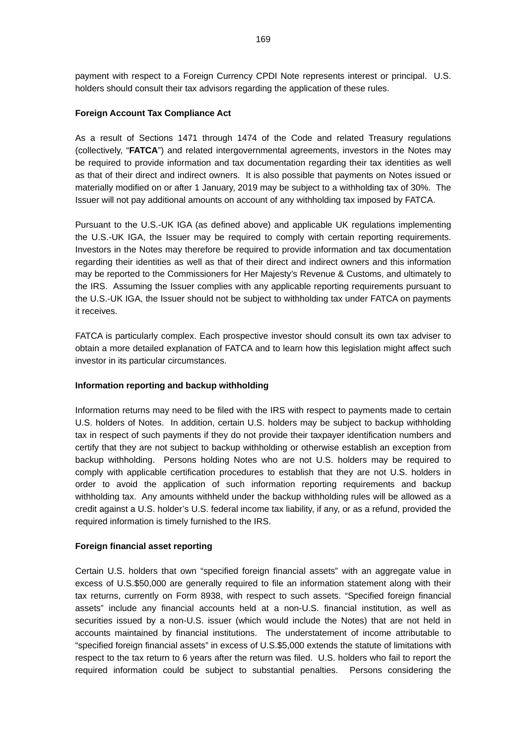payment with respect to a Foreign Currency CPDI Note represents interest or principal. U.S. holders should consult their tax advisors regarding the application of these rules.

## **Foreign Account Tax Compliance Act**

As a result of Sections 1471 through 1474 of the Code and related Treasury regulations (collectively, "**FATCA**") and related intergovernmental agreements, investors in the Notes may be required to provide information and tax documentation regarding their tax identities as well as that of their direct and indirect owners. It is also possible that payments on Notes issued or materially modified on or after 1 January, 2019 may be subject to a withholding tax of 30%. The Issuer will not pay additional amounts on account of any withholding tax imposed by FATCA.

Pursuant to the U.S.-UK IGA (as defined above) and applicable UK regulations implementing the U.S.-UK IGA, the Issuer may be required to comply with certain reporting requirements. Investors in the Notes may therefore be required to provide information and tax documentation regarding their identities as well as that of their direct and indirect owners and this information may be reported to the Commissioners for Her Majesty's Revenue & Customs, and ultimately to the IRS. Assuming the Issuer complies with any applicable reporting requirements pursuant to the U.S.-UK IGA, the Issuer should not be subject to withholding tax under FATCA on payments it receives.

FATCA is particularly complex. Each prospective investor should consult its own tax adviser to obtain a more detailed explanation of FATCA and to learn how this legislation might affect such investor in its particular circumstances.

## **Information reporting and backup withholding**

Information returns may need to be filed with the IRS with respect to payments made to certain U.S. holders of Notes. In addition, certain U.S. holders may be subject to backup withholding tax in respect of such payments if they do not provide their taxpayer identification numbers and certify that they are not subject to backup withholding or otherwise establish an exception from backup withholding. Persons holding Notes who are not U.S. holders may be required to comply with applicable certification procedures to establish that they are not U.S. holders in order to avoid the application of such information reporting requirements and backup withholding tax. Any amounts withheld under the backup withholding rules will be allowed as a credit against a U.S. holder's U.S. federal income tax liability, if any, or as a refund, provided the required information is timely furnished to the IRS.

## **Foreign financial asset reporting**

Certain U.S. holders that own "specified foreign financial assets" with an aggregate value in excess of U.S.\$50,000 are generally required to file an information statement along with their tax returns, currently on Form 8938, with respect to such assets. "Specified foreign financial assets" include any financial accounts held at a non-U.S. financial institution, as well as securities issued by a non-U.S. issuer (which would include the Notes) that are not held in accounts maintained by financial institutions. The understatement of income attributable to "specified foreign financial assets" in excess of U.S.\$5,000 extends the statute of limitations with respect to the tax return to 6 years after the return was filed. U.S. holders who fail to report the required information could be subject to substantial penalties. Persons considering the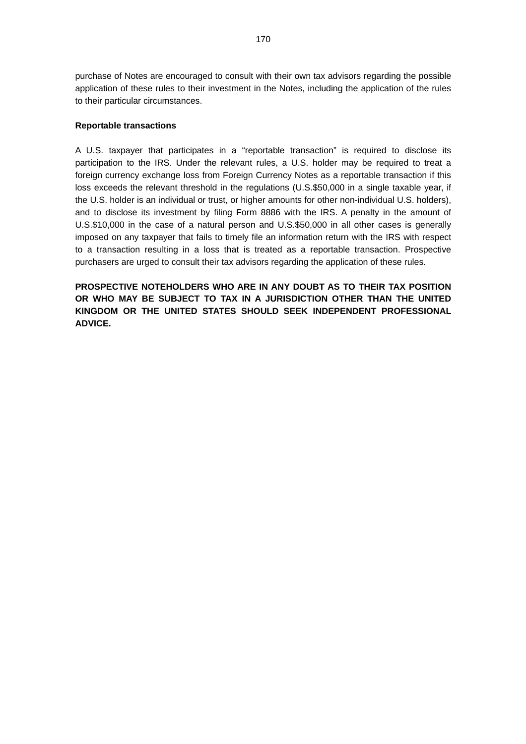purchase of Notes are encouraged to consult with their own tax advisors regarding the possible application of these rules to their investment in the Notes, including the application of the rules to their particular circumstances.

## **Reportable transactions**

A U.S. taxpayer that participates in a "reportable transaction" is required to disclose its participation to the IRS. Under the relevant rules, a U.S. holder may be required to treat a foreign currency exchange loss from Foreign Currency Notes as a reportable transaction if this loss exceeds the relevant threshold in the regulations (U.S.\$50,000 in a single taxable year, if the U.S. holder is an individual or trust, or higher amounts for other non-individual U.S. holders), and to disclose its investment by filing Form 8886 with the IRS. A penalty in the amount of U.S.\$10,000 in the case of a natural person and U.S.\$50,000 in all other cases is generally imposed on any taxpayer that fails to timely file an information return with the IRS with respect to a transaction resulting in a loss that is treated as a reportable transaction. Prospective purchasers are urged to consult their tax advisors regarding the application of these rules.

**PROSPECTIVE NOTEHOLDERS WHO ARE IN ANY DOUBT AS TO THEIR TAX POSITION OR WHO MAY BE SUBJECT TO TAX IN A JURISDICTION OTHER THAN THE UNITED KINGDOM OR THE UNITED STATES SHOULD SEEK INDEPENDENT PROFESSIONAL ADVICE.**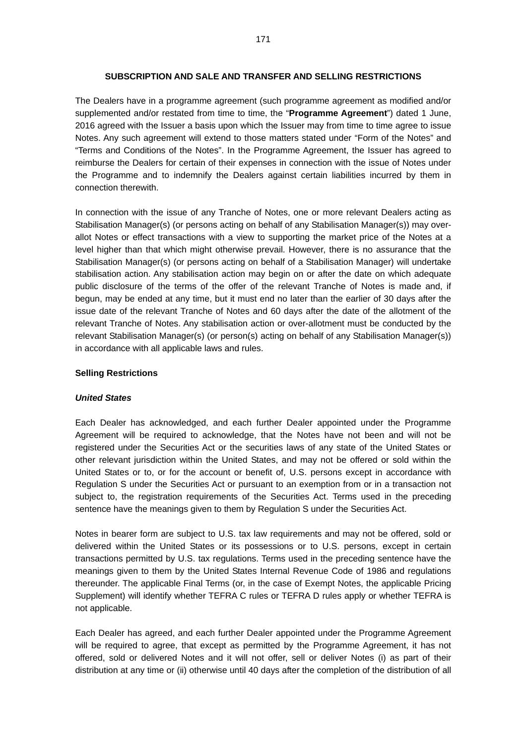## **SUBSCRIPTION AND SALE AND TRANSFER AND SELLING RESTRICTIONS**

The Dealers have in a programme agreement (such programme agreement as modified and/or supplemented and/or restated from time to time, the "**Programme Agreement**") dated 1 June, 2016 agreed with the Issuer a basis upon which the Issuer may from time to time agree to issue Notes. Any such agreement will extend to those matters stated under "Form of the Notes" and "Terms and Conditions of the Notes". In the Programme Agreement, the Issuer has agreed to reimburse the Dealers for certain of their expenses in connection with the issue of Notes under the Programme and to indemnify the Dealers against certain liabilities incurred by them in connection therewith.

In connection with the issue of any Tranche of Notes, one or more relevant Dealers acting as Stabilisation Manager(s) (or persons acting on behalf of any Stabilisation Manager(s)) may overallot Notes or effect transactions with a view to supporting the market price of the Notes at a level higher than that which might otherwise prevail. However, there is no assurance that the Stabilisation Manager(s) (or persons acting on behalf of a Stabilisation Manager) will undertake stabilisation action. Any stabilisation action may begin on or after the date on which adequate public disclosure of the terms of the offer of the relevant Tranche of Notes is made and, if begun, may be ended at any time, but it must end no later than the earlier of 30 days after the issue date of the relevant Tranche of Notes and 60 days after the date of the allotment of the relevant Tranche of Notes. Any stabilisation action or over-allotment must be conducted by the relevant Stabilisation Manager(s) (or person(s) acting on behalf of any Stabilisation Manager(s)) in accordance with all applicable laws and rules.

### **Selling Restrictions**

#### *United States*

Each Dealer has acknowledged, and each further Dealer appointed under the Programme Agreement will be required to acknowledge, that the Notes have not been and will not be registered under the Securities Act or the securities laws of any state of the United States or other relevant jurisdiction within the United States, and may not be offered or sold within the United States or to, or for the account or benefit of, U.S. persons except in accordance with Regulation S under the Securities Act or pursuant to an exemption from or in a transaction not subject to, the registration requirements of the Securities Act. Terms used in the preceding sentence have the meanings given to them by Regulation S under the Securities Act.

Notes in bearer form are subject to U.S. tax law requirements and may not be offered, sold or delivered within the United States or its possessions or to U.S. persons, except in certain transactions permitted by U.S. tax regulations. Terms used in the preceding sentence have the meanings given to them by the United States Internal Revenue Code of 1986 and regulations thereunder. The applicable Final Terms (or, in the case of Exempt Notes, the applicable Pricing Supplement) will identify whether TEFRA C rules or TEFRA D rules apply or whether TEFRA is not applicable.

Each Dealer has agreed, and each further Dealer appointed under the Programme Agreement will be required to agree, that except as permitted by the Programme Agreement, it has not offered, sold or delivered Notes and it will not offer, sell or deliver Notes (i) as part of their distribution at any time or (ii) otherwise until 40 days after the completion of the distribution of all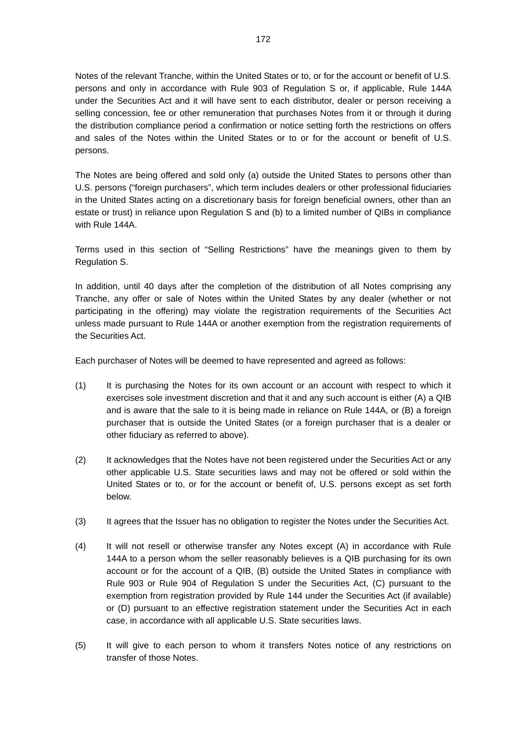Notes of the relevant Tranche, within the United States or to, or for the account or benefit of U.S. persons and only in accordance with Rule 903 of Regulation S or, if applicable, Rule 144A under the Securities Act and it will have sent to each distributor, dealer or person receiving a selling concession, fee or other remuneration that purchases Notes from it or through it during the distribution compliance period a confirmation or notice setting forth the restrictions on offers and sales of the Notes within the United States or to or for the account or benefit of U.S. persons.

The Notes are being offered and sold only (a) outside the United States to persons other than U.S. persons ("foreign purchasers", which term includes dealers or other professional fiduciaries in the United States acting on a discretionary basis for foreign beneficial owners, other than an estate or trust) in reliance upon Regulation S and (b) to a limited number of QIBs in compliance with Rule 144A.

Terms used in this section of "Selling Restrictions" have the meanings given to them by Regulation S.

In addition, until 40 days after the completion of the distribution of all Notes comprising any Tranche, any offer or sale of Notes within the United States by any dealer (whether or not participating in the offering) may violate the registration requirements of the Securities Act unless made pursuant to Rule 144A or another exemption from the registration requirements of the Securities Act.

Each purchaser of Notes will be deemed to have represented and agreed as follows:

- (1) It is purchasing the Notes for its own account or an account with respect to which it exercises sole investment discretion and that it and any such account is either (A) a QIB and is aware that the sale to it is being made in reliance on Rule 144A, or (B) a foreign purchaser that is outside the United States (or a foreign purchaser that is a dealer or other fiduciary as referred to above).
- (2) It acknowledges that the Notes have not been registered under the Securities Act or any other applicable U.S. State securities laws and may not be offered or sold within the United States or to, or for the account or benefit of, U.S. persons except as set forth below.
- (3) It agrees that the Issuer has no obligation to register the Notes under the Securities Act.
- (4) It will not resell or otherwise transfer any Notes except (A) in accordance with Rule 144A to a person whom the seller reasonably believes is a QIB purchasing for its own account or for the account of a QIB, (B) outside the United States in compliance with Rule 903 or Rule 904 of Regulation S under the Securities Act, (C) pursuant to the exemption from registration provided by Rule 144 under the Securities Act (if available) or (D) pursuant to an effective registration statement under the Securities Act in each case, in accordance with all applicable U.S. State securities laws.
- (5) It will give to each person to whom it transfers Notes notice of any restrictions on transfer of those Notes.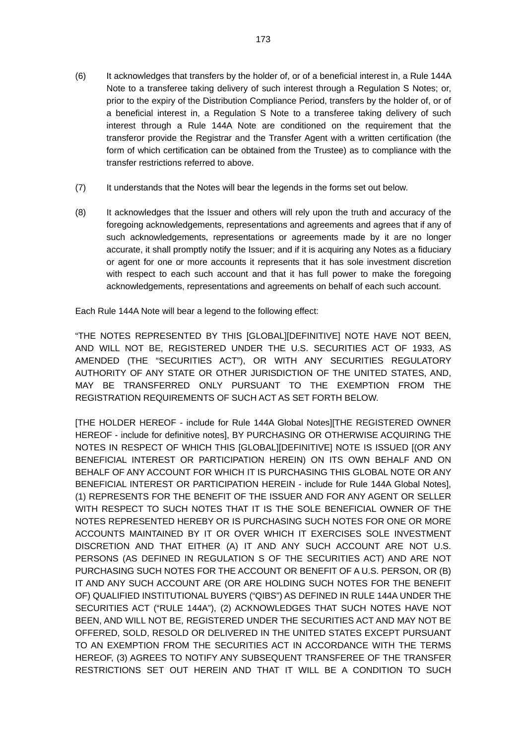- (6) It acknowledges that transfers by the holder of, or of a beneficial interest in, a Rule 144A Note to a transferee taking delivery of such interest through a Regulation S Notes; or, prior to the expiry of the Distribution Compliance Period, transfers by the holder of, or of a beneficial interest in, a Regulation S Note to a transferee taking delivery of such interest through a Rule 144A Note are conditioned on the requirement that the transferor provide the Registrar and the Transfer Agent with a written certification (the form of which certification can be obtained from the Trustee) as to compliance with the transfer restrictions referred to above.
- (7) It understands that the Notes will bear the legends in the forms set out below.
- (8) It acknowledges that the Issuer and others will rely upon the truth and accuracy of the foregoing acknowledgements, representations and agreements and agrees that if any of such acknowledgements, representations or agreements made by it are no longer accurate, it shall promptly notify the Issuer; and if it is acquiring any Notes as a fiduciary or agent for one or more accounts it represents that it has sole investment discretion with respect to each such account and that it has full power to make the foregoing acknowledgements, representations and agreements on behalf of each such account.

Each Rule 144A Note will bear a legend to the following effect:

"THE NOTES REPRESENTED BY THIS [GLOBAL][DEFINITIVE] NOTE HAVE NOT BEEN, AND WILL NOT BE, REGISTERED UNDER THE U.S. SECURITIES ACT OF 1933, AS AMENDED (THE "SECURITIES ACT"), OR WITH ANY SECURITIES REGULATORY AUTHORITY OF ANY STATE OR OTHER JURISDICTION OF THE UNITED STATES, AND, MAY BE TRANSFERRED ONLY PURSUANT TO THE EXEMPTION FROM THE REGISTRATION REQUIREMENTS OF SUCH ACT AS SET FORTH BELOW.

[THE HOLDER HEREOF - include for Rule 144A Global Notes][THE REGISTERED OWNER HEREOF - include for definitive notes], BY PURCHASING OR OTHERWISE ACQUIRING THE NOTES IN RESPECT OF WHICH THIS [GLOBAL][DEFINITIVE] NOTE IS ISSUED [(OR ANY BENEFICIAL INTEREST OR PARTICIPATION HEREIN) ON ITS OWN BEHALF AND ON BEHALF OF ANY ACCOUNT FOR WHICH IT IS PURCHASING THIS GLOBAL NOTE OR ANY BENEFICIAL INTEREST OR PARTICIPATION HEREIN - include for Rule 144A Global Notes], (1) REPRESENTS FOR THE BENEFIT OF THE ISSUER AND FOR ANY AGENT OR SELLER WITH RESPECT TO SUCH NOTES THAT IT IS THE SOLE BENEFICIAL OWNER OF THE NOTES REPRESENTED HEREBY OR IS PURCHASING SUCH NOTES FOR ONE OR MORE ACCOUNTS MAINTAINED BY IT OR OVER WHICH IT EXERCISES SOLE INVESTMENT DISCRETION AND THAT EITHER (A) IT AND ANY SUCH ACCOUNT ARE NOT U.S. PERSONS (AS DEFINED IN REGULATION S OF THE SECURITIES ACT) AND ARE NOT PURCHASING SUCH NOTES FOR THE ACCOUNT OR BENEFIT OF A U.S. PERSON, OR (B) IT AND ANY SUCH ACCOUNT ARE (OR ARE HOLDING SUCH NOTES FOR THE BENEFIT OF) QUALIFIED INSTITUTIONAL BUYERS ("QIBS") AS DEFINED IN RULE 144A UNDER THE SECURITIES ACT ("RULE 144A"), (2) ACKNOWLEDGES THAT SUCH NOTES HAVE NOT BEEN, AND WILL NOT BE, REGISTERED UNDER THE SECURITIES ACT AND MAY NOT BE OFFERED, SOLD, RESOLD OR DELIVERED IN THE UNITED STATES EXCEPT PURSUANT TO AN EXEMPTION FROM THE SECURITIES ACT IN ACCORDANCE WITH THE TERMS HEREOF, (3) AGREES TO NOTIFY ANY SUBSEQUENT TRANSFEREE OF THE TRANSFER RESTRICTIONS SET OUT HEREIN AND THAT IT WILL BE A CONDITION TO SUCH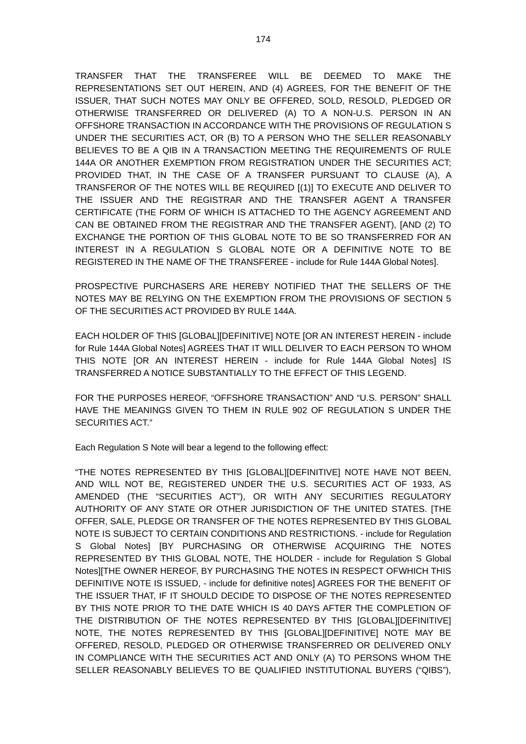TRANSFER THAT THE TRANSFEREE WILL BE DEEMED TO MAKE THE REPRESENTATIONS SET OUT HEREIN, AND (4) AGREES, FOR THE BENEFIT OF THE ISSUER, THAT SUCH NOTES MAY ONLY BE OFFERED, SOLD, RESOLD, PLEDGED OR OTHERWISE TRANSFERRED OR DELIVERED (A) TO A NON-U.S. PERSON IN AN OFFSHORE TRANSACTION IN ACCORDANCE WITH THE PROVISIONS OF REGULATION S UNDER THE SECURITIES ACT, OR (B) TO A PERSON WHO THE SELLER REASONABLY BELIEVES TO BE A QIB IN A TRANSACTION MEETING THE REQUIREMENTS OF RULE 144A OR ANOTHER EXEMPTION FROM REGISTRATION UNDER THE SECURITIES ACT; PROVIDED THAT, IN THE CASE OF A TRANSFER PURSUANT TO CLAUSE (A), A TRANSFEROR OF THE NOTES WILL BE REQUIRED [(1)] TO EXECUTE AND DELIVER TO THE ISSUER AND THE REGISTRAR AND THE TRANSFER AGENT A TRANSFER CERTIFICATE (THE FORM OF WHICH IS ATTACHED TO THE AGENCY AGREEMENT AND CAN BE OBTAINED FROM THE REGISTRAR AND THE TRANSFER AGENT), [AND (2) TO EXCHANGE THE PORTION OF THIS GLOBAL NOTE TO BE SO TRANSFERRED FOR AN INTEREST IN A REGULATION S GLOBAL NOTE OR A DEFINITIVE NOTE TO BE REGISTERED IN THE NAME OF THE TRANSFEREE - include for Rule 144A Global Notes].

PROSPECTIVE PURCHASERS ARE HEREBY NOTIFIED THAT THE SELLERS OF THE NOTES MAY BE RELYING ON THE EXEMPTION FROM THE PROVISIONS OF SECTION 5 OF THE SECURITIES ACT PROVIDED BY RULE 144A.

EACH HOLDER OF THIS [GLOBAL][DEFINITIVE] NOTE [OR AN INTEREST HEREIN - include for Rule 144A Global Notes] AGREES THAT IT WILL DELIVER TO EACH PERSON TO WHOM THIS NOTE [OR AN INTEREST HEREIN - include for Rule 144A Global Notes] IS TRANSFERRED A NOTICE SUBSTANTIALLY TO THE EFFECT OF THIS LEGEND.

FOR THE PURPOSES HEREOF, "OFFSHORE TRANSACTION" AND "U.S. PERSON" SHALL HAVE THE MEANINGS GIVEN TO THEM IN RULE 902 OF REGULATION S UNDER THE SECURITIES ACT."

Each Regulation S Note will bear a legend to the following effect:

"THE NOTES REPRESENTED BY THIS [GLOBAL][DEFINITIVE] NOTE HAVE NOT BEEN, AND WILL NOT BE, REGISTERED UNDER THE U.S. SECURITIES ACT OF 1933, AS AMENDED (THE "SECURITIES ACT"), OR WITH ANY SECURITIES REGULATORY AUTHORITY OF ANY STATE OR OTHER JURISDICTION OF THE UNITED STATES. [THE OFFER, SALE, PLEDGE OR TRANSFER OF THE NOTES REPRESENTED BY THIS GLOBAL NOTE IS SUBJECT TO CERTAIN CONDITIONS AND RESTRICTIONS. - include for Regulation S Global Notes] [BY PURCHASING OR OTHERWISE ACQUIRING THE NOTES REPRESENTED BY THIS GLOBAL NOTE, THE HOLDER - include for Regulation S Global Notes][THE OWNER HEREOF, BY PURCHASING THE NOTES IN RESPECT OFWHICH THIS DEFINITIVE NOTE IS ISSUED, - include for definitive notes] AGREES FOR THE BENEFIT OF THE ISSUER THAT, IF IT SHOULD DECIDE TO DISPOSE OF THE NOTES REPRESENTED BY THIS NOTE PRIOR TO THE DATE WHICH IS 40 DAYS AFTER THE COMPLETION OF THE DISTRIBUTION OF THE NOTES REPRESENTED BY THIS [GLOBAL][DEFINITIVE] NOTE, THE NOTES REPRESENTED BY THIS [GLOBAL][DEFINITIVE] NOTE MAY BE OFFERED, RESOLD, PLEDGED OR OTHERWISE TRANSFERRED OR DELIVERED ONLY IN COMPLIANCE WITH THE SECURITIES ACT AND ONLY (A) TO PERSONS WHOM THE SELLER REASONABLY BELIEVES TO BE QUALIFIED INSTITUTIONAL BUYERS ("QIBS"),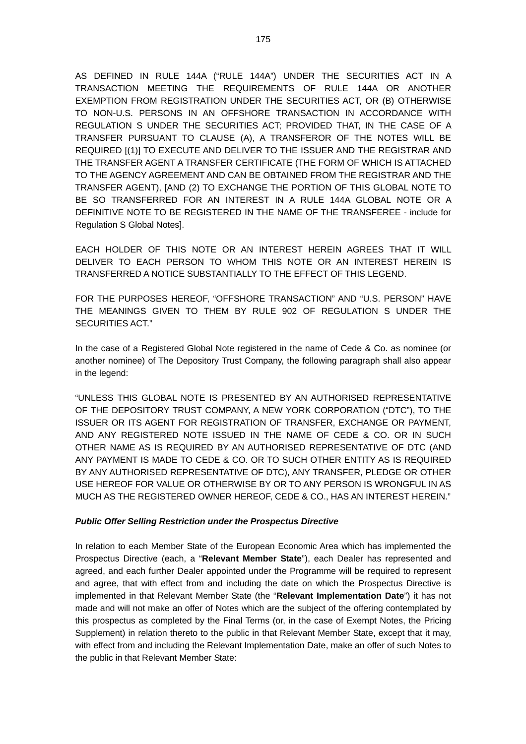AS DEFINED IN RULE 144A ("RULE 144A") UNDER THE SECURITIES ACT IN A TRANSACTION MEETING THE REQUIREMENTS OF RULE 144A OR ANOTHER EXEMPTION FROM REGISTRATION UNDER THE SECURITIES ACT, OR (B) OTHERWISE TO NON-U.S. PERSONS IN AN OFFSHORE TRANSACTION IN ACCORDANCE WITH REGULATION S UNDER THE SECURITIES ACT; PROVIDED THAT, IN THE CASE OF A TRANSFER PURSUANT TO CLAUSE (A), A TRANSFEROR OF THE NOTES WILL BE REQUIRED [(1)] TO EXECUTE AND DELIVER TO THE ISSUER AND THE REGISTRAR AND THE TRANSFER AGENT A TRANSFER CERTIFICATE (THE FORM OF WHICH IS ATTACHED TO THE AGENCY AGREEMENT AND CAN BE OBTAINED FROM THE REGISTRAR AND THE TRANSFER AGENT), [AND (2) TO EXCHANGE THE PORTION OF THIS GLOBAL NOTE TO BE SO TRANSFERRED FOR AN INTEREST IN A RULE 144A GLOBAL NOTE OR A DEFINITIVE NOTE TO BE REGISTERED IN THE NAME OF THE TRANSFEREE - include for Regulation S Global Notes].

EACH HOLDER OF THIS NOTE OR AN INTEREST HEREIN AGREES THAT IT WILL DELIVER TO EACH PERSON TO WHOM THIS NOTE OR AN INTEREST HEREIN IS TRANSFERRED A NOTICE SUBSTANTIALLY TO THE EFFECT OF THIS LEGEND.

FOR THE PURPOSES HEREOF, "OFFSHORE TRANSACTION" AND "U.S. PERSON" HAVE THE MEANINGS GIVEN TO THEM BY RULE 902 OF REGULATION S UNDER THE SECURITIES ACT."

In the case of a Registered Global Note registered in the name of Cede & Co. as nominee (or another nominee) of The Depository Trust Company, the following paragraph shall also appear in the legend:

"UNLESS THIS GLOBAL NOTE IS PRESENTED BY AN AUTHORISED REPRESENTATIVE OF THE DEPOSITORY TRUST COMPANY, A NEW YORK CORPORATION ("DTC"), TO THE ISSUER OR ITS AGENT FOR REGISTRATION OF TRANSFER, EXCHANGE OR PAYMENT, AND ANY REGISTERED NOTE ISSUED IN THE NAME OF CEDE & CO. OR IN SUCH OTHER NAME AS IS REQUIRED BY AN AUTHORISED REPRESENTATIVE OF DTC (AND ANY PAYMENT IS MADE TO CEDE & CO. OR TO SUCH OTHER ENTITY AS IS REQUIRED BY ANY AUTHORISED REPRESENTATIVE OF DTC), ANY TRANSFER, PLEDGE OR OTHER USE HEREOF FOR VALUE OR OTHERWISE BY OR TO ANY PERSON IS WRONGFUL IN AS MUCH AS THE REGISTERED OWNER HEREOF, CEDE & CO., HAS AN INTEREST HEREIN."

### *Public Offer Selling Restriction under the Prospectus Directive*

In relation to each Member State of the European Economic Area which has implemented the Prospectus Directive (each, a "**Relevant Member State**"), each Dealer has represented and agreed, and each further Dealer appointed under the Programme will be required to represent and agree, that with effect from and including the date on which the Prospectus Directive is implemented in that Relevant Member State (the "**Relevant Implementation Date**") it has not made and will not make an offer of Notes which are the subject of the offering contemplated by this prospectus as completed by the Final Terms (or, in the case of Exempt Notes, the Pricing Supplement) in relation thereto to the public in that Relevant Member State, except that it may, with effect from and including the Relevant Implementation Date, make an offer of such Notes to the public in that Relevant Member State: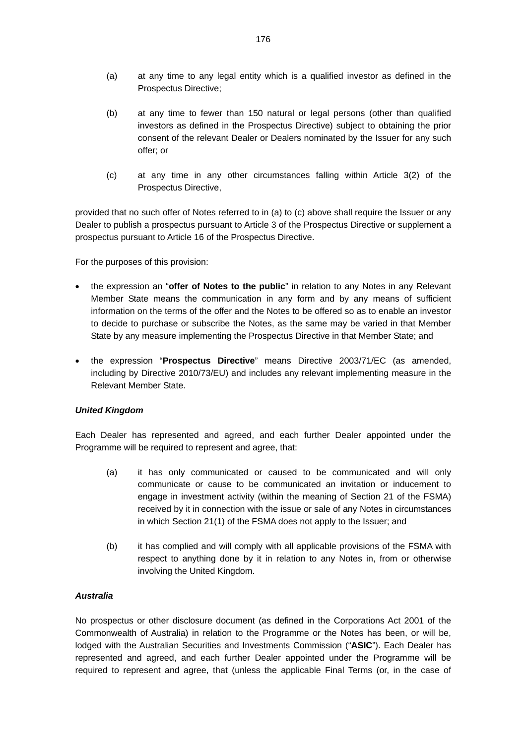- (a) at any time to any legal entity which is a qualified investor as defined in the Prospectus Directive;
- (b) at any time to fewer than 150 natural or legal persons (other than qualified investors as defined in the Prospectus Directive) subject to obtaining the prior consent of the relevant Dealer or Dealers nominated by the Issuer for any such offer; or
- (c) at any time in any other circumstances falling within Article 3(2) of the Prospectus Directive,

provided that no such offer of Notes referred to in (a) to (c) above shall require the Issuer or any Dealer to publish a prospectus pursuant to Article 3 of the Prospectus Directive or supplement a prospectus pursuant to Article 16 of the Prospectus Directive.

For the purposes of this provision:

- the expression an "**offer of Notes to the public**" in relation to any Notes in any Relevant Member State means the communication in any form and by any means of sufficient information on the terms of the offer and the Notes to be offered so as to enable an investor to decide to purchase or subscribe the Notes, as the same may be varied in that Member State by any measure implementing the Prospectus Directive in that Member State; and
- the expression "**Prospectus Directive**" means Directive 2003/71/EC (as amended, including by Directive 2010/73/EU) and includes any relevant implementing measure in the Relevant Member State.

## *United Kingdom*

Each Dealer has represented and agreed, and each further Dealer appointed under the Programme will be required to represent and agree, that:

- (a) it has only communicated or caused to be communicated and will only communicate or cause to be communicated an invitation or inducement to engage in investment activity (within the meaning of Section 21 of the FSMA) received by it in connection with the issue or sale of any Notes in circumstances in which Section 21(1) of the FSMA does not apply to the Issuer; and
- (b) it has complied and will comply with all applicable provisions of the FSMA with respect to anything done by it in relation to any Notes in, from or otherwise involving the United Kingdom.

## *Australia*

No prospectus or other disclosure document (as defined in the Corporations Act 2001 of the Commonwealth of Australia) in relation to the Programme or the Notes has been, or will be, lodged with the Australian Securities and Investments Commission ("**ASIC**"). Each Dealer has represented and agreed, and each further Dealer appointed under the Programme will be required to represent and agree, that (unless the applicable Final Terms (or, in the case of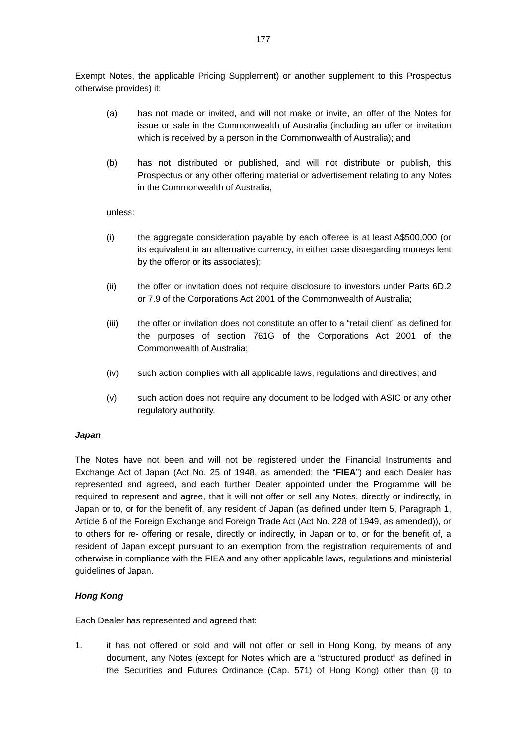Exempt Notes, the applicable Pricing Supplement) or another supplement to this Prospectus otherwise provides) it:

- (a) has not made or invited, and will not make or invite, an offer of the Notes for issue or sale in the Commonwealth of Australia (including an offer or invitation which is received by a person in the Commonwealth of Australia); and
- (b) has not distributed or published, and will not distribute or publish, this Prospectus or any other offering material or advertisement relating to any Notes in the Commonwealth of Australia,

unless:

- (i) the aggregate consideration payable by each offeree is at least A\$500,000 (or its equivalent in an alternative currency, in either case disregarding moneys lent by the offeror or its associates);
- (ii) the offer or invitation does not require disclosure to investors under Parts 6D.2 or 7.9 of the Corporations Act 2001 of the Commonwealth of Australia;
- (iii) the offer or invitation does not constitute an offer to a "retail client" as defined for the purposes of section 761G of the Corporations Act 2001 of the Commonwealth of Australia;
- (iv) such action complies with all applicable laws, regulations and directives; and
- (v) such action does not require any document to be lodged with ASIC or any other regulatory authority.

### *Japan*

The Notes have not been and will not be registered under the Financial Instruments and Exchange Act of Japan (Act No. 25 of 1948, as amended; the "**FIEA**") and each Dealer has represented and agreed, and each further Dealer appointed under the Programme will be required to represent and agree, that it will not offer or sell any Notes, directly or indirectly, in Japan or to, or for the benefit of, any resident of Japan (as defined under Item 5, Paragraph 1, Article 6 of the Foreign Exchange and Foreign Trade Act (Act No. 228 of 1949, as amended)), or to others for re- offering or resale, directly or indirectly, in Japan or to, or for the benefit of, a resident of Japan except pursuant to an exemption from the registration requirements of and otherwise in compliance with the FIEA and any other applicable laws, regulations and ministerial guidelines of Japan.

### *Hong Kong*

Each Dealer has represented and agreed that:

1. it has not offered or sold and will not offer or sell in Hong Kong, by means of any document, any Notes (except for Notes which are a "structured product" as defined in the Securities and Futures Ordinance (Cap. 571) of Hong Kong) other than (i) to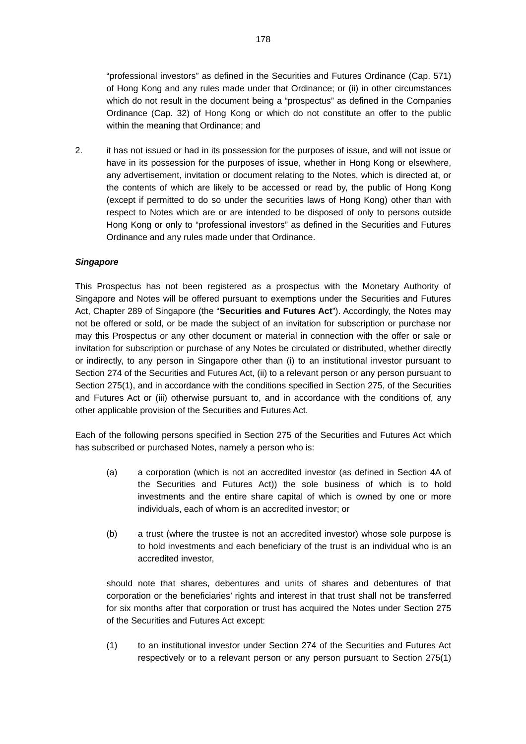"professional investors" as defined in the Securities and Futures Ordinance (Cap. 571) of Hong Kong and any rules made under that Ordinance; or (ii) in other circumstances which do not result in the document being a "prospectus" as defined in the Companies Ordinance (Cap. 32) of Hong Kong or which do not constitute an offer to the public within the meaning that Ordinance; and

2. it has not issued or had in its possession for the purposes of issue, and will not issue or have in its possession for the purposes of issue, whether in Hong Kong or elsewhere, any advertisement, invitation or document relating to the Notes, which is directed at, or the contents of which are likely to be accessed or read by, the public of Hong Kong (except if permitted to do so under the securities laws of Hong Kong) other than with respect to Notes which are or are intended to be disposed of only to persons outside Hong Kong or only to "professional investors" as defined in the Securities and Futures Ordinance and any rules made under that Ordinance.

## *Singapore*

This Prospectus has not been registered as a prospectus with the Monetary Authority of Singapore and Notes will be offered pursuant to exemptions under the Securities and Futures Act, Chapter 289 of Singapore (the "**Securities and Futures Act**"). Accordingly, the Notes may not be offered or sold, or be made the subject of an invitation for subscription or purchase nor may this Prospectus or any other document or material in connection with the offer or sale or invitation for subscription or purchase of any Notes be circulated or distributed, whether directly or indirectly, to any person in Singapore other than (i) to an institutional investor pursuant to Section 274 of the Securities and Futures Act, (ii) to a relevant person or any person pursuant to Section 275(1), and in accordance with the conditions specified in Section 275, of the Securities and Futures Act or (iii) otherwise pursuant to, and in accordance with the conditions of, any other applicable provision of the Securities and Futures Act.

Each of the following persons specified in Section 275 of the Securities and Futures Act which has subscribed or purchased Notes, namely a person who is:

- (a) a corporation (which is not an accredited investor (as defined in Section 4A of the Securities and Futures Act)) the sole business of which is to hold investments and the entire share capital of which is owned by one or more individuals, each of whom is an accredited investor; or
- (b) a trust (where the trustee is not an accredited investor) whose sole purpose is to hold investments and each beneficiary of the trust is an individual who is an accredited investor,

should note that shares, debentures and units of shares and debentures of that corporation or the beneficiaries' rights and interest in that trust shall not be transferred for six months after that corporation or trust has acquired the Notes under Section 275 of the Securities and Futures Act except:

(1) to an institutional investor under Section 274 of the Securities and Futures Act respectively or to a relevant person or any person pursuant to Section 275(1)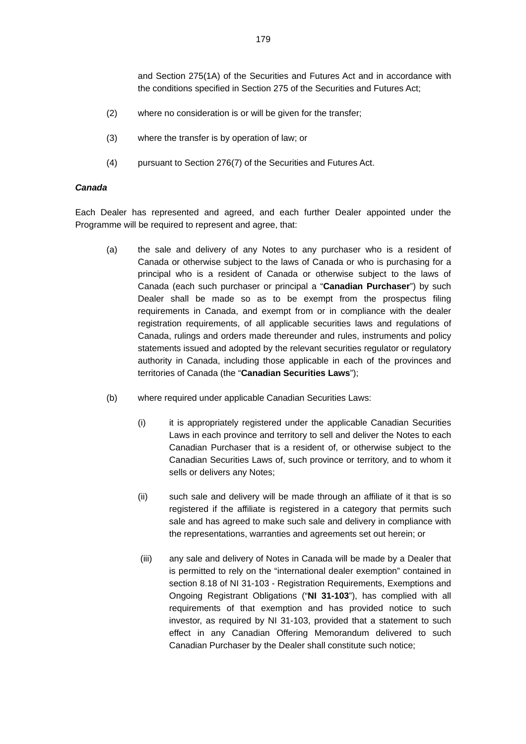and Section 275(1A) of the Securities and Futures Act and in accordance with the conditions specified in Section 275 of the Securities and Futures Act;

- (2) where no consideration is or will be given for the transfer;
- (3) where the transfer is by operation of law; or
- (4) pursuant to Section 276(7) of the Securities and Futures Act.

### *Canada*

Each Dealer has represented and agreed, and each further Dealer appointed under the Programme will be required to represent and agree, that:

- (a) the sale and delivery of any Notes to any purchaser who is a resident of Canada or otherwise subject to the laws of Canada or who is purchasing for a principal who is a resident of Canada or otherwise subject to the laws of Canada (each such purchaser or principal a "**Canadian Purchaser**") by such Dealer shall be made so as to be exempt from the prospectus filing requirements in Canada, and exempt from or in compliance with the dealer registration requirements, of all applicable securities laws and regulations of Canada, rulings and orders made thereunder and rules, instruments and policy statements issued and adopted by the relevant securities regulator or regulatory authority in Canada, including those applicable in each of the provinces and territories of Canada (the "**Canadian Securities Laws**");
- (b) where required under applicable Canadian Securities Laws:
	- (i) it is appropriately registered under the applicable Canadian Securities Laws in each province and territory to sell and deliver the Notes to each Canadian Purchaser that is a resident of, or otherwise subject to the Canadian Securities Laws of, such province or territory, and to whom it sells or delivers any Notes;
	- (ii) such sale and delivery will be made through an affiliate of it that is so registered if the affiliate is registered in a category that permits such sale and has agreed to make such sale and delivery in compliance with the representations, warranties and agreements set out herein; or
	- (iii) any sale and delivery of Notes in Canada will be made by a Dealer that is permitted to rely on the "international dealer exemption" contained in section 8.18 of NI 31-103 - Registration Requirements, Exemptions and Ongoing Registrant Obligations ("**NI 31-103**"), has complied with all requirements of that exemption and has provided notice to such investor, as required by NI 31-103, provided that a statement to such effect in any Canadian Offering Memorandum delivered to such Canadian Purchaser by the Dealer shall constitute such notice;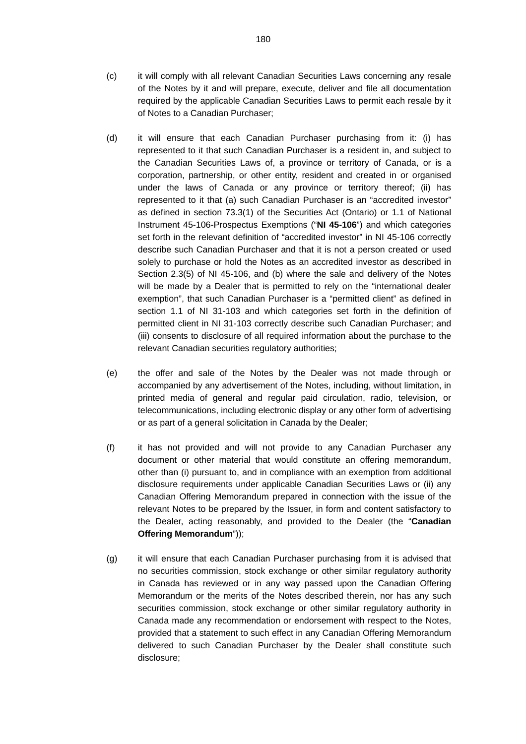- (c) it will comply with all relevant Canadian Securities Laws concerning any resale of the Notes by it and will prepare, execute, deliver and file all documentation required by the applicable Canadian Securities Laws to permit each resale by it of Notes to a Canadian Purchaser;
- (d) it will ensure that each Canadian Purchaser purchasing from it: (i) has represented to it that such Canadian Purchaser is a resident in, and subject to the Canadian Securities Laws of, a province or territory of Canada, or is a corporation, partnership, or other entity, resident and created in or organised under the laws of Canada or any province or territory thereof; (ii) has represented to it that (a) such Canadian Purchaser is an "accredited investor" as defined in section 73.3(1) of the Securities Act (Ontario) or 1.1 of National Instrument 45-106-Prospectus Exemptions ("**NI 45-106**") and which categories set forth in the relevant definition of "accredited investor" in NI 45-106 correctly describe such Canadian Purchaser and that it is not a person created or used solely to purchase or hold the Notes as an accredited investor as described in Section 2.3(5) of NI 45-106, and (b) where the sale and delivery of the Notes will be made by a Dealer that is permitted to rely on the "international dealer exemption", that such Canadian Purchaser is a "permitted client" as defined in section 1.1 of NI 31-103 and which categories set forth in the definition of permitted client in NI 31-103 correctly describe such Canadian Purchaser; and (iii) consents to disclosure of all required information about the purchase to the relevant Canadian securities regulatory authorities;
- (e) the offer and sale of the Notes by the Dealer was not made through or accompanied by any advertisement of the Notes, including, without limitation, in printed media of general and regular paid circulation, radio, television, or telecommunications, including electronic display or any other form of advertising or as part of a general solicitation in Canada by the Dealer;
- (f) it has not provided and will not provide to any Canadian Purchaser any document or other material that would constitute an offering memorandum, other than (i) pursuant to, and in compliance with an exemption from additional disclosure requirements under applicable Canadian Securities Laws or (ii) any Canadian Offering Memorandum prepared in connection with the issue of the relevant Notes to be prepared by the Issuer, in form and content satisfactory to the Dealer, acting reasonably, and provided to the Dealer (the "**Canadian Offering Memorandum**"));
- (g) it will ensure that each Canadian Purchaser purchasing from it is advised that no securities commission, stock exchange or other similar regulatory authority in Canada has reviewed or in any way passed upon the Canadian Offering Memorandum or the merits of the Notes described therein, nor has any such securities commission, stock exchange or other similar regulatory authority in Canada made any recommendation or endorsement with respect to the Notes, provided that a statement to such effect in any Canadian Offering Memorandum delivered to such Canadian Purchaser by the Dealer shall constitute such disclosure;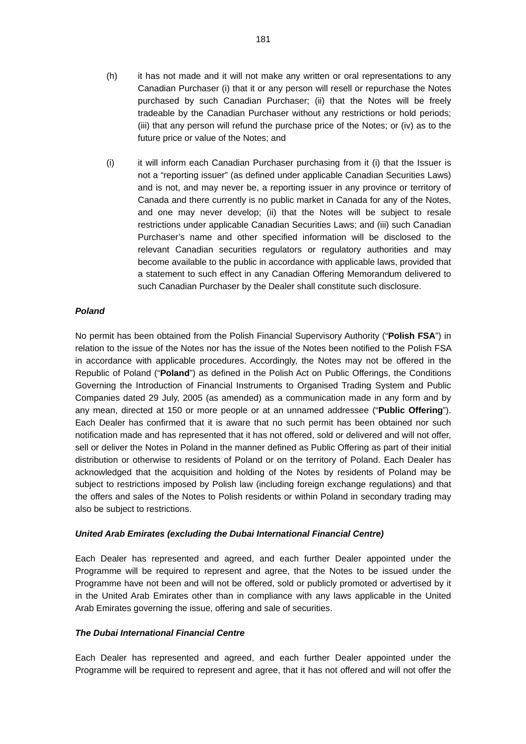- (h) it has not made and it will not make any written or oral representations to any Canadian Purchaser (i) that it or any person will resell or repurchase the Notes purchased by such Canadian Purchaser; (ii) that the Notes will be freely tradeable by the Canadian Purchaser without any restrictions or hold periods; (iii) that any person will refund the purchase price of the Notes; or (iv) as to the future price or value of the Notes; and
- (i) it will inform each Canadian Purchaser purchasing from it (i) that the Issuer is not a "reporting issuer" (as defined under applicable Canadian Securities Laws) and is not, and may never be, a reporting issuer in any province or territory of Canada and there currently is no public market in Canada for any of the Notes, and one may never develop; (ii) that the Notes will be subject to resale restrictions under applicable Canadian Securities Laws; and (iii) such Canadian Purchaser's name and other specified information will be disclosed to the relevant Canadian securities regulators or regulatory authorities and may become available to the public in accordance with applicable laws, provided that a statement to such effect in any Canadian Offering Memorandum delivered to such Canadian Purchaser by the Dealer shall constitute such disclosure.

#### *Poland*

No permit has been obtained from the Polish Financial Supervisory Authority ("**Polish FSA**") in relation to the issue of the Notes nor has the issue of the Notes been notified to the Polish FSA in accordance with applicable procedures. Accordingly, the Notes may not be offered in the Republic of Poland ("**Poland**") as defined in the Polish Act on Public Offerings, the Conditions Governing the Introduction of Financial Instruments to Organised Trading System and Public Companies dated 29 July, 2005 (as amended) as a communication made in any form and by any mean, directed at 150 or more people or at an unnamed addressee ("**Public Offering**"). Each Dealer has confirmed that it is aware that no such permit has been obtained nor such notification made and has represented that it has not offered, sold or delivered and will not offer, sell or deliver the Notes in Poland in the manner defined as Public Offering as part of their initial distribution or otherwise to residents of Poland or on the territory of Poland. Each Dealer has acknowledged that the acquisition and holding of the Notes by residents of Poland may be subject to restrictions imposed by Polish law (including foreign exchange regulations) and that the offers and sales of the Notes to Polish residents or within Poland in secondary trading may also be subject to restrictions.

#### *United Arab Emirates (excluding the Dubai International Financial Centre)*

Each Dealer has represented and agreed, and each further Dealer appointed under the Programme will be required to represent and agree, that the Notes to be issued under the Programme have not been and will not be offered, sold or publicly promoted or advertised by it in the United Arab Emirates other than in compliance with any laws applicable in the United Arab Emirates governing the issue, offering and sale of securities.

## *The Dubai International Financial Centre*

Each Dealer has represented and agreed, and each further Dealer appointed under the Programme will be required to represent and agree, that it has not offered and will not offer the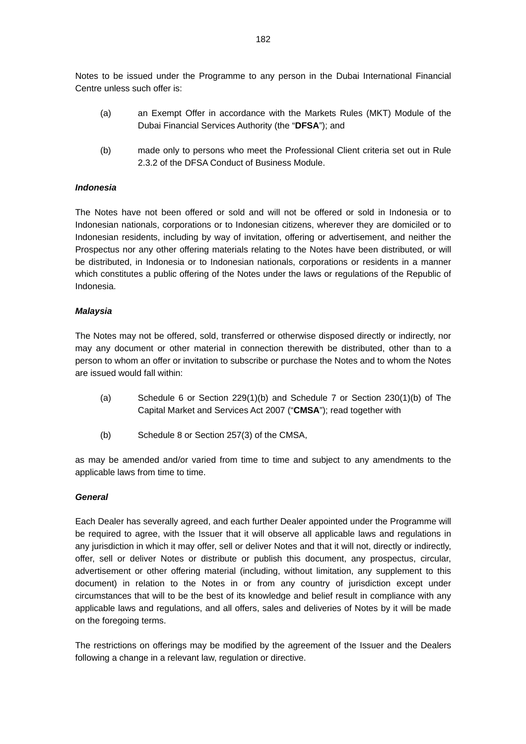Notes to be issued under the Programme to any person in the Dubai International Financial Centre unless such offer is:

- (a) an Exempt Offer in accordance with the Markets Rules (MKT) Module of the Dubai Financial Services Authority (the "**DFSA**"); and
- (b) made only to persons who meet the Professional Client criteria set out in Rule 2.3.2 of the DFSA Conduct of Business Module.

#### *Indonesia*

The Notes have not been offered or sold and will not be offered or sold in Indonesia or to Indonesian nationals, corporations or to Indonesian citizens, wherever they are domiciled or to Indonesian residents, including by way of invitation, offering or advertisement, and neither the Prospectus nor any other offering materials relating to the Notes have been distributed, or will be distributed, in Indonesia or to Indonesian nationals, corporations or residents in a manner which constitutes a public offering of the Notes under the laws or regulations of the Republic of Indonesia.

#### *Malaysia*

The Notes may not be offered, sold, transferred or otherwise disposed directly or indirectly, nor may any document or other material in connection therewith be distributed, other than to a person to whom an offer or invitation to subscribe or purchase the Notes and to whom the Notes are issued would fall within:

- (a) Schedule 6 or Section 229(1)(b) and Schedule 7 or Section 230(1)(b) of The Capital Market and Services Act 2007 ("**CMSA**"); read together with
- (b) Schedule 8 or Section 257(3) of the CMSA,

as may be amended and/or varied from time to time and subject to any amendments to the applicable laws from time to time.

#### *General*

Each Dealer has severally agreed, and each further Dealer appointed under the Programme will be required to agree, with the Issuer that it will observe all applicable laws and regulations in any jurisdiction in which it may offer, sell or deliver Notes and that it will not, directly or indirectly, offer, sell or deliver Notes or distribute or publish this document, any prospectus, circular, advertisement or other offering material (including, without limitation, any supplement to this document) in relation to the Notes in or from any country of jurisdiction except under circumstances that will to be the best of its knowledge and belief result in compliance with any applicable laws and regulations, and all offers, sales and deliveries of Notes by it will be made on the foregoing terms.

The restrictions on offerings may be modified by the agreement of the Issuer and the Dealers following a change in a relevant law, regulation or directive.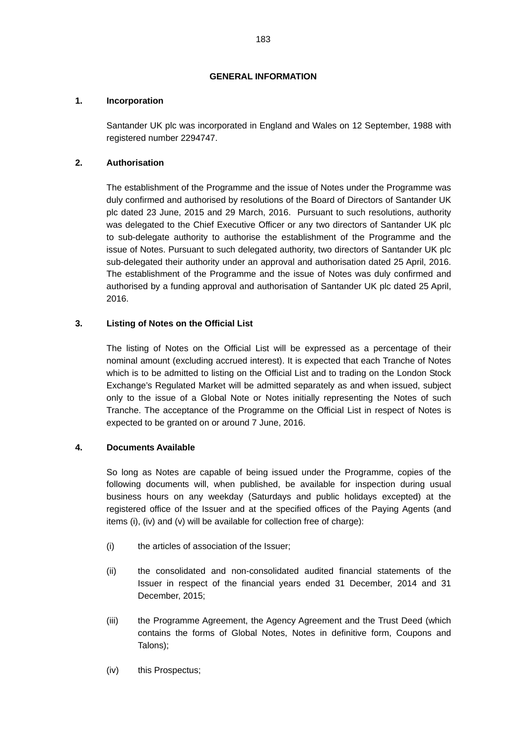# **GENERAL INFORMATION**

# **1. Incorporation**

Santander UK plc was incorporated in England and Wales on 12 September, 1988 with registered number 2294747.

# **2. Authorisation**

The establishment of the Programme and the issue of Notes under the Programme was duly confirmed and authorised by resolutions of the Board of Directors of Santander UK plc dated 23 June, 2015 and 29 March, 2016. Pursuant to such resolutions, authority was delegated to the Chief Executive Officer or any two directors of Santander UK plc to sub-delegate authority to authorise the establishment of the Programme and the issue of Notes. Pursuant to such delegated authority, two directors of Santander UK plc sub-delegated their authority under an approval and authorisation dated 25 April, 2016. The establishment of the Programme and the issue of Notes was duly confirmed and authorised by a funding approval and authorisation of Santander UK plc dated 25 April, 2016.

# **3. Listing of Notes on the Official List**

The listing of Notes on the Official List will be expressed as a percentage of their nominal amount (excluding accrued interest). It is expected that each Tranche of Notes which is to be admitted to listing on the Official List and to trading on the London Stock Exchange's Regulated Market will be admitted separately as and when issued, subject only to the issue of a Global Note or Notes initially representing the Notes of such Tranche. The acceptance of the Programme on the Official List in respect of Notes is expected to be granted on or around 7 June, 2016.

## **4. Documents Available**

So long as Notes are capable of being issued under the Programme, copies of the following documents will, when published, be available for inspection during usual business hours on any weekday (Saturdays and public holidays excepted) at the registered office of the Issuer and at the specified offices of the Paying Agents (and items (i), (iv) and (v) will be available for collection free of charge):

- (i) the articles of association of the Issuer;
- (ii) the consolidated and non-consolidated audited financial statements of the Issuer in respect of the financial years ended 31 December, 2014 and 31 December, 2015;
- (iii) the Programme Agreement, the Agency Agreement and the Trust Deed (which contains the forms of Global Notes, Notes in definitive form, Coupons and Talons);
- (iv) this Prospectus;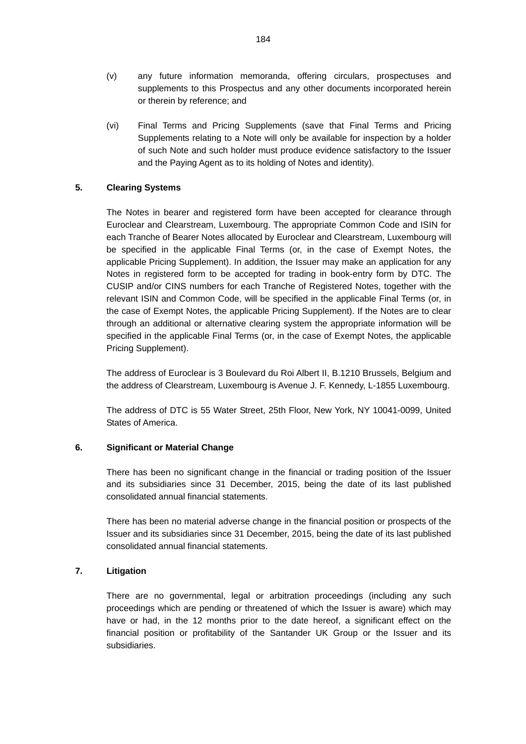- (v) any future information memoranda, offering circulars, prospectuses and supplements to this Prospectus and any other documents incorporated herein or therein by reference; and
- (vi) Final Terms and Pricing Supplements (save that Final Terms and Pricing Supplements relating to a Note will only be available for inspection by a holder of such Note and such holder must produce evidence satisfactory to the Issuer and the Paying Agent as to its holding of Notes and identity).

# **5. Clearing Systems**

The Notes in bearer and registered form have been accepted for clearance through Euroclear and Clearstream, Luxembourg. The appropriate Common Code and ISIN for each Tranche of Bearer Notes allocated by Euroclear and Clearstream, Luxembourg will be specified in the applicable Final Terms (or, in the case of Exempt Notes, the applicable Pricing Supplement). In addition, the Issuer may make an application for any Notes in registered form to be accepted for trading in book-entry form by DTC. The CUSIP and/or CINS numbers for each Tranche of Registered Notes, together with the relevant ISIN and Common Code, will be specified in the applicable Final Terms (or, in the case of Exempt Notes, the applicable Pricing Supplement). If the Notes are to clear through an additional or alternative clearing system the appropriate information will be specified in the applicable Final Terms (or, in the case of Exempt Notes, the applicable Pricing Supplement).

The address of Euroclear is 3 Boulevard du Roi Albert II, B.1210 Brussels, Belgium and the address of Clearstream, Luxembourg is Avenue J. F. Kennedy, L-1855 Luxembourg.

The address of DTC is 55 Water Street, 25th Floor, New York, NY 10041-0099, United States of America.

#### **6. Significant or Material Change**

There has been no significant change in the financial or trading position of the Issuer and its subsidiaries since 31 December, 2015, being the date of its last published consolidated annual financial statements.

There has been no material adverse change in the financial position or prospects of the Issuer and its subsidiaries since 31 December, 2015, being the date of its last published consolidated annual financial statements.

#### **7. Litigation**

There are no governmental, legal or arbitration proceedings (including any such proceedings which are pending or threatened of which the Issuer is aware) which may have or had, in the 12 months prior to the date hereof, a significant effect on the financial position or profitability of the Santander UK Group or the Issuer and its subsidiaries.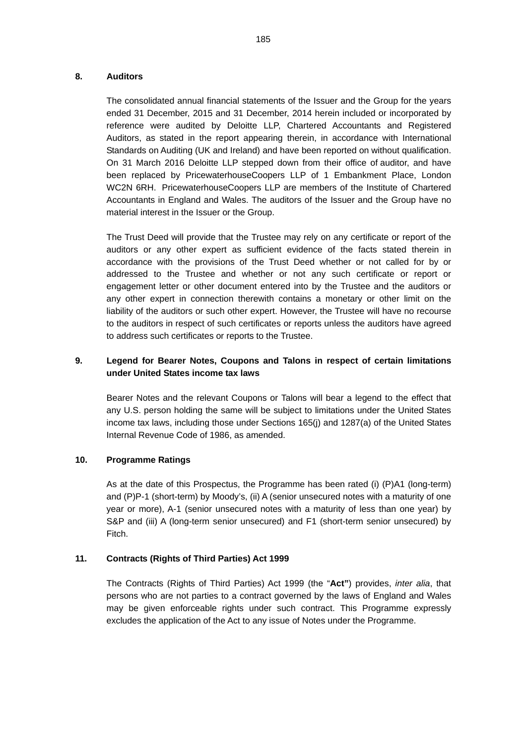## **8. Auditors**

The consolidated annual financial statements of the Issuer and the Group for the years ended 31 December, 2015 and 31 December, 2014 herein included or incorporated by reference were audited by Deloitte LLP, Chartered Accountants and Registered Auditors, as stated in the report appearing therein, in accordance with International Standards on Auditing (UK and Ireland) and have been reported on without qualification. On 31 March 2016 Deloitte LLP stepped down from their office of auditor, and have been replaced by PricewaterhouseCoopers LLP of 1 Embankment Place, London WC2N 6RH. PricewaterhouseCoopers LLP are members of the Institute of Chartered Accountants in England and Wales. The auditors of the Issuer and the Group have no material interest in the Issuer or the Group.

The Trust Deed will provide that the Trustee may rely on any certificate or report of the auditors or any other expert as sufficient evidence of the facts stated therein in accordance with the provisions of the Trust Deed whether or not called for by or addressed to the Trustee and whether or not any such certificate or report or engagement letter or other document entered into by the Trustee and the auditors or any other expert in connection therewith contains a monetary or other limit on the liability of the auditors or such other expert. However, the Trustee will have no recourse to the auditors in respect of such certificates or reports unless the auditors have agreed to address such certificates or reports to the Trustee.

# **9. Legend for Bearer Notes, Coupons and Talons in respect of certain limitations under United States income tax laws**

Bearer Notes and the relevant Coupons or Talons will bear a legend to the effect that any U.S. person holding the same will be subject to limitations under the United States income tax laws, including those under Sections 165(j) and 1287(a) of the United States Internal Revenue Code of 1986, as amended.

## **10. Programme Ratings**

As at the date of this Prospectus, the Programme has been rated (i) (P)A1 (long-term) and (P)P-1 (short-term) by Moody's, (ii) A (senior unsecured notes with a maturity of one year or more), A-1 (senior unsecured notes with a maturity of less than one year) by S&P and (iii) A (long-term senior unsecured) and F1 (short-term senior unsecured) by Fitch.

## **11. Contracts (Rights of Third Parties) Act 1999**

The Contracts (Rights of Third Parties) Act 1999 (the "**Act"**) provides, *inter alia*, that persons who are not parties to a contract governed by the laws of England and Wales may be given enforceable rights under such contract. This Programme expressly excludes the application of the Act to any issue of Notes under the Programme.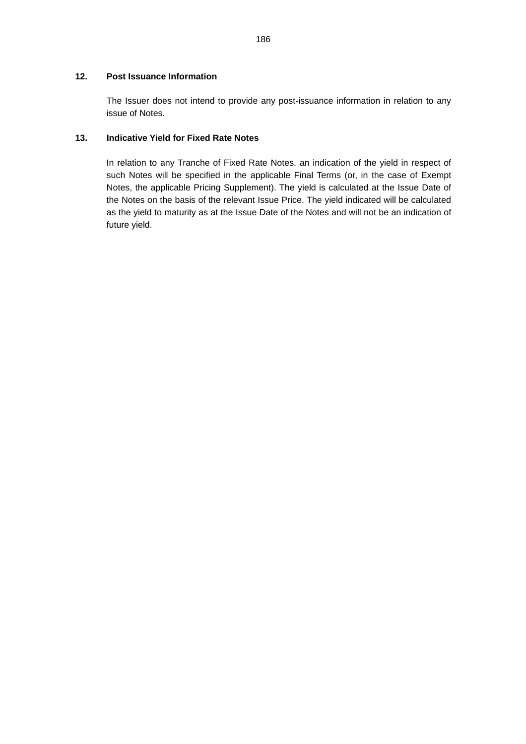# **12. Post Issuance Information**

The Issuer does not intend to provide any post-issuance information in relation to any issue of Notes.

# **13. Indicative Yield for Fixed Rate Notes**

In relation to any Tranche of Fixed Rate Notes, an indication of the yield in respect of such Notes will be specified in the applicable Final Terms (or, in the case of Exempt Notes, the applicable Pricing Supplement). The yield is calculated at the Issue Date of the Notes on the basis of the relevant Issue Price. The yield indicated will be calculated as the yield to maturity as at the Issue Date of the Notes and will not be an indication of future yield.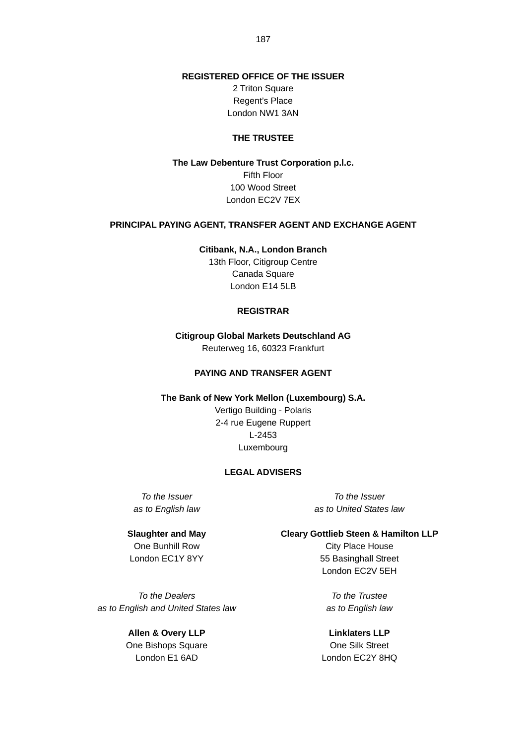**REGISTERED OFFICE OF THE ISSUER** 

2 Triton Square Regent's Place London NW1 3AN

#### **THE TRUSTEE**

**The Law Debenture Trust Corporation p.l.c.**  Fifth Floor 100 Wood Street London EC2V 7EX

### **PRINCIPAL PAYING AGENT, TRANSFER AGENT AND EXCHANGE AGENT**

**Citibank, N.A., London Branch**  13th Floor, Citigroup Centre Canada Square London E14 5LB

#### **REGISTRAR**

**Citigroup Global Markets Deutschland AG**  Reuterweg 16, 60323 Frankfurt

## **PAYING AND TRANSFER AGENT**

**The Bank of New York Mellon (Luxembourg) S.A.** 

Vertigo Building - Polaris 2-4 rue Eugene Ruppert L-2453 Luxembourg

### **LEGAL ADVISERS**

*To the Issuer as to English law*

*To the Issuer as to United States law*

**Slaughter and May**  One Bunhill Row London EC1Y 8YY

*To the Dealers as to English and United States law*

> **Allen & Overy LLP** One Bishops Square London E1 6AD

**Cleary Gottlieb Steen & Hamilton LLP**

City Place House 55 Basinghall Street London EC2V 5EH

*To the Trustee as to English law*

**Linklaters LLP** One Silk Street London EC2Y 8HQ